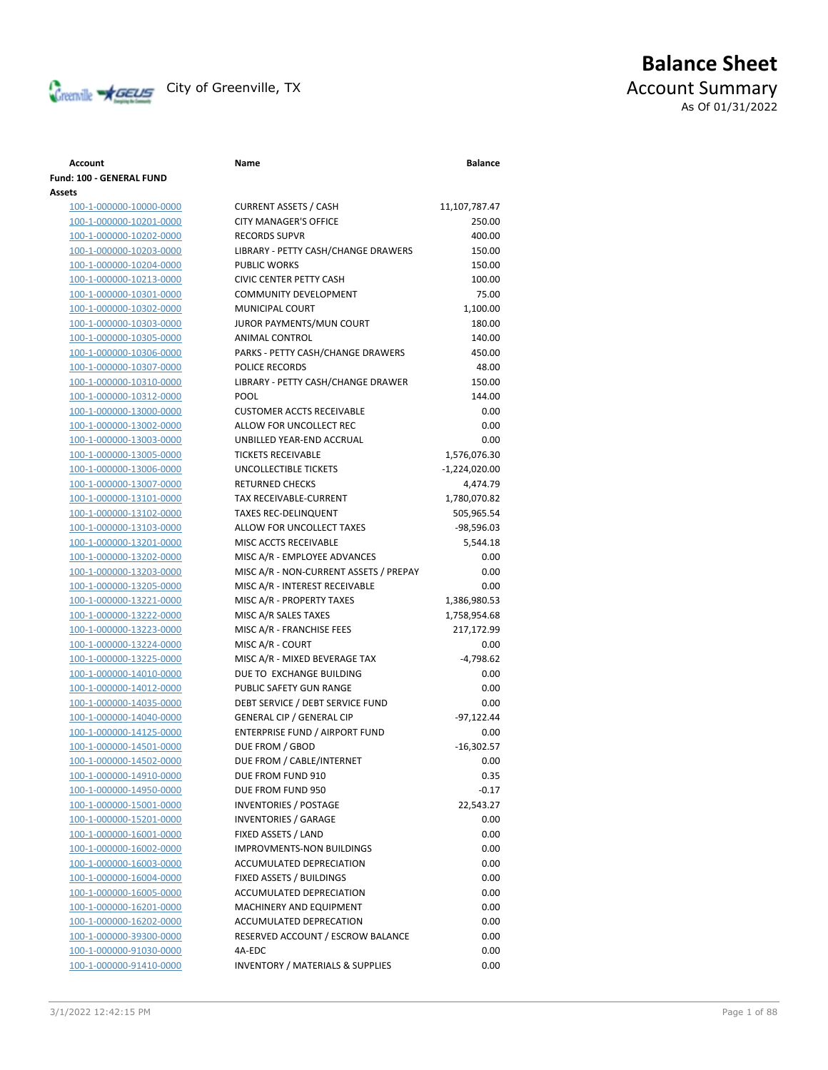

# **Balance Sheet** Creenville **AGEUS** City of Greenville, TX **ACCOUNT** ACCOUNT Summary As Of 01/31/2022

# **Account Name Balance Fund: 100 - GENERAL FUND Assets** 100-1-000000-10000-0000 CURRENT ASSETS / CASH 11,107,787.47 100-1-000000-10201-0000 CITY MANAGER'S OFFICE 250.00 100-1-000000-10202-0000 RECORDS SUPVR 400.00 100-1-000000-10203-0000 LIBRARY - PETTY CASH/CHANGE DRAWERS 150.00 100-1-000000-10204-0000 PUBLIC WORKS 150.00 100-1-000000-10213-0000 CIVIC CENTER PETTY CASH 100.00 100-1-000000-10301-0000 COMMUNITY DEVELOPMENT 75.00 100-1-000000-10302-0000 MUNICIPAL COURT 1,100.00 100-1-000000-10303-0000 JUROR PAYMENTS/MUN COURT 180.00 100-1-000000-10305-0000 ANIMAL CONTROL 140.00 100-1-000000-10306-0000 PARKS - PETTY CASH/CHANGE DRAWERS 450.00 100-1-000000-10307-0000 POLICE RECORDS 48.00 100-1-000000-10310-0000 LIBRARY - PETTY CASH/CHANGE DRAWER 150.00 100-1-000000-10312-0000 POOL 144.00 100-1-000000-13000-0000 CUSTOMER ACCTS RECEIVABLE 0.00 100-1-000000-13002-0000 ALLOW FOR UNCOLLECT REC 0.00 100-1-000000-13003-0000 UNBILLED YEAR-END ACCRUAL 0.00 100-1-000000-13005-0000 TICKETS RECEIVABLE 1,576,076.30 100-1-000000-13006-0000 UNCOLLECTIBLE TICKETS -1,224,020.00 100-1-000000-13007-0000 RETURNED CHECKS 4,474.79 100-1-000000-13101-0000 TAX RECEIVABLE-CURRENT 1,780,070.82 100-1-000000-13102-0000 TAXES REC-DELINQUENT 505,965.54 100-1-000000-13103-0000 ALLOW FOR UNCOLLECT TAXES -98,596.03 100-1-000000-13201-0000 MISC ACCTS RECEIVABLE 5,544.18 100-1-000000-13202-0000 MISC A/R - EMPLOYEE ADVANCES 0.00 100-1-000000-13203-0000 MISC A/R - NON-CURRENT ASSETS / PREPAY 0.00 100-1-000000-13205-0000 MISC A/R - INTEREST RECEIVABLE 0.00 100-1-000000-13221-0000 MISC A/R - PROPERTY TAXES 1,386,980.53 100-1-000000-13222-0000 MISC A/R SALES TAXES 1,758,954.68 100-1-000000-13223-0000 MISC A/R - FRANCHISE FEES 217,172.99 100-1-000000-13224-0000 MISC A/R - COURT 0.00 100-1-000000-13225-0000 MISC A/R - MIXED BEVERAGE TAX -4,798.62 100-1-000000-14010-0000 DUE TO EXCHANGE BUILDING 0.00 100-1-000000-14012-0000 PUBLIC SAFETY GUN RANGE 0.00 100-1-000000-14035-0000 DEBT SERVICE / DEBT SERVICE FUND 0.00 100-1-000000-14040-0000 GENERAL CIP / GENERAL CIP -97,122.44 100-1-000000-14125-0000 ENTERPRISE FUND / AIRPORT FUND 0.00 100-1-000000-14501-0000 DUE FROM / GBOD -16,302.57 100-1-000000-14502-0000 DUE FROM / CABLE/INTERNET 0.00 100-1-000000-14910-0000 DUE FROM FUND 910 0.35 100-1-000000-14950-0000 DUE FROM FUND 950 -0.17 100-1-000000-15001-0000 INVENTORIES / POSTAGE 22,543.27 100-1-000000-15201-0000 INVENTORIES / GARAGE 0.00 100-1-000000-16001-0000 FIXED ASSETS / LAND 0.00 100-1-000000-16002-0000 IMPROVMENTS-NON BUILDINGS 0.00 100-1-000000-16003-0000 ACCUMULATED DEPRECIATION 0.00 100-1-000000-16004-0000 FIXED ASSETS / BUILDINGS 0.00 100-1-000000-16005-0000 ACCUMULATED DEPRECIATION 0.00 100-1-000000-16201-0000 MACHINERY AND EQUIPMENT 0.00 100-1-000000-16202-0000 ACCUMULATED DEPRECATION 0.00 100-1-000000-39300-0000 RESERVED ACCOUNT / ESCROW BALANCE 0.00 100-1-000000-91030-0000 4A-EDC 0.00 100-1-000000-91410-0000 INVENTORY / MATERIALS & SUPPLIES 0.00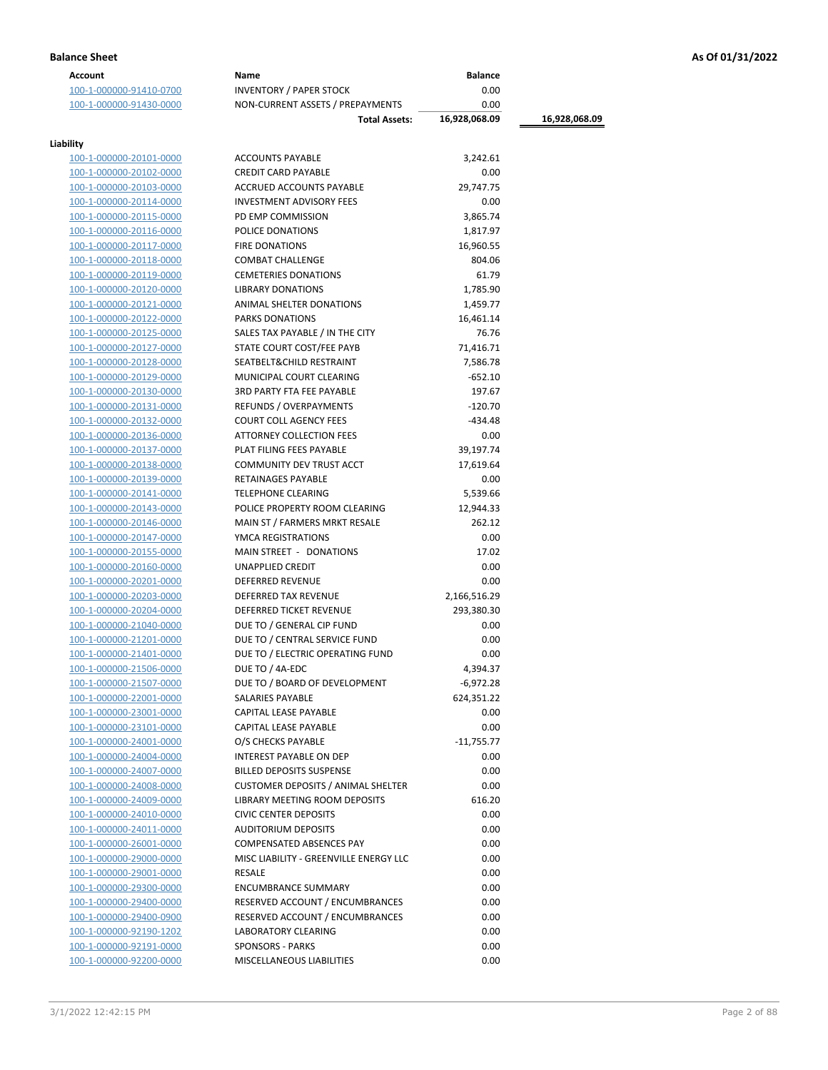| <b>Account</b>          | Name                                      | <b>Balance</b> |               |
|-------------------------|-------------------------------------------|----------------|---------------|
| 100-1-000000-91410-0700 | <b>INVENTORY / PAPER STOCK</b>            | 0.00           |               |
| 100-1-000000-91430-0000 | NON-CURRENT ASSETS / PREPAYMENTS          | 0.00           |               |
|                         | <b>Total Assets:</b>                      | 16,928,068.09  | 16,928,068.09 |
|                         |                                           |                |               |
| Liability               |                                           |                |               |
| 100-1-000000-20101-0000 | <b>ACCOUNTS PAYABLE</b>                   | 3,242.61       |               |
| 100-1-000000-20102-0000 | <b>CREDIT CARD PAYABLE</b>                | 0.00           |               |
| 100-1-000000-20103-0000 | ACCRUED ACCOUNTS PAYABLE                  | 29,747.75      |               |
| 100-1-000000-20114-0000 | <b>INVESTMENT ADVISORY FEES</b>           | 0.00           |               |
| 100-1-000000-20115-0000 | PD EMP COMMISSION                         | 3,865.74       |               |
| 100-1-000000-20116-0000 | POLICE DONATIONS                          | 1,817.97       |               |
| 100-1-000000-20117-0000 | <b>FIRE DONATIONS</b>                     | 16,960.55      |               |
| 100-1-000000-20118-0000 | <b>COMBAT CHALLENGE</b>                   | 804.06         |               |
| 100-1-000000-20119-0000 | <b>CEMETERIES DONATIONS</b>               | 61.79          |               |
| 100-1-000000-20120-0000 | <b>LIBRARY DONATIONS</b>                  | 1,785.90       |               |
| 100-1-000000-20121-0000 | ANIMAL SHELTER DONATIONS                  | 1,459.77       |               |
| 100-1-000000-20122-0000 | <b>PARKS DONATIONS</b>                    | 16,461.14      |               |
| 100-1-000000-20125-0000 | SALES TAX PAYABLE / IN THE CITY           | 76.76          |               |
| 100-1-000000-20127-0000 | STATE COURT COST/FEE PAYB                 | 71,416.71      |               |
| 100-1-000000-20128-0000 | SEATBELT&CHILD RESTRAINT                  | 7,586.78       |               |
| 100-1-000000-20129-0000 | MUNICIPAL COURT CLEARING                  | $-652.10$      |               |
|                         | <b>3RD PARTY FTA FEE PAYABLE</b>          |                |               |
| 100-1-000000-20130-0000 |                                           | 197.67         |               |
| 100-1-000000-20131-0000 | <b>REFUNDS / OVERPAYMENTS</b>             | $-120.70$      |               |
| 100-1-000000-20132-0000 | <b>COURT COLL AGENCY FEES</b>             | $-434.48$      |               |
| 100-1-000000-20136-0000 | <b>ATTORNEY COLLECTION FEES</b>           | 0.00           |               |
| 100-1-000000-20137-0000 | PLAT FILING FEES PAYABLE                  | 39,197.74      |               |
| 100-1-000000-20138-0000 | COMMUNITY DEV TRUST ACCT                  | 17,619.64      |               |
| 100-1-000000-20139-0000 | RETAINAGES PAYABLE                        | 0.00           |               |
| 100-1-000000-20141-0000 | <b>TELEPHONE CLEARING</b>                 | 5,539.66       |               |
| 100-1-000000-20143-0000 | POLICE PROPERTY ROOM CLEARING             | 12,944.33      |               |
| 100-1-000000-20146-0000 | MAIN ST / FARMERS MRKT RESALE             | 262.12         |               |
| 100-1-000000-20147-0000 | YMCA REGISTRATIONS                        | 0.00           |               |
| 100-1-000000-20155-0000 | MAIN STREET - DONATIONS                   | 17.02          |               |
| 100-1-000000-20160-0000 | UNAPPLIED CREDIT                          | 0.00           |               |
| 100-1-000000-20201-0000 | <b>DEFERRED REVENUE</b>                   | 0.00           |               |
| 100-1-000000-20203-0000 | DEFERRED TAX REVENUE                      | 2,166,516.29   |               |
| 100-1-000000-20204-0000 | <b>DEFERRED TICKET REVENUE</b>            | 293,380.30     |               |
| 100-1-000000-21040-0000 | DUE TO / GENERAL CIP FUND                 | 0.00           |               |
| 100-1-000000-21201-0000 | DUE TO / CENTRAL SERVICE FUND             | 0.00           |               |
| 100-1-000000-21401-0000 | DUE TO / ELECTRIC OPERATING FUND          | 0.00           |               |
| 100-1-000000-21506-0000 | DUE TO / 4A-EDC                           | 4,394.37       |               |
| 100-1-000000-21507-0000 | DUE TO / BOARD OF DEVELOPMENT             | $-6,972.28$    |               |
| 100-1-000000-22001-0000 | SALARIES PAYABLE                          | 624,351.22     |               |
| 100-1-000000-23001-0000 | CAPITAL LEASE PAYABLE                     | 0.00           |               |
| 100-1-000000-23101-0000 | CAPITAL LEASE PAYABLE                     | 0.00           |               |
| 100-1-000000-24001-0000 | O/S CHECKS PAYABLE                        | $-11,755.77$   |               |
| 100-1-000000-24004-0000 | <b>INTEREST PAYABLE ON DEP</b>            | 0.00           |               |
| 100-1-000000-24007-0000 | <b>BILLED DEPOSITS SUSPENSE</b>           | 0.00           |               |
| 100-1-000000-24008-0000 | <b>CUSTOMER DEPOSITS / ANIMAL SHELTER</b> | 0.00           |               |
| 100-1-000000-24009-0000 | LIBRARY MEETING ROOM DEPOSITS             | 616.20         |               |
|                         |                                           | 0.00           |               |
| 100-1-000000-24010-0000 | <b>CIVIC CENTER DEPOSITS</b>              |                |               |
| 100-1-000000-24011-0000 | <b>AUDITORIUM DEPOSITS</b>                | 0.00           |               |
| 100-1-000000-26001-0000 | COMPENSATED ABSENCES PAY                  | 0.00           |               |
| 100-1-000000-29000-0000 | MISC LIABILITY - GREENVILLE ENERGY LLC    | 0.00           |               |
| 100-1-000000-29001-0000 | RESALE                                    | 0.00           |               |
| 100-1-000000-29300-0000 | <b>ENCUMBRANCE SUMMARY</b>                | 0.00           |               |
| 100-1-000000-29400-0000 | RESERVED ACCOUNT / ENCUMBRANCES           | 0.00           |               |
| 100-1-000000-29400-0900 | RESERVED ACCOUNT / ENCUMBRANCES           | 0.00           |               |
| 100-1-000000-92190-1202 | LABORATORY CLEARING                       | 0.00           |               |
| 100-1-000000-92191-0000 | <b>SPONSORS - PARKS</b>                   | 0.00           |               |
| 100-1-000000-92200-0000 | MISCELLANEOUS LIABILITIES                 | 0.00           |               |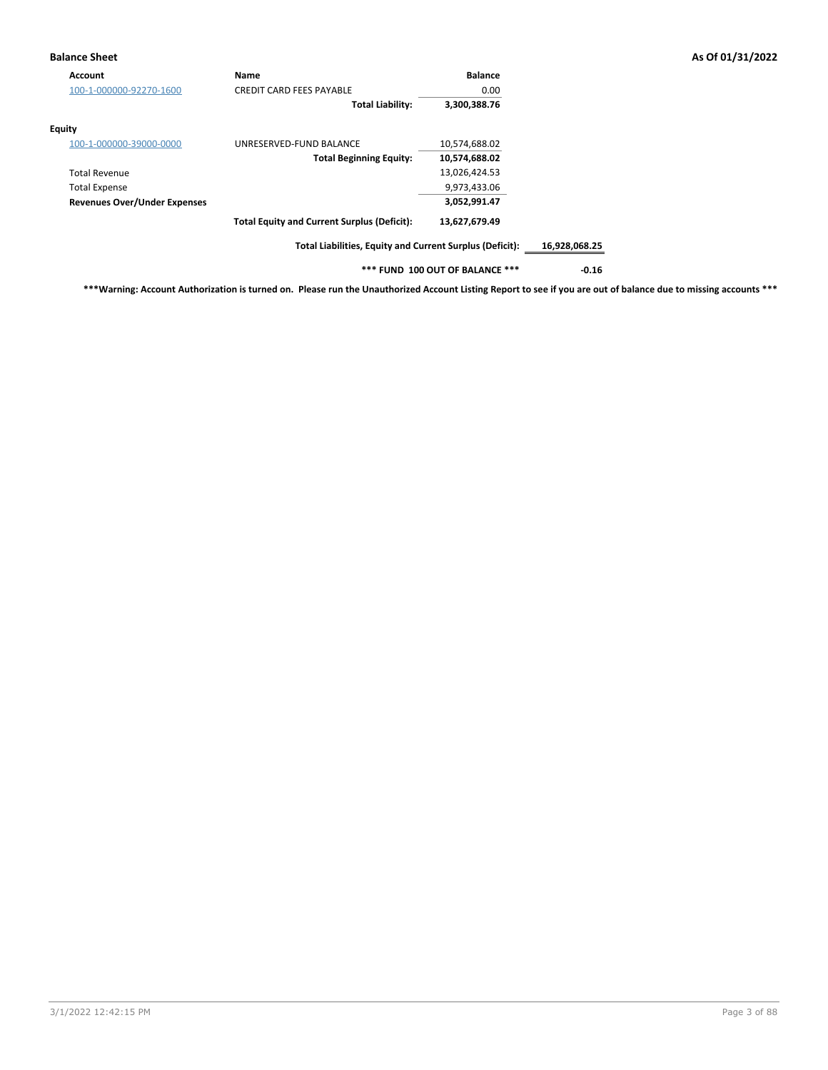# **Balance Sheet As Of 01/31/2022**

| Account                             | Name                                                     | <b>Balance</b>                  |               |
|-------------------------------------|----------------------------------------------------------|---------------------------------|---------------|
| 100-1-000000-92270-1600             | <b>CREDIT CARD FEES PAYABLE</b>                          | 0.00                            |               |
|                                     | <b>Total Liability:</b>                                  | 3,300,388.76                    |               |
| Equity                              |                                                          |                                 |               |
| 100-1-000000-39000-0000             | UNRESERVED-FUND BALANCE                                  | 10,574,688.02                   |               |
|                                     | <b>Total Beginning Equity:</b>                           | 10,574,688.02                   |               |
| <b>Total Revenue</b>                |                                                          | 13,026,424.53                   |               |
| <b>Total Expense</b>                |                                                          | 9,973,433.06                    |               |
| <b>Revenues Over/Under Expenses</b> |                                                          | 3,052,991.47                    |               |
|                                     | <b>Total Equity and Current Surplus (Deficit):</b>       | 13,627,679.49                   |               |
|                                     | Total Liabilities, Equity and Current Surplus (Deficit): |                                 | 16,928,068.25 |
|                                     |                                                          | *** FUND 100 OUT OF BALANCE *** | $-0.16$       |

**\*\*\*Warning: Account Authorization is turned on. Please run the Unauthorized Account Listing Report to see if you are out of balance due to missing accounts \*\*\***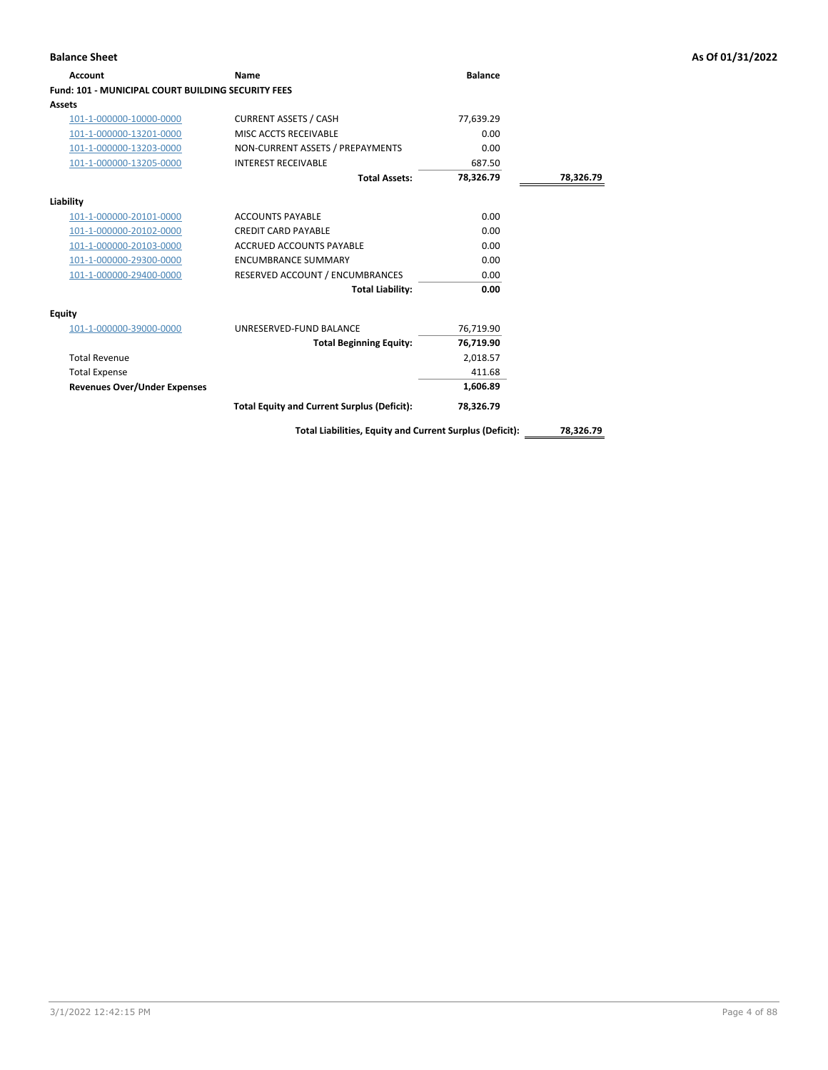# **Account Name Balance Fund: 101 - MUNICIPAL COURT BUILDING SECURITY FEES Assets** 101-1-000000-10000-0000 CURRENT ASSETS / CASH 77,639.29 101-1-000000-13201-0000 MISC ACCTS RECEIVABLE 0.00 101-1-000000-13203-0000 NON-CURRENT ASSETS / PREPAYMENTS 0.00 101-1-000000-13205-0000 INTEREST RECEIVABLE 687.50 **Total Assets: 78,326.79 78,326.79 Liability** 101-1-000000-20101-0000 ACCOUNTS PAYABLE 0.00 101-1-000000-20102-0000 CREDIT CARD PAYABLE 0.00 101-1-000000-20103-0000 ACCRUED ACCOUNTS PAYABLE 0.00 101-1-000000-29300-0000 ENCUMBRANCE SUMMARY 0.00 101-1-000000-29400-0000 RESERVED ACCOUNT / ENCUMBRANCES 0.00 **Total Liability: 0.00 Equity** 101-1-000000-39000-0000 UNRESERVED-FUND BALANCE 76,719.90 **Total Beginning Equity: 76,719.90** Total Revenue 2,018.57 Total Expense 411.68 **Revenues Over/Under Expenses 1,606.89 Total Equity and Current Surplus (Deficit): 78,326.79**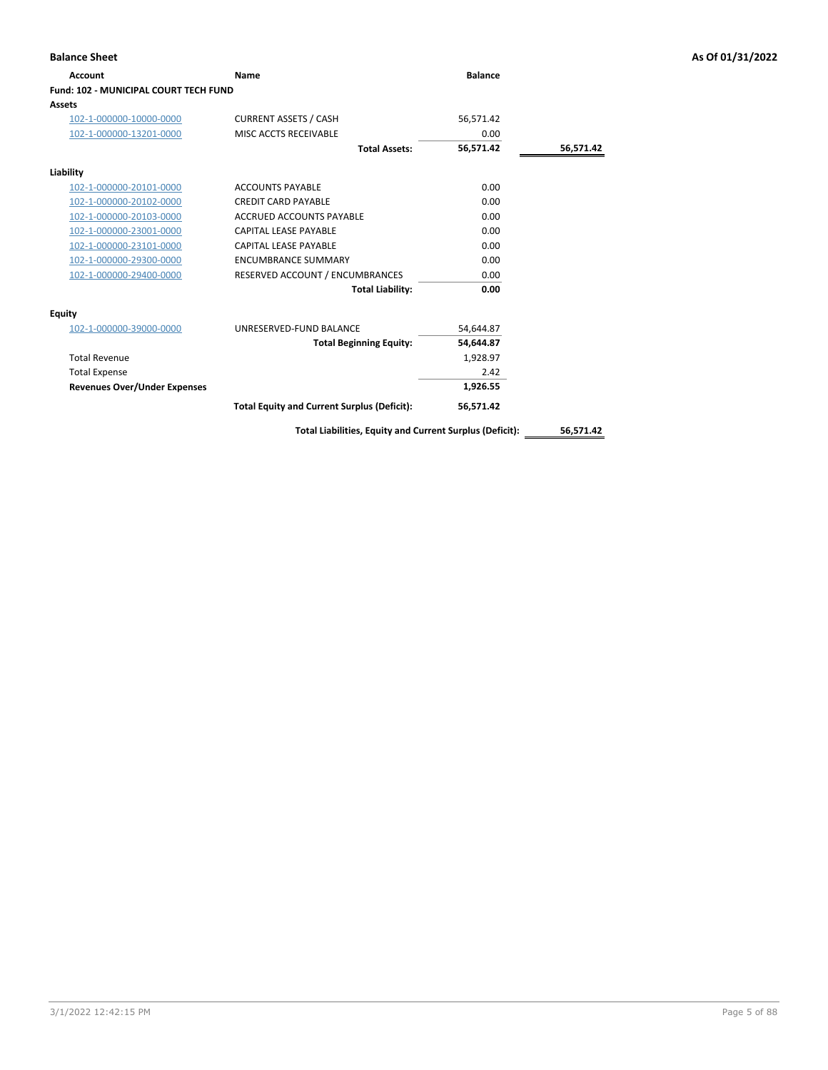| <b>Balance Sheet</b>                  |                                                    |                |           | As Of 01/31/2022 |
|---------------------------------------|----------------------------------------------------|----------------|-----------|------------------|
| Account                               | Name                                               | <b>Balance</b> |           |                  |
| Fund: 102 - MUNICIPAL COURT TECH FUND |                                                    |                |           |                  |
| <b>Assets</b>                         |                                                    |                |           |                  |
| 102-1-000000-10000-0000               | <b>CURRENT ASSETS / CASH</b>                       | 56,571.42      |           |                  |
| 102-1-000000-13201-0000               | MISC ACCTS RECEIVABLE                              | 0.00           |           |                  |
|                                       | <b>Total Assets:</b>                               | 56,571.42      | 56,571.42 |                  |
| Liability                             |                                                    |                |           |                  |
| 102-1-000000-20101-0000               | <b>ACCOUNTS PAYABLE</b>                            | 0.00           |           |                  |
| 102-1-000000-20102-0000               | <b>CREDIT CARD PAYABLE</b>                         | 0.00           |           |                  |
| 102-1-000000-20103-0000               | <b>ACCRUED ACCOUNTS PAYABLE</b>                    | 0.00           |           |                  |
| 102-1-000000-23001-0000               | <b>CAPITAL LEASE PAYABLE</b>                       | 0.00           |           |                  |
| 102-1-000000-23101-0000               | <b>CAPITAL LEASE PAYABLE</b>                       | 0.00           |           |                  |
| 102-1-000000-29300-0000               | <b>ENCUMBRANCE SUMMARY</b>                         | 0.00           |           |                  |
| 102-1-000000-29400-0000               | RESERVED ACCOUNT / ENCUMBRANCES                    | 0.00           |           |                  |
|                                       | <b>Total Liability:</b>                            | 0.00           |           |                  |
| Equity                                |                                                    |                |           |                  |
| 102-1-000000-39000-0000               | UNRESERVED-FUND BALANCE                            | 54,644.87      |           |                  |
|                                       | <b>Total Beginning Equity:</b>                     | 54,644.87      |           |                  |
| <b>Total Revenue</b>                  |                                                    | 1,928.97       |           |                  |
| <b>Total Expense</b>                  |                                                    | 2.42           |           |                  |
| <b>Revenues Over/Under Expenses</b>   |                                                    | 1,926.55       |           |                  |
|                                       | <b>Total Equity and Current Surplus (Deficit):</b> | 56,571.42      |           |                  |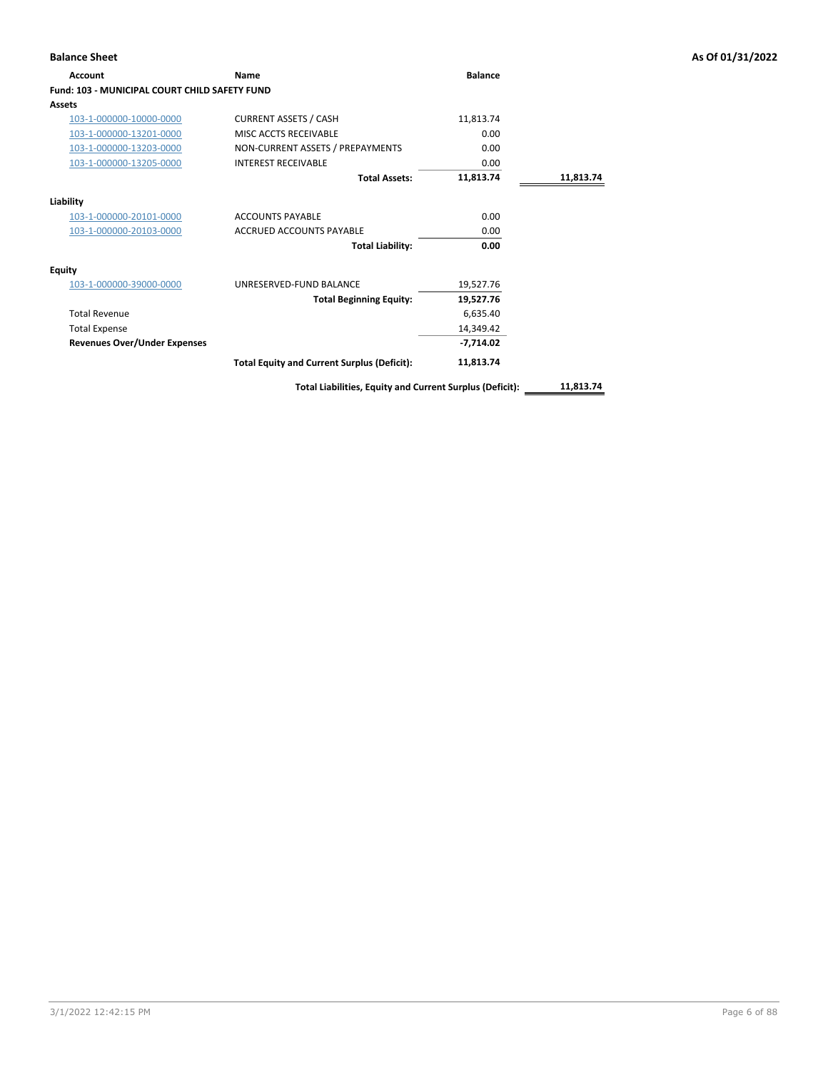| Account                                       | <b>Name</b>                                              | <b>Balance</b> |           |
|-----------------------------------------------|----------------------------------------------------------|----------------|-----------|
| Fund: 103 - MUNICIPAL COURT CHILD SAFETY FUND |                                                          |                |           |
| Assets                                        |                                                          |                |           |
| 103-1-000000-10000-0000                       | <b>CURRENT ASSETS / CASH</b>                             | 11,813.74      |           |
| 103-1-000000-13201-0000                       | MISC ACCTS RECEIVABLE                                    | 0.00           |           |
| 103-1-000000-13203-0000                       | NON-CURRENT ASSETS / PREPAYMENTS                         | 0.00           |           |
| 103-1-000000-13205-0000                       | <b>INTEREST RECEIVABLE</b>                               | 0.00           |           |
|                                               | <b>Total Assets:</b>                                     | 11,813.74      | 11,813.74 |
| Liability                                     |                                                          |                |           |
| 103-1-000000-20101-0000                       | <b>ACCOUNTS PAYABLE</b>                                  | 0.00           |           |
| 103-1-000000-20103-0000                       | <b>ACCRUED ACCOUNTS PAYABLE</b>                          | 0.00           |           |
|                                               | <b>Total Liability:</b>                                  | 0.00           |           |
| Equity                                        |                                                          |                |           |
| 103-1-000000-39000-0000                       | UNRESERVED-FUND BALANCE                                  | 19,527.76      |           |
|                                               | <b>Total Beginning Equity:</b>                           | 19,527.76      |           |
| <b>Total Revenue</b>                          |                                                          | 6,635.40       |           |
| <b>Total Expense</b>                          |                                                          | 14.349.42      |           |
| <b>Revenues Over/Under Expenses</b>           |                                                          | $-7,714.02$    |           |
|                                               | <b>Total Equity and Current Surplus (Deficit):</b>       | 11,813.74      |           |
|                                               | Total Liabilities, Equity and Current Surplus (Deficit): |                | 11,813.74 |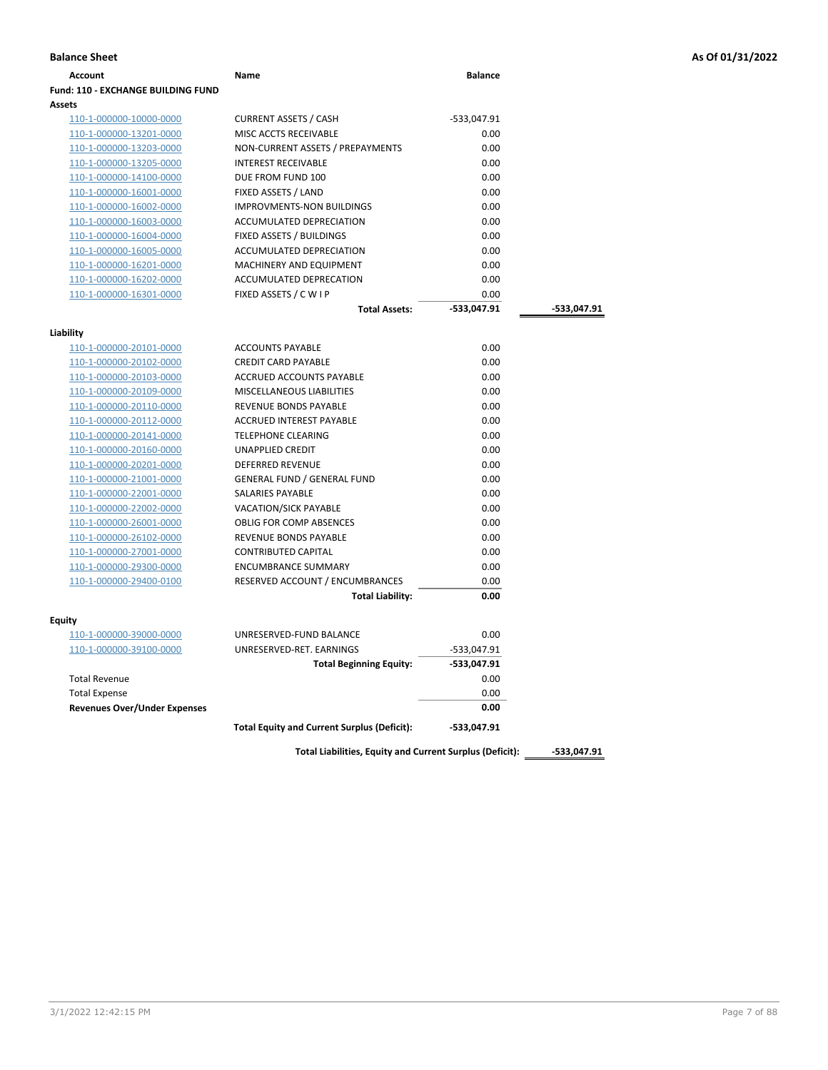| Account                                   | Name                                               | <b>Balance</b> |             |
|-------------------------------------------|----------------------------------------------------|----------------|-------------|
| <b>Fund: 110 - EXCHANGE BUILDING FUND</b> |                                                    |                |             |
| Assets                                    |                                                    |                |             |
| 110-1-000000-10000-0000                   | <b>CURRENT ASSETS / CASH</b>                       | -533,047.91    |             |
| 110-1-000000-13201-0000                   | MISC ACCTS RECEIVABLE                              | 0.00           |             |
| 110-1-000000-13203-0000                   | NON-CURRENT ASSETS / PREPAYMENTS                   | 0.00           |             |
| 110-1-000000-13205-0000                   | <b>INTEREST RECEIVABLE</b>                         | 0.00           |             |
| 110-1-000000-14100-0000                   | DUE FROM FUND 100                                  | 0.00           |             |
| 110-1-000000-16001-0000                   | FIXED ASSETS / LAND                                | 0.00           |             |
| 110-1-000000-16002-0000                   | <b>IMPROVMENTS-NON BUILDINGS</b>                   | 0.00           |             |
| 110-1-000000-16003-0000                   | <b>ACCUMULATED DEPRECIATION</b>                    | 0.00           |             |
| 110-1-000000-16004-0000                   | FIXED ASSETS / BUILDINGS                           | 0.00           |             |
| 110-1-000000-16005-0000                   | ACCUMULATED DEPRECIATION                           | 0.00           |             |
| 110-1-000000-16201-0000                   | MACHINERY AND EQUIPMENT                            | 0.00           |             |
| 110-1-000000-16202-0000                   | ACCUMULATED DEPRECATION                            | 0.00           |             |
| 110-1-000000-16301-0000                   | FIXED ASSETS / C W I P                             | 0.00           |             |
|                                           | <b>Total Assets:</b>                               | $-533,047.91$  | -533,047.91 |
|                                           |                                                    |                |             |
| Liability<br>110-1-000000-20101-0000      | <b>ACCOUNTS PAYABLE</b>                            | 0.00           |             |
| 110-1-000000-20102-0000                   | <b>CREDIT CARD PAYABLE</b>                         | 0.00           |             |
| 110-1-000000-20103-0000                   | ACCRUED ACCOUNTS PAYABLE                           | 0.00           |             |
| 110-1-000000-20109-0000                   | <b>MISCELLANEOUS LIABILITIES</b>                   | 0.00           |             |
| 110-1-000000-20110-0000                   | <b>REVENUE BONDS PAYABLE</b>                       | 0.00           |             |
| 110-1-000000-20112-0000                   | <b>ACCRUED INTEREST PAYABLE</b>                    | 0.00           |             |
| 110-1-000000-20141-0000                   | TELEPHONE CLEARING                                 | 0.00           |             |
| 110-1-000000-20160-0000                   | UNAPPLIED CREDIT                                   | 0.00           |             |
| 110-1-000000-20201-0000                   | DEFERRED REVENUE                                   | 0.00           |             |
| 110-1-000000-21001-0000                   | <b>GENERAL FUND / GENERAL FUND</b>                 | 0.00           |             |
| 110-1-000000-22001-0000                   | SALARIES PAYABLE                                   | 0.00           |             |
| 110-1-000000-22002-0000                   | <b>VACATION/SICK PAYABLE</b>                       | 0.00           |             |
| 110-1-000000-26001-0000                   | <b>OBLIG FOR COMP ABSENCES</b>                     | 0.00           |             |
| 110-1-000000-26102-0000                   | REVENUE BONDS PAYABLE                              | 0.00           |             |
| 110-1-000000-27001-0000                   | <b>CONTRIBUTED CAPITAL</b>                         | 0.00           |             |
| 110-1-000000-29300-0000                   | <b>ENCUMBRANCE SUMMARY</b>                         | 0.00           |             |
| 110-1-000000-29400-0100                   | RESERVED ACCOUNT / ENCUMBRANCES                    | 0.00           |             |
|                                           | <b>Total Liability:</b>                            | 0.00           |             |
|                                           |                                                    |                |             |
| Equity                                    |                                                    |                |             |
| 110-1-000000-39000-0000                   | UNRESERVED-FUND BALANCE                            | 0.00           |             |
| 110-1-000000-39100-0000                   | UNRESERVED-RET. EARNINGS                           | -533,047.91    |             |
|                                           | <b>Total Beginning Equity:</b>                     | -533,047.91    |             |
| <b>Total Revenue</b>                      |                                                    | 0.00           |             |
| <b>Total Expense</b>                      |                                                    | 0.00           |             |
| <b>Revenues Over/Under Expenses</b>       |                                                    | 0.00           |             |
|                                           | <b>Total Equity and Current Surplus (Deficit):</b> | -533,047.91    |             |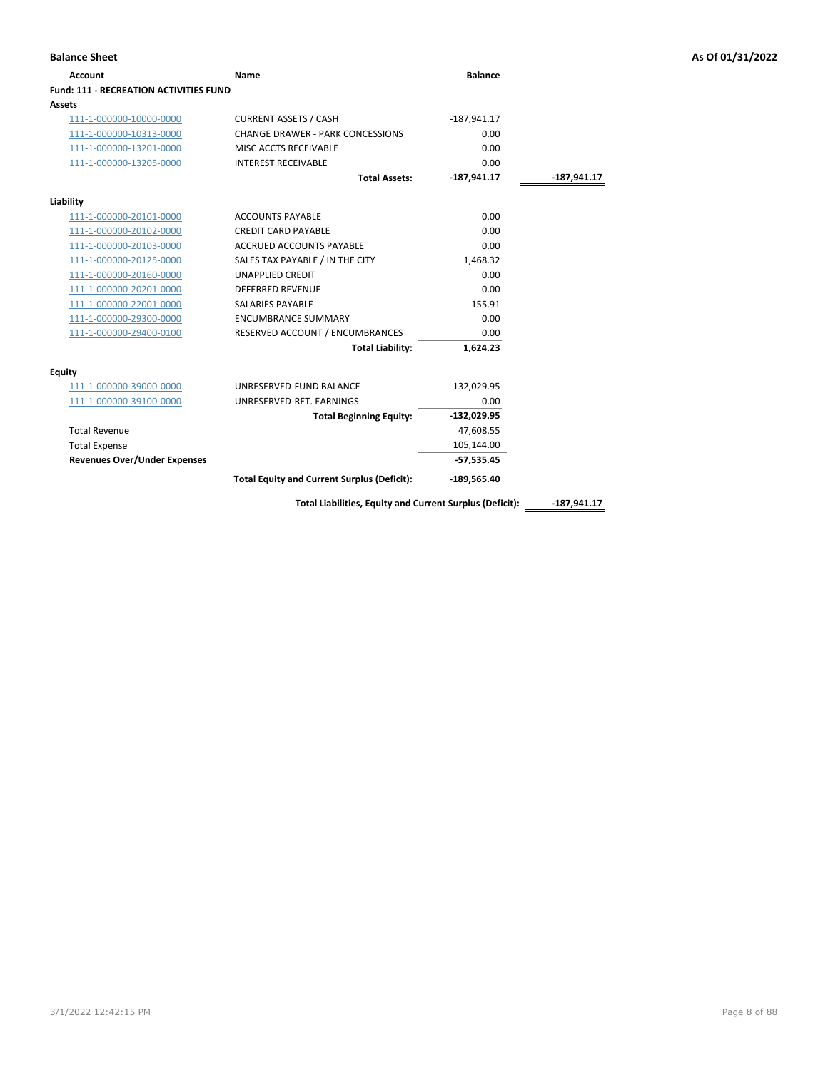| <b>Account</b>                                | Name                                                     | <b>Balance</b> |               |
|-----------------------------------------------|----------------------------------------------------------|----------------|---------------|
| <b>Fund: 111 - RECREATION ACTIVITIES FUND</b> |                                                          |                |               |
| Assets                                        |                                                          |                |               |
| 111-1-000000-10000-0000                       | <b>CURRENT ASSETS / CASH</b>                             | $-187,941.17$  |               |
| 111-1-000000-10313-0000                       | CHANGE DRAWER - PARK CONCESSIONS                         | 0.00           |               |
| 111-1-000000-13201-0000                       | MISC ACCTS RECEIVABLE                                    | 0.00           |               |
| 111-1-000000-13205-0000                       | <b>INTEREST RECEIVABLE</b>                               | 0.00           |               |
|                                               | <b>Total Assets:</b>                                     | $-187,941.17$  | -187,941.17   |
| Liability                                     |                                                          |                |               |
| 111-1-000000-20101-0000                       | <b>ACCOUNTS PAYABLE</b>                                  | 0.00           |               |
| 111-1-000000-20102-0000                       | <b>CREDIT CARD PAYABLE</b>                               | 0.00           |               |
| 111-1-000000-20103-0000                       | <b>ACCRUED ACCOUNTS PAYABLE</b>                          | 0.00           |               |
| 111-1-000000-20125-0000                       | SALES TAX PAYABLE / IN THE CITY                          | 1,468.32       |               |
| 111-1-000000-20160-0000                       | <b>UNAPPLIED CREDIT</b>                                  | 0.00           |               |
| 111-1-000000-20201-0000                       | <b>DEFERRED REVENUE</b>                                  | 0.00           |               |
| 111-1-000000-22001-0000                       | <b>SALARIES PAYABLE</b>                                  | 155.91         |               |
| 111-1-000000-29300-0000                       | <b>ENCUMBRANCE SUMMARY</b>                               | 0.00           |               |
| 111-1-000000-29400-0100                       | RESERVED ACCOUNT / ENCUMBRANCES                          | 0.00           |               |
|                                               | <b>Total Liability:</b>                                  | 1,624.23       |               |
| <b>Equity</b>                                 |                                                          |                |               |
| 111-1-000000-39000-0000                       | UNRESERVED-FUND BALANCE                                  | $-132,029.95$  |               |
| 111-1-000000-39100-0000                       | UNRESERVED-RET. EARNINGS                                 | 0.00           |               |
|                                               | <b>Total Beginning Equity:</b>                           | $-132,029.95$  |               |
| <b>Total Revenue</b>                          |                                                          | 47,608.55      |               |
| <b>Total Expense</b>                          |                                                          | 105,144.00     |               |
| <b>Revenues Over/Under Expenses</b>           |                                                          | $-57,535.45$   |               |
|                                               | <b>Total Equity and Current Surplus (Deficit):</b>       | $-189,565.40$  |               |
|                                               | Total Liabilities, Equity and Current Surplus (Deficit): |                | $-187.941.17$ |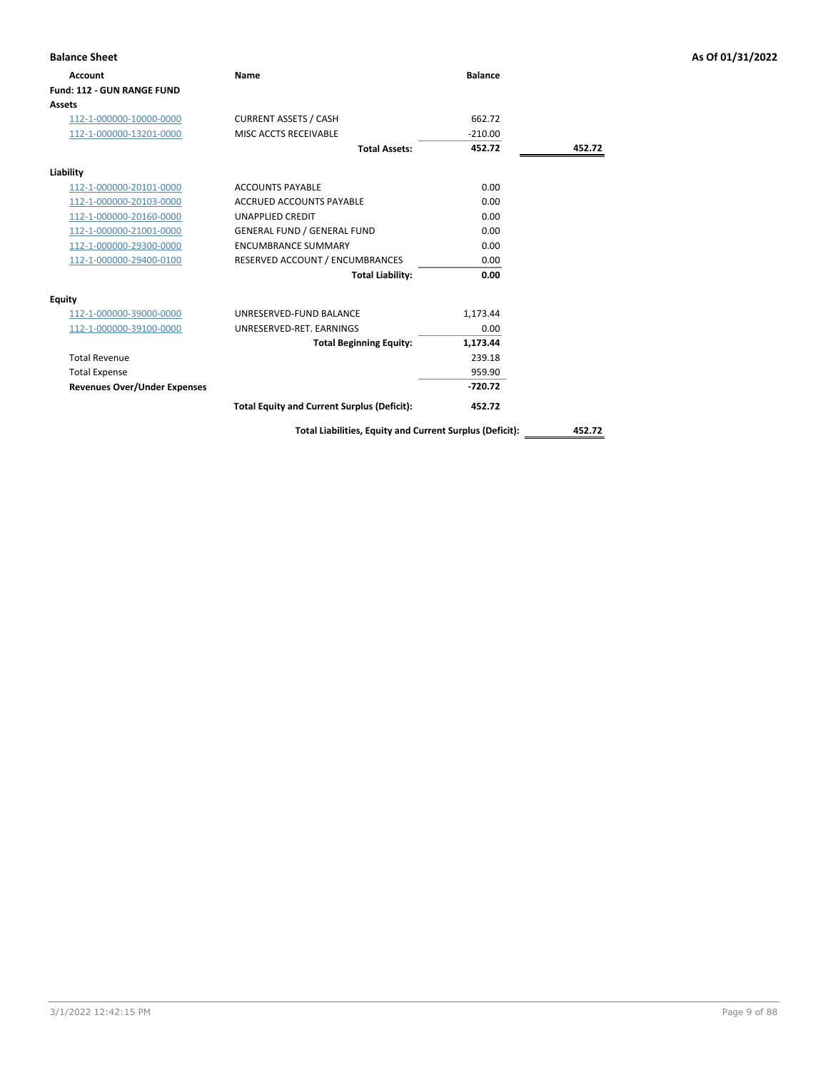| <b>Balance Sheet</b>                |                                                    |                |        | As Of 01/31/2022 |
|-------------------------------------|----------------------------------------------------|----------------|--------|------------------|
| Account                             | <b>Name</b>                                        | <b>Balance</b> |        |                  |
| Fund: 112 - GUN RANGE FUND          |                                                    |                |        |                  |
| Assets                              |                                                    |                |        |                  |
| 112-1-000000-10000-0000             | <b>CURRENT ASSETS / CASH</b>                       | 662.72         |        |                  |
| 112-1-000000-13201-0000             | MISC ACCTS RECEIVABLE                              | $-210.00$      |        |                  |
|                                     | <b>Total Assets:</b>                               | 452.72         | 452.72 |                  |
| Liability                           |                                                    |                |        |                  |
| 112-1-000000-20101-0000             | <b>ACCOUNTS PAYABLE</b>                            | 0.00           |        |                  |
| 112-1-000000-20103-0000             | <b>ACCRUED ACCOUNTS PAYABLE</b>                    | 0.00           |        |                  |
| 112-1-000000-20160-0000             | <b>UNAPPLIED CREDIT</b>                            | 0.00           |        |                  |
| 112-1-000000-21001-0000             | <b>GENERAL FUND / GENERAL FUND</b>                 | 0.00           |        |                  |
| 112-1-000000-29300-0000             | <b>ENCUMBRANCE SUMMARY</b>                         | 0.00           |        |                  |
| 112-1-000000-29400-0100             | RESERVED ACCOUNT / ENCUMBRANCES                    | 0.00           |        |                  |
|                                     | <b>Total Liability:</b>                            | 0.00           |        |                  |
| Equity                              |                                                    |                |        |                  |
| 112-1-000000-39000-0000             | UNRESERVED-FUND BALANCE                            | 1,173.44       |        |                  |
| 112-1-000000-39100-0000             | UNRESERVED-RET. EARNINGS                           | 0.00           |        |                  |
|                                     | <b>Total Beginning Equity:</b>                     | 1,173.44       |        |                  |
| <b>Total Revenue</b>                |                                                    | 239.18         |        |                  |
| <b>Total Expense</b>                |                                                    | 959.90         |        |                  |
| <b>Revenues Over/Under Expenses</b> |                                                    | $-720.72$      |        |                  |
|                                     | <b>Total Equity and Current Surplus (Deficit):</b> | 452.72         |        |                  |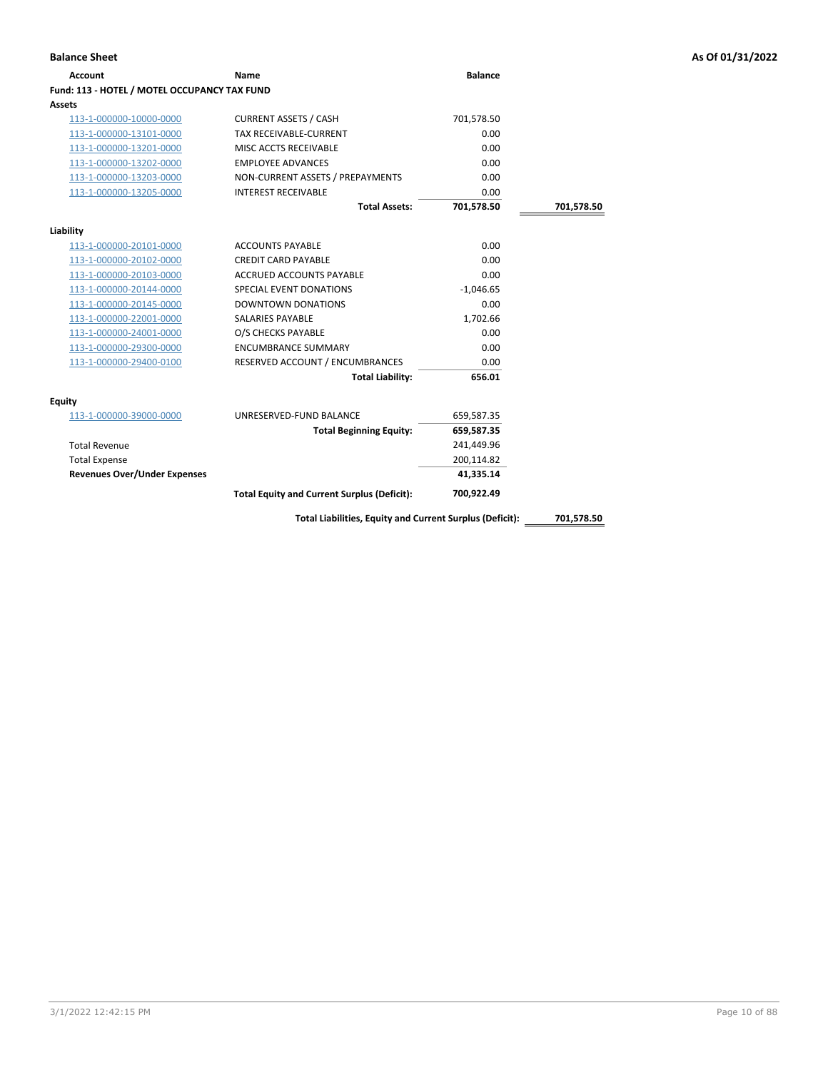| <b>Account</b>                               | Name                                                     | <b>Balance</b> |            |
|----------------------------------------------|----------------------------------------------------------|----------------|------------|
| Fund: 113 - HOTEL / MOTEL OCCUPANCY TAX FUND |                                                          |                |            |
| <b>Assets</b>                                |                                                          |                |            |
| 113-1-000000-10000-0000                      | <b>CURRENT ASSETS / CASH</b>                             | 701,578.50     |            |
| 113-1-000000-13101-0000                      | <b>TAX RECEIVABLE-CURRENT</b>                            | 0.00           |            |
| 113-1-000000-13201-0000                      | MISC ACCTS RECEIVABLE                                    | 0.00           |            |
| 113-1-000000-13202-0000                      | <b>EMPLOYEE ADVANCES</b>                                 | 0.00           |            |
| 113-1-000000-13203-0000                      | NON-CURRENT ASSETS / PREPAYMENTS                         | 0.00           |            |
| 113-1-000000-13205-0000                      | <b>INTEREST RECEIVABLE</b>                               | 0.00           |            |
|                                              | <b>Total Assets:</b>                                     | 701,578.50     | 701,578.50 |
| Liability                                    |                                                          |                |            |
| 113-1-000000-20101-0000                      | <b>ACCOUNTS PAYABLE</b>                                  | 0.00           |            |
| 113-1-000000-20102-0000                      | <b>CREDIT CARD PAYABLE</b>                               | 0.00           |            |
| 113-1-000000-20103-0000                      | <b>ACCRUED ACCOUNTS PAYABLE</b>                          | 0.00           |            |
| 113-1-000000-20144-0000                      | SPECIAL EVENT DONATIONS                                  | $-1,046.65$    |            |
| 113-1-000000-20145-0000                      | <b>DOWNTOWN DONATIONS</b>                                | 0.00           |            |
| 113-1-000000-22001-0000                      | <b>SALARIES PAYABLE</b>                                  | 1,702.66       |            |
| 113-1-000000-24001-0000                      | O/S CHECKS PAYABLE                                       | 0.00           |            |
| 113-1-000000-29300-0000                      | <b>ENCUMBRANCE SUMMARY</b>                               | 0.00           |            |
| 113-1-000000-29400-0100                      | RESERVED ACCOUNT / ENCUMBRANCES                          | 0.00           |            |
|                                              | <b>Total Liability:</b>                                  | 656.01         |            |
| <b>Equity</b>                                |                                                          |                |            |
| 113-1-000000-39000-0000                      | UNRESERVED-FUND BALANCE                                  | 659,587.35     |            |
|                                              | <b>Total Beginning Equity:</b>                           | 659,587.35     |            |
| <b>Total Revenue</b>                         |                                                          | 241,449.96     |            |
| <b>Total Expense</b>                         |                                                          | 200,114.82     |            |
| <b>Revenues Over/Under Expenses</b>          |                                                          | 41,335.14      |            |
|                                              | <b>Total Equity and Current Surplus (Deficit):</b>       | 700,922.49     |            |
|                                              | Total Liabilities, Equity and Current Surplus (Deficit): |                | 701,578.50 |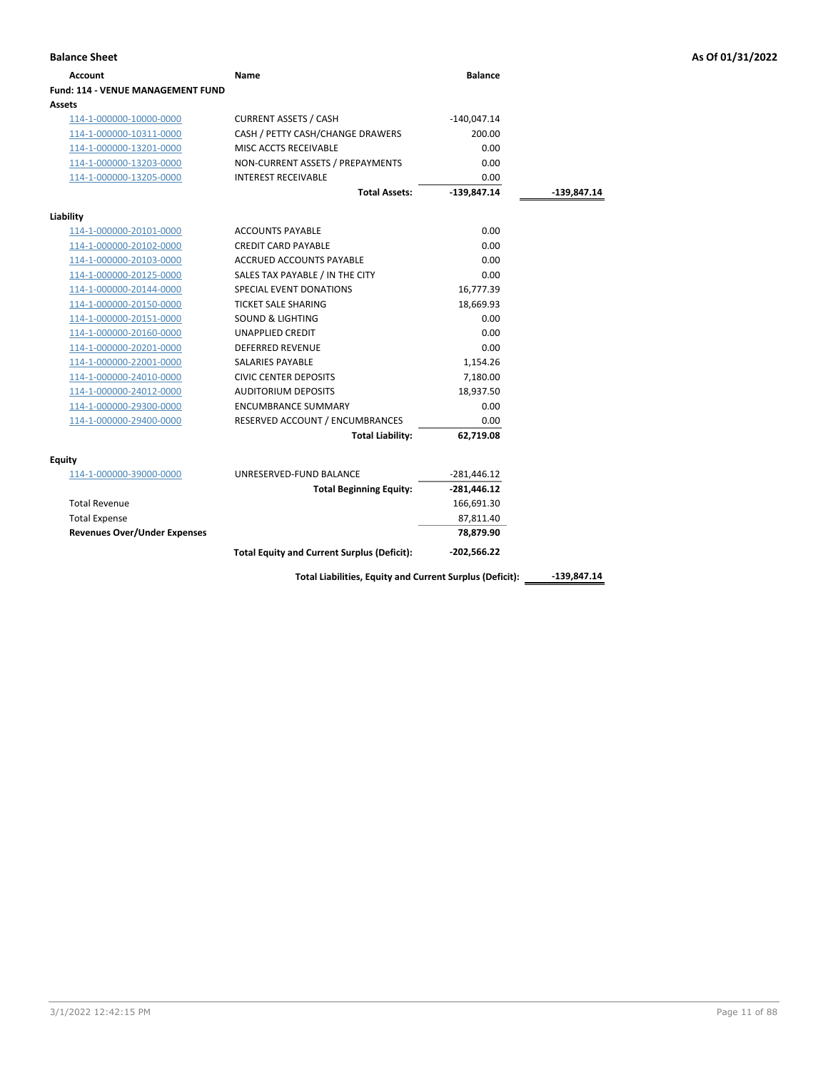| <b>Account</b>                           | Name                                               | <b>Balance</b> |             |
|------------------------------------------|----------------------------------------------------|----------------|-------------|
| <b>Fund: 114 - VENUE MANAGEMENT FUND</b> |                                                    |                |             |
| Assets                                   |                                                    |                |             |
| 114-1-000000-10000-0000                  | <b>CURRENT ASSETS / CASH</b>                       | $-140,047.14$  |             |
| 114-1-000000-10311-0000                  | CASH / PETTY CASH/CHANGE DRAWERS                   | 200.00         |             |
| 114-1-000000-13201-0000                  | MISC ACCTS RECEIVABLE                              | 0.00           |             |
| 114-1-000000-13203-0000                  | NON-CURRENT ASSETS / PREPAYMENTS                   | 0.00           |             |
| 114-1-000000-13205-0000                  | <b>INTEREST RECEIVABLE</b>                         | 0.00           |             |
|                                          | <b>Total Assets:</b>                               | $-139,847.14$  | -139,847.14 |
| Liability                                |                                                    |                |             |
| 114-1-000000-20101-0000                  | <b>ACCOUNTS PAYABLE</b>                            | 0.00           |             |
| 114-1-000000-20102-0000                  | <b>CREDIT CARD PAYABLE</b>                         | 0.00           |             |
| 114-1-000000-20103-0000                  | <b>ACCRUED ACCOUNTS PAYABLE</b>                    | 0.00           |             |
| 114-1-000000-20125-0000                  | SALES TAX PAYABLE / IN THE CITY                    | 0.00           |             |
| 114-1-000000-20144-0000                  | SPECIAL EVENT DONATIONS                            | 16,777.39      |             |
| 114-1-000000-20150-0000                  | <b>TICKET SALE SHARING</b>                         | 18,669.93      |             |
| 114-1-000000-20151-0000                  | <b>SOUND &amp; LIGHTING</b>                        | 0.00           |             |
| 114-1-000000-20160-0000                  | <b>UNAPPLIED CREDIT</b>                            | 0.00           |             |
| 114-1-000000-20201-0000                  | <b>DEFERRED REVENUE</b>                            | 0.00           |             |
| 114-1-000000-22001-0000                  | <b>SALARIES PAYABLE</b>                            | 1,154.26       |             |
| 114-1-000000-24010-0000                  | <b>CIVIC CENTER DEPOSITS</b>                       | 7,180.00       |             |
| 114-1-000000-24012-0000                  | <b>AUDITORIUM DEPOSITS</b>                         | 18,937.50      |             |
| 114-1-000000-29300-0000                  | <b>ENCUMBRANCE SUMMARY</b>                         | 0.00           |             |
| 114-1-000000-29400-0000                  | RESERVED ACCOUNT / ENCUMBRANCES                    | 0.00           |             |
|                                          | <b>Total Liability:</b>                            | 62,719.08      |             |
| <b>Equity</b>                            |                                                    |                |             |
| 114-1-000000-39000-0000                  | UNRESERVED-FUND BALANCE                            | $-281,446.12$  |             |
|                                          | <b>Total Beginning Equity:</b>                     | $-281,446.12$  |             |
| <b>Total Revenue</b>                     |                                                    | 166,691.30     |             |
| <b>Total Expense</b>                     |                                                    | 87,811.40      |             |
| <b>Revenues Over/Under Expenses</b>      |                                                    | 78,879.90      |             |
|                                          | <b>Total Equity and Current Surplus (Deficit):</b> | $-202,566.22$  |             |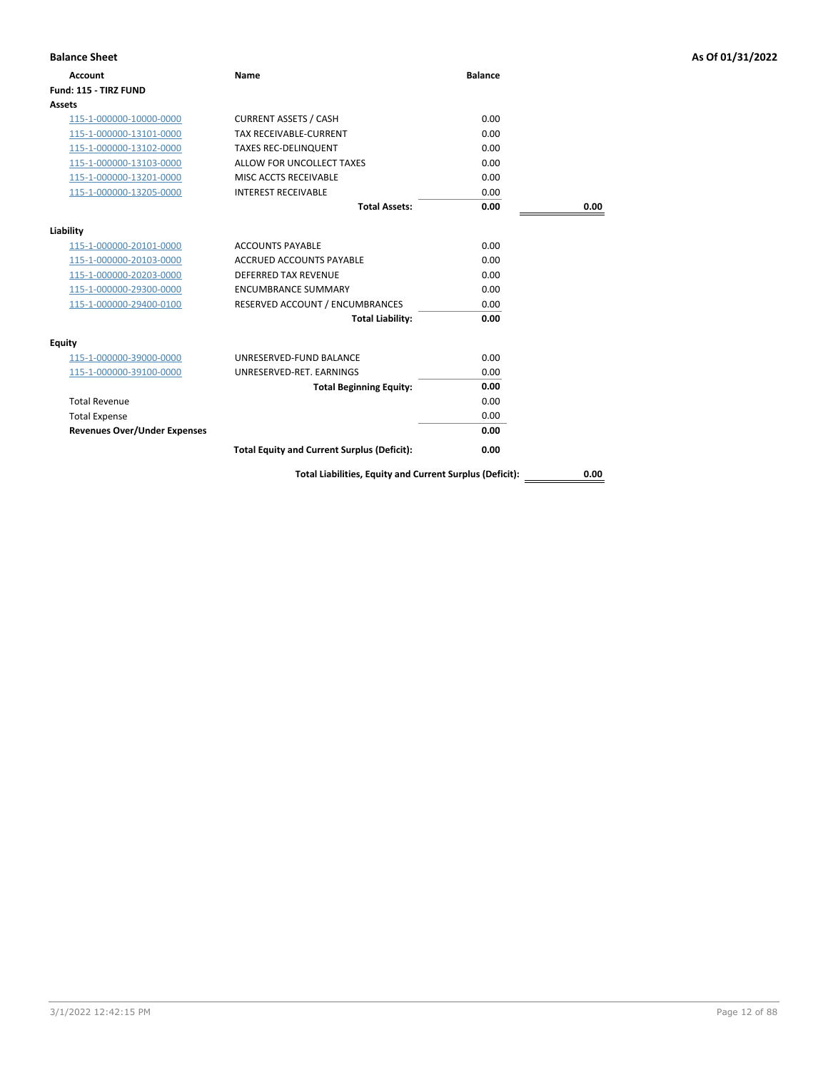| <b>Balance Sheet</b>                |                                                          |                |      | As Of 01/31/2022 |
|-------------------------------------|----------------------------------------------------------|----------------|------|------------------|
| <b>Account</b>                      | Name                                                     | <b>Balance</b> |      |                  |
| Fund: 115 - TIRZ FUND               |                                                          |                |      |                  |
| <b>Assets</b>                       |                                                          |                |      |                  |
| 115-1-000000-10000-0000             | <b>CURRENT ASSETS / CASH</b>                             | 0.00           |      |                  |
| 115-1-000000-13101-0000             | TAX RECEIVABLE-CURRENT                                   | 0.00           |      |                  |
| 115-1-000000-13102-0000             | <b>TAXES REC-DELINQUENT</b>                              | 0.00           |      |                  |
| 115-1-000000-13103-0000             | ALLOW FOR UNCOLLECT TAXES                                | 0.00           |      |                  |
| 115-1-000000-13201-0000             | MISC ACCTS RECEIVABLE                                    | 0.00           |      |                  |
| 115-1-000000-13205-0000             | <b>INTEREST RECEIVABLE</b>                               | 0.00           |      |                  |
|                                     | <b>Total Assets:</b>                                     | 0.00           | 0.00 |                  |
| Liability                           |                                                          |                |      |                  |
| 115-1-000000-20101-0000             | <b>ACCOUNTS PAYABLE</b>                                  | 0.00           |      |                  |
| 115-1-000000-20103-0000             | <b>ACCRUED ACCOUNTS PAYABLE</b>                          | 0.00           |      |                  |
| 115-1-000000-20203-0000             | DEFERRED TAX REVENUE                                     | 0.00           |      |                  |
| 115-1-000000-29300-0000             | <b>ENCUMBRANCE SUMMARY</b>                               | 0.00           |      |                  |
| 115-1-000000-29400-0100             | RESERVED ACCOUNT / ENCUMBRANCES                          | 0.00           |      |                  |
|                                     | <b>Total Liability:</b>                                  | 0.00           |      |                  |
| <b>Equity</b>                       |                                                          |                |      |                  |
| 115-1-000000-39000-0000             | UNRESERVED-FUND BALANCE                                  | 0.00           |      |                  |
| 115-1-000000-39100-0000             | UNRESERVED-RET. EARNINGS                                 | 0.00           |      |                  |
|                                     | <b>Total Beginning Equity:</b>                           | 0.00           |      |                  |
| <b>Total Revenue</b>                |                                                          | 0.00           |      |                  |
| <b>Total Expense</b>                |                                                          | 0.00           |      |                  |
| <b>Revenues Over/Under Expenses</b> |                                                          | 0.00           |      |                  |
|                                     | <b>Total Equity and Current Surplus (Deficit):</b>       | 0.00           |      |                  |
|                                     | Total Liabilities, Equity and Current Surplus (Deficit): |                | 0.00 |                  |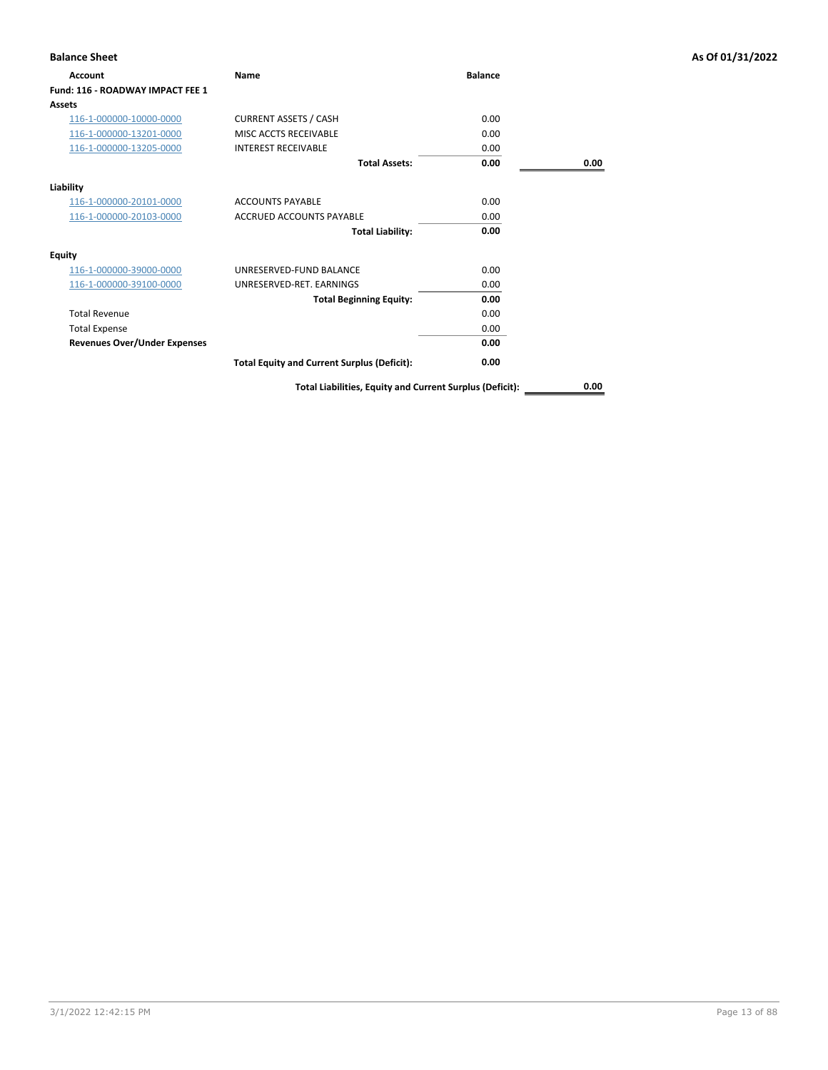| <b>Balance Sheet</b>                |                                                          |                |      | As Of 01/31/2022 |
|-------------------------------------|----------------------------------------------------------|----------------|------|------------------|
| Account                             | Name                                                     | <b>Balance</b> |      |                  |
| Fund: 116 - ROADWAY IMPACT FEE 1    |                                                          |                |      |                  |
| Assets                              |                                                          |                |      |                  |
| 116-1-000000-10000-0000             | <b>CURRENT ASSETS / CASH</b>                             | 0.00           |      |                  |
| 116-1-000000-13201-0000             | MISC ACCTS RECEIVABLE                                    | 0.00           |      |                  |
| 116-1-000000-13205-0000             | <b>INTEREST RECEIVABLE</b>                               | 0.00           |      |                  |
|                                     | <b>Total Assets:</b>                                     | 0.00           | 0.00 |                  |
| Liability                           |                                                          |                |      |                  |
| 116-1-000000-20101-0000             | <b>ACCOUNTS PAYABLE</b>                                  | 0.00           |      |                  |
| 116-1-000000-20103-0000             | <b>ACCRUED ACCOUNTS PAYABLE</b>                          | 0.00           |      |                  |
|                                     | <b>Total Liability:</b>                                  | 0.00           |      |                  |
| <b>Equity</b>                       |                                                          |                |      |                  |
| 116-1-000000-39000-0000             | UNRESERVED-FUND BALANCE                                  | 0.00           |      |                  |
| 116-1-000000-39100-0000             | UNRESERVED-RET. EARNINGS                                 | 0.00           |      |                  |
|                                     | <b>Total Beginning Equity:</b>                           | 0.00           |      |                  |
| <b>Total Revenue</b>                |                                                          | 0.00           |      |                  |
| <b>Total Expense</b>                |                                                          | 0.00           |      |                  |
| <b>Revenues Over/Under Expenses</b> |                                                          | 0.00           |      |                  |
|                                     | <b>Total Equity and Current Surplus (Deficit):</b>       | 0.00           |      |                  |
|                                     | Total Liabilities, Equity and Current Surplus (Deficit): |                | 0.00 |                  |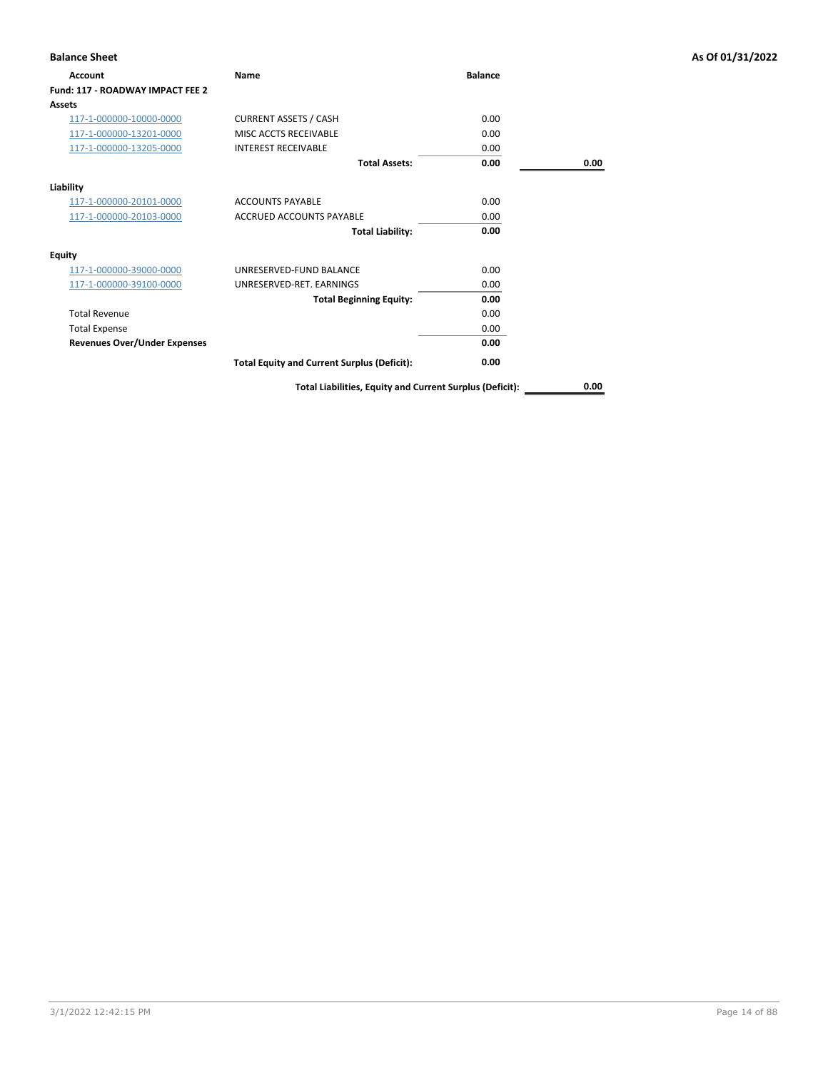| <b>Balance Sheet</b>                |                                                          |                |      | As Of 01/31/2022 |
|-------------------------------------|----------------------------------------------------------|----------------|------|------------------|
| Account                             | Name                                                     | <b>Balance</b> |      |                  |
| Fund: 117 - ROADWAY IMPACT FEE 2    |                                                          |                |      |                  |
| Assets                              |                                                          |                |      |                  |
| 117-1-000000-10000-0000             | <b>CURRENT ASSETS / CASH</b>                             | 0.00           |      |                  |
| 117-1-000000-13201-0000             | MISC ACCTS RECEIVABLE                                    | 0.00           |      |                  |
| 117-1-000000-13205-0000             | <b>INTEREST RECEIVABLE</b>                               | 0.00           |      |                  |
|                                     | <b>Total Assets:</b>                                     | 0.00           | 0.00 |                  |
| Liability                           |                                                          |                |      |                  |
| 117-1-000000-20101-0000             | <b>ACCOUNTS PAYABLE</b>                                  | 0.00           |      |                  |
| 117-1-000000-20103-0000             | <b>ACCRUED ACCOUNTS PAYABLE</b>                          | 0.00           |      |                  |
|                                     | <b>Total Liability:</b>                                  | 0.00           |      |                  |
| <b>Equity</b>                       |                                                          |                |      |                  |
| 117-1-000000-39000-0000             | UNRESERVED-FUND BALANCE                                  | 0.00           |      |                  |
| 117-1-000000-39100-0000             | UNRESERVED-RET. EARNINGS                                 | 0.00           |      |                  |
|                                     | <b>Total Beginning Equity:</b>                           | 0.00           |      |                  |
| <b>Total Revenue</b>                |                                                          | 0.00           |      |                  |
| <b>Total Expense</b>                |                                                          | 0.00           |      |                  |
| <b>Revenues Over/Under Expenses</b> |                                                          | 0.00           |      |                  |
|                                     | <b>Total Equity and Current Surplus (Deficit):</b>       | 0.00           |      |                  |
|                                     | Total Liabilities, Equity and Current Surplus (Deficit): |                | 0.00 |                  |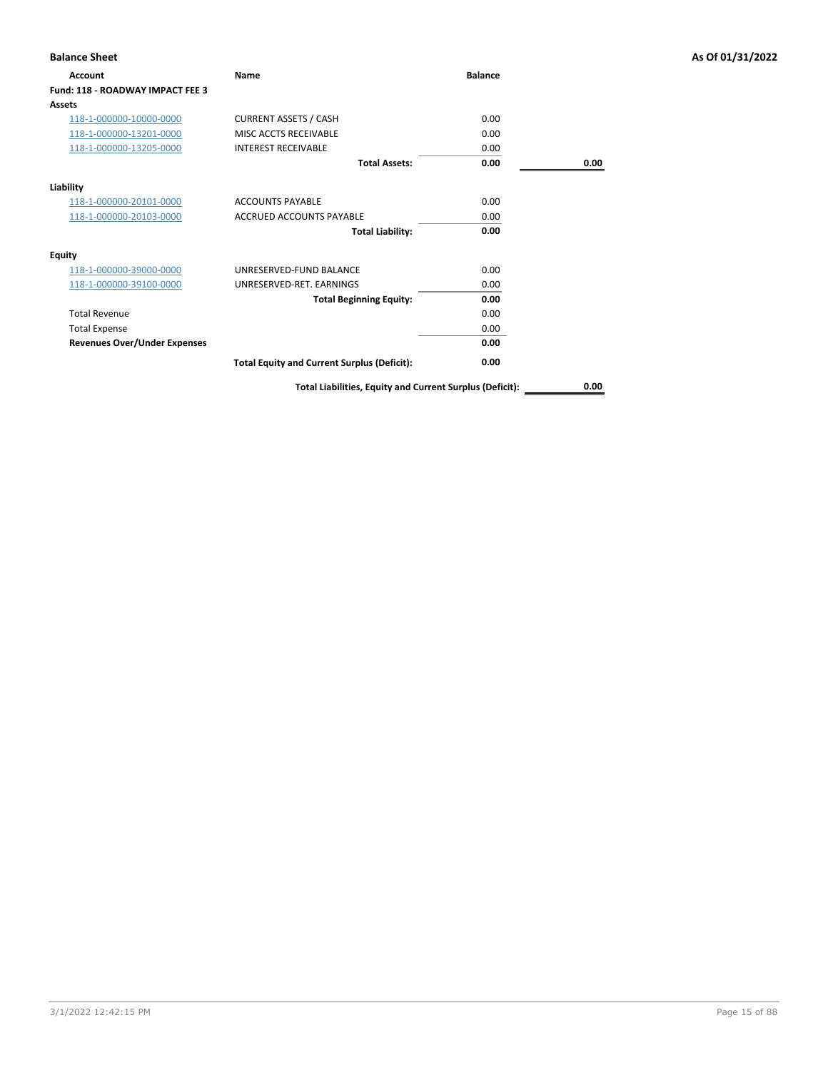| <b>Balance Sheet</b>                |                                                          |                |      | As Of 01/31/2022 |
|-------------------------------------|----------------------------------------------------------|----------------|------|------------------|
| Account                             | Name                                                     | <b>Balance</b> |      |                  |
| Fund: 118 - ROADWAY IMPACT FEE 3    |                                                          |                |      |                  |
| Assets                              |                                                          |                |      |                  |
| 118-1-000000-10000-0000             | <b>CURRENT ASSETS / CASH</b>                             | 0.00           |      |                  |
| 118-1-000000-13201-0000             | MISC ACCTS RECEIVABLE                                    | 0.00           |      |                  |
| 118-1-000000-13205-0000             | <b>INTEREST RECEIVABLE</b>                               | 0.00           |      |                  |
|                                     | <b>Total Assets:</b>                                     | 0.00           | 0.00 |                  |
| Liability                           |                                                          |                |      |                  |
| 118-1-000000-20101-0000             | <b>ACCOUNTS PAYABLE</b>                                  | 0.00           |      |                  |
| 118-1-000000-20103-0000             | <b>ACCRUED ACCOUNTS PAYABLE</b>                          | 0.00           |      |                  |
|                                     | <b>Total Liability:</b>                                  | 0.00           |      |                  |
| <b>Equity</b>                       |                                                          |                |      |                  |
| 118-1-000000-39000-0000             | UNRESERVED-FUND BALANCE                                  | 0.00           |      |                  |
| 118-1-000000-39100-0000             | UNRESERVED-RET. EARNINGS                                 | 0.00           |      |                  |
|                                     | <b>Total Beginning Equity:</b>                           | 0.00           |      |                  |
| <b>Total Revenue</b>                |                                                          | 0.00           |      |                  |
| <b>Total Expense</b>                |                                                          | 0.00           |      |                  |
| <b>Revenues Over/Under Expenses</b> |                                                          | 0.00           |      |                  |
|                                     | <b>Total Equity and Current Surplus (Deficit):</b>       | 0.00           |      |                  |
|                                     | Total Liabilities, Equity and Current Surplus (Deficit): |                | 0.00 |                  |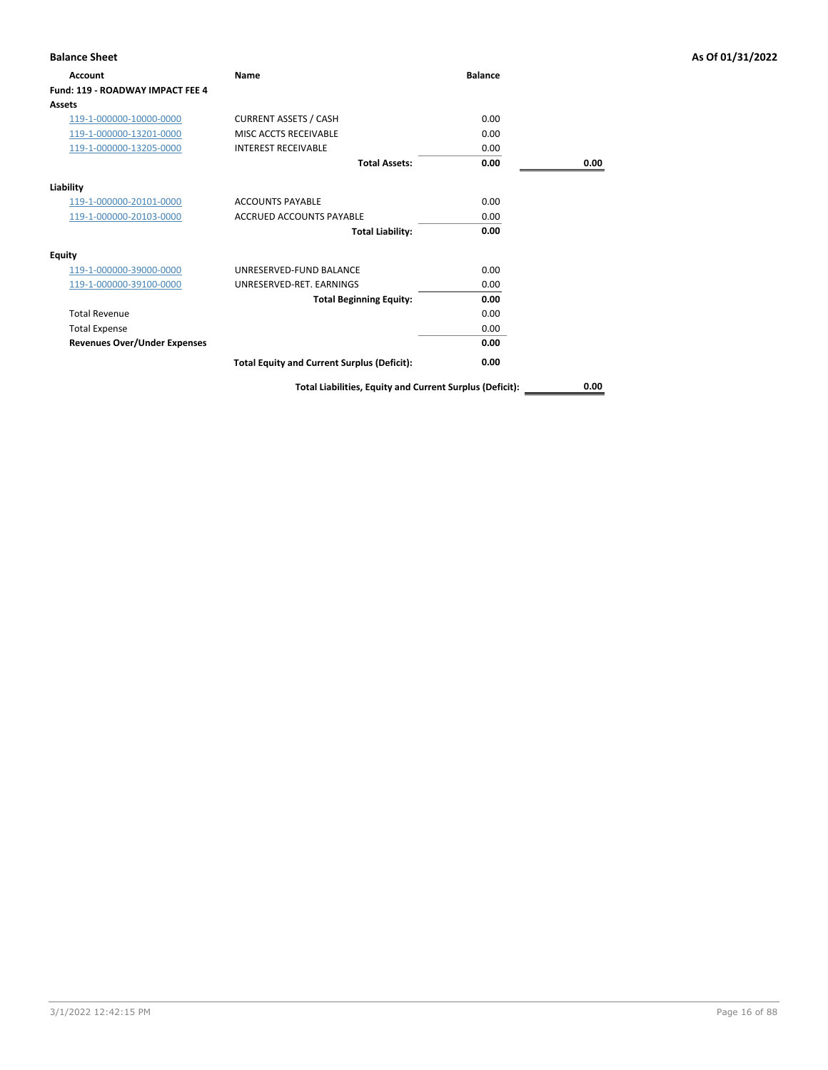| <b>Balance Sheet</b>                |                                                          |                |      | As Of 01/31/2022 |
|-------------------------------------|----------------------------------------------------------|----------------|------|------------------|
| Account                             | Name                                                     | <b>Balance</b> |      |                  |
| Fund: 119 - ROADWAY IMPACT FEE 4    |                                                          |                |      |                  |
| Assets                              |                                                          |                |      |                  |
| 119-1-000000-10000-0000             | <b>CURRENT ASSETS / CASH</b>                             | 0.00           |      |                  |
| 119-1-000000-13201-0000             | MISC ACCTS RECEIVABLE                                    | 0.00           |      |                  |
| 119-1-000000-13205-0000             | <b>INTEREST RECEIVABLE</b>                               | 0.00           |      |                  |
|                                     | <b>Total Assets:</b>                                     | 0.00           | 0.00 |                  |
| Liability                           |                                                          |                |      |                  |
| 119-1-000000-20101-0000             | <b>ACCOUNTS PAYABLE</b>                                  | 0.00           |      |                  |
| 119-1-000000-20103-0000             | <b>ACCRUED ACCOUNTS PAYABLE</b>                          | 0.00           |      |                  |
|                                     | <b>Total Liability:</b>                                  | 0.00           |      |                  |
| <b>Equity</b>                       |                                                          |                |      |                  |
| 119-1-000000-39000-0000             | UNRESERVED-FUND BALANCE                                  | 0.00           |      |                  |
| 119-1-000000-39100-0000             | UNRESERVED-RET. EARNINGS                                 | 0.00           |      |                  |
|                                     | <b>Total Beginning Equity:</b>                           | 0.00           |      |                  |
| <b>Total Revenue</b>                |                                                          | 0.00           |      |                  |
| <b>Total Expense</b>                |                                                          | 0.00           |      |                  |
| <b>Revenues Over/Under Expenses</b> |                                                          | 0.00           |      |                  |
|                                     | <b>Total Equity and Current Surplus (Deficit):</b>       | 0.00           |      |                  |
|                                     | Total Liabilities, Equity and Current Surplus (Deficit): |                | 0.00 |                  |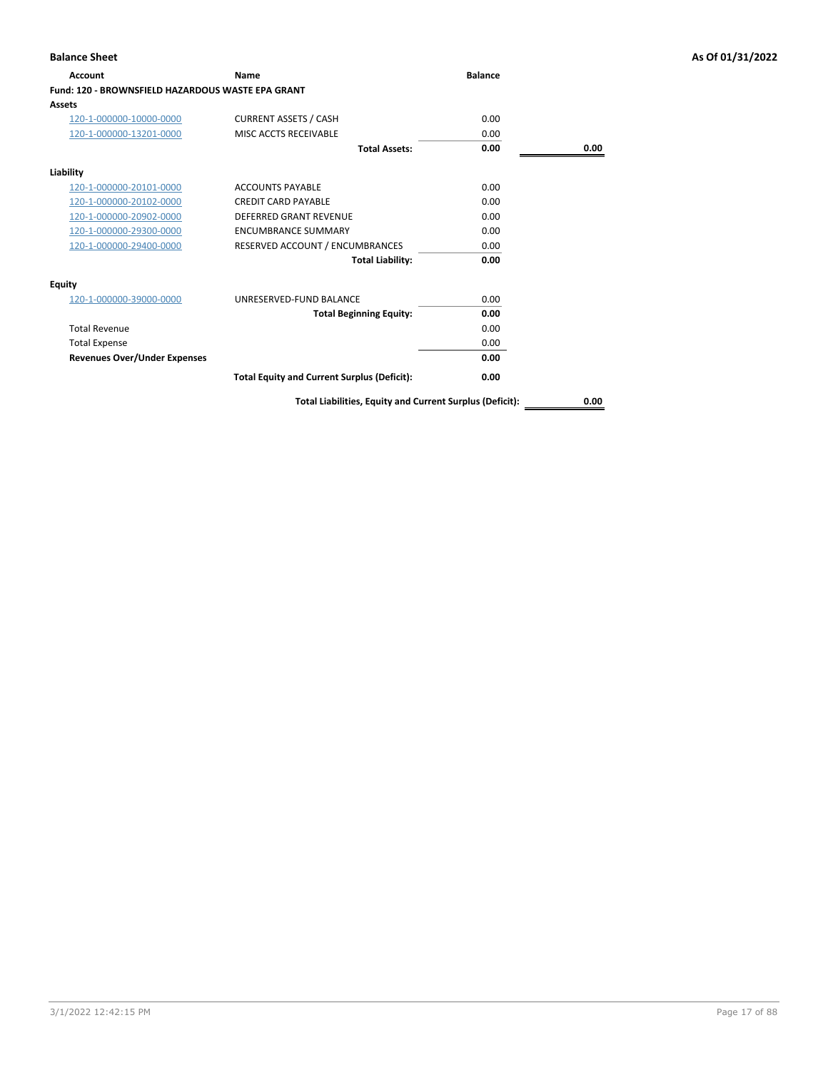| Account                                                  | <b>Name</b>                                        | <b>Balance</b> |      |
|----------------------------------------------------------|----------------------------------------------------|----------------|------|
| <b>Fund: 120 - BROWNSFIELD HAZARDOUS WASTE EPA GRANT</b> |                                                    |                |      |
| Assets                                                   |                                                    |                |      |
| 120-1-000000-10000-0000                                  | <b>CURRENT ASSETS / CASH</b>                       | 0.00           |      |
| 120-1-000000-13201-0000                                  | MISC ACCTS RECEIVABLE                              | 0.00           |      |
|                                                          | <b>Total Assets:</b>                               | 0.00           | 0.00 |
| Liability                                                |                                                    |                |      |
| 120-1-000000-20101-0000                                  | <b>ACCOUNTS PAYABLE</b>                            | 0.00           |      |
| 120-1-000000-20102-0000                                  | <b>CREDIT CARD PAYABLE</b>                         | 0.00           |      |
| 120-1-000000-20902-0000                                  | <b>DEFERRED GRANT REVENUE</b>                      | 0.00           |      |
| 120-1-000000-29300-0000                                  | <b>ENCUMBRANCE SUMMARY</b>                         | 0.00           |      |
| 120-1-000000-29400-0000                                  | RESERVED ACCOUNT / ENCUMBRANCES                    | 0.00           |      |
|                                                          | <b>Total Liability:</b>                            | 0.00           |      |
| <b>Equity</b>                                            |                                                    |                |      |
| 120-1-000000-39000-0000                                  | UNRESERVED-FUND BALANCE                            | 0.00           |      |
|                                                          | <b>Total Beginning Equity:</b>                     | 0.00           |      |
| <b>Total Revenue</b>                                     |                                                    | 0.00           |      |
| <b>Total Expense</b>                                     |                                                    | 0.00           |      |
| <b>Revenues Over/Under Expenses</b>                      |                                                    | 0.00           |      |
|                                                          | <b>Total Equity and Current Surplus (Deficit):</b> | 0.00           |      |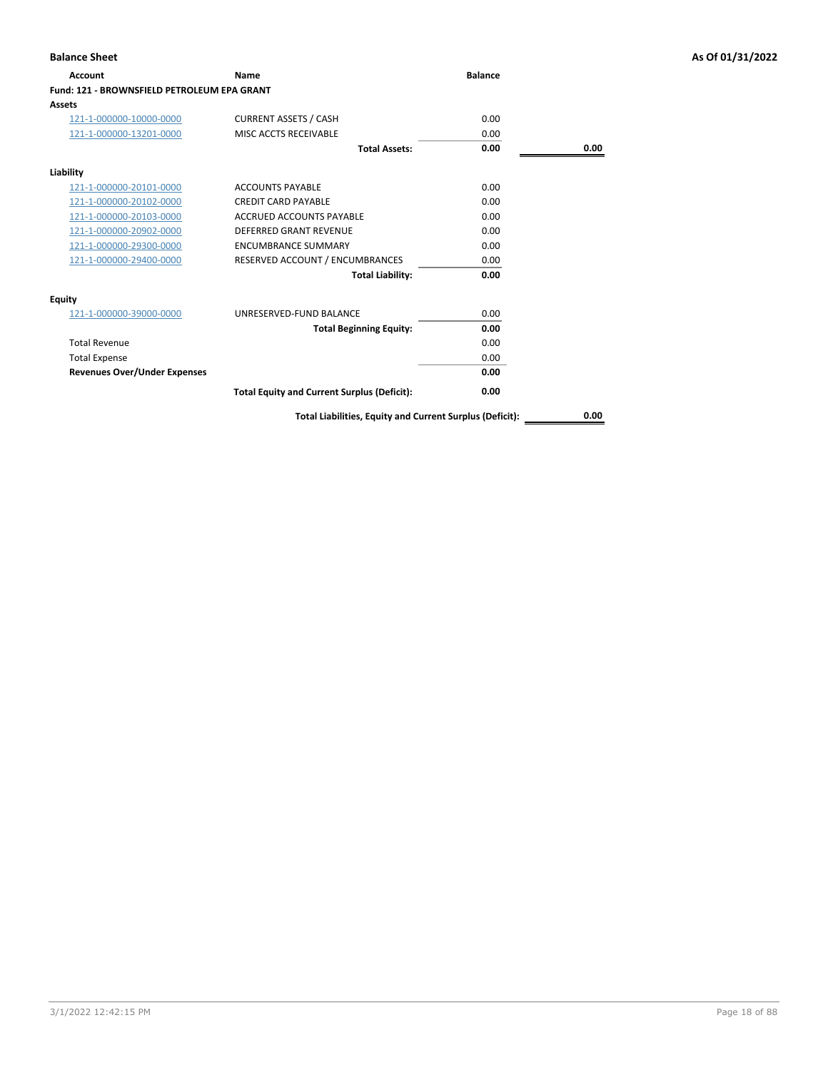| Account                                     | Name                                               | <b>Balance</b> |      |
|---------------------------------------------|----------------------------------------------------|----------------|------|
| Fund: 121 - BROWNSFIELD PETROLEUM EPA GRANT |                                                    |                |      |
| Assets                                      |                                                    |                |      |
| 121-1-000000-10000-0000                     | <b>CURRENT ASSETS / CASH</b>                       | 0.00           |      |
| 121-1-000000-13201-0000                     | MISC ACCTS RECEIVABLE                              | 0.00           |      |
|                                             | <b>Total Assets:</b>                               | 0.00           | 0.00 |
| Liability                                   |                                                    |                |      |
| 121-1-000000-20101-0000                     | <b>ACCOUNTS PAYABLE</b>                            | 0.00           |      |
| 121-1-000000-20102-0000                     | <b>CREDIT CARD PAYABLE</b>                         | 0.00           |      |
| 121-1-000000-20103-0000                     | <b>ACCRUED ACCOUNTS PAYABLE</b>                    | 0.00           |      |
| 121-1-000000-20902-0000                     | <b>DEFERRED GRANT REVENUE</b>                      | 0.00           |      |
| 121-1-000000-29300-0000                     | <b>ENCUMBRANCE SUMMARY</b>                         | 0.00           |      |
| 121-1-000000-29400-0000                     | RESERVED ACCOUNT / ENCUMBRANCES                    | 0.00           |      |
|                                             | <b>Total Liability:</b>                            | 0.00           |      |
| <b>Equity</b>                               |                                                    |                |      |
| 121-1-000000-39000-0000                     | UNRESERVED-FUND BALANCE                            | 0.00           |      |
|                                             | <b>Total Beginning Equity:</b>                     | 0.00           |      |
| <b>Total Revenue</b>                        |                                                    | 0.00           |      |
| <b>Total Expense</b>                        |                                                    | 0.00           |      |
| <b>Revenues Over/Under Expenses</b>         |                                                    | 0.00           |      |
|                                             | <b>Total Equity and Current Surplus (Deficit):</b> | 0.00           |      |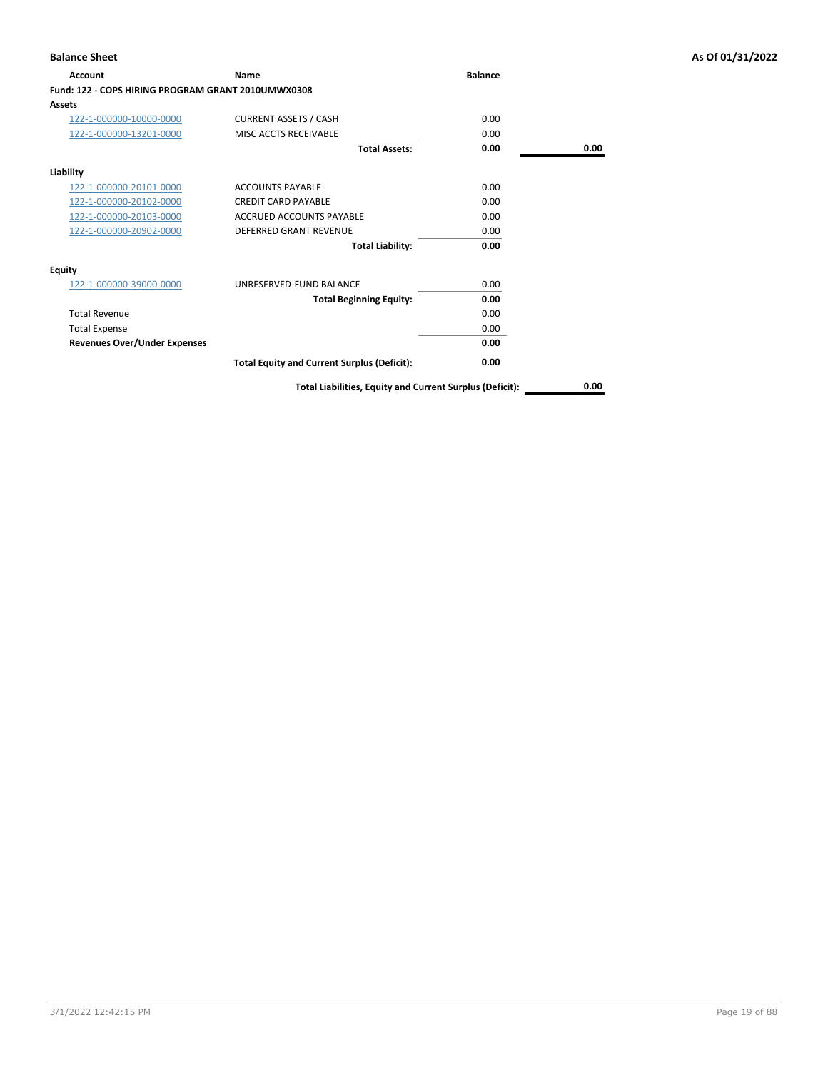| <b>Account</b>                                     | <b>Name</b>                                              | <b>Balance</b> |      |
|----------------------------------------------------|----------------------------------------------------------|----------------|------|
| Fund: 122 - COPS HIRING PROGRAM GRANT 2010UMWX0308 |                                                          |                |      |
| <b>Assets</b>                                      |                                                          |                |      |
| 122-1-000000-10000-0000                            | <b>CURRENT ASSETS / CASH</b>                             | 0.00           |      |
| 122-1-000000-13201-0000                            | MISC ACCTS RECEIVABLE                                    | 0.00           |      |
|                                                    | <b>Total Assets:</b>                                     | 0.00           | 0.00 |
| Liability                                          |                                                          |                |      |
| 122-1-000000-20101-0000                            | <b>ACCOUNTS PAYABLE</b>                                  | 0.00           |      |
| 122-1-000000-20102-0000                            | <b>CREDIT CARD PAYABLE</b>                               | 0.00           |      |
| 122-1-000000-20103-0000                            | <b>ACCRUED ACCOUNTS PAYABLE</b>                          | 0.00           |      |
| 122-1-000000-20902-0000                            | <b>DEFERRED GRANT REVENUE</b>                            | 0.00           |      |
|                                                    | <b>Total Liability:</b>                                  | 0.00           |      |
| <b>Equity</b>                                      |                                                          |                |      |
| 122-1-000000-39000-0000                            | UNRESERVED-FUND BALANCE                                  | 0.00           |      |
|                                                    | <b>Total Beginning Equity:</b>                           | 0.00           |      |
| <b>Total Revenue</b>                               |                                                          | 0.00           |      |
| <b>Total Expense</b>                               |                                                          | 0.00           |      |
| <b>Revenues Over/Under Expenses</b>                |                                                          | 0.00           |      |
|                                                    | <b>Total Equity and Current Surplus (Deficit):</b>       | 0.00           |      |
|                                                    | Total Liabilities, Equity and Current Surplus (Deficit): |                | 0.00 |

# **Balance Sheet As Of 01/31/2022**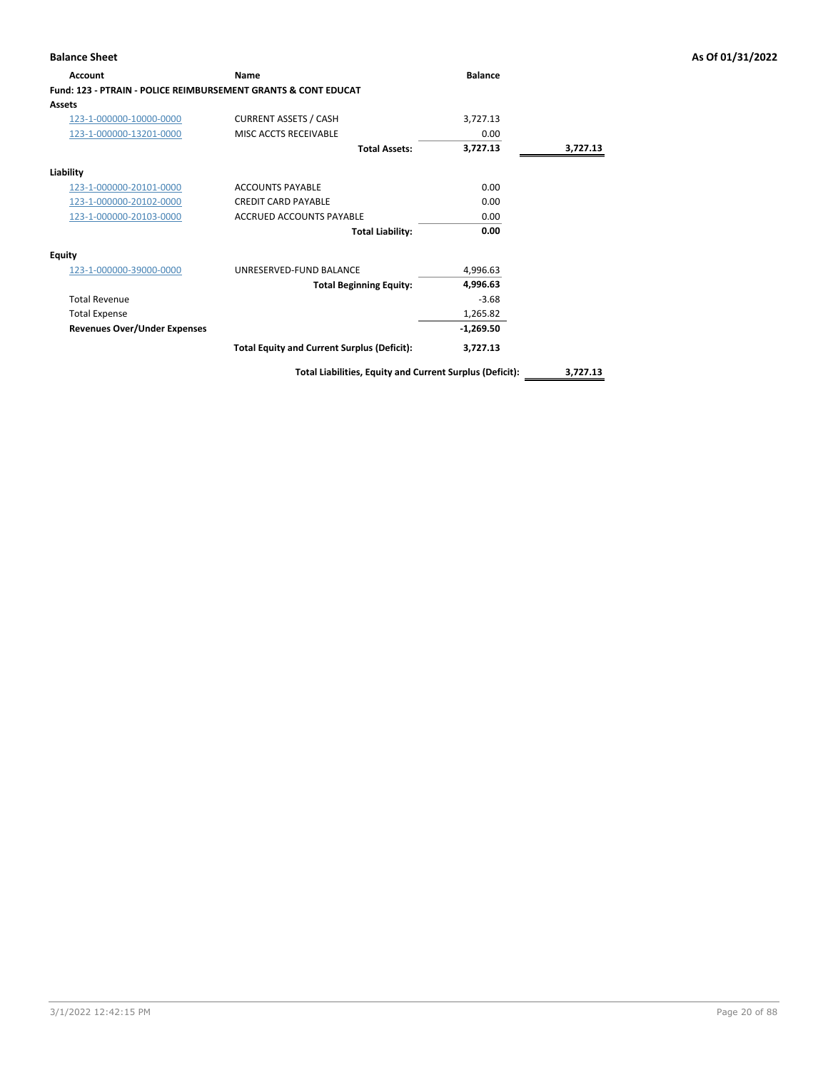| <b>Account</b>                                                            | <b>Name</b>                                        | <b>Balance</b> |          |
|---------------------------------------------------------------------------|----------------------------------------------------|----------------|----------|
| <b>Fund: 123 - PTRAIN - POLICE REIMBURSEMENT GRANTS &amp; CONT EDUCAT</b> |                                                    |                |          |
| <b>Assets</b>                                                             |                                                    |                |          |
| 123-1-000000-10000-0000                                                   | <b>CURRENT ASSETS / CASH</b>                       | 3,727.13       |          |
| 123-1-000000-13201-0000                                                   | MISC ACCTS RECEIVABLE                              | 0.00           |          |
|                                                                           | <b>Total Assets:</b>                               | 3,727.13       | 3,727.13 |
| Liability                                                                 |                                                    |                |          |
| 123-1-000000-20101-0000                                                   | <b>ACCOUNTS PAYABLE</b>                            | 0.00           |          |
| 123-1-000000-20102-0000                                                   | <b>CREDIT CARD PAYABLE</b>                         | 0.00           |          |
| 123-1-000000-20103-0000                                                   | ACCRUED ACCOUNTS PAYABLE                           | 0.00           |          |
|                                                                           | <b>Total Liability:</b>                            | 0.00           |          |
| <b>Equity</b>                                                             |                                                    |                |          |
| 123-1-000000-39000-0000                                                   | UNRESERVED-FUND BALANCE                            | 4,996.63       |          |
|                                                                           | <b>Total Beginning Equity:</b>                     | 4,996.63       |          |
| <b>Total Revenue</b>                                                      |                                                    | $-3.68$        |          |
| <b>Total Expense</b>                                                      |                                                    | 1,265.82       |          |
| <b>Revenues Over/Under Expenses</b>                                       |                                                    | $-1,269.50$    |          |
|                                                                           | <b>Total Equity and Current Surplus (Deficit):</b> | 3,727.13       |          |
|                                                                           |                                                    |                |          |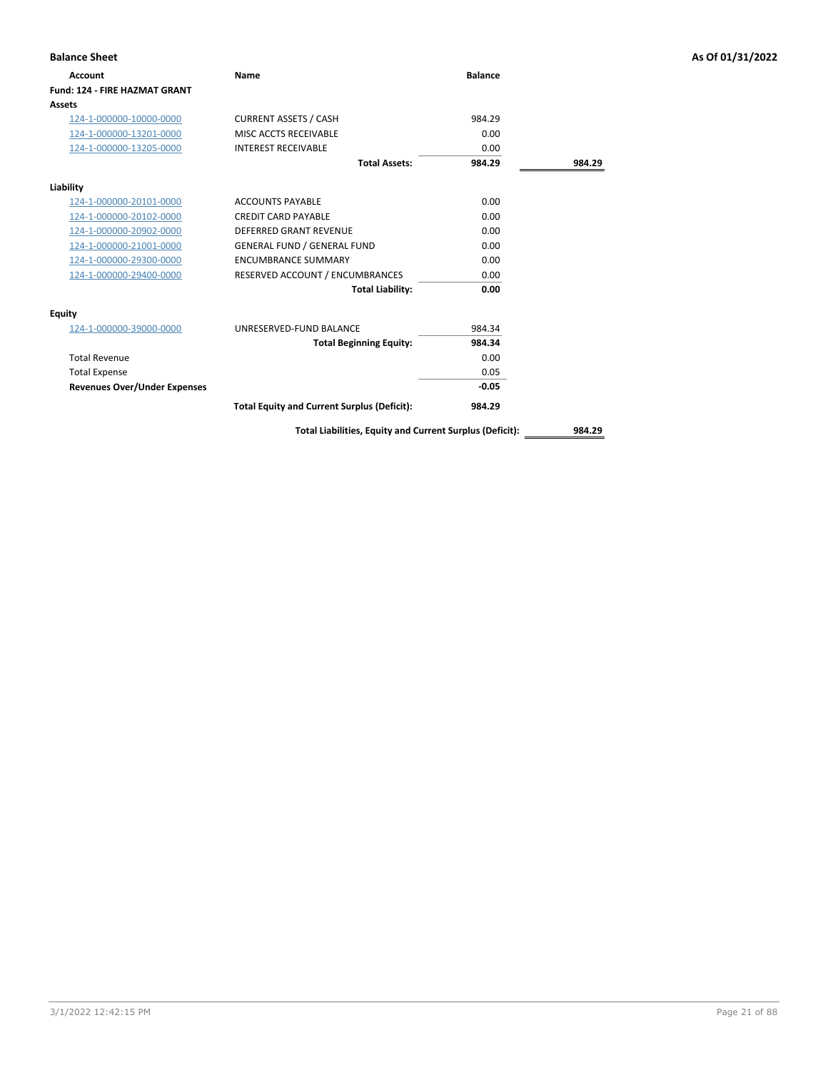| <b>Balance Sheet</b>                 |                                                    |                |        | As Of 01/31/2022 |
|--------------------------------------|----------------------------------------------------|----------------|--------|------------------|
| <b>Account</b>                       | Name                                               | <b>Balance</b> |        |                  |
| <b>Fund: 124 - FIRE HAZMAT GRANT</b> |                                                    |                |        |                  |
| Assets                               |                                                    |                |        |                  |
| 124-1-000000-10000-0000              | <b>CURRENT ASSETS / CASH</b>                       | 984.29         |        |                  |
| 124-1-000000-13201-0000              | MISC ACCTS RECEIVABLE                              | 0.00           |        |                  |
| 124-1-000000-13205-0000              | <b>INTEREST RECEIVABLE</b>                         | 0.00           |        |                  |
|                                      | <b>Total Assets:</b>                               | 984.29         | 984.29 |                  |
| Liability                            |                                                    |                |        |                  |
| 124-1-000000-20101-0000              | <b>ACCOUNTS PAYABLE</b>                            | 0.00           |        |                  |
| 124-1-000000-20102-0000              | <b>CREDIT CARD PAYABLE</b>                         | 0.00           |        |                  |
| 124-1-000000-20902-0000              | <b>DEFERRED GRANT REVENUE</b>                      | 0.00           |        |                  |
| 124-1-000000-21001-0000              | <b>GENERAL FUND / GENERAL FUND</b>                 | 0.00           |        |                  |
| 124-1-000000-29300-0000              | <b>ENCUMBRANCE SUMMARY</b>                         | 0.00           |        |                  |
| 124-1-000000-29400-0000              | RESERVED ACCOUNT / ENCUMBRANCES                    | 0.00           |        |                  |
|                                      | <b>Total Liability:</b>                            | 0.00           |        |                  |
| <b>Equity</b>                        |                                                    |                |        |                  |
| 124-1-000000-39000-0000              | UNRESERVED-FUND BALANCE                            | 984.34         |        |                  |
|                                      | <b>Total Beginning Equity:</b>                     | 984.34         |        |                  |
| <b>Total Revenue</b>                 |                                                    | 0.00           |        |                  |
| <b>Total Expense</b>                 |                                                    | 0.05           |        |                  |
| <b>Revenues Over/Under Expenses</b>  |                                                    | $-0.05$        |        |                  |
|                                      | <b>Total Equity and Current Surplus (Deficit):</b> | 984.29         |        |                  |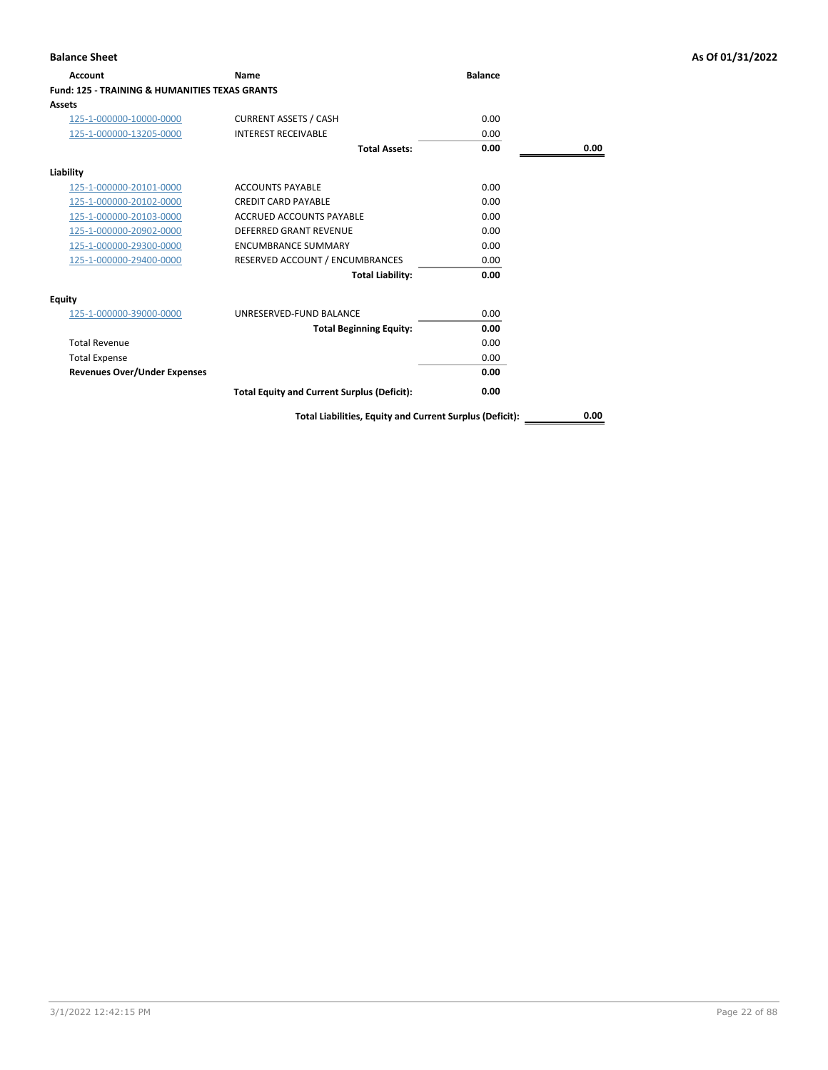| Name                                                      | <b>Balance</b> |      |
|-----------------------------------------------------------|----------------|------|
| <b>Fund: 125 - TRAINING &amp; HUMANITIES TEXAS GRANTS</b> |                |      |
|                                                           |                |      |
| <b>CURRENT ASSETS / CASH</b>                              | 0.00           |      |
| <b>INTEREST RECEIVABLE</b>                                | 0.00           |      |
| <b>Total Assets:</b>                                      | 0.00           | 0.00 |
|                                                           |                |      |
| <b>ACCOUNTS PAYABLE</b>                                   | 0.00           |      |
| <b>CREDIT CARD PAYABLE</b>                                | 0.00           |      |
| <b>ACCRUED ACCOUNTS PAYABLE</b>                           | 0.00           |      |
| <b>DEFERRED GRANT REVENUE</b>                             | 0.00           |      |
| <b>ENCUMBRANCE SUMMARY</b>                                | 0.00           |      |
| RESERVED ACCOUNT / ENCUMBRANCES                           | 0.00           |      |
| <b>Total Liability:</b>                                   | 0.00           |      |
|                                                           |                |      |
| UNRESERVED-FUND BALANCE                                   | 0.00           |      |
| <b>Total Beginning Equity:</b>                            | 0.00           |      |
|                                                           | 0.00           |      |
|                                                           | 0.00           |      |
|                                                           | 0.00           |      |
| <b>Total Equity and Current Surplus (Deficit):</b>        | 0.00           |      |
|                                                           |                |      |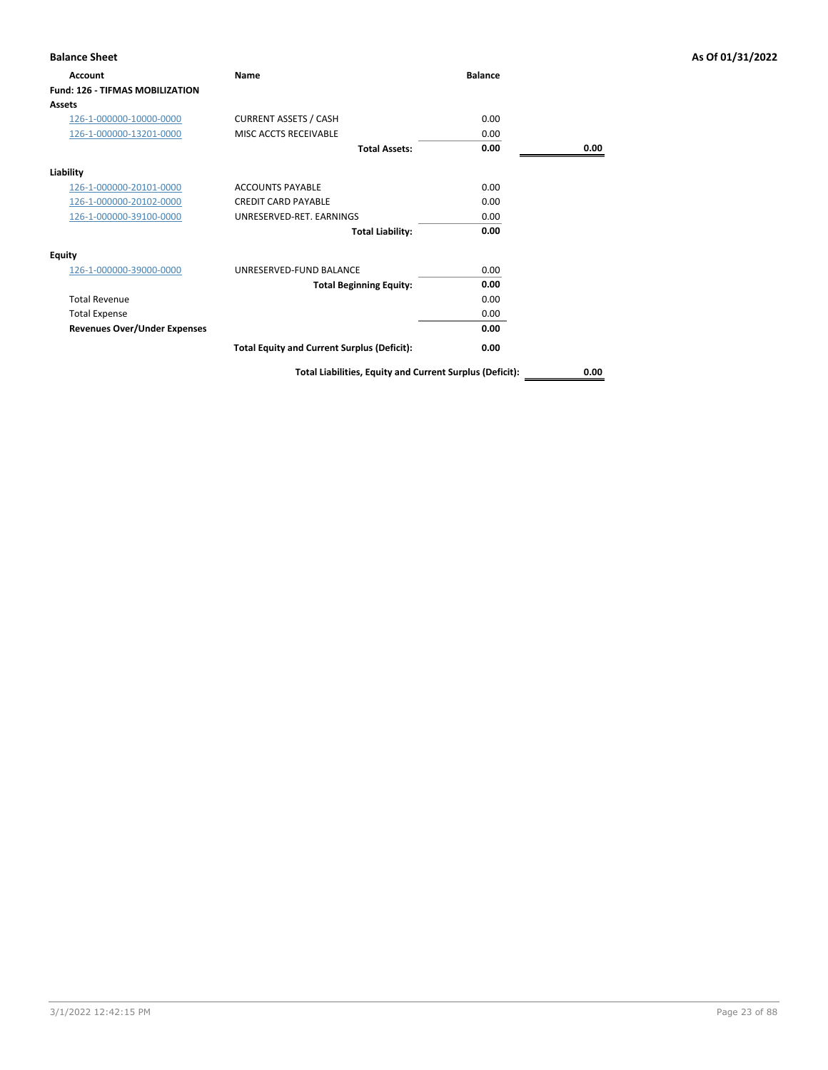| <b>Balance Sheet</b>                   |                                                          |                |      | As Of 01/31/2022 |
|----------------------------------------|----------------------------------------------------------|----------------|------|------------------|
| <b>Account</b>                         | Name                                                     | <b>Balance</b> |      |                  |
| <b>Fund: 126 - TIFMAS MOBILIZATION</b> |                                                          |                |      |                  |
| <b>Assets</b>                          |                                                          |                |      |                  |
| 126-1-000000-10000-0000                | <b>CURRENT ASSETS / CASH</b>                             | 0.00           |      |                  |
| 126-1-000000-13201-0000                | MISC ACCTS RECEIVABLE                                    | 0.00           |      |                  |
|                                        | <b>Total Assets:</b>                                     | 0.00           | 0.00 |                  |
| Liability                              |                                                          |                |      |                  |
| 126-1-000000-20101-0000                | <b>ACCOUNTS PAYABLE</b>                                  | 0.00           |      |                  |
| 126-1-000000-20102-0000                | <b>CREDIT CARD PAYABLE</b>                               | 0.00           |      |                  |
| 126-1-000000-39100-0000                | UNRESERVED-RET. EARNINGS                                 | 0.00           |      |                  |
|                                        | <b>Total Liability:</b>                                  | 0.00           |      |                  |
| <b>Equity</b>                          |                                                          |                |      |                  |
| 126-1-000000-39000-0000                | UNRESERVED-FUND BALANCE                                  | 0.00           |      |                  |
|                                        | <b>Total Beginning Equity:</b>                           | 0.00           |      |                  |
| <b>Total Revenue</b>                   |                                                          | 0.00           |      |                  |
| <b>Total Expense</b>                   |                                                          | 0.00           |      |                  |
| <b>Revenues Over/Under Expenses</b>    |                                                          | 0.00           |      |                  |
|                                        | <b>Total Equity and Current Surplus (Deficit):</b>       | 0.00           |      |                  |
|                                        | Total Liabilities, Equity and Current Surplus (Deficit): |                | 0.00 |                  |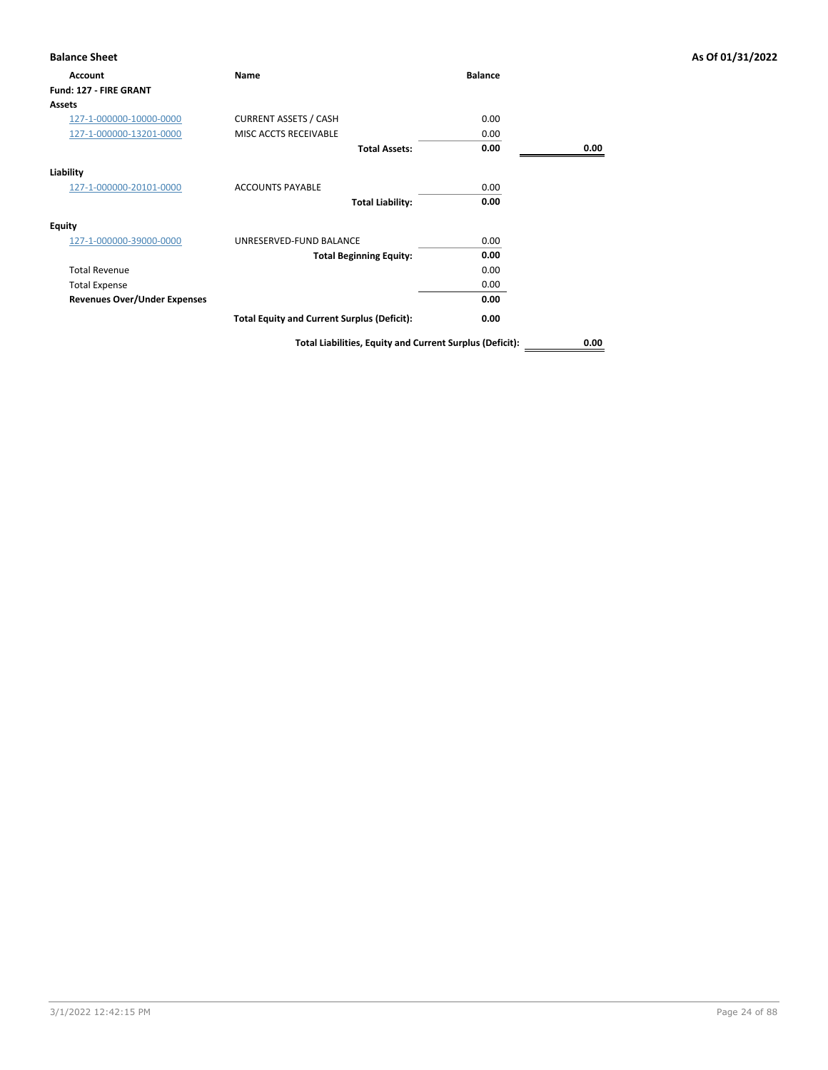| Account                             | <b>Name</b>                                        | <b>Balance</b> |      |
|-------------------------------------|----------------------------------------------------|----------------|------|
| Fund: 127 - FIRE GRANT              |                                                    |                |      |
| <b>Assets</b>                       |                                                    |                |      |
| 127-1-000000-10000-0000             | <b>CURRENT ASSETS / CASH</b>                       | 0.00           |      |
| 127-1-000000-13201-0000             | MISC ACCTS RECEIVABLE                              | 0.00           |      |
|                                     | <b>Total Assets:</b>                               | 0.00           | 0.00 |
| Liability                           |                                                    |                |      |
| 127-1-000000-20101-0000             | <b>ACCOUNTS PAYABLE</b>                            | 0.00           |      |
|                                     | <b>Total Liability:</b>                            | 0.00           |      |
| <b>Equity</b>                       |                                                    |                |      |
| 127-1-000000-39000-0000             | UNRESERVED-FUND BALANCE                            | 0.00           |      |
|                                     | <b>Total Beginning Equity:</b>                     | 0.00           |      |
| <b>Total Revenue</b>                |                                                    | 0.00           |      |
| <b>Total Expense</b>                |                                                    | 0.00           |      |
| <b>Revenues Over/Under Expenses</b> |                                                    | 0.00           |      |
|                                     | <b>Total Equity and Current Surplus (Deficit):</b> | 0.00           |      |
|                                     |                                                    |                |      |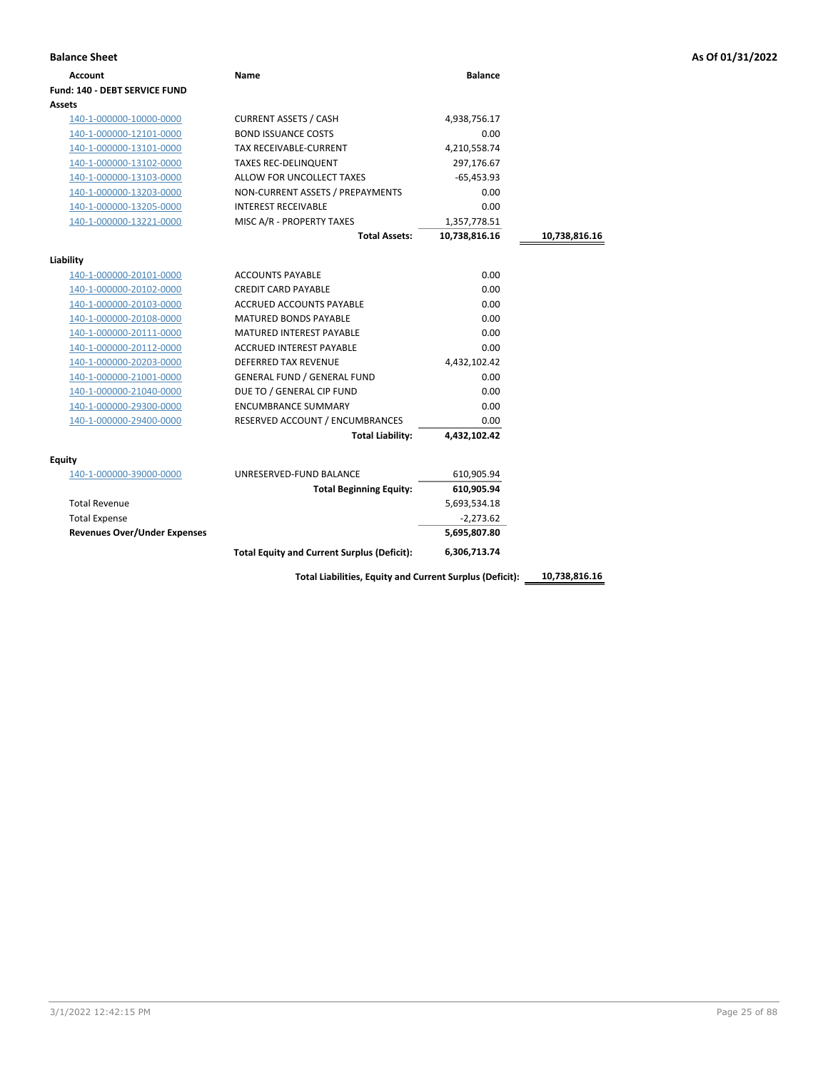| <b>Balance Sheet</b>                |                                                    |                |               |
|-------------------------------------|----------------------------------------------------|----------------|---------------|
| <b>Account</b>                      | Name                                               | <b>Balance</b> |               |
| Fund: 140 - DEBT SERVICE FUND       |                                                    |                |               |
| Assets                              |                                                    |                |               |
| 140-1-000000-10000-0000             | <b>CURRENT ASSETS / CASH</b>                       | 4,938,756.17   |               |
| 140-1-000000-12101-0000             | <b>BOND ISSUANCE COSTS</b>                         | 0.00           |               |
| 140-1-000000-13101-0000             | TAX RECEIVABLE-CURRENT                             | 4,210,558.74   |               |
| 140-1-000000-13102-0000             | <b>TAXES REC-DELINQUENT</b>                        | 297,176.67     |               |
| 140-1-000000-13103-0000             | ALLOW FOR UNCOLLECT TAXES                          | -65,453.93     |               |
| 140-1-000000-13203-0000             | NON-CURRENT ASSETS / PREPAYMENTS                   | 0.00           |               |
| 140-1-000000-13205-0000             | <b>INTEREST RECEIVABLE</b>                         | 0.00           |               |
| 140-1-000000-13221-0000             | MISC A/R - PROPERTY TAXES                          | 1,357,778.51   |               |
|                                     | <b>Total Assets:</b>                               | 10,738,816.16  | 10,738,816.16 |
| Liability                           |                                                    |                |               |
| 140-1-000000-20101-0000             | <b>ACCOUNTS PAYABLE</b>                            | 0.00           |               |
| 140-1-000000-20102-0000             | <b>CREDIT CARD PAYABLE</b>                         | 0.00           |               |
| 140-1-000000-20103-0000             | ACCRUED ACCOUNTS PAYABLE                           | 0.00           |               |
| 140-1-000000-20108-0000             | <b>MATURED BONDS PAYABLE</b>                       | 0.00           |               |
| 140-1-000000-20111-0000             | <b>MATURED INTEREST PAYABLE</b>                    | 0.00           |               |
| 140-1-000000-20112-0000             | ACCRUED INTEREST PAYABLE                           | 0.00           |               |
| 140-1-000000-20203-0000             | <b>DEFERRED TAX REVENUE</b>                        | 4,432,102.42   |               |
| 140-1-000000-21001-0000             | <b>GENERAL FUND / GENERAL FUND</b>                 | 0.00           |               |
| 140-1-000000-21040-0000             | DUE TO / GENERAL CIP FUND                          | 0.00           |               |
| 140-1-000000-29300-0000             | <b>ENCUMBRANCE SUMMARY</b>                         | 0.00           |               |
| 140-1-000000-29400-0000             | RESERVED ACCOUNT / ENCUMBRANCES                    | 0.00           |               |
|                                     | <b>Total Liability:</b>                            | 4,432,102.42   |               |
| Equity                              |                                                    |                |               |
| 140-1-000000-39000-0000             | UNRESERVED-FUND BALANCE                            | 610,905.94     |               |
|                                     | <b>Total Beginning Equity:</b>                     | 610,905.94     |               |
| <b>Total Revenue</b>                |                                                    | 5,693,534.18   |               |
| <b>Total Expense</b>                |                                                    | $-2,273.62$    |               |
| <b>Revenues Over/Under Expenses</b> |                                                    | 5,695,807.80   |               |
|                                     | <b>Total Equity and Current Surplus (Deficit):</b> | 6,306,713.74   |               |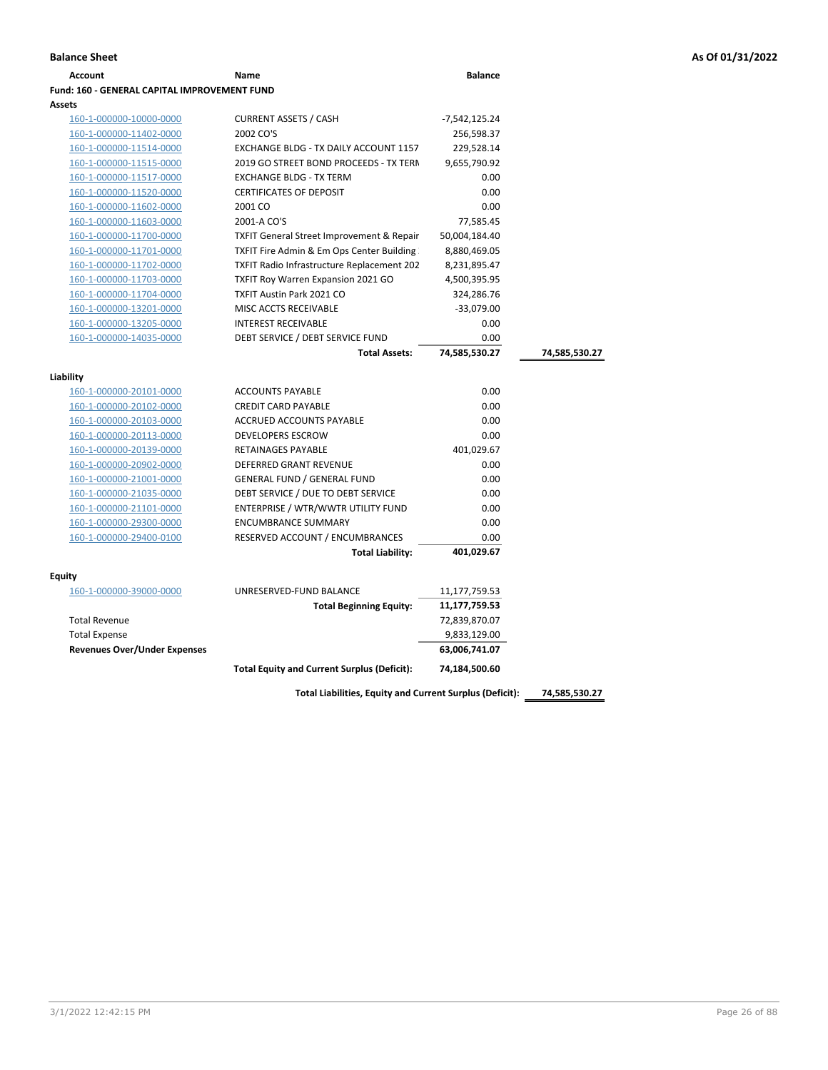| Account                                             | Name                                                                     | <b>Balance</b>     |               |
|-----------------------------------------------------|--------------------------------------------------------------------------|--------------------|---------------|
| <b>Fund: 160 - GENERAL CAPITAL IMPROVEMENT FUND</b> |                                                                          |                    |               |
| <b>Assets</b>                                       |                                                                          |                    |               |
| 160-1-000000-10000-0000                             | <b>CURRENT ASSETS / CASH</b>                                             | -7,542,125.24      |               |
| 160-1-000000-11402-0000                             | 2002 CO'S                                                                | 256,598.37         |               |
| 160-1-000000-11514-0000                             | EXCHANGE BLDG - TX DAILY ACCOUNT 1157                                    | 229,528.14         |               |
| 160-1-000000-11515-0000                             | 2019 GO STREET BOND PROCEEDS - TX TERN                                   | 9,655,790.92       |               |
| 160-1-000000-11517-0000                             | <b>EXCHANGE BLDG - TX TERM</b>                                           | 0.00               |               |
| 160-1-000000-11520-0000                             | <b>CERTIFICATES OF DEPOSIT</b>                                           | 0.00               |               |
| 160-1-000000-11602-0000                             | 2001 CO                                                                  | 0.00               |               |
| 160-1-000000-11603-0000                             | 2001-A CO'S                                                              | 77,585.45          |               |
| 160-1-000000-11700-0000                             | <b>TXFIT General Street Improvement &amp; Repair</b>                     | 50,004,184.40      |               |
| 160-1-000000-11701-0000                             | TXFIT Fire Admin & Em Ops Center Building                                | 8,880,469.05       |               |
| 160-1-000000-11702-0000                             | <b>TXFIT Radio Infrastructure Replacement 202</b>                        | 8,231,895.47       |               |
| 160-1-000000-11703-0000                             | TXFIT Roy Warren Expansion 2021 GO                                       | 4,500,395.95       |               |
| 160-1-000000-11704-0000                             | <b>TXFIT Austin Park 2021 CO</b>                                         | 324,286.76         |               |
| 160-1-000000-13201-0000                             | MISC ACCTS RECEIVABLE                                                    | $-33,079.00$       |               |
| 160-1-000000-13205-0000                             | <b>INTEREST RECEIVABLE</b>                                               | 0.00               |               |
| 160-1-000000-14035-0000                             | DEBT SERVICE / DEBT SERVICE FUND                                         | 0.00               |               |
|                                                     | <b>Total Assets:</b>                                                     | 74,585,530.27      | 74,585,530.27 |
|                                                     |                                                                          |                    |               |
| Liability                                           |                                                                          |                    |               |
| 160-1-000000-20101-0000                             | <b>ACCOUNTS PAYABLE</b>                                                  | 0.00               |               |
| 160-1-000000-20102-0000                             | <b>CREDIT CARD PAYABLE</b>                                               | 0.00               |               |
| 160-1-000000-20103-0000                             | ACCRUED ACCOUNTS PAYABLE                                                 | 0.00               |               |
| 160-1-000000-20113-0000                             | <b>DEVELOPERS ESCROW</b>                                                 | 0.00               |               |
| 160-1-000000-20139-0000                             | <b>RETAINAGES PAYABLE</b><br><b>DEFERRED GRANT REVENUE</b>               | 401,029.67<br>0.00 |               |
| 160-1-000000-20902-0000                             |                                                                          | 0.00               |               |
| 160-1-000000-21001-0000                             | <b>GENERAL FUND / GENERAL FUND</b><br>DEBT SERVICE / DUE TO DEBT SERVICE | 0.00               |               |
| 160-1-000000-21035-0000                             | ENTERPRISE / WTR/WWTR UTILITY FUND                                       | 0.00               |               |
| 160-1-000000-21101-0000<br>160-1-000000-29300-0000  | <b>ENCUMBRANCE SUMMARY</b>                                               | 0.00               |               |
| 160-1-000000-29400-0100                             | RESERVED ACCOUNT / ENCUMBRANCES                                          | 0.00               |               |
|                                                     | <b>Total Liability:</b>                                                  | 401,029.67         |               |
|                                                     |                                                                          |                    |               |
| Equity                                              |                                                                          |                    |               |
| 160-1-000000-39000-0000                             | UNRESERVED-FUND BALANCE                                                  | 11,177,759.53      |               |
|                                                     | <b>Total Beginning Equity:</b>                                           | 11,177,759.53      |               |
| <b>Total Revenue</b>                                |                                                                          | 72,839,870.07      |               |
| <b>Total Expense</b>                                |                                                                          | 9,833,129.00       |               |
| <b>Revenues Over/Under Expenses</b>                 |                                                                          | 63,006,741.07      |               |
|                                                     | <b>Total Equity and Current Surplus (Deficit):</b>                       | 74,184,500.60      |               |
|                                                     |                                                                          |                    |               |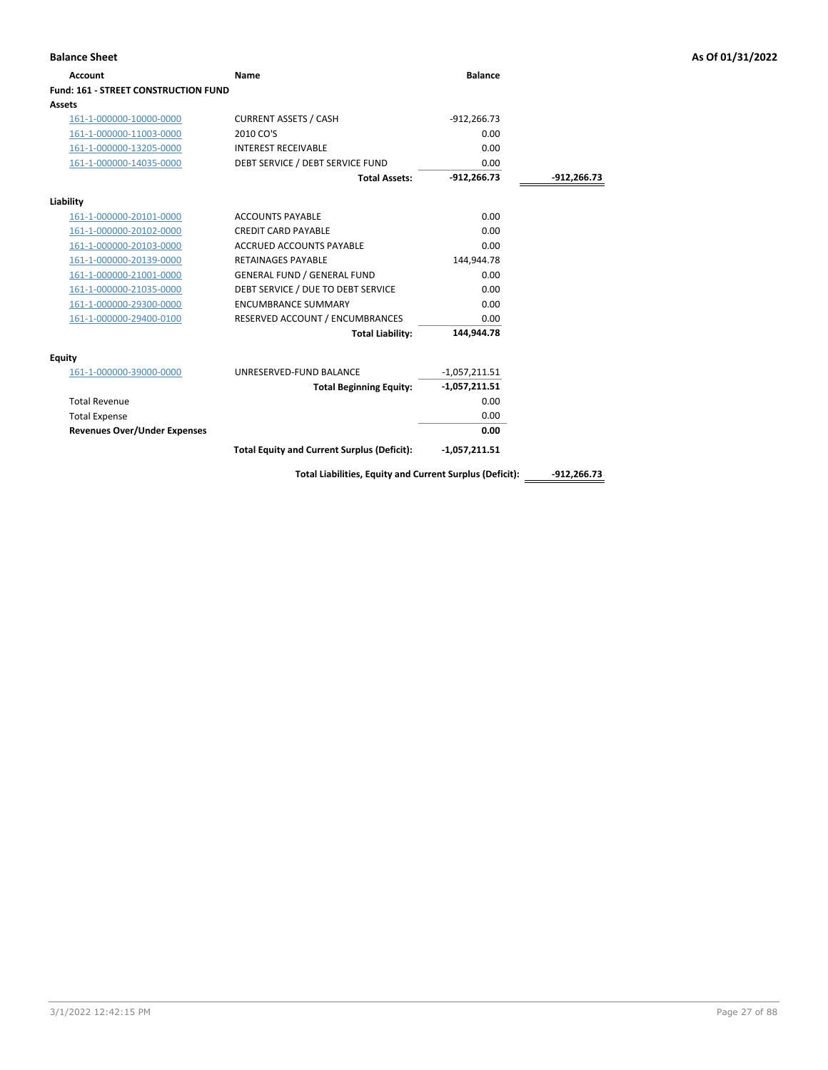| <b>Balance Sheet</b>                        |                                                          |                 |               | As Of 01/31/2022 |
|---------------------------------------------|----------------------------------------------------------|-----------------|---------------|------------------|
| <b>Account</b>                              | <b>Name</b>                                              | <b>Balance</b>  |               |                  |
| <b>Fund: 161 - STREET CONSTRUCTION FUND</b> |                                                          |                 |               |                  |
| Assets                                      |                                                          |                 |               |                  |
| 161-1-000000-10000-0000                     | <b>CURRENT ASSETS / CASH</b>                             | $-912,266.73$   |               |                  |
| 161-1-000000-11003-0000                     | 2010 CO'S                                                | 0.00            |               |                  |
| 161-1-000000-13205-0000                     | <b>INTEREST RECEIVABLE</b>                               | 0.00            |               |                  |
| 161-1-000000-14035-0000                     | DEBT SERVICE / DEBT SERVICE FUND                         | 0.00            |               |                  |
|                                             | <b>Total Assets:</b>                                     | $-912,266.73$   | -912,266.73   |                  |
| Liability                                   |                                                          |                 |               |                  |
| 161-1-000000-20101-0000                     | <b>ACCOUNTS PAYABLE</b>                                  | 0.00            |               |                  |
| 161-1-000000-20102-0000                     | <b>CREDIT CARD PAYABLE</b>                               | 0.00            |               |                  |
| 161-1-000000-20103-0000                     | ACCRUED ACCOUNTS PAYABLE                                 | 0.00            |               |                  |
| 161-1-000000-20139-0000                     | <b>RETAINAGES PAYABLE</b>                                | 144,944.78      |               |                  |
| 161-1-000000-21001-0000                     | <b>GENERAL FUND / GENERAL FUND</b>                       | 0.00            |               |                  |
| 161-1-000000-21035-0000                     | DEBT SERVICE / DUE TO DEBT SERVICE                       | 0.00            |               |                  |
| 161-1-000000-29300-0000                     | <b>ENCUMBRANCE SUMMARY</b>                               | 0.00            |               |                  |
| 161-1-000000-29400-0100                     | RESERVED ACCOUNT / ENCUMBRANCES                          | 0.00            |               |                  |
|                                             | <b>Total Liability:</b>                                  | 144,944.78      |               |                  |
| <b>Equity</b>                               |                                                          |                 |               |                  |
| 161-1-000000-39000-0000                     | UNRESERVED-FUND BALANCE                                  | $-1,057,211.51$ |               |                  |
|                                             | <b>Total Beginning Equity:</b>                           | $-1,057,211.51$ |               |                  |
| <b>Total Revenue</b>                        |                                                          | 0.00            |               |                  |
| <b>Total Expense</b>                        |                                                          | 0.00            |               |                  |
| <b>Revenues Over/Under Expenses</b>         |                                                          | 0.00            |               |                  |
|                                             | <b>Total Equity and Current Surplus (Deficit):</b>       | $-1,057,211.51$ |               |                  |
|                                             | Total Liabilities, Equity and Current Surplus (Deficit): |                 | $-912,266.73$ |                  |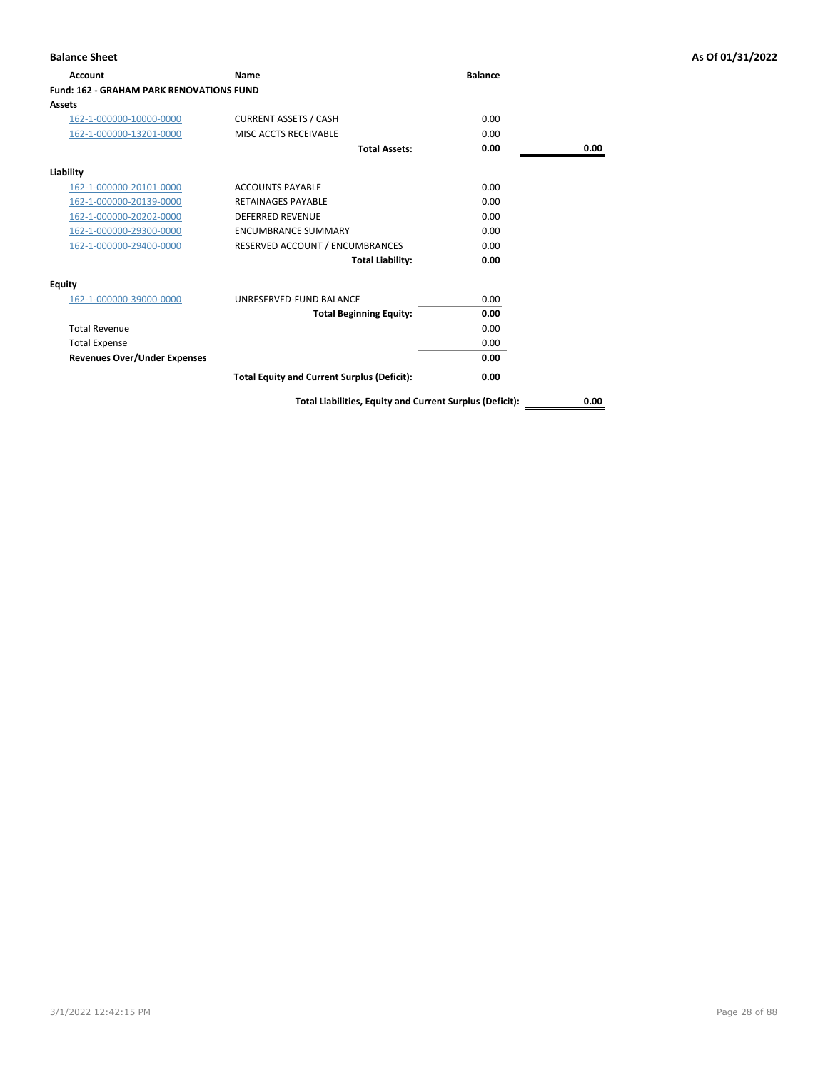| <b>Account</b>                                  | <b>Name</b>                                        | <b>Balance</b> |      |
|-------------------------------------------------|----------------------------------------------------|----------------|------|
| <b>Fund: 162 - GRAHAM PARK RENOVATIONS FUND</b> |                                                    |                |      |
| Assets                                          |                                                    |                |      |
| 162-1-000000-10000-0000                         | <b>CURRENT ASSETS / CASH</b>                       | 0.00           |      |
| 162-1-000000-13201-0000                         | MISC ACCTS RECEIVABLE                              | 0.00           |      |
|                                                 | <b>Total Assets:</b>                               | 0.00           | 0.00 |
| Liability                                       |                                                    |                |      |
| 162-1-000000-20101-0000                         | <b>ACCOUNTS PAYABLE</b>                            | 0.00           |      |
| 162-1-000000-20139-0000                         | <b>RETAINAGES PAYARLE</b>                          | 0.00           |      |
| 162-1-000000-20202-0000                         | <b>DEFERRED REVENUE</b>                            | 0.00           |      |
| 162-1-000000-29300-0000                         | <b>ENCUMBRANCE SUMMARY</b>                         | 0.00           |      |
| 162-1-000000-29400-0000                         | RESERVED ACCOUNT / ENCUMBRANCES                    | 0.00           |      |
|                                                 | <b>Total Liability:</b>                            | 0.00           |      |
| <b>Equity</b>                                   |                                                    |                |      |
| 162-1-000000-39000-0000                         | UNRESERVED-FUND BALANCE                            | 0.00           |      |
|                                                 | <b>Total Beginning Equity:</b>                     | 0.00           |      |
| <b>Total Revenue</b>                            |                                                    | 0.00           |      |
| <b>Total Expense</b>                            |                                                    | 0.00           |      |
| <b>Revenues Over/Under Expenses</b>             |                                                    | 0.00           |      |
|                                                 | <b>Total Equity and Current Surplus (Deficit):</b> | 0.00           |      |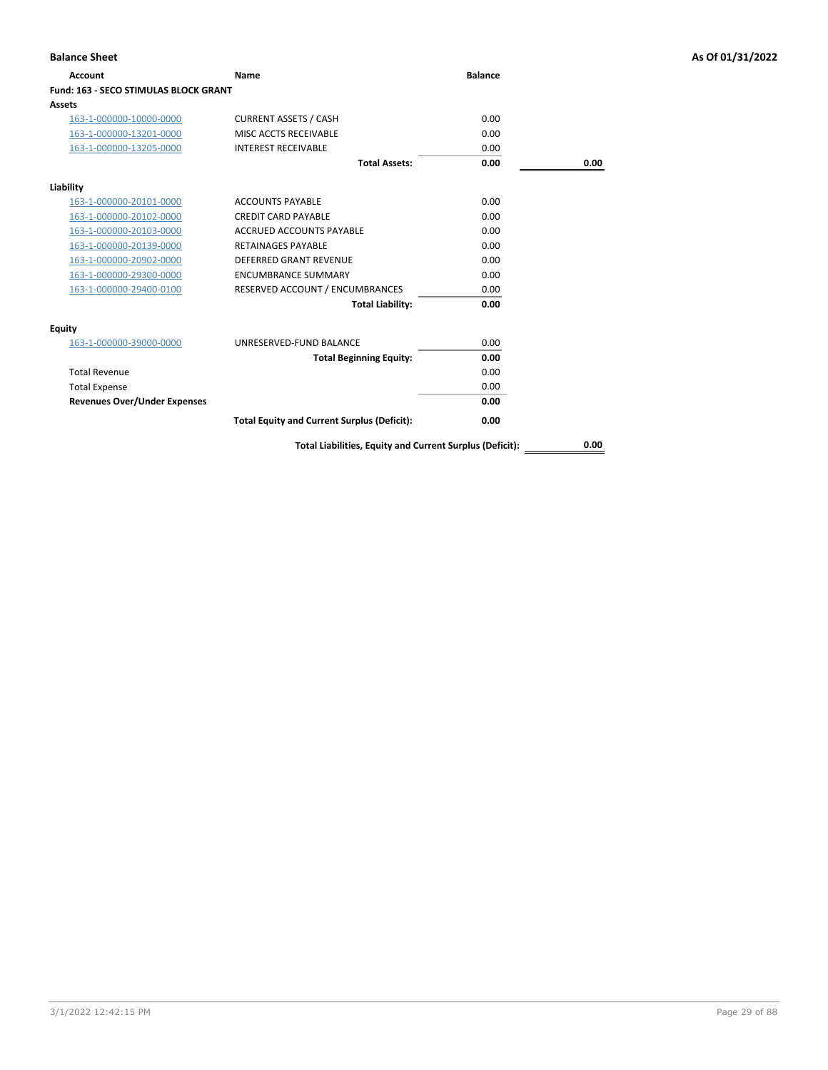| Account                                      | Name                                                     | <b>Balance</b> |      |
|----------------------------------------------|----------------------------------------------------------|----------------|------|
| <b>Fund: 163 - SECO STIMULAS BLOCK GRANT</b> |                                                          |                |      |
| Assets                                       |                                                          |                |      |
| 163-1-000000-10000-0000                      | <b>CURRENT ASSETS / CASH</b>                             | 0.00           |      |
| 163-1-000000-13201-0000                      | MISC ACCTS RECEIVABLE                                    | 0.00           |      |
| 163-1-000000-13205-0000                      | <b>INTEREST RECEIVABLE</b>                               | 0.00           |      |
|                                              | <b>Total Assets:</b>                                     | 0.00           | 0.00 |
| Liability                                    |                                                          |                |      |
| 163-1-000000-20101-0000                      | <b>ACCOUNTS PAYABLE</b>                                  | 0.00           |      |
| 163-1-000000-20102-0000                      | <b>CREDIT CARD PAYABLE</b>                               | 0.00           |      |
| 163-1-000000-20103-0000                      | <b>ACCRUED ACCOUNTS PAYABLE</b>                          | 0.00           |      |
| 163-1-000000-20139-0000                      | <b>RETAINAGES PAYABLE</b>                                | 0.00           |      |
| 163-1-000000-20902-0000                      | <b>DEFERRED GRANT REVENUE</b>                            | 0.00           |      |
| 163-1-000000-29300-0000                      | <b>ENCUMBRANCE SUMMARY</b>                               | 0.00           |      |
| 163-1-000000-29400-0100                      | RESERVED ACCOUNT / ENCUMBRANCES                          | 0.00           |      |
|                                              | <b>Total Liability:</b>                                  | 0.00           |      |
| <b>Equity</b>                                |                                                          |                |      |
| 163-1-000000-39000-0000                      | UNRESERVED-FUND BALANCE                                  | 0.00           |      |
|                                              | <b>Total Beginning Equity:</b>                           | 0.00           |      |
| <b>Total Revenue</b>                         |                                                          | 0.00           |      |
| <b>Total Expense</b>                         |                                                          | 0.00           |      |
| <b>Revenues Over/Under Expenses</b>          |                                                          | 0.00           |      |
|                                              | <b>Total Equity and Current Surplus (Deficit):</b>       | 0.00           |      |
|                                              | Total Liabilities, Equity and Current Surplus (Deficit): |                | 0.00 |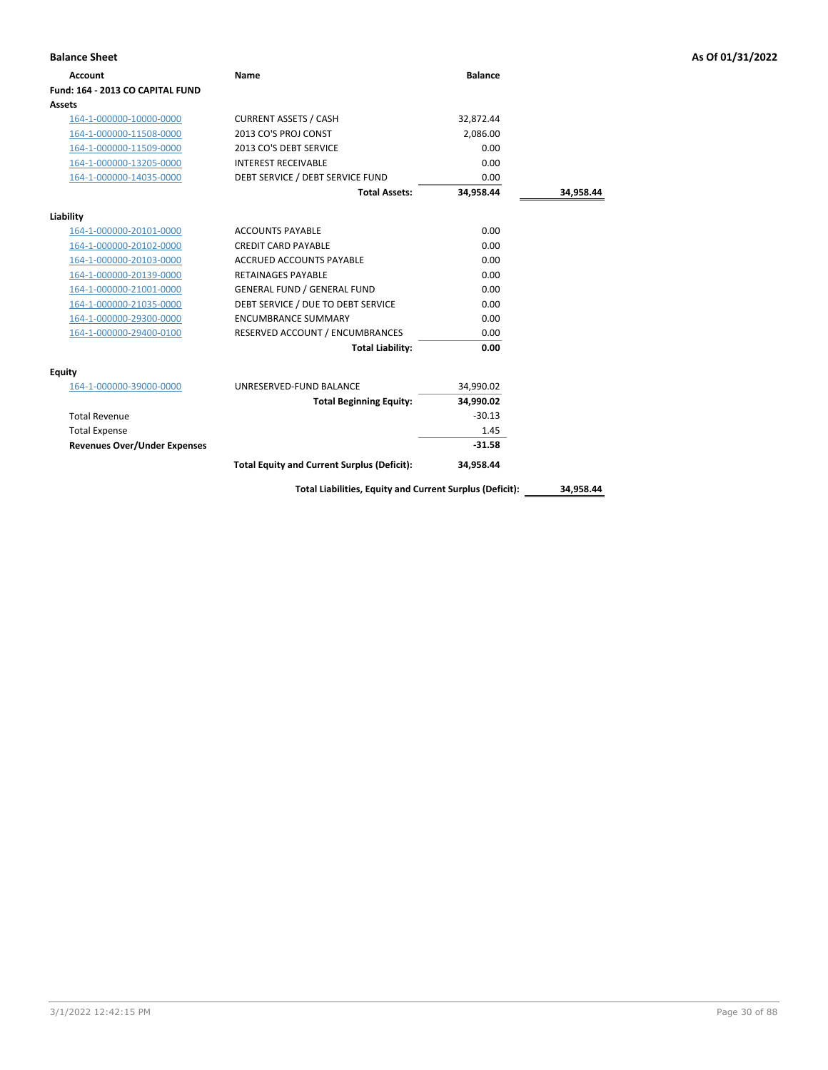| <b>Balance Sheet</b>                |                                                          |                |           | As Of 01/31/2022 |
|-------------------------------------|----------------------------------------------------------|----------------|-----------|------------------|
| <b>Account</b>                      | Name                                                     | <b>Balance</b> |           |                  |
| Fund: 164 - 2013 CO CAPITAL FUND    |                                                          |                |           |                  |
| Assets                              |                                                          |                |           |                  |
| 164-1-000000-10000-0000             | <b>CURRENT ASSETS / CASH</b>                             | 32,872.44      |           |                  |
| 164-1-000000-11508-0000             | 2013 CO'S PROJ CONST                                     | 2,086.00       |           |                  |
| 164-1-000000-11509-0000             | 2013 CO'S DEBT SERVICE                                   | 0.00           |           |                  |
| 164-1-000000-13205-0000             | <b>INTEREST RECEIVABLE</b>                               | 0.00           |           |                  |
| 164-1-000000-14035-0000             | DEBT SERVICE / DEBT SERVICE FUND                         | 0.00           |           |                  |
|                                     | <b>Total Assets:</b>                                     | 34,958.44      | 34,958.44 |                  |
| Liability                           |                                                          |                |           |                  |
| 164-1-000000-20101-0000             | <b>ACCOUNTS PAYABLE</b>                                  | 0.00           |           |                  |
| 164-1-000000-20102-0000             | <b>CREDIT CARD PAYABLE</b>                               | 0.00           |           |                  |
| 164-1-000000-20103-0000             | ACCRUED ACCOUNTS PAYABLE                                 | 0.00           |           |                  |
| 164-1-000000-20139-0000             | <b>RETAINAGES PAYABLE</b>                                | 0.00           |           |                  |
| 164-1-000000-21001-0000             | <b>GENERAL FUND / GENERAL FUND</b>                       | 0.00           |           |                  |
| 164-1-000000-21035-0000             | DEBT SERVICE / DUE TO DEBT SERVICE                       | 0.00           |           |                  |
| 164-1-000000-29300-0000             | <b>ENCUMBRANCE SUMMARY</b>                               | 0.00           |           |                  |
| 164-1-000000-29400-0100             | RESERVED ACCOUNT / ENCUMBRANCES                          | 0.00           |           |                  |
|                                     | <b>Total Liability:</b>                                  | 0.00           |           |                  |
| <b>Equity</b>                       |                                                          |                |           |                  |
| 164-1-000000-39000-0000             | UNRESERVED-FUND BALANCE                                  | 34,990.02      |           |                  |
|                                     | <b>Total Beginning Equity:</b>                           | 34,990.02      |           |                  |
| <b>Total Revenue</b>                |                                                          | $-30.13$       |           |                  |
| <b>Total Expense</b>                |                                                          | 1.45           |           |                  |
| <b>Revenues Over/Under Expenses</b> |                                                          | $-31.58$       |           |                  |
|                                     | <b>Total Equity and Current Surplus (Deficit):</b>       | 34,958.44      |           |                  |
|                                     | Total Liabilities, Equity and Current Surplus (Deficit): |                | 34,958.44 |                  |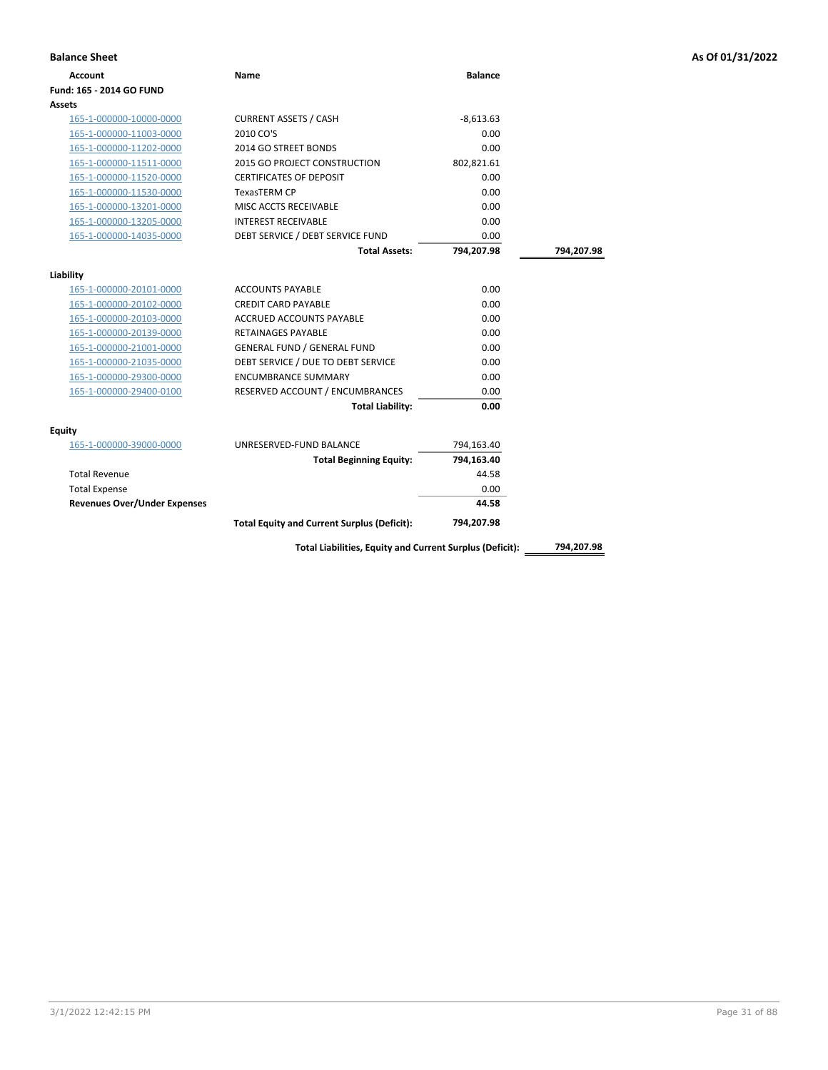| <b>Account</b>                      | Name                                               | <b>Balance</b> |            |
|-------------------------------------|----------------------------------------------------|----------------|------------|
| Fund: 165 - 2014 GO FUND            |                                                    |                |            |
| Assets                              |                                                    |                |            |
| 165-1-000000-10000-0000             | <b>CURRENT ASSETS / CASH</b>                       | $-8,613.63$    |            |
| 165-1-000000-11003-0000             | 2010 CO'S                                          | 0.00           |            |
| 165-1-000000-11202-0000             | 2014 GO STREET BONDS                               | 0.00           |            |
| 165-1-000000-11511-0000             | <b>2015 GO PROJECT CONSTRUCTION</b>                | 802,821.61     |            |
| 165-1-000000-11520-0000             | <b>CERTIFICATES OF DEPOSIT</b>                     | 0.00           |            |
| 165-1-000000-11530-0000             | <b>TexasTERM CP</b>                                | 0.00           |            |
| 165-1-000000-13201-0000             | MISC ACCTS RECEIVABLE                              | 0.00           |            |
| 165-1-000000-13205-0000             | <b>INTEREST RECEIVABLE</b>                         | 0.00           |            |
| 165-1-000000-14035-0000             | DEBT SERVICE / DEBT SERVICE FUND                   | 0.00           |            |
|                                     | <b>Total Assets:</b>                               | 794,207.98     | 794,207.98 |
|                                     |                                                    |                |            |
| Liability                           |                                                    |                |            |
| 165-1-000000-20101-0000             | <b>ACCOUNTS PAYABLE</b>                            | 0.00           |            |
| 165-1-000000-20102-0000             | <b>CREDIT CARD PAYABLE</b>                         | 0.00           |            |
| 165-1-000000-20103-0000             | <b>ACCRUED ACCOUNTS PAYABLE</b>                    | 0.00           |            |
| 165-1-000000-20139-0000             | <b>RETAINAGES PAYABLE</b>                          | 0.00           |            |
| 165-1-000000-21001-0000             | <b>GENERAL FUND / GENERAL FUND</b>                 | 0.00           |            |
| 165-1-000000-21035-0000             | DEBT SERVICE / DUE TO DEBT SERVICE                 | 0.00           |            |
| 165-1-000000-29300-0000             | <b>ENCUMBRANCE SUMMARY</b>                         | 0.00           |            |
| 165-1-000000-29400-0100             | RESERVED ACCOUNT / ENCUMBRANCES                    | 0.00           |            |
|                                     | <b>Total Liability:</b>                            | 0.00           |            |
| <b>Equity</b>                       |                                                    |                |            |
| 165-1-000000-39000-0000             | UNRESERVED-FUND BALANCE                            | 794,163.40     |            |
|                                     | <b>Total Beginning Equity:</b>                     | 794,163.40     |            |
| <b>Total Revenue</b>                |                                                    | 44.58          |            |
| <b>Total Expense</b>                |                                                    | 0.00           |            |
| <b>Revenues Over/Under Expenses</b> |                                                    | 44.58          |            |
|                                     | <b>Total Equity and Current Surplus (Deficit):</b> | 794,207.98     |            |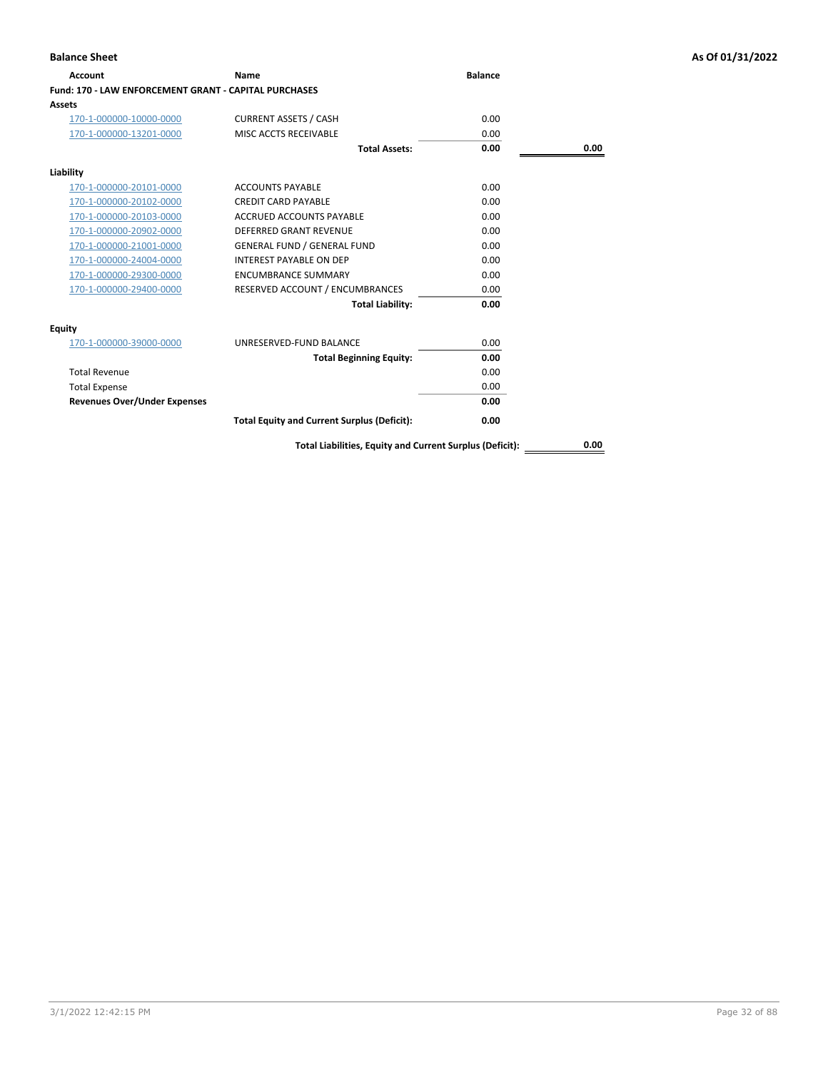| <b>Account</b>                                        | Name                                               | <b>Balance</b> |      |
|-------------------------------------------------------|----------------------------------------------------|----------------|------|
| Fund: 170 - LAW ENFORCEMENT GRANT - CAPITAL PURCHASES |                                                    |                |      |
| <b>Assets</b>                                         |                                                    |                |      |
| 170-1-000000-10000-0000                               | <b>CURRENT ASSETS / CASH</b>                       | 0.00           |      |
| 170-1-000000-13201-0000                               | MISC ACCTS RECEIVABLE                              | 0.00           |      |
|                                                       | <b>Total Assets:</b>                               | 0.00           | 0.00 |
| Liability                                             |                                                    |                |      |
| 170-1-000000-20101-0000                               | <b>ACCOUNTS PAYABLE</b>                            | 0.00           |      |
| 170-1-000000-20102-0000                               | <b>CREDIT CARD PAYABLE</b>                         | 0.00           |      |
| 170-1-000000-20103-0000                               | ACCRUED ACCOUNTS PAYABLE                           | 0.00           |      |
| 170-1-000000-20902-0000                               | DEFERRED GRANT REVENUE                             | 0.00           |      |
| 170-1-000000-21001-0000                               | <b>GENERAL FUND / GENERAL FUND</b>                 | 0.00           |      |
| 170-1-000000-24004-0000                               | <b>INTEREST PAYABLE ON DEP</b>                     | 0.00           |      |
| 170-1-000000-29300-0000                               | <b>ENCUMBRANCE SUMMARY</b>                         | 0.00           |      |
| 170-1-000000-29400-0000                               | RESERVED ACCOUNT / ENCUMBRANCES                    | 0.00           |      |
|                                                       | <b>Total Liability:</b>                            | 0.00           |      |
| Equity                                                |                                                    |                |      |
| 170-1-000000-39000-0000                               | UNRESERVED-FUND BALANCE                            | 0.00           |      |
|                                                       | <b>Total Beginning Equity:</b>                     | 0.00           |      |
| <b>Total Revenue</b>                                  |                                                    | 0.00           |      |
| <b>Total Expense</b>                                  |                                                    | 0.00           |      |
| <b>Revenues Over/Under Expenses</b>                   |                                                    | 0.00           |      |
|                                                       | <b>Total Equity and Current Surplus (Deficit):</b> | 0.00           |      |
|                                                       |                                                    |                |      |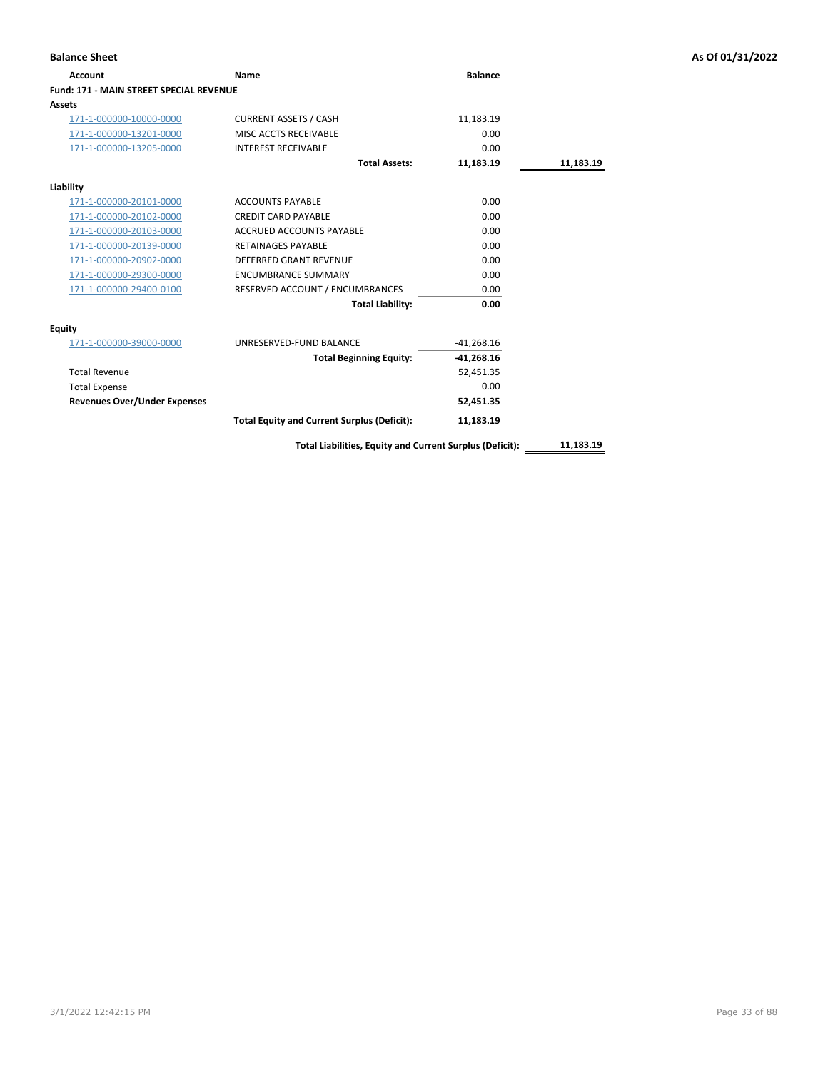| <b>Balance Sheet</b>                           |                                                          |                |           | As Of 01/31/2022 |
|------------------------------------------------|----------------------------------------------------------|----------------|-----------|------------------|
| <b>Account</b>                                 | Name                                                     | <b>Balance</b> |           |                  |
| <b>Fund: 171 - MAIN STREET SPECIAL REVENUE</b> |                                                          |                |           |                  |
| <b>Assets</b>                                  |                                                          |                |           |                  |
| 171-1-000000-10000-0000                        | <b>CURRENT ASSETS / CASH</b>                             | 11,183.19      |           |                  |
| 171-1-000000-13201-0000                        | MISC ACCTS RECEIVABLE                                    | 0.00           |           |                  |
| 171-1-000000-13205-0000                        | <b>INTEREST RECEIVABLE</b>                               | 0.00           |           |                  |
|                                                | <b>Total Assets:</b>                                     | 11,183.19      | 11,183.19 |                  |
| Liability                                      |                                                          |                |           |                  |
| 171-1-000000-20101-0000                        | <b>ACCOUNTS PAYABLE</b>                                  | 0.00           |           |                  |
| 171-1-000000-20102-0000                        | <b>CREDIT CARD PAYABLE</b>                               | 0.00           |           |                  |
| 171-1-000000-20103-0000                        | ACCRUED ACCOUNTS PAYABLE                                 | 0.00           |           |                  |
| 171-1-000000-20139-0000                        | <b>RETAINAGES PAYABLE</b>                                | 0.00           |           |                  |
| 171-1-000000-20902-0000                        | <b>DEFERRED GRANT REVENUE</b>                            | 0.00           |           |                  |
| 171-1-000000-29300-0000                        | <b>ENCUMBRANCE SUMMARY</b>                               | 0.00           |           |                  |
| 171-1-000000-29400-0100                        | RESERVED ACCOUNT / ENCUMBRANCES                          | 0.00           |           |                  |
|                                                | <b>Total Liability:</b>                                  | 0.00           |           |                  |
| <b>Equity</b>                                  |                                                          |                |           |                  |
| 171-1-000000-39000-0000                        | UNRESERVED-FUND BALANCE                                  | $-41,268.16$   |           |                  |
|                                                | <b>Total Beginning Equity:</b>                           | $-41,268.16$   |           |                  |
| <b>Total Revenue</b>                           |                                                          | 52,451.35      |           |                  |
| <b>Total Expense</b>                           |                                                          | 0.00           |           |                  |
| <b>Revenues Over/Under Expenses</b>            |                                                          | 52,451.35      |           |                  |
|                                                | <b>Total Equity and Current Surplus (Deficit):</b>       | 11,183.19      |           |                  |
|                                                | Total Liabilities, Equity and Current Surplus (Deficit): |                | 11,183.19 |                  |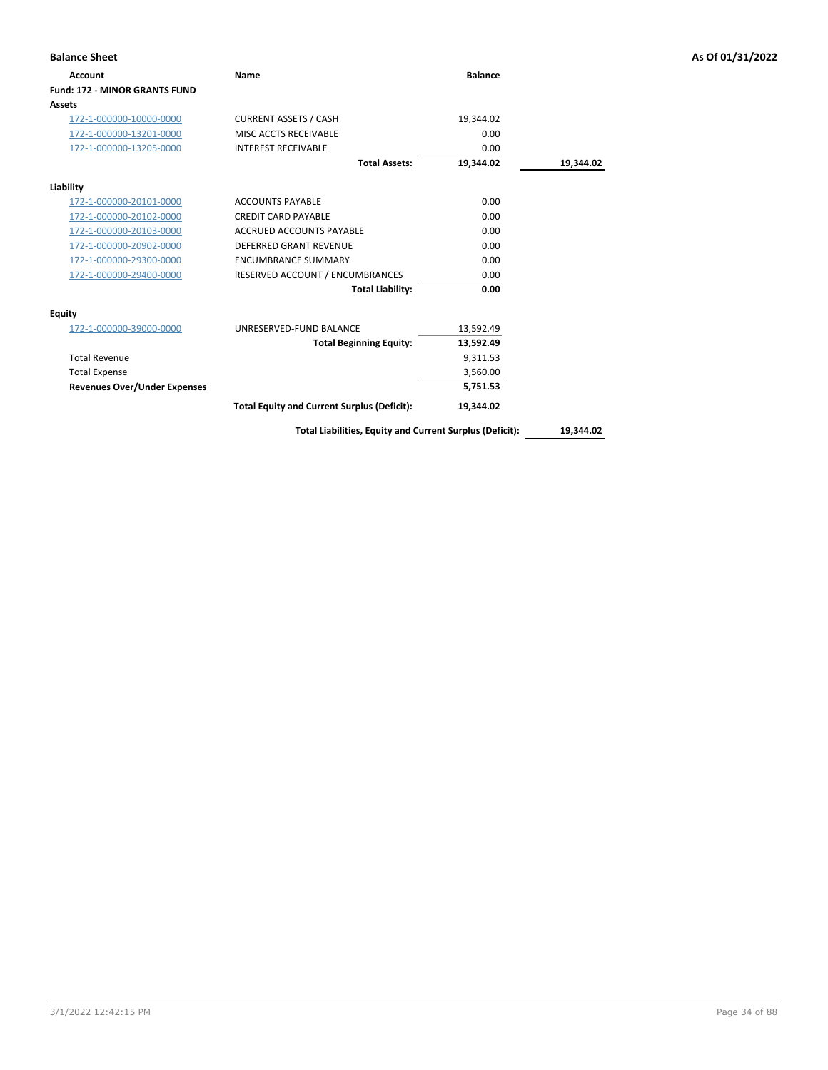| <b>Balance Sheet</b>                 |                                                    |                |           | As Of 01/31/2022 |
|--------------------------------------|----------------------------------------------------|----------------|-----------|------------------|
| Account                              | <b>Name</b>                                        | <b>Balance</b> |           |                  |
| <b>Fund: 172 - MINOR GRANTS FUND</b> |                                                    |                |           |                  |
| Assets                               |                                                    |                |           |                  |
| 172-1-000000-10000-0000              | <b>CURRENT ASSETS / CASH</b>                       | 19,344.02      |           |                  |
| 172-1-000000-13201-0000              | MISC ACCTS RECEIVABLE                              | 0.00           |           |                  |
| 172-1-000000-13205-0000              | <b>INTEREST RECEIVABLE</b>                         | 0.00           |           |                  |
|                                      | <b>Total Assets:</b>                               | 19,344.02      | 19,344.02 |                  |
| Liability                            |                                                    |                |           |                  |
| 172-1-000000-20101-0000              | <b>ACCOUNTS PAYABLE</b>                            | 0.00           |           |                  |
| 172-1-000000-20102-0000              | <b>CREDIT CARD PAYABLE</b>                         | 0.00           |           |                  |
| 172-1-000000-20103-0000              | <b>ACCRUED ACCOUNTS PAYABLE</b>                    | 0.00           |           |                  |
| 172-1-000000-20902-0000              | <b>DEFERRED GRANT REVENUE</b>                      | 0.00           |           |                  |
| 172-1-000000-29300-0000              | <b>ENCUMBRANCE SUMMARY</b>                         | 0.00           |           |                  |
| 172-1-000000-29400-0000              | RESERVED ACCOUNT / ENCUMBRANCES                    | 0.00           |           |                  |
|                                      | <b>Total Liability:</b>                            | 0.00           |           |                  |
| <b>Equity</b>                        |                                                    |                |           |                  |
| 172-1-000000-39000-0000              | UNRESERVED-FUND BALANCE                            | 13,592.49      |           |                  |
|                                      | <b>Total Beginning Equity:</b>                     | 13,592.49      |           |                  |
| <b>Total Revenue</b>                 |                                                    | 9,311.53       |           |                  |
| <b>Total Expense</b>                 |                                                    | 3,560.00       |           |                  |
| <b>Revenues Over/Under Expenses</b>  |                                                    | 5,751.53       |           |                  |
|                                      | <b>Total Equity and Current Surplus (Deficit):</b> | 19,344.02      |           |                  |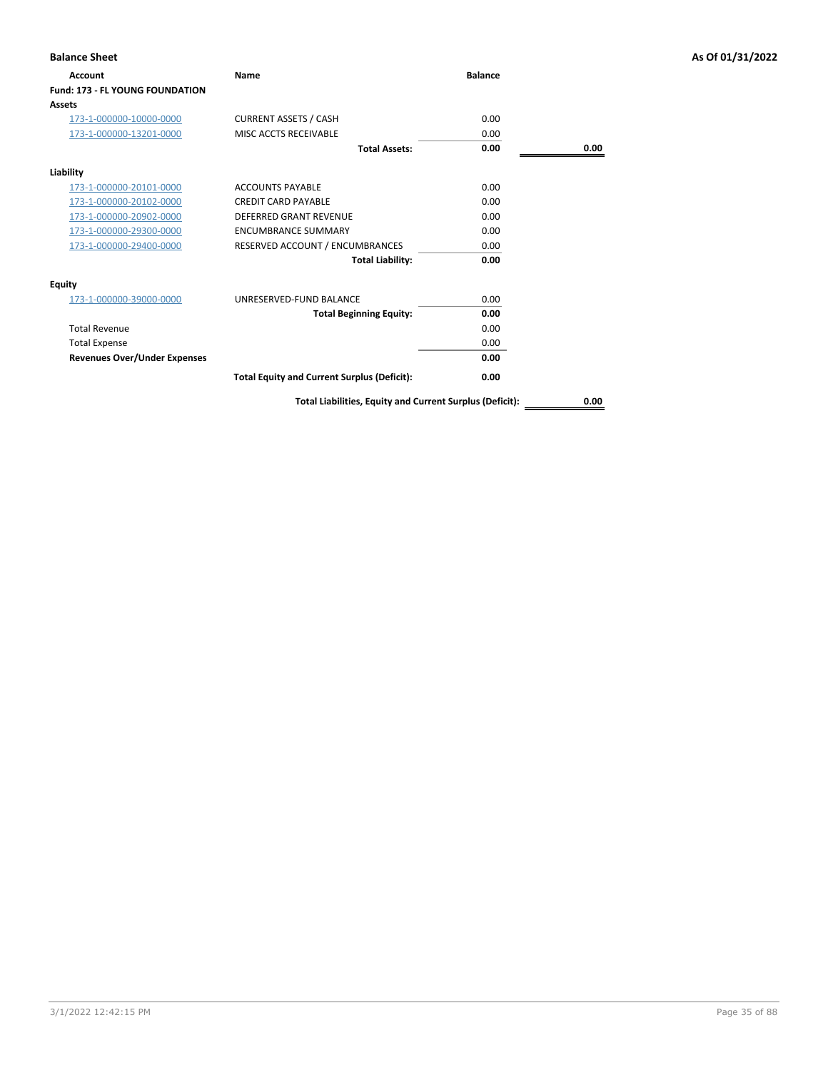| <b>Balance Sheet</b>                |                                                          |                |      | As Of 01/31/2022 |
|-------------------------------------|----------------------------------------------------------|----------------|------|------------------|
| Account                             | Name                                                     | <b>Balance</b> |      |                  |
| Fund: 173 - FL YOUNG FOUNDATION     |                                                          |                |      |                  |
| Assets                              |                                                          |                |      |                  |
| 173-1-000000-10000-0000             | <b>CURRENT ASSETS / CASH</b>                             | 0.00           |      |                  |
| 173-1-000000-13201-0000             | MISC ACCTS RECEIVABLE                                    | 0.00           |      |                  |
|                                     | <b>Total Assets:</b>                                     | 0.00           | 0.00 |                  |
| Liability                           |                                                          |                |      |                  |
| 173-1-000000-20101-0000             | <b>ACCOUNTS PAYABLE</b>                                  | 0.00           |      |                  |
| 173-1-000000-20102-0000             | <b>CREDIT CARD PAYABLE</b>                               | 0.00           |      |                  |
| 173-1-000000-20902-0000             | <b>DEFERRED GRANT REVENUE</b>                            | 0.00           |      |                  |
| 173-1-000000-29300-0000             | <b>ENCUMBRANCE SUMMARY</b>                               | 0.00           |      |                  |
| 173-1-000000-29400-0000             | RESERVED ACCOUNT / ENCUMBRANCES                          | 0.00           |      |                  |
|                                     | <b>Total Liability:</b>                                  | 0.00           |      |                  |
| <b>Equity</b>                       |                                                          |                |      |                  |
| 173-1-000000-39000-0000             | UNRESERVED-FUND BALANCE                                  | 0.00           |      |                  |
|                                     | <b>Total Beginning Equity:</b>                           | 0.00           |      |                  |
| <b>Total Revenue</b>                |                                                          | 0.00           |      |                  |
| <b>Total Expense</b>                |                                                          | 0.00           |      |                  |
| <b>Revenues Over/Under Expenses</b> |                                                          | 0.00           |      |                  |
|                                     | <b>Total Equity and Current Surplus (Deficit):</b>       | 0.00           |      |                  |
|                                     | Total Liabilities, Equity and Current Surplus (Deficit): |                | 0.00 |                  |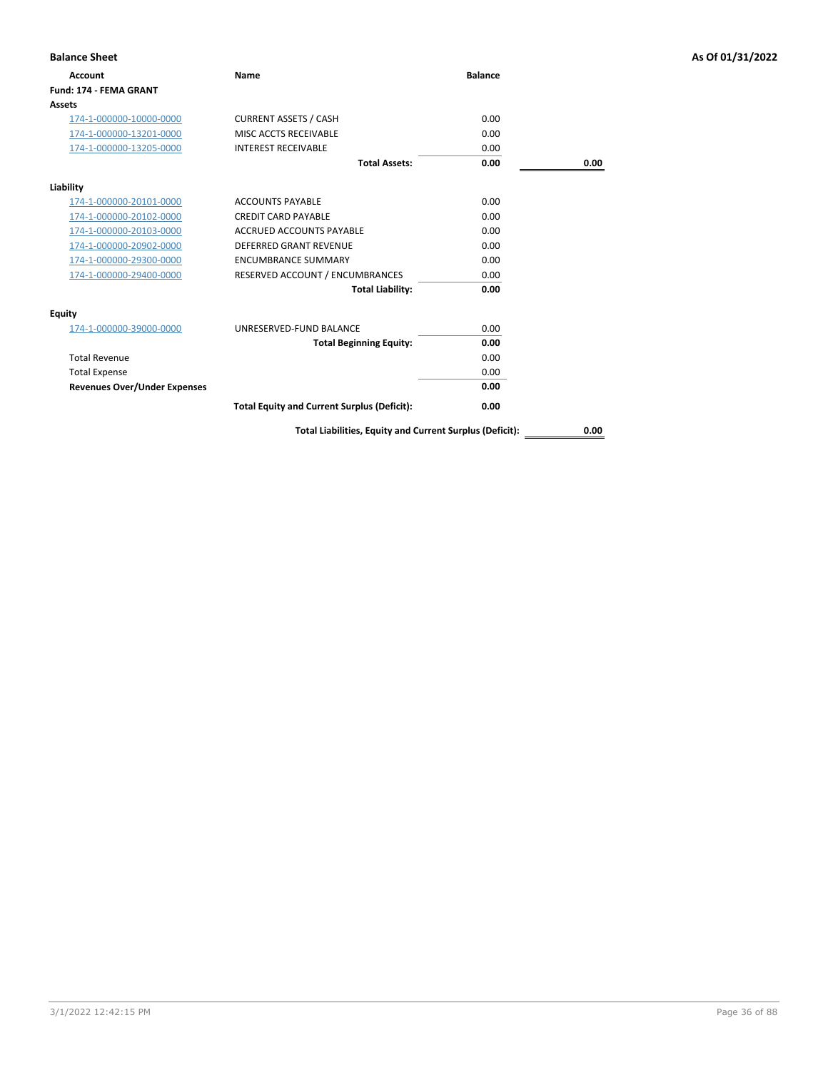| <b>Balance Sheet</b>                |                                                    |                |      | As Of 01/31/2022 |
|-------------------------------------|----------------------------------------------------|----------------|------|------------------|
| <b>Account</b>                      | Name                                               | <b>Balance</b> |      |                  |
| Fund: 174 - FEMA GRANT              |                                                    |                |      |                  |
| <b>Assets</b>                       |                                                    |                |      |                  |
| 174-1-000000-10000-0000             | <b>CURRENT ASSETS / CASH</b>                       | 0.00           |      |                  |
| 174-1-000000-13201-0000             | MISC ACCTS RECEIVABLE                              | 0.00           |      |                  |
| 174-1-000000-13205-0000             | <b>INTEREST RECEIVABLE</b>                         | 0.00           |      |                  |
|                                     | <b>Total Assets:</b>                               | 0.00           | 0.00 |                  |
| Liability                           |                                                    |                |      |                  |
| 174-1-000000-20101-0000             | <b>ACCOUNTS PAYABLE</b>                            | 0.00           |      |                  |
| 174-1-000000-20102-0000             | <b>CREDIT CARD PAYABLE</b>                         | 0.00           |      |                  |
| 174-1-000000-20103-0000             | <b>ACCRUED ACCOUNTS PAYABLE</b>                    | 0.00           |      |                  |
| 174-1-000000-20902-0000             | DEFERRED GRANT REVENUE                             | 0.00           |      |                  |
| 174-1-000000-29300-0000             | <b>ENCUMBRANCE SUMMARY</b>                         | 0.00           |      |                  |
| 174-1-000000-29400-0000             | RESERVED ACCOUNT / ENCUMBRANCES                    | 0.00           |      |                  |
|                                     | <b>Total Liability:</b>                            | 0.00           |      |                  |
| <b>Equity</b>                       |                                                    |                |      |                  |
| 174-1-000000-39000-0000             | UNRESERVED-FUND BALANCE                            | 0.00           |      |                  |
|                                     | <b>Total Beginning Equity:</b>                     | 0.00           |      |                  |
| <b>Total Revenue</b>                |                                                    | 0.00           |      |                  |
| <b>Total Expense</b>                |                                                    | 0.00           |      |                  |
| <b>Revenues Over/Under Expenses</b> |                                                    | 0.00           |      |                  |
|                                     | <b>Total Equity and Current Surplus (Deficit):</b> | 0.00           |      |                  |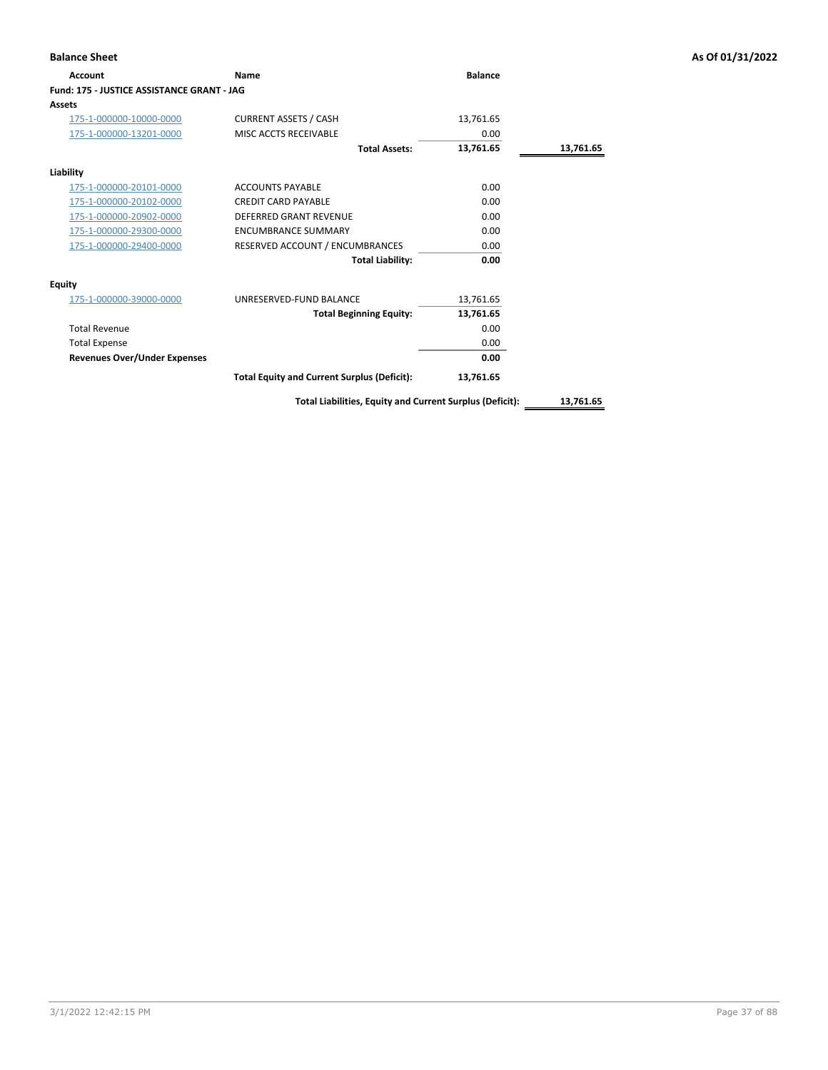| <b>Balance Sheet</b>                       |                                                    |                |           | As Of 01/31/2022 |
|--------------------------------------------|----------------------------------------------------|----------------|-----------|------------------|
| Account                                    | Name                                               | <b>Balance</b> |           |                  |
| Fund: 175 - JUSTICE ASSISTANCE GRANT - JAG |                                                    |                |           |                  |
| <b>Assets</b>                              |                                                    |                |           |                  |
| 175-1-000000-10000-0000                    | <b>CURRENT ASSETS / CASH</b>                       | 13,761.65      |           |                  |
| 175-1-000000-13201-0000                    | MISC ACCTS RECEIVABLE                              | 0.00           |           |                  |
|                                            | <b>Total Assets:</b>                               | 13,761.65      | 13,761.65 |                  |
| Liability                                  |                                                    |                |           |                  |
| 175-1-000000-20101-0000                    | <b>ACCOUNTS PAYABLE</b>                            | 0.00           |           |                  |
| 175-1-000000-20102-0000                    | <b>CREDIT CARD PAYABLE</b>                         | 0.00           |           |                  |
| 175-1-000000-20902-0000                    | <b>DEFERRED GRANT REVENUE</b>                      | 0.00           |           |                  |
| 175-1-000000-29300-0000                    | <b>ENCUMBRANCE SUMMARY</b>                         | 0.00           |           |                  |
| 175-1-000000-29400-0000                    | RESERVED ACCOUNT / ENCUMBRANCES                    | 0.00           |           |                  |
|                                            | <b>Total Liability:</b>                            | 0.00           |           |                  |
| <b>Equity</b>                              |                                                    |                |           |                  |
| 175-1-000000-39000-0000                    | UNRESERVED-FUND BALANCE                            | 13,761.65      |           |                  |
|                                            | <b>Total Beginning Equity:</b>                     | 13,761.65      |           |                  |
| <b>Total Revenue</b>                       |                                                    | 0.00           |           |                  |
| <b>Total Expense</b>                       |                                                    | 0.00           |           |                  |
| <b>Revenues Over/Under Expenses</b>        |                                                    | 0.00           |           |                  |
|                                            | <b>Total Equity and Current Surplus (Deficit):</b> | 13,761.65      |           |                  |

**Total Liabilities, Equity and Current Surplus (Deficit): 13,761.65**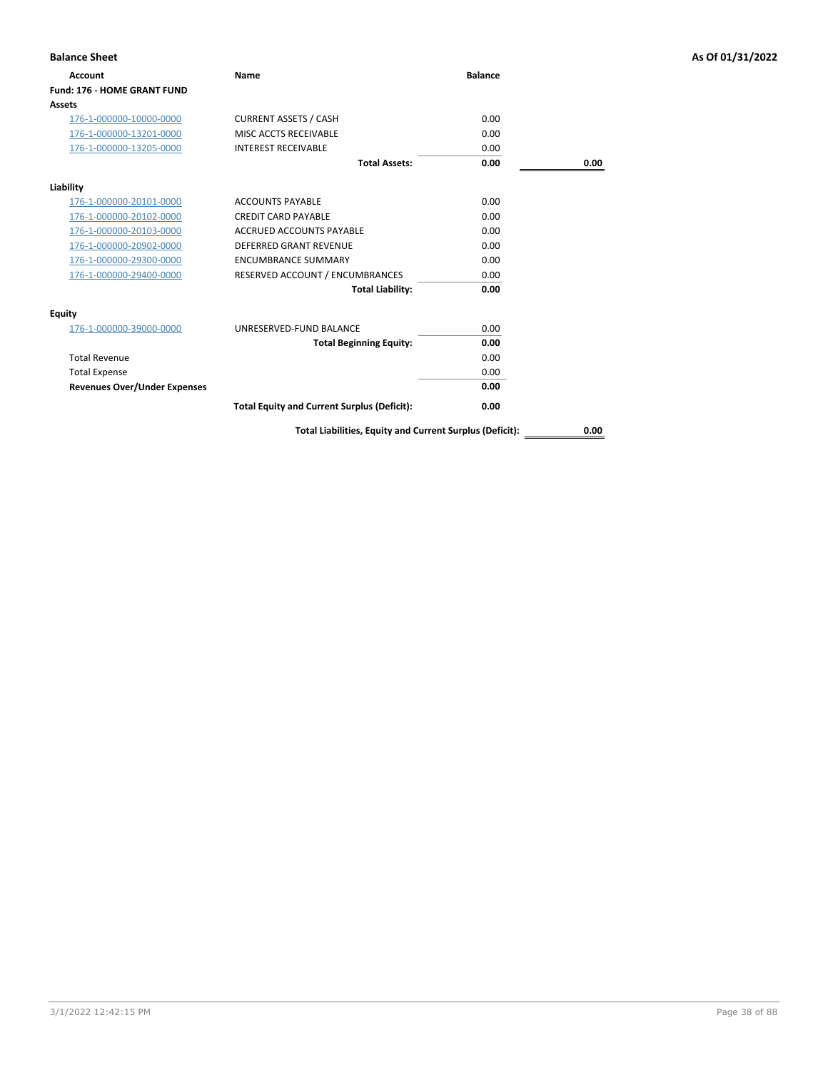| <b>Balance Sheet</b>                |                                                    |                |      | As Of 01/31/2022 |
|-------------------------------------|----------------------------------------------------|----------------|------|------------------|
| <b>Account</b>                      | Name                                               | <b>Balance</b> |      |                  |
| <b>Fund: 176 - HOME GRANT FUND</b>  |                                                    |                |      |                  |
| <b>Assets</b>                       |                                                    |                |      |                  |
| 176-1-000000-10000-0000             | <b>CURRENT ASSETS / CASH</b>                       | 0.00           |      |                  |
| 176-1-000000-13201-0000             | MISC ACCTS RECEIVABLE                              | 0.00           |      |                  |
| 176-1-000000-13205-0000             | <b>INTEREST RECEIVABLE</b>                         | 0.00           |      |                  |
|                                     | <b>Total Assets:</b>                               | 0.00           | 0.00 |                  |
| Liability                           |                                                    |                |      |                  |
| 176-1-000000-20101-0000             | <b>ACCOUNTS PAYABLE</b>                            | 0.00           |      |                  |
| 176-1-000000-20102-0000             | <b>CREDIT CARD PAYABLE</b>                         | 0.00           |      |                  |
| 176-1-000000-20103-0000             | ACCRUED ACCOUNTS PAYABLE                           | 0.00           |      |                  |
| 176-1-000000-20902-0000             | <b>DEFERRED GRANT REVENUE</b>                      | 0.00           |      |                  |
| 176-1-000000-29300-0000             | <b>ENCUMBRANCE SUMMARY</b>                         | 0.00           |      |                  |
| 176-1-000000-29400-0000             | RESERVED ACCOUNT / ENCUMBRANCES                    | 0.00           |      |                  |
|                                     | <b>Total Liability:</b>                            | 0.00           |      |                  |
| Equity                              |                                                    |                |      |                  |
| 176-1-000000-39000-0000             | UNRESERVED-FUND BALANCE                            | 0.00           |      |                  |
|                                     | <b>Total Beginning Equity:</b>                     | 0.00           |      |                  |
| <b>Total Revenue</b>                |                                                    | 0.00           |      |                  |
| <b>Total Expense</b>                |                                                    | 0.00           |      |                  |
| <b>Revenues Over/Under Expenses</b> |                                                    | 0.00           |      |                  |
|                                     | <b>Total Equity and Current Surplus (Deficit):</b> | 0.00           |      |                  |

**Total Liabilities, Equity and Current Surplus (Deficit): 0.00**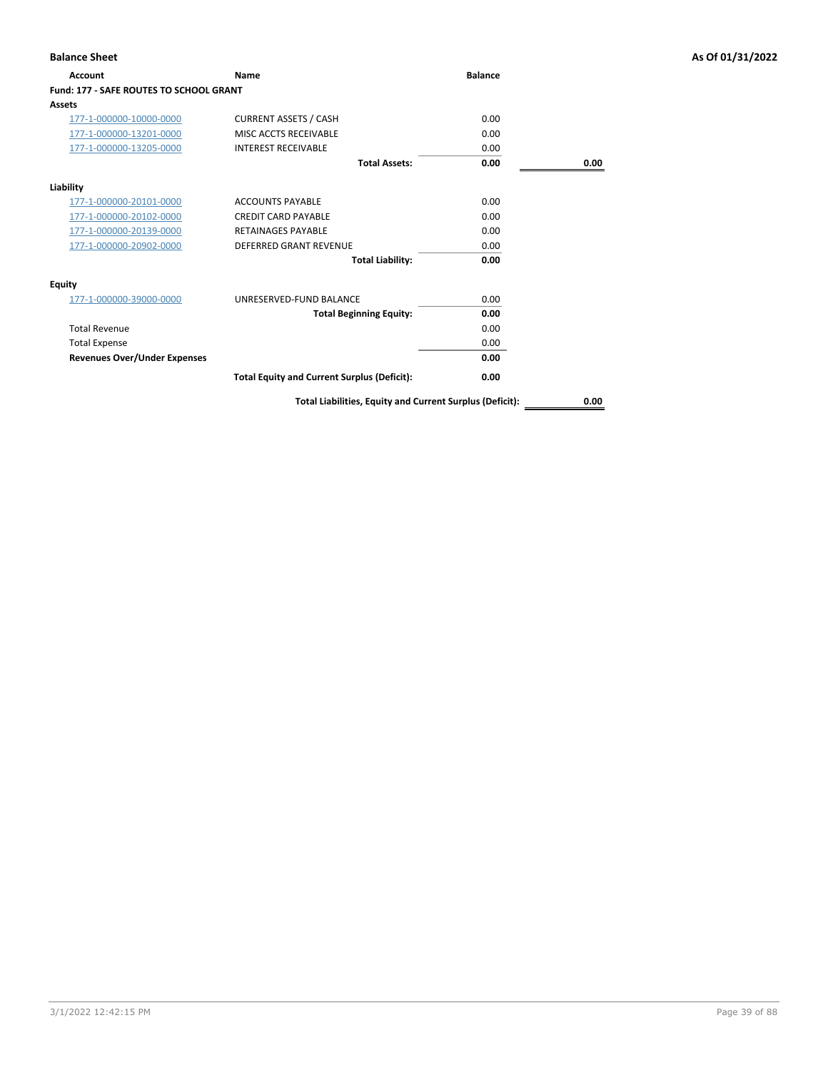| <b>Balance Sheet</b>                    |                                                          |                |      | As Of 01/31/2022 |
|-----------------------------------------|----------------------------------------------------------|----------------|------|------------------|
| Account                                 | Name                                                     | <b>Balance</b> |      |                  |
| Fund: 177 - SAFE ROUTES TO SCHOOL GRANT |                                                          |                |      |                  |
| Assets                                  |                                                          |                |      |                  |
| 177-1-000000-10000-0000                 | <b>CURRENT ASSETS / CASH</b>                             | 0.00           |      |                  |
| 177-1-000000-13201-0000                 | MISC ACCTS RECEIVABLE                                    | 0.00           |      |                  |
| 177-1-000000-13205-0000                 | <b>INTEREST RECEIVABLE</b>                               | 0.00           |      |                  |
|                                         | <b>Total Assets:</b>                                     | 0.00           | 0.00 |                  |
| Liability                               |                                                          |                |      |                  |
| 177-1-000000-20101-0000                 | <b>ACCOUNTS PAYABLE</b>                                  | 0.00           |      |                  |
| 177-1-000000-20102-0000                 | <b>CREDIT CARD PAYABLE</b>                               | 0.00           |      |                  |
| 177-1-000000-20139-0000                 | <b>RETAINAGES PAYABLE</b>                                | 0.00           |      |                  |
| 177-1-000000-20902-0000                 | <b>DEFERRED GRANT REVENUE</b>                            | 0.00           |      |                  |
|                                         | <b>Total Liability:</b>                                  | 0.00           |      |                  |
| <b>Equity</b>                           |                                                          |                |      |                  |
| 177-1-000000-39000-0000                 | UNRESERVED-FUND BALANCE                                  | 0.00           |      |                  |
|                                         | <b>Total Beginning Equity:</b>                           | 0.00           |      |                  |
| <b>Total Revenue</b>                    |                                                          | 0.00           |      |                  |
| <b>Total Expense</b>                    |                                                          | 0.00           |      |                  |
| <b>Revenues Over/Under Expenses</b>     |                                                          | 0.00           |      |                  |
|                                         | <b>Total Equity and Current Surplus (Deficit):</b>       | 0.00           |      |                  |
|                                         | Total Liabilities, Equity and Current Surplus (Deficit): |                | 0.00 |                  |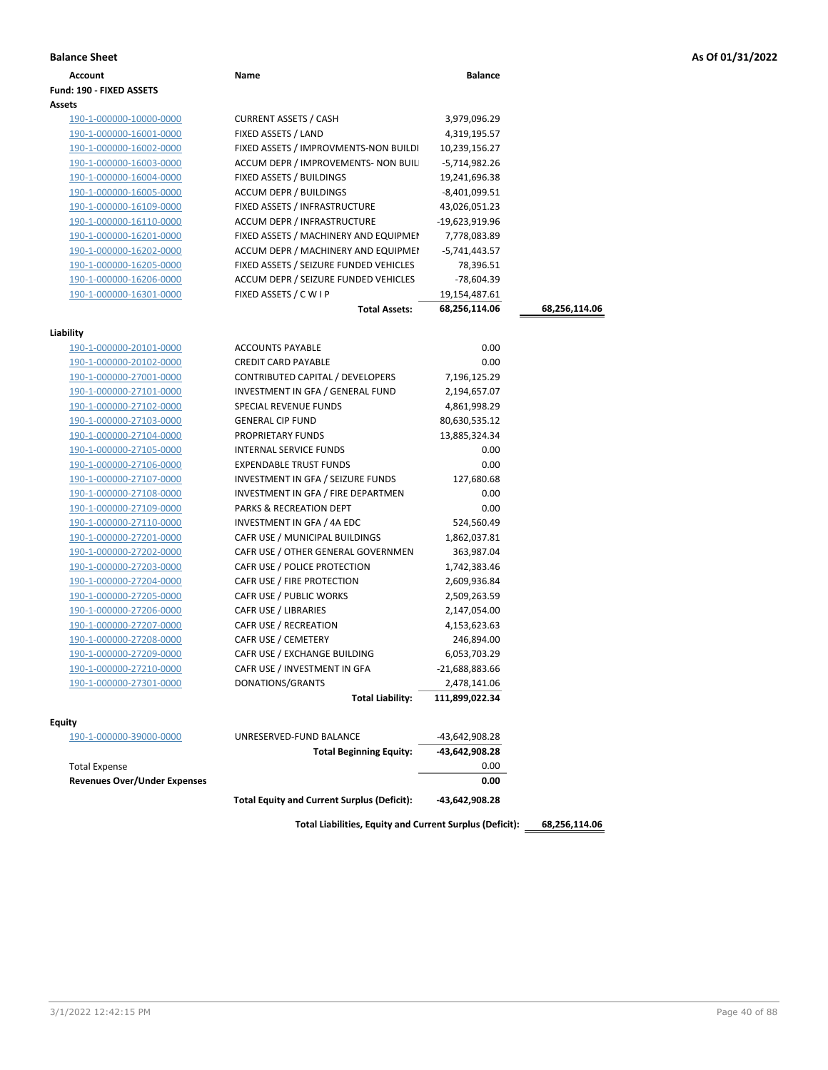|  |  |  |  | As Of 01/31/2022 |  |
|--|--|--|--|------------------|--|
|--|--|--|--|------------------|--|

| Account<br>Fund: 190 - FIXED ASSETS | Name                                               | <b>Balance</b> |               |  |
|-------------------------------------|----------------------------------------------------|----------------|---------------|--|
|                                     |                                                    |                |               |  |
|                                     |                                                    |                |               |  |
| Assets                              |                                                    |                |               |  |
| 190-1-000000-10000-0000             | <b>CURRENT ASSETS / CASH</b>                       | 3,979,096.29   |               |  |
| 190-1-000000-16001-0000             | FIXED ASSETS / LAND                                | 4,319,195.57   |               |  |
| 190-1-000000-16002-0000             | FIXED ASSETS / IMPROVMENTS-NON BUILDI              | 10,239,156.27  |               |  |
| 190-1-000000-16003-0000             | ACCUM DEPR / IMPROVEMENTS- NON BUIL                | -5,714,982.26  |               |  |
| 190-1-000000-16004-0000             | FIXED ASSETS / BUILDINGS                           | 19,241,696.38  |               |  |
| 190-1-000000-16005-0000             | ACCUM DEPR / BUILDINGS                             | -8,401,099.51  |               |  |
| 190-1-000000-16109-0000             | FIXED ASSETS / INFRASTRUCTURE                      | 43,026,051.23  |               |  |
| 190-1-000000-16110-0000             | ACCUM DEPR / INFRASTRUCTURE                        | -19,623,919.96 |               |  |
| 190-1-000000-16201-0000             | FIXED ASSETS / MACHINERY AND EQUIPMEN              | 7,778,083.89   |               |  |
| 190-1-000000-16202-0000             | ACCUM DEPR / MACHINERY AND EQUIPMEI                | -5,741,443.57  |               |  |
| 190-1-000000-16205-0000             | FIXED ASSETS / SEIZURE FUNDED VEHICLES             | 78,396.51      |               |  |
| 190-1-000000-16206-0000             | ACCUM DEPR / SEIZURE FUNDED VEHICLES               | -78,604.39     |               |  |
| 190-1-000000-16301-0000             | FIXED ASSETS / C W I P                             | 19,154,487.61  |               |  |
|                                     | <b>Total Assets:</b>                               | 68,256,114.06  | 68,256,114.06 |  |
|                                     |                                                    |                |               |  |
| Liability                           |                                                    |                |               |  |
| 190-1-000000-20101-0000             | <b>ACCOUNTS PAYABLE</b>                            | 0.00           |               |  |
| 190-1-000000-20102-0000             | <b>CREDIT CARD PAYABLE</b>                         | 0.00           |               |  |
| 190-1-000000-27001-0000             | CONTRIBUTED CAPITAL / DEVELOPERS                   | 7,196,125.29   |               |  |
| 190-1-000000-27101-0000             | INVESTMENT IN GFA / GENERAL FUND                   | 2,194,657.07   |               |  |
| 190-1-000000-27102-0000             | SPECIAL REVENUE FUNDS                              | 4,861,998.29   |               |  |
| 190-1-000000-27103-0000             | <b>GENERAL CIP FUND</b>                            | 80,630,535.12  |               |  |
| 190-1-000000-27104-0000             | PROPRIETARY FUNDS                                  | 13,885,324.34  |               |  |
| 190-1-000000-27105-0000             | <b>INTERNAL SERVICE FUNDS</b>                      | 0.00           |               |  |
| 190-1-000000-27106-0000             | <b>EXPENDABLE TRUST FUNDS</b>                      | 0.00           |               |  |
| 190-1-000000-27107-0000             | INVESTMENT IN GFA / SEIZURE FUNDS                  | 127,680.68     |               |  |
| 190-1-000000-27108-0000             | INVESTMENT IN GFA / FIRE DEPARTMEN                 | 0.00           |               |  |
| 190-1-000000-27109-0000             | PARKS & RECREATION DEPT                            | 0.00           |               |  |
| 190-1-000000-27110-0000             | INVESTMENT IN GFA / 4A EDC                         | 524,560.49     |               |  |
| 190-1-000000-27201-0000             | CAFR USE / MUNICIPAL BUILDINGS                     | 1,862,037.81   |               |  |
| 190-1-000000-27202-0000             | CAFR USE / OTHER GENERAL GOVERNMEN                 | 363,987.04     |               |  |
| 190-1-000000-27203-0000             | CAFR USE / POLICE PROTECTION                       | 1,742,383.46   |               |  |
| 190-1-000000-27204-0000             | CAFR USE / FIRE PROTECTION                         | 2,609,936.84   |               |  |
| 190-1-000000-27205-0000             | CAFR USE / PUBLIC WORKS                            | 2,509,263.59   |               |  |
| 190-1-000000-27206-0000             | <b>CAFR USE / LIBRARIES</b>                        | 2,147,054.00   |               |  |
| 190-1-000000-27207-0000             | CAFR USE / RECREATION                              | 4,153,623.63   |               |  |
| 190-1-000000-27208-0000             | CAFR USE / CEMETERY                                | 246,894.00     |               |  |
| 190-1-000000-27209-0000             | CAFR USE / EXCHANGE BUILDING                       | 6,053,703.29   |               |  |
| 190-1-000000-27210-0000             | CAFR USE / INVESTMENT IN GFA                       | -21,688,883.66 |               |  |
| 190-1-000000-27301-0000             | DONATIONS/GRANTS                                   | 2,478,141.06   |               |  |
|                                     | <b>Total Liability:</b>                            | 111,899,022.34 |               |  |
| Equity                              |                                                    |                |               |  |
| 190-1-000000-39000-0000             | UNRESERVED-FUND BALANCE                            | -43,642,908.28 |               |  |
|                                     | <b>Total Beginning Equity:</b>                     | -43,642,908.28 |               |  |
| <b>Total Expense</b>                |                                                    | 0.00           |               |  |
| <b>Revenues Over/Under Expenses</b> |                                                    | 0.00           |               |  |
|                                     |                                                    |                |               |  |
|                                     | <b>Total Equity and Current Surplus (Deficit):</b> | -43,642,908.28 |               |  |

**Total Liabilities, Equity and Current Surplus (Deficit): 68,256,114.06**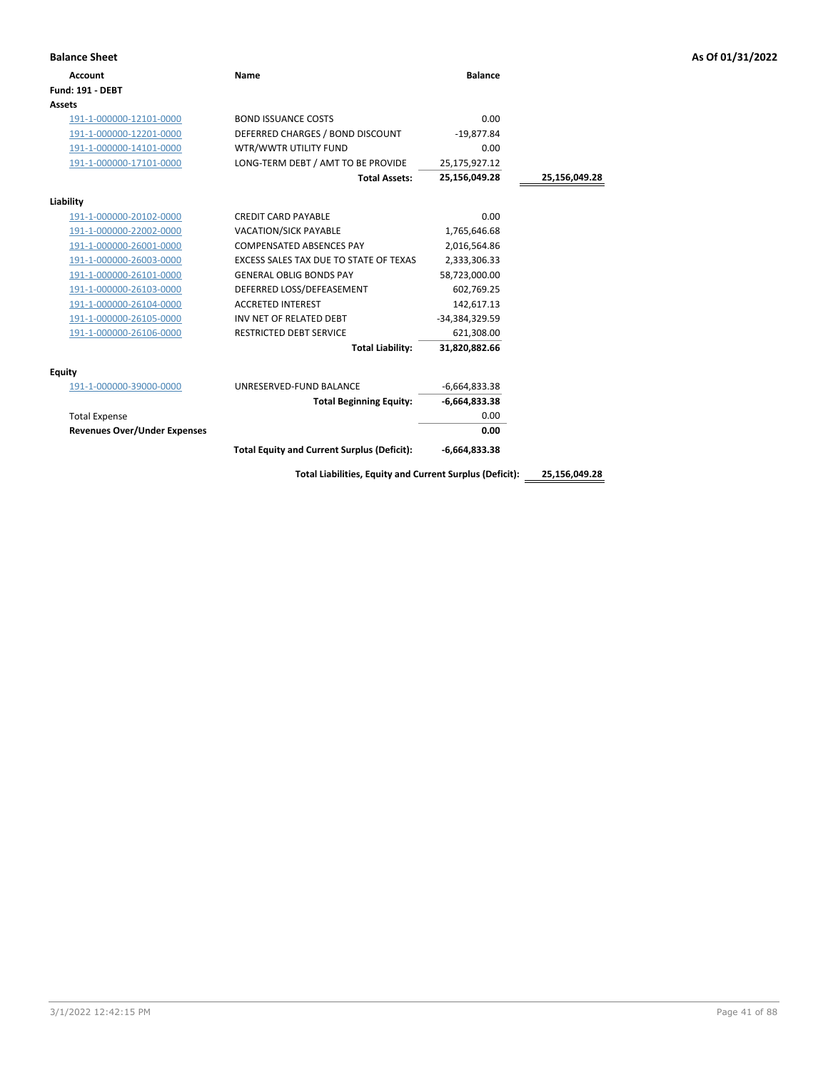|  |  |  |  | As Of 01/31/2022 |
|--|--|--|--|------------------|
|--|--|--|--|------------------|

| <b>Balance Sheet</b>                |                                                          |                 |               | As Of 01/31/2022 |
|-------------------------------------|----------------------------------------------------------|-----------------|---------------|------------------|
| <b>Account</b>                      | <b>Name</b>                                              | <b>Balance</b>  |               |                  |
| <b>Fund: 191 - DEBT</b>             |                                                          |                 |               |                  |
| <b>Assets</b>                       |                                                          |                 |               |                  |
| 191-1-000000-12101-0000             | <b>BOND ISSUANCE COSTS</b>                               | 0.00            |               |                  |
| 191-1-000000-12201-0000             | DEFERRED CHARGES / BOND DISCOUNT                         | $-19,877.84$    |               |                  |
| 191-1-000000-14101-0000             | WTR/WWTR UTILITY FUND                                    | 0.00            |               |                  |
| 191-1-000000-17101-0000             | LONG-TERM DEBT / AMT TO BE PROVIDE                       | 25,175,927.12   |               |                  |
|                                     | <b>Total Assets:</b>                                     | 25,156,049.28   | 25,156,049.28 |                  |
| Liability                           |                                                          |                 |               |                  |
| 191-1-000000-20102-0000             | <b>CREDIT CARD PAYABLE</b>                               | 0.00            |               |                  |
| 191-1-000000-22002-0000             | <b>VACATION/SICK PAYABLE</b>                             | 1,765,646.68    |               |                  |
| 191-1-000000-26001-0000             | <b>COMPENSATED ABSENCES PAY</b>                          | 2,016,564.86    |               |                  |
| 191-1-000000-26003-0000             | EXCESS SALES TAX DUE TO STATE OF TEXAS                   | 2,333,306.33    |               |                  |
| 191-1-000000-26101-0000             | <b>GENERAL OBLIG BONDS PAY</b>                           | 58,723,000.00   |               |                  |
| 191-1-000000-26103-0000             | DEFERRED LOSS/DEFEASEMENT                                | 602,769.25      |               |                  |
| 191-1-000000-26104-0000             | <b>ACCRETED INTEREST</b>                                 | 142,617.13      |               |                  |
| 191-1-000000-26105-0000             | INV NET OF RELATED DEBT                                  | -34,384,329.59  |               |                  |
| 191-1-000000-26106-0000             | <b>RESTRICTED DEBT SERVICE</b>                           | 621,308.00      |               |                  |
|                                     | <b>Total Liability:</b>                                  | 31,820,882.66   |               |                  |
| <b>Equity</b>                       |                                                          |                 |               |                  |
| 191-1-000000-39000-0000             | UNRESERVED-FUND BALANCE                                  | $-6,664,833.38$ |               |                  |
|                                     | <b>Total Beginning Equity:</b>                           | $-6,664,833.38$ |               |                  |
| <b>Total Expense</b>                |                                                          | 0.00            |               |                  |
| <b>Revenues Over/Under Expenses</b> |                                                          | 0.00            |               |                  |
|                                     | <b>Total Equity and Current Surplus (Deficit):</b>       | $-6,664,833.38$ |               |                  |
|                                     | Total Liabilities, Equity and Current Surplus (Deficit): |                 | 25,156,049.28 |                  |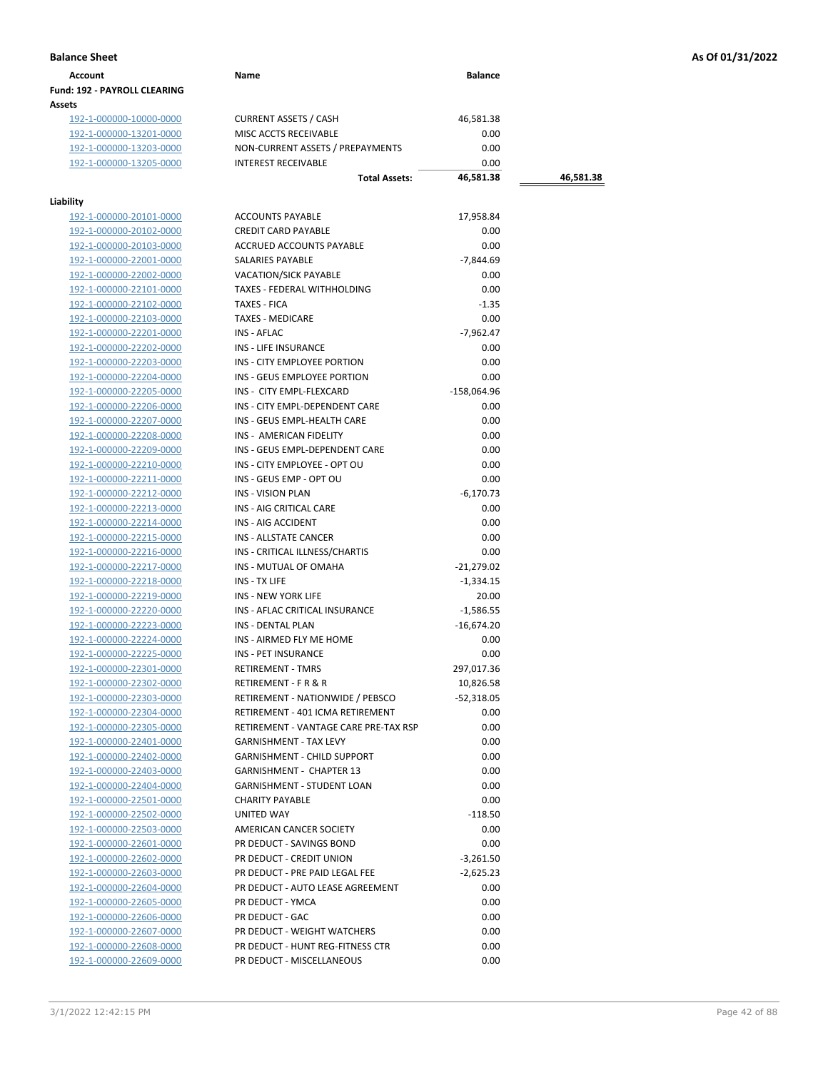| Account                             | Name | <b>Balance</b> |
|-------------------------------------|------|----------------|
| <b>Fund: 192 - PAYROLL CLEARING</b> |      |                |
| Assets                              |      |                |

192-1-000000-10000-0000 CURRENT ASSETS / CASH 46,581.38<br>192-1-000000-13201-0000 MISC ACCTS RECEIVABLE 0.00 192-1-000000-13201-0000 192-1-000000-13203-0000 NON-CURRENT ASSETS / PREPAYMENTS 0.00 192-1-000000-13205-0000 INTEREST RECEIVABLE 0.00

## **Liability**

| lity                    |                                       |               |
|-------------------------|---------------------------------------|---------------|
| 192-1-000000-20101-0000 | <b>ACCOUNTS PAYABLE</b>               | 17,958.84     |
| 192-1-000000-20102-0000 | <b>CREDIT CARD PAYABLE</b>            | 0.00          |
| 192-1-000000-20103-0000 | ACCRUED ACCOUNTS PAYABLE              | 0.00          |
| 192-1-000000-22001-0000 | SALARIES PAYABLE                      | $-7,844.69$   |
| 192-1-000000-22002-0000 | <b>VACATION/SICK PAYABLE</b>          | 0.00          |
| 192-1-000000-22101-0000 | TAXES - FEDERAL WITHHOLDING           | 0.00          |
| 192-1-000000-22102-0000 | <b>TAXES - FICA</b>                   | $-1.35$       |
| 192-1-000000-22103-0000 | <b>TAXES - MEDICARE</b>               | 0.00          |
| 192-1-000000-22201-0000 | INS - AFLAC                           | $-7,962.47$   |
| 192-1-000000-22202-0000 | INS - LIFE INSURANCE                  | 0.00          |
| 192-1-000000-22203-0000 | INS - CITY EMPLOYEE PORTION           | 0.00          |
| 192-1-000000-22204-0000 | INS - GEUS EMPLOYEE PORTION           | 0.00          |
| 192-1-000000-22205-0000 | INS - CITY EMPL-FLEXCARD              | $-158,064.96$ |
| 192-1-000000-22206-0000 | INS - CITY EMPL-DEPENDENT CARE        | 0.00          |
| 192-1-000000-22207-0000 | INS - GEUS EMPL-HEALTH CARE           | 0.00          |
| 192-1-000000-22208-0000 | INS - AMERICAN FIDELITY               | 0.00          |
| 192-1-000000-22209-0000 | INS - GEUS EMPL-DEPENDENT CARE        | 0.00          |
| 192-1-000000-22210-0000 | INS - CITY EMPLOYEE - OPT OU          | 0.00          |
| 192-1-000000-22211-0000 | INS - GEUS EMP - OPT OU               | 0.00          |
| 192-1-000000-22212-0000 | <b>INS - VISION PLAN</b>              | $-6,170.73$   |
| 192-1-000000-22213-0000 | INS - AIG CRITICAL CARE               | 0.00          |
| 192-1-000000-22214-0000 | INS - AIG ACCIDENT                    | 0.00          |
| 192-1-000000-22215-0000 | INS - ALLSTATE CANCER                 | 0.00          |
| 192-1-000000-22216-0000 | INS - CRITICAL ILLNESS/CHARTIS        | 0.00          |
| 192-1-000000-22217-0000 | INS - MUTUAL OF OMAHA                 | $-21,279.02$  |
| 192-1-000000-22218-0000 | INS - TX LIFE                         | $-1,334.15$   |
| 192-1-000000-22219-0000 | <b>INS - NEW YORK LIFE</b>            | 20.00         |
| 192-1-000000-22220-0000 | INS - AFLAC CRITICAL INSURANCE        | $-1,586.55$   |
| 192-1-000000-22223-0000 | <b>INS - DENTAL PLAN</b>              | $-16,674.20$  |
| 192-1-000000-22224-0000 | INS - AIRMED FLY ME HOME              | 0.00          |
| 192-1-000000-22225-0000 | INS - PET INSURANCE                   | 0.00          |
| 192-1-000000-22301-0000 | <b>RETIREMENT - TMRS</b>              | 297,017.36    |
| 192-1-000000-22302-0000 | RETIREMENT - F R & R                  | 10,826.58     |
| 192-1-000000-22303-0000 | RETIREMENT - NATIONWIDE / PEBSCO      | $-52,318.05$  |
| 192-1-000000-22304-0000 | RETIREMENT - 401 ICMA RETIREMENT      | 0.00          |
| 192-1-000000-22305-0000 | RETIREMENT - VANTAGE CARE PRE-TAX RSP | 0.00          |
| 192-1-000000-22401-0000 | <b>GARNISHMENT - TAX LEVY</b>         | 0.00          |
| 192-1-000000-22402-0000 | <b>GARNISHMENT - CHILD SUPPORT</b>    | 0.00          |
| 192-1-000000-22403-0000 | GARNISHMENT - CHAPTER 13              | 0.00          |
| 192-1-000000-22404-0000 | <b>GARNISHMENT - STUDENT LOAN</b>     | 0.00          |
| 192-1-000000-22501-0000 | <b>CHARITY PAYABLE</b>                | 0.00          |
| 192-1-000000-22502-0000 | UNITED WAY                            | $-118.50$     |
| 192-1-000000-22503-0000 | AMERICAN CANCER SOCIETY               | 0.00          |
| 192-1-000000-22601-0000 | PR DEDUCT - SAVINGS BOND              | 0.00          |
| 192-1-000000-22602-0000 | PR DEDUCT - CREDIT UNION              |               |
|                         | PR DEDUCT - PRE PAID LEGAL FEE        | $-3,261.50$   |
| 192-1-000000-22603-0000 |                                       | $-2,625.23$   |
| 192-1-000000-22604-0000 | PR DEDUCT - AUTO LEASE AGREEMENT      | 0.00          |
| 192-1-000000-22605-0000 | PR DEDUCT - YMCA                      | 0.00          |
| 192-1-000000-22606-0000 | PR DEDUCT - GAC                       | 0.00          |
| 192-1-000000-22607-0000 | PR DEDUCT - WEIGHT WATCHERS           | 0.00          |
| 192-1-000000-22608-0000 | PR DEDUCT - HUNT REG-FITNESS CTR      | 0.00          |
| 192-1-000000-22609-0000 | PR DEDUCT - MISCELLANEOUS             | 0.00          |

**Total Assets: 46,581.38 46,581.38**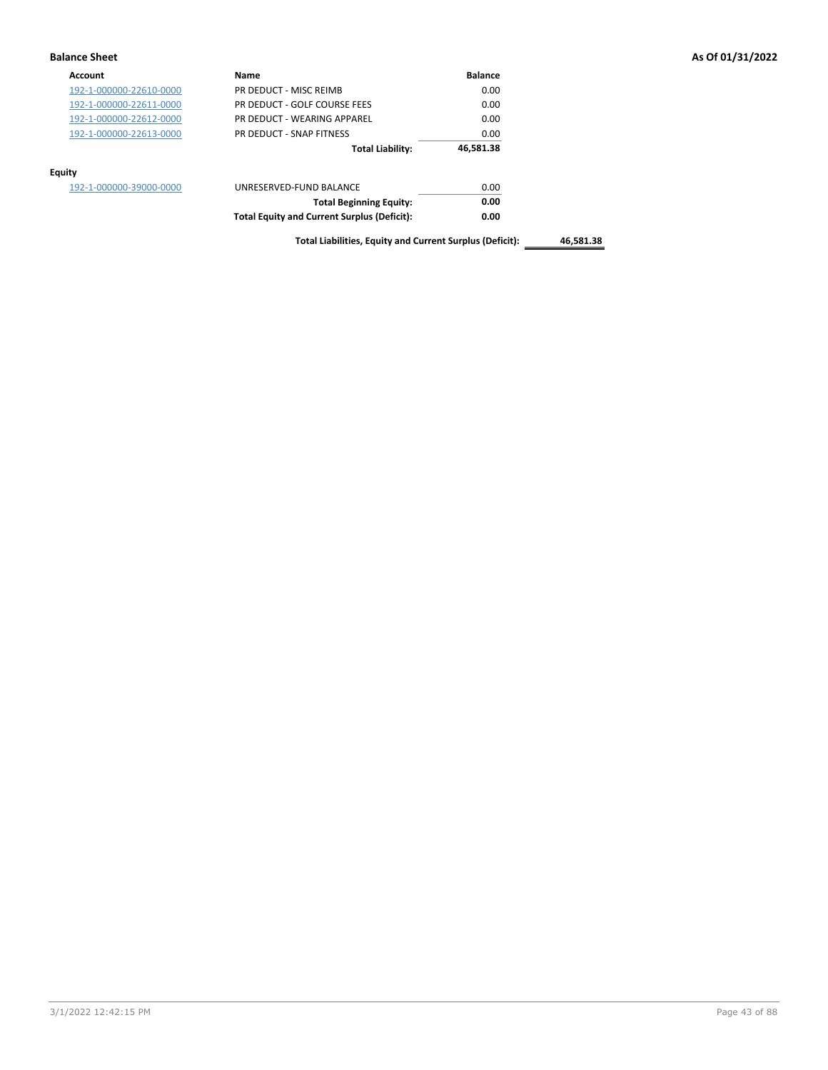| <b>Account</b>          | Name                                               | <b>Balance</b> |
|-------------------------|----------------------------------------------------|----------------|
| 192-1-000000-22610-0000 | PR DEDUCT - MISC REIMB                             | 0.00           |
| 192-1-000000-22611-0000 | PR DEDUCT - GOLF COURSE FEES                       | 0.00           |
| 192-1-000000-22612-0000 | PR DEDUCT - WEARING APPAREL                        | 0.00           |
| 192-1-000000-22613-0000 | PR DEDUCT - SNAP FITNESS                           | 0.00           |
|                         | <b>Total Liability:</b>                            | 46,581.38      |
| Equity                  |                                                    |                |
| 192-1-000000-39000-0000 | UNRESERVED-FUND BALANCE                            | 0.00           |
|                         | <b>Total Beginning Equity:</b>                     | 0.00           |
|                         | <b>Total Equity and Current Surplus (Deficit):</b> | 0.00           |

**Total Liabilities, Equity and Current Surplus (Deficit): 46,581.38**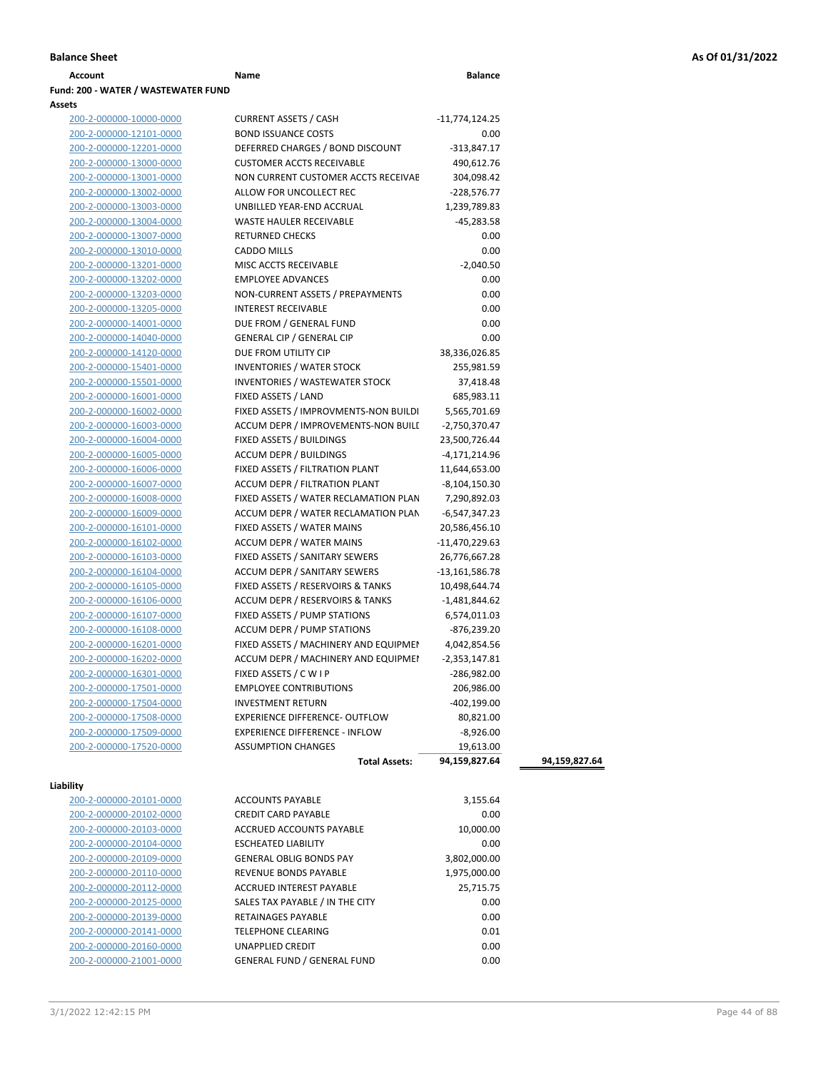| Account                             | Name | <b>Balance</b> |
|-------------------------------------|------|----------------|
| Fund: 200 - WATER / WASTEWATER FUND |      |                |
| <b>Assets</b>                       |      |                |

| 10: ZUU - WAIER / WASIEWAIER FUND |                                            |                 |               |
|-----------------------------------|--------------------------------------------|-----------------|---------------|
| ets<br>200-2-000000-10000-0000    | <b>CURRENT ASSETS / CASH</b>               | -11,774,124.25  |               |
| 200-2-000000-12101-0000           | <b>BOND ISSUANCE COSTS</b>                 | 0.00            |               |
| 200-2-000000-12201-0000           | DEFERRED CHARGES / BOND DISCOUNT           | $-313,847.17$   |               |
| 200-2-000000-13000-0000           | <b>CUSTOMER ACCTS RECEIVABLE</b>           | 490,612.76      |               |
| 200-2-000000-13001-0000           | NON CURRENT CUSTOMER ACCTS RECEIVAE        | 304,098.42      |               |
| 200-2-000000-13002-0000           | ALLOW FOR UNCOLLECT REC                    | $-228,576.77$   |               |
| 200-2-000000-13003-0000           | UNBILLED YEAR-END ACCRUAL                  | 1,239,789.83    |               |
| 200-2-000000-13004-0000           | WASTE HAULER RECEIVABLE                    | -45,283.58      |               |
| 200-2-000000-13007-0000           | <b>RETURNED CHECKS</b>                     | 0.00            |               |
| 200-2-000000-13010-0000           | <b>CADDO MILLS</b>                         | 0.00            |               |
| 200-2-000000-13201-0000           | MISC ACCTS RECEIVABLE                      | $-2,040.50$     |               |
| 200-2-000000-13202-0000           | <b>EMPLOYEE ADVANCES</b>                   | 0.00            |               |
| 200-2-000000-13203-0000           | NON-CURRENT ASSETS / PREPAYMENTS           | 0.00            |               |
| 200-2-000000-13205-0000           | <b>INTEREST RECEIVABLE</b>                 | 0.00            |               |
| 200-2-000000-14001-0000           | DUE FROM / GENERAL FUND                    | 0.00            |               |
| 200-2-000000-14040-0000           | <b>GENERAL CIP / GENERAL CIP</b>           | 0.00            |               |
| 200-2-000000-14120-0000           | DUE FROM UTILITY CIP                       | 38,336,026.85   |               |
| 200-2-000000-15401-0000           | <b>INVENTORIES / WATER STOCK</b>           | 255,981.59      |               |
| 200-2-000000-15501-0000           | <b>INVENTORIES / WASTEWATER STOCK</b>      | 37,418.48       |               |
| 200-2-000000-16001-0000           | FIXED ASSETS / LAND                        | 685,983.11      |               |
| 200-2-000000-16002-0000           | FIXED ASSETS / IMPROVMENTS-NON BUILDI      | 5,565,701.69    |               |
| 200-2-000000-16003-0000           | <b>ACCUM DEPR / IMPROVEMENTS-NON BUILL</b> | -2,750,370.47   |               |
| 200-2-000000-16004-0000           | FIXED ASSETS / BUILDINGS                   | 23,500,726.44   |               |
| 200-2-000000-16005-0000           | <b>ACCUM DEPR / BUILDINGS</b>              | $-4,171,214.96$ |               |
| 200-2-000000-16006-0000           | FIXED ASSETS / FILTRATION PLANT            | 11,644,653.00   |               |
| 200-2-000000-16007-0000           | ACCUM DEPR / FILTRATION PLANT              | -8,104,150.30   |               |
| 200-2-000000-16008-0000           | FIXED ASSETS / WATER RECLAMATION PLAN      | 7,290,892.03    |               |
| 200-2-000000-16009-0000           | ACCUM DEPR / WATER RECLAMATION PLAN        | -6,547,347.23   |               |
| 200-2-000000-16101-0000           | FIXED ASSETS / WATER MAINS                 | 20,586,456.10   |               |
| 200-2-000000-16102-0000           | <b>ACCUM DEPR / WATER MAINS</b>            | -11,470,229.63  |               |
| 200-2-000000-16103-0000           | FIXED ASSETS / SANITARY SEWERS             | 26,776,667.28   |               |
| 200-2-000000-16104-0000           | ACCUM DEPR / SANITARY SEWERS               | -13,161,586.78  |               |
| 200-2-000000-16105-0000           | FIXED ASSETS / RESERVOIRS & TANKS          | 10,498,644.74   |               |
| 200-2-000000-16106-0000           | ACCUM DEPR / RESERVOIRS & TANKS            | $-1,481,844.62$ |               |
| 200-2-000000-16107-0000           | FIXED ASSETS / PUMP STATIONS               | 6,574,011.03    |               |
| 200-2-000000-16108-0000           | ACCUM DEPR / PUMP STATIONS                 | -876,239.20     |               |
| 200-2-000000-16201-0000           | FIXED ASSETS / MACHINERY AND EQUIPMEN      | 4,042,854.56    |               |
| 200-2-000000-16202-0000           | ACCUM DEPR / MACHINERY AND EQUIPMEI        | -2,353,147.81   |               |
| 200-2-000000-16301-0000           | FIXED ASSETS / C W I P                     | $-286,982.00$   |               |
| 200-2-000000-17501-0000           | <b>EMPLOYEE CONTRIBUTIONS</b>              | 206,986.00      |               |
| 200-2-000000-17504-0000           | <b>INVESTMENT RETURN</b>                   | $-402,199.00$   |               |
| <u>200-2-000000-17508-0000</u>    | EXPERIENCE DIFFERENCE- OUTFLOW             | 80,821.00       |               |
| 200-2-000000-17509-0000           | <b>EXPERIENCE DIFFERENCE - INFLOW</b>      | $-8,926.00$     |               |
| 200-2-000000-17520-0000           | <b>ASSUMPTION CHANGES</b>                  | 19,613.00       |               |
|                                   | <b>Total Assets:</b>                       | 94,159,827.64   | 94,159,827.64 |
|                                   |                                            |                 |               |
| bility                            |                                            |                 |               |
| 200-2-000000-20101-0000           | <b>ACCOUNTS PAYABLE</b>                    | 3,155.64        |               |
| <u>200-2-000000-20102-0000</u>    | <b>CREDIT CARD PAYABLE</b>                 | 0.00            |               |
| 200-2-000000-20103-0000           | ACCRUED ACCOUNTS PAYABLE                   | 10,000.00       |               |
| 200-2-000000-20104-0000           | <b>ESCHEATED LIABILITY</b>                 | 0.00            |               |
| 200-2-000000-20109-0000           | <b>GENERAL OBLIG BONDS PAY</b>             | 3,802,000.00    |               |

200-2-000000-20110-0000 REVENUE BONDS PAYABLE 1,975,000.00 200-2-000000-20112-0000 ACCRUED INTEREST PAYABLE 25,715.75 200-2-000000-20125-0000 SALES TAX PAYABLE / IN THE CITY 0.00 200-2-000000-20139-0000 RETAINAGES PAYABLE 0.00 200-2-000000-20141-0000 TELEPHONE CLEARING 0.01 200-2-000000-20160-0000 UNAPPLIED CREDIT 0.00 200-2-000000-21001-0000 GENERAL FUND / GENERAL FUND 0.00

**Liability**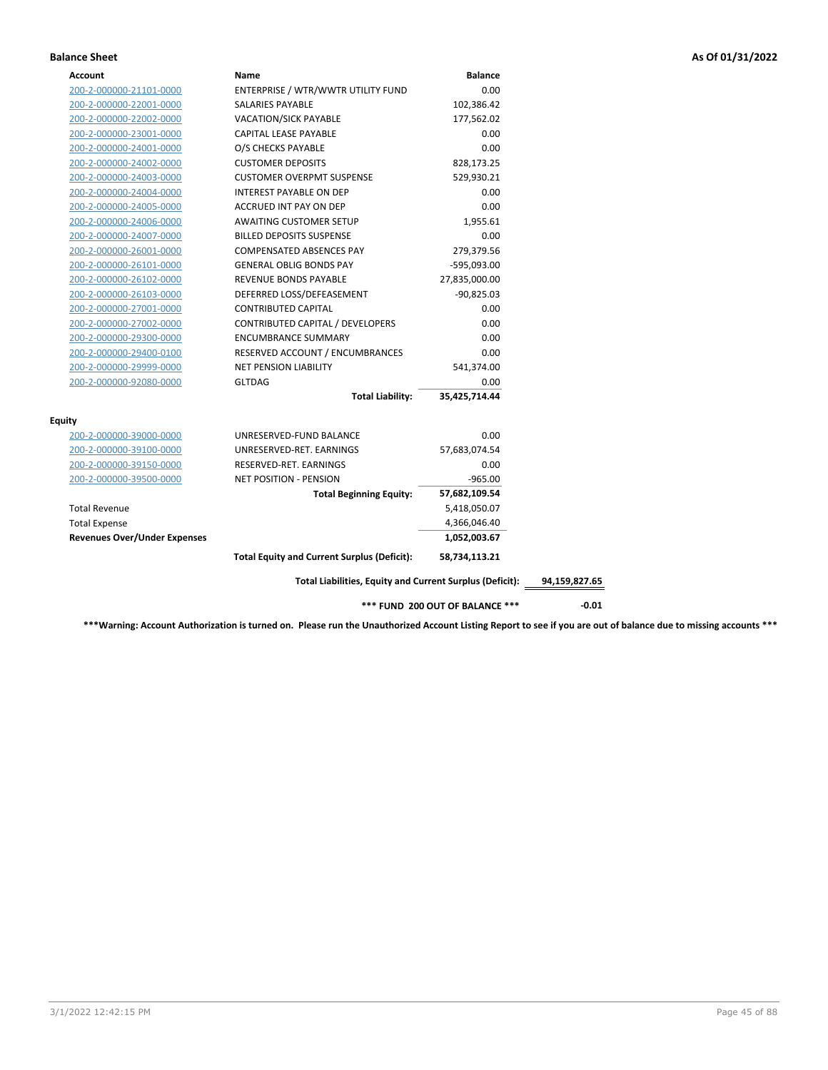| ENTERPRISE / WTR/WWTR UTILITY FUND<br>0.00<br>200-2-000000-21101-0000<br>200-2-000000-22001-0000<br>SALARIES PAYABLE<br>102,386.42<br>200-2-000000-22002-0000<br><b>VACATION/SICK PAYABLE</b><br>177,562.02<br>200-2-000000-23001-0000<br>CAPITAL LEASE PAYABLE<br>0.00<br>0.00<br>200-2-000000-24001-0000<br>O/S CHECKS PAYABLE<br>200-2-000000-24002-0000<br><b>CUSTOMER DEPOSITS</b><br>828,173.25 |
|-------------------------------------------------------------------------------------------------------------------------------------------------------------------------------------------------------------------------------------------------------------------------------------------------------------------------------------------------------------------------------------------------------|
|                                                                                                                                                                                                                                                                                                                                                                                                       |
|                                                                                                                                                                                                                                                                                                                                                                                                       |
|                                                                                                                                                                                                                                                                                                                                                                                                       |
|                                                                                                                                                                                                                                                                                                                                                                                                       |
|                                                                                                                                                                                                                                                                                                                                                                                                       |
|                                                                                                                                                                                                                                                                                                                                                                                                       |
| <b>CUSTOMER OVERPMT SUSPENSE</b><br>529,930.21<br>200-2-000000-24003-0000                                                                                                                                                                                                                                                                                                                             |
| <b>INTEREST PAYABLE ON DEP</b><br>0.00<br>200-2-000000-24004-0000                                                                                                                                                                                                                                                                                                                                     |
| 0.00<br>200-2-000000-24005-0000<br>ACCRUED INT PAY ON DEP                                                                                                                                                                                                                                                                                                                                             |
| 200-2-000000-24006-0000<br><b>AWAITING CUSTOMER SETUP</b><br>1,955.61                                                                                                                                                                                                                                                                                                                                 |
| 200-2-000000-24007-0000<br><b>BILLED DEPOSITS SUSPENSE</b><br>0.00                                                                                                                                                                                                                                                                                                                                    |
| <b>COMPENSATED ABSENCES PAY</b><br>279,379.56<br>200-2-000000-26001-0000                                                                                                                                                                                                                                                                                                                              |
| <b>GENERAL OBLIG BONDS PAY</b><br>$-595,093.00$<br>200-2-000000-26101-0000                                                                                                                                                                                                                                                                                                                            |
| REVENUE BONDS PAYABLE<br>27,835,000.00<br>200-2-000000-26102-0000                                                                                                                                                                                                                                                                                                                                     |
| DEFERRED LOSS/DEFEASEMENT<br>$-90,825.03$<br>200-2-000000-26103-0000                                                                                                                                                                                                                                                                                                                                  |
| <b>CONTRIBUTED CAPITAL</b><br>0.00<br>200-2-000000-27001-0000                                                                                                                                                                                                                                                                                                                                         |
| CONTRIBUTED CAPITAL / DEVELOPERS<br>0.00<br>200-2-000000-27002-0000                                                                                                                                                                                                                                                                                                                                   |
| <b>ENCUMBRANCE SUMMARY</b><br>0.00<br>200-2-000000-29300-0000                                                                                                                                                                                                                                                                                                                                         |
| RESERVED ACCOUNT / ENCUMBRANCES<br>0.00<br>200-2-000000-29400-0100                                                                                                                                                                                                                                                                                                                                    |
| 541,374.00<br>200-2-000000-29999-0000<br><b>NET PENSION LIABILITY</b>                                                                                                                                                                                                                                                                                                                                 |
| 200-2-000000-92080-0000<br><b>GLTDAG</b><br>0.00                                                                                                                                                                                                                                                                                                                                                      |
| <b>Total Liability:</b><br>35,425,714.44                                                                                                                                                                                                                                                                                                                                                              |
| <b>Equity</b>                                                                                                                                                                                                                                                                                                                                                                                         |
| 0.00<br>200-2-000000-39000-0000<br>UNRESERVED-FUND BALANCE                                                                                                                                                                                                                                                                                                                                            |
| 200-2-000000-39100-0000<br>UNRESERVED-RET. EARNINGS<br>57,683,074.54                                                                                                                                                                                                                                                                                                                                  |
| 0.00<br>200-2-000000-39150-0000<br>RESERVED-RET. EARNINGS                                                                                                                                                                                                                                                                                                                                             |
| 200-2-000000-39500-0000<br><b>NET POSITION - PENSION</b><br>$-965.00$                                                                                                                                                                                                                                                                                                                                 |
| 57,682,109.54<br><b>Total Beginning Equity:</b>                                                                                                                                                                                                                                                                                                                                                       |
| <b>Total Revenue</b><br>5,418,050.07                                                                                                                                                                                                                                                                                                                                                                  |
| <b>Total Expense</b><br>4,366,046.40                                                                                                                                                                                                                                                                                                                                                                  |
| <b>Revenues Over/Under Expenses</b><br>1,052,003.67                                                                                                                                                                                                                                                                                                                                                   |
| <b>Total Equity and Current Surplus (Deficit):</b><br>58,734,113.21                                                                                                                                                                                                                                                                                                                                   |
| Total Liabilities, Equity and Current Surplus (Deficit):<br>94,159,827.65                                                                                                                                                                                                                                                                                                                             |
| *** FUND 200 OUT OF BALANCE ***<br>$-0.01$                                                                                                                                                                                                                                                                                                                                                            |

**\*\*\*Warning: Account Authorization is turned on. Please run the Unauthorized Account Listing Report to see if you are out of balance due to missing accounts \*\*\***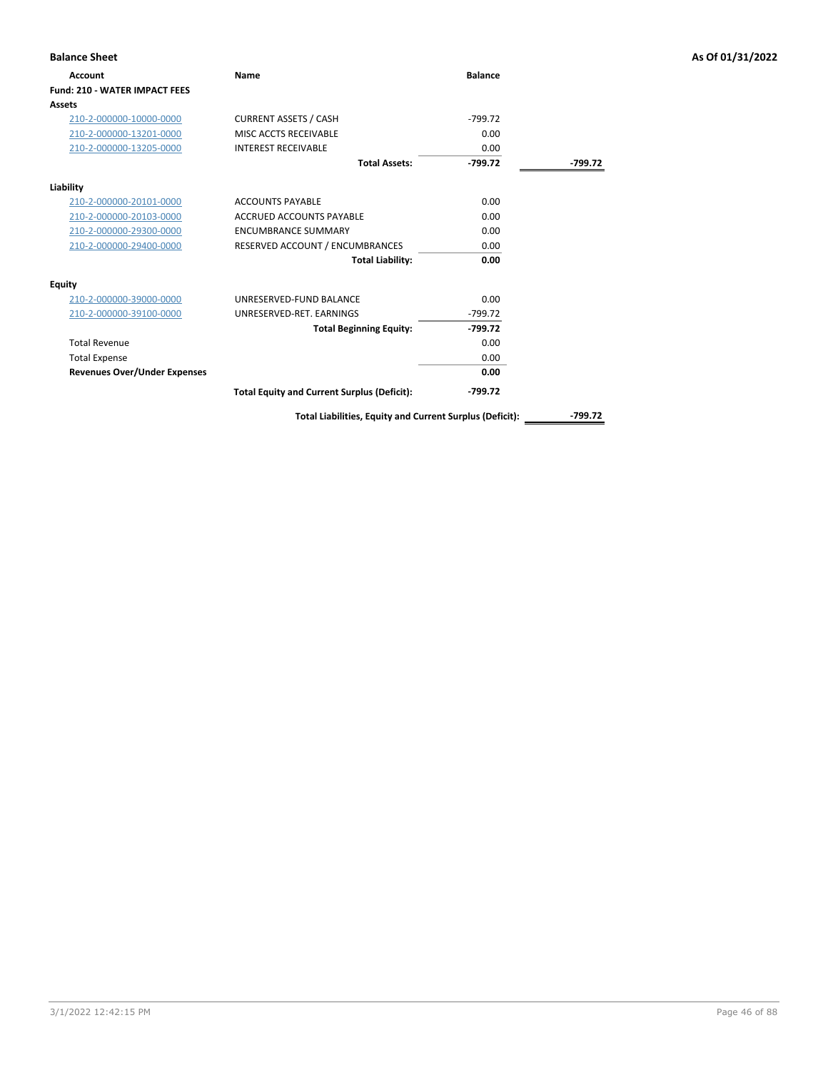| <b>Balance Sheet</b>                 |                                                    |                |           | As Of 01/31/2022 |
|--------------------------------------|----------------------------------------------------|----------------|-----------|------------------|
| Account                              | <b>Name</b>                                        | <b>Balance</b> |           |                  |
| <b>Fund: 210 - WATER IMPACT FEES</b> |                                                    |                |           |                  |
| Assets                               |                                                    |                |           |                  |
| 210-2-000000-10000-0000              | <b>CURRENT ASSETS / CASH</b>                       | $-799.72$      |           |                  |
| 210-2-000000-13201-0000              | MISC ACCTS RECEIVABLE                              | 0.00           |           |                  |
| 210-2-000000-13205-0000              | <b>INTEREST RECEIVABLE</b>                         | 0.00           |           |                  |
|                                      | <b>Total Assets:</b>                               | $-799.72$      | $-799.72$ |                  |
| Liability                            |                                                    |                |           |                  |
| 210-2-000000-20101-0000              | <b>ACCOUNTS PAYABLE</b>                            | 0.00           |           |                  |
| 210-2-000000-20103-0000              | <b>ACCRUED ACCOUNTS PAYABLE</b>                    | 0.00           |           |                  |
| 210-2-000000-29300-0000              | <b>ENCUMBRANCE SUMMARY</b>                         | 0.00           |           |                  |
| 210-2-000000-29400-0000              | RESERVED ACCOUNT / ENCUMBRANCES                    | 0.00           |           |                  |
|                                      | <b>Total Liability:</b>                            | 0.00           |           |                  |
| <b>Equity</b>                        |                                                    |                |           |                  |
| 210-2-000000-39000-0000              | UNRESERVED-FUND BALANCE                            | 0.00           |           |                  |
| 210-2-000000-39100-0000              | UNRESERVED-RET. EARNINGS                           | $-799.72$      |           |                  |
|                                      | <b>Total Beginning Equity:</b>                     | $-799.72$      |           |                  |
| <b>Total Revenue</b>                 |                                                    | 0.00           |           |                  |
| <b>Total Expense</b>                 |                                                    | 0.00           |           |                  |
| <b>Revenues Over/Under Expenses</b>  |                                                    | 0.00           |           |                  |
|                                      | <b>Total Equity and Current Surplus (Deficit):</b> | $-799.72$      |           |                  |

**Total Liabilities, Equity and Current Surplus (Deficit): -799.72**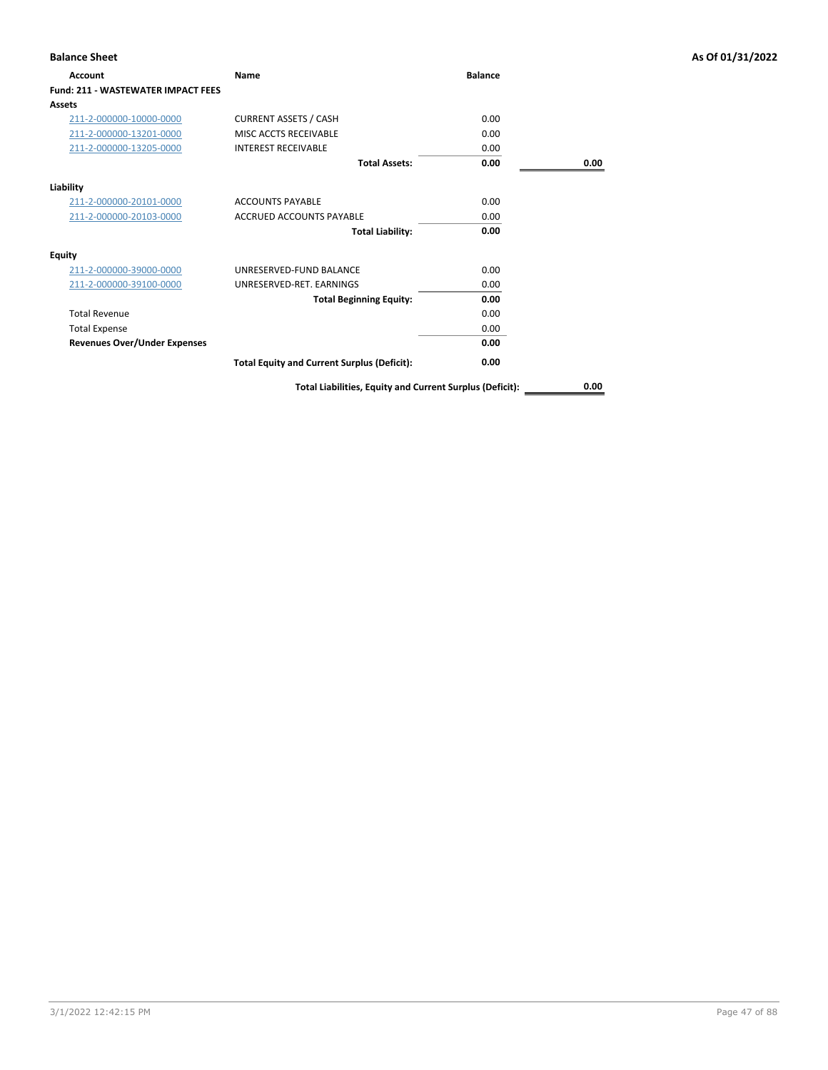| <b>Account</b>                            | Name                                                     | <b>Balance</b> |      |
|-------------------------------------------|----------------------------------------------------------|----------------|------|
| <b>Fund: 211 - WASTEWATER IMPACT FEES</b> |                                                          |                |      |
| Assets                                    |                                                          |                |      |
| 211-2-000000-10000-0000                   | <b>CURRENT ASSETS / CASH</b>                             | 0.00           |      |
| 211-2-000000-13201-0000                   | MISC ACCTS RECEIVABLE                                    | 0.00           |      |
| 211-2-000000-13205-0000                   | <b>INTEREST RECEIVABLE</b>                               | 0.00           |      |
|                                           | <b>Total Assets:</b>                                     | 0.00           | 0.00 |
| Liability                                 |                                                          |                |      |
| 211-2-000000-20101-0000                   | <b>ACCOUNTS PAYABLE</b>                                  | 0.00           |      |
| 211-2-000000-20103-0000                   | <b>ACCRUED ACCOUNTS PAYABLE</b>                          | 0.00           |      |
|                                           | <b>Total Liability:</b>                                  | 0.00           |      |
| <b>Equity</b>                             |                                                          |                |      |
| 211-2-000000-39000-0000                   | UNRESERVED-FUND BALANCE                                  | 0.00           |      |
| 211-2-000000-39100-0000                   | UNRESERVED-RET, EARNINGS                                 | 0.00           |      |
|                                           | <b>Total Beginning Equity:</b>                           | 0.00           |      |
| <b>Total Revenue</b>                      |                                                          | 0.00           |      |
| <b>Total Expense</b>                      |                                                          | 0.00           |      |
| <b>Revenues Over/Under Expenses</b>       |                                                          | 0.00           |      |
|                                           | <b>Total Equity and Current Surplus (Deficit):</b>       | 0.00           |      |
|                                           | Total Liabilities, Equity and Current Surplus (Deficit): |                | 0.00 |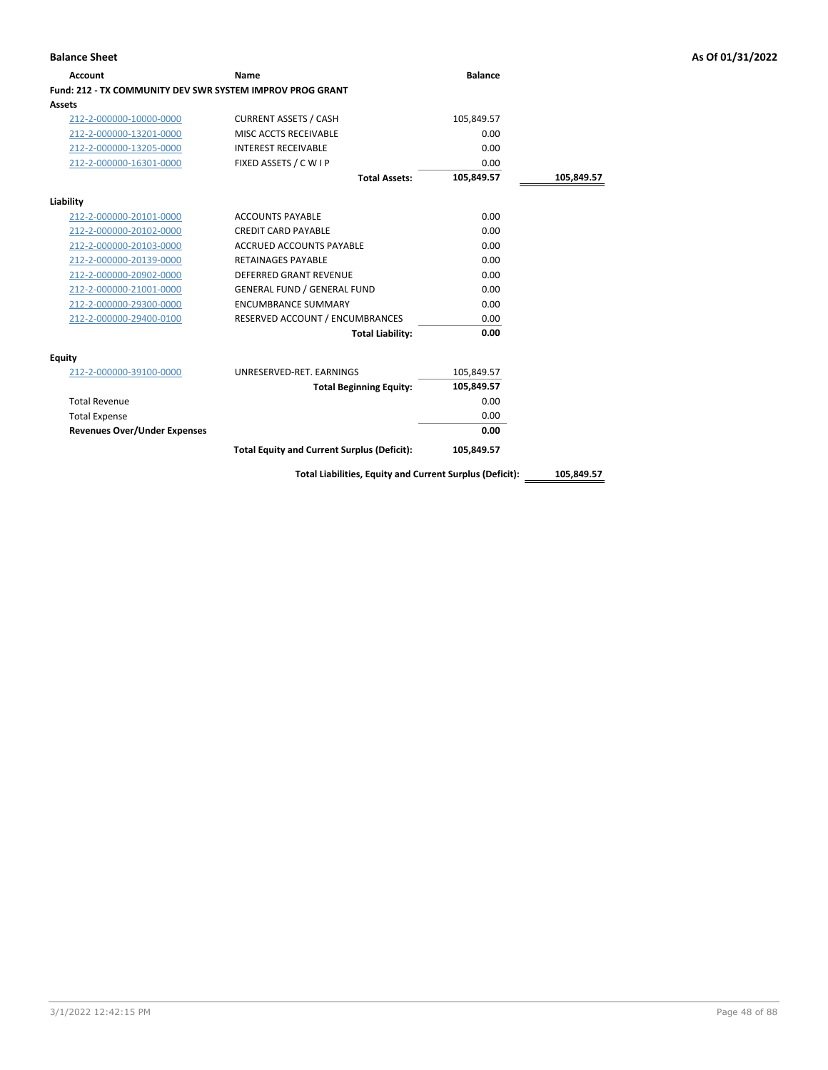| <b>Account</b>                                                   | Name                                                     | <b>Balance</b> |            |
|------------------------------------------------------------------|----------------------------------------------------------|----------------|------------|
| <b>Fund: 212 - TX COMMUNITY DEV SWR SYSTEM IMPROV PROG GRANT</b> |                                                          |                |            |
| Assets                                                           |                                                          |                |            |
| 212-2-000000-10000-0000                                          | <b>CURRENT ASSETS / CASH</b>                             | 105,849.57     |            |
| 212-2-000000-13201-0000                                          | MISC ACCTS RECEIVABLE                                    | 0.00           |            |
| 212-2-000000-13205-0000                                          | <b>INTEREST RECEIVABLE</b>                               | 0.00           |            |
| 212-2-000000-16301-0000                                          | FIXED ASSETS / C W I P                                   | 0.00           |            |
|                                                                  | <b>Total Assets:</b>                                     | 105,849.57     | 105,849.57 |
| Liability                                                        |                                                          |                |            |
| 212-2-000000-20101-0000                                          | <b>ACCOUNTS PAYABLE</b>                                  | 0.00           |            |
| 212-2-000000-20102-0000                                          | <b>CREDIT CARD PAYABLE</b>                               | 0.00           |            |
| 212-2-000000-20103-0000                                          | <b>ACCRUED ACCOUNTS PAYABLE</b>                          | 0.00           |            |
| 212-2-000000-20139-0000                                          | <b>RETAINAGES PAYABLE</b>                                | 0.00           |            |
| 212-2-000000-20902-0000                                          | <b>DEFERRED GRANT REVENUE</b>                            | 0.00           |            |
| 212-2-000000-21001-0000                                          | <b>GENERAL FUND / GENERAL FUND</b>                       | 0.00           |            |
| 212-2-000000-29300-0000                                          | <b>ENCUMBRANCE SUMMARY</b>                               | 0.00           |            |
| 212-2-000000-29400-0100                                          | RESERVED ACCOUNT / ENCUMBRANCES                          | 0.00           |            |
|                                                                  | <b>Total Liability:</b>                                  | 0.00           |            |
| <b>Equity</b>                                                    |                                                          |                |            |
| 212-2-000000-39100-0000                                          | UNRESERVED-RET. EARNINGS                                 | 105,849.57     |            |
|                                                                  | <b>Total Beginning Equity:</b>                           | 105,849.57     |            |
| <b>Total Revenue</b>                                             |                                                          | 0.00           |            |
| <b>Total Expense</b>                                             |                                                          | 0.00           |            |
| <b>Revenues Over/Under Expenses</b>                              |                                                          | 0.00           |            |
|                                                                  | <b>Total Equity and Current Surplus (Deficit):</b>       | 105,849.57     |            |
|                                                                  | Total Liabilities, Equity and Current Surplus (Deficit): |                | 105,849.57 |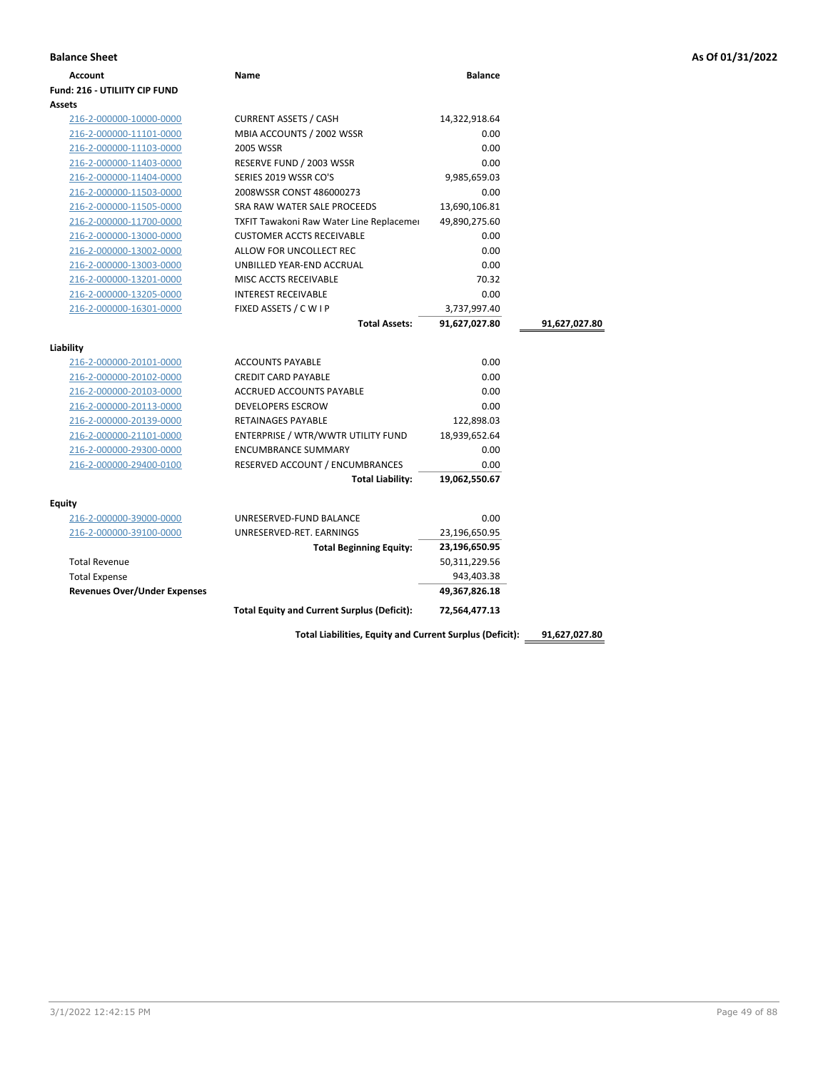| Account                    | Name                         | <b>Balance</b> |
|----------------------------|------------------------------|----------------|
| I: 216 - UTILIITY CIP FUND |                              |                |
| ts                         |                              |                |
| 216-2-000000-10000-0000    | <b>CURRENT ASSETS / CASH</b> | 14,322,918.64  |
| 216-2-000000-11101-0000    | MBIA ACCOUNTS / 2002 WSSR    | 0.00           |
| 216-2-000000-11103-0000    | 2005 WSSR                    | 0.00           |
| 216-2-000000-11403-0000    | RESERVE FUND / 2003 WSSR     | 0.00           |
| 216-2-000000-11404-0000    | SERIES 2019 WSSR CO'S        | 9,985,659.03   |
| 216-2-000000-11503-0000    | 2008WCCR CONCT 486000273     | 0.00           |

| Assets                                             |                                                    |               |               |
|----------------------------------------------------|----------------------------------------------------|---------------|---------------|
| 216-2-000000-10000-0000                            | <b>CURRENT ASSETS / CASH</b>                       | 14,322,918.64 |               |
| 216-2-000000-11101-0000                            | MBIA ACCOUNTS / 2002 WSSR                          | 0.00          |               |
| 216-2-000000-11103-0000                            | 2005 WSSR                                          | 0.00          |               |
| 216-2-000000-11403-0000                            | RESERVE FUND / 2003 WSSR                           | 0.00          |               |
| 216-2-000000-11404-0000                            | SERIES 2019 WSSR CO'S                              | 9,985,659.03  |               |
| 216-2-000000-11503-0000                            | 2008WSSR CONST 486000273                           | 0.00          |               |
| 216-2-000000-11505-0000                            | SRA RAW WATER SALE PROCEEDS                        | 13,690,106.81 |               |
| 216-2-000000-11700-0000                            | <b>TXFIT Tawakoni Raw Water Line Replacemer</b>    | 49,890,275.60 |               |
| 216-2-000000-13000-0000                            | <b>CUSTOMER ACCTS RECEIVABLE</b>                   | 0.00          |               |
| 216-2-000000-13002-0000                            | ALLOW FOR UNCOLLECT REC                            | 0.00          |               |
| 216-2-000000-13003-0000                            | UNBILLED YEAR-END ACCRUAL                          | 0.00          |               |
| 216-2-000000-13201-0000                            | MISC ACCTS RECEIVABLE                              | 70.32         |               |
| 216-2-000000-13205-0000                            | <b>INTEREST RECEIVABLE</b>                         | 0.00          |               |
| 216-2-000000-16301-0000                            | FIXED ASSETS / C W I P                             | 3,737,997.40  |               |
|                                                    | <b>Total Assets:</b>                               | 91,627,027.80 | 91,627,027.80 |
|                                                    |                                                    |               |               |
| Liability                                          | <b>ACCOUNTS PAYABLE</b>                            | 0.00          |               |
| 216-2-000000-20101-0000<br>216-2-000000-20102-0000 | <b>CREDIT CARD PAYABLE</b>                         | 0.00          |               |
| 216-2-000000-20103-0000                            | <b>ACCRUED ACCOUNTS PAYABLE</b>                    | 0.00          |               |
| 216-2-000000-20113-0000                            | <b>DEVELOPERS ESCROW</b>                           | 0.00          |               |
| 216-2-000000-20139-0000                            | <b>RETAINAGES PAYABLE</b>                          | 122,898.03    |               |
| 216-2-000000-21101-0000                            | ENTERPRISE / WTR/WWTR UTILITY FUND                 | 18,939,652.64 |               |
| 216-2-000000-29300-0000                            | <b>ENCUMBRANCE SUMMARY</b>                         | 0.00          |               |
| 216-2-000000-29400-0100                            | RESERVED ACCOUNT / ENCUMBRANCES                    | 0.00          |               |
|                                                    | <b>Total Liability:</b>                            | 19,062,550.67 |               |
|                                                    |                                                    |               |               |
| <b>Equity</b>                                      |                                                    |               |               |
| 216-2-000000-39000-0000                            | UNRESERVED-FUND BALANCE                            | 0.00          |               |
| 216-2-000000-39100-0000                            | UNRESERVED-RET. EARNINGS                           | 23,196,650.95 |               |
|                                                    | <b>Total Beginning Equity:</b>                     | 23,196,650.95 |               |
| <b>Total Revenue</b>                               |                                                    | 50,311,229.56 |               |
| <b>Total Expense</b>                               |                                                    | 943,403.38    |               |
| <b>Revenues Over/Under Expenses</b>                |                                                    | 49,367,826.18 |               |
|                                                    | <b>Total Equity and Current Surplus (Deficit):</b> | 72,564,477.13 |               |
|                                                    |                                                    |               |               |

**Total Liabilities, Equity and Current Surplus (Deficit): 91,627,027.80**

**Balance Sheet As Of 01/31/2022**

3/1/2022 12:42:15 PM Page 49 of 88

**Fund: 216 - UTILIITY CIP FUND**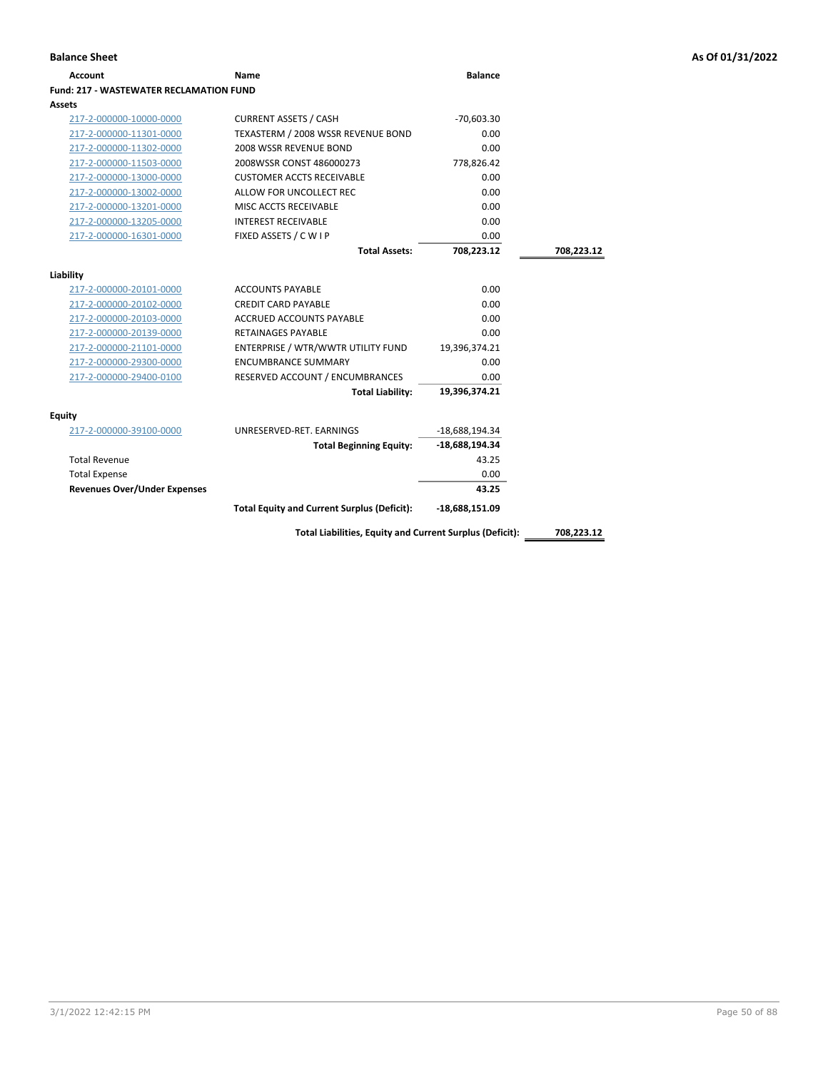| Account                                        | Name                                                     | <b>Balance</b>   |            |
|------------------------------------------------|----------------------------------------------------------|------------------|------------|
| <b>Fund: 217 - WASTEWATER RECLAMATION FUND</b> |                                                          |                  |            |
| <b>Assets</b>                                  |                                                          |                  |            |
| 217-2-000000-10000-0000                        | <b>CURRENT ASSETS / CASH</b>                             | $-70,603.30$     |            |
| 217-2-000000-11301-0000                        | TEXASTERM / 2008 WSSR REVENUE BOND                       | 0.00             |            |
| 217-2-000000-11302-0000                        | 2008 WSSR REVENUE BOND                                   | 0.00             |            |
| 217-2-000000-11503-0000                        | 2008WSSR CONST 486000273                                 | 778,826.42       |            |
| 217-2-000000-13000-0000                        | <b>CUSTOMER ACCTS RECEIVABLE</b>                         | 0.00             |            |
| 217-2-000000-13002-0000                        | ALLOW FOR UNCOLLECT REC                                  | 0.00             |            |
| 217-2-000000-13201-0000                        | MISC ACCTS RECEIVABLE                                    | 0.00             |            |
| 217-2-000000-13205-0000                        | <b>INTEREST RECEIVABLE</b>                               | 0.00             |            |
| 217-2-000000-16301-0000                        | FIXED ASSETS / C W I P                                   | 0.00             |            |
|                                                | <b>Total Assets:</b>                                     | 708,223.12       | 708,223.12 |
|                                                |                                                          |                  |            |
| Liability                                      |                                                          |                  |            |
| 217-2-000000-20101-0000                        | <b>ACCOUNTS PAYABLE</b>                                  | 0.00             |            |
| 217-2-000000-20102-0000                        | <b>CREDIT CARD PAYABLE</b>                               | 0.00             |            |
| 217-2-000000-20103-0000                        | ACCRUED ACCOUNTS PAYABLE                                 | 0.00             |            |
| 217-2-000000-20139-0000                        | <b>RETAINAGES PAYABLE</b>                                | 0.00             |            |
| 217-2-000000-21101-0000                        | ENTERPRISE / WTR/WWTR UTILITY FUND                       | 19,396,374.21    |            |
| 217-2-000000-29300-0000                        | <b>ENCUMBRANCE SUMMARY</b>                               | 0.00             |            |
| 217-2-000000-29400-0100                        | RESERVED ACCOUNT / ENCUMBRANCES                          | 0.00             |            |
|                                                | <b>Total Liability:</b>                                  | 19,396,374.21    |            |
|                                                |                                                          |                  |            |
| <b>Equity</b><br>217-2-000000-39100-0000       | UNRESERVED-RET. EARNINGS                                 | -18,688,194.34   |            |
|                                                |                                                          | -18,688,194.34   |            |
| <b>Total Revenue</b>                           | <b>Total Beginning Equity:</b>                           |                  |            |
|                                                |                                                          | 43.25            |            |
| <b>Total Expense</b>                           |                                                          | 0.00             |            |
| <b>Revenues Over/Under Expenses</b>            |                                                          | 43.25            |            |
|                                                | <b>Total Equity and Current Surplus (Deficit):</b>       | $-18,688,151.09$ |            |
|                                                | Total Liabilities, Equity and Current Surplus (Deficit): |                  | 708,223.12 |
|                                                |                                                          |                  |            |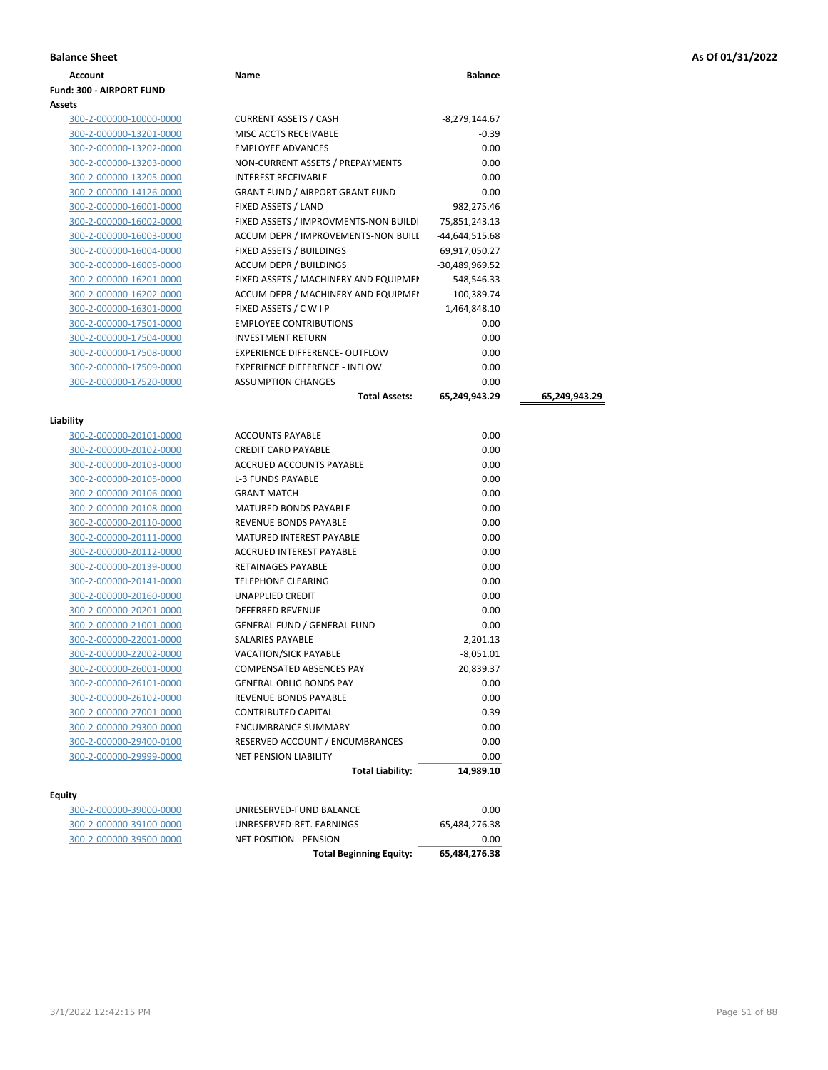|  |  |  |  | As Of 01/31/2022 |
|--|--|--|--|------------------|
|--|--|--|--|------------------|

| <b>Balance Sheet</b>                               |                                        |                 |               | As Of 01/31/2022 |
|----------------------------------------------------|----------------------------------------|-----------------|---------------|------------------|
| <b>Account</b>                                     | Name                                   | <b>Balance</b>  |               |                  |
| Fund: 300 - AIRPORT FUND                           |                                        |                 |               |                  |
| Assets                                             |                                        |                 |               |                  |
| 300-2-000000-10000-0000                            | <b>CURRENT ASSETS / CASH</b>           | $-8,279,144.67$ |               |                  |
| 300-2-000000-13201-0000                            | MISC ACCTS RECEIVABLE                  | $-0.39$         |               |                  |
| 300-2-000000-13202-0000                            | <b>EMPLOYEE ADVANCES</b>               | 0.00            |               |                  |
| 300-2-000000-13203-0000                            | NON-CURRENT ASSETS / PREPAYMENTS       | 0.00            |               |                  |
| 300-2-000000-13205-0000                            | <b>INTEREST RECEIVABLE</b>             | 0.00            |               |                  |
| 300-2-000000-14126-0000                            | <b>GRANT FUND / AIRPORT GRANT FUND</b> | 0.00            |               |                  |
| 300-2-000000-16001-0000                            | FIXED ASSETS / LAND                    | 982,275.46      |               |                  |
| 300-2-000000-16002-0000                            | FIXED ASSETS / IMPROVMENTS-NON BUILDI  | 75,851,243.13   |               |                  |
| 300-2-000000-16003-0000                            | ACCUM DEPR / IMPROVEMENTS-NON BUILE    | -44,644,515.68  |               |                  |
| 300-2-000000-16004-0000                            | FIXED ASSETS / BUILDINGS               | 69,917,050.27   |               |                  |
| 300-2-000000-16005-0000                            | ACCUM DEPR / BUILDINGS                 | -30,489,969.52  |               |                  |
| 300-2-000000-16201-0000                            | FIXED ASSETS / MACHINERY AND EQUIPMEN  | 548,546.33      |               |                  |
| 300-2-000000-16202-0000                            | ACCUM DEPR / MACHINERY AND EQUIPMEI    | $-100,389.74$   |               |                  |
| 300-2-000000-16301-0000                            | FIXED ASSETS / C W I P                 | 1,464,848.10    |               |                  |
| 300-2-000000-17501-0000                            | <b>EMPLOYEE CONTRIBUTIONS</b>          | 0.00            |               |                  |
| 300-2-000000-17504-0000                            | <b>INVESTMENT RETURN</b>               | 0.00            |               |                  |
| 300-2-000000-17508-0000                            | <b>EXPERIENCE DIFFERENCE- OUTFLOW</b>  | 0.00            |               |                  |
| 300-2-000000-17509-0000                            | <b>EXPERIENCE DIFFERENCE - INFLOW</b>  | 0.00            |               |                  |
| 300-2-000000-17520-0000                            | <b>ASSUMPTION CHANGES</b>              | 0.00            |               |                  |
|                                                    | <b>Total Assets:</b>                   | 65,249,943.29   | 65,249,943.29 |                  |
| Liability                                          |                                        |                 |               |                  |
| 300-2-000000-20101-0000                            | <b>ACCOUNTS PAYABLE</b>                | 0.00            |               |                  |
| 300-2-000000-20102-0000                            | <b>CREDIT CARD PAYABLE</b>             | 0.00            |               |                  |
| 300-2-000000-20103-0000                            | ACCRUED ACCOUNTS PAYABLE               | 0.00            |               |                  |
| 300-2-000000-20105-0000                            | L-3 FUNDS PAYABLE                      | 0.00            |               |                  |
| 300-2-000000-20106-0000                            | <b>GRANT MATCH</b>                     | 0.00            |               |                  |
| 300-2-000000-20108-0000                            | MATURED BONDS PAYABLE                  | 0.00            |               |                  |
| 300-2-000000-20110-0000                            | REVENUE BONDS PAYABLE                  | 0.00            |               |                  |
| 300-2-000000-20111-0000                            | MATURED INTEREST PAYABLE               | 0.00            |               |                  |
| 300-2-000000-20112-0000                            | ACCRUED INTEREST PAYABLE               | 0.00            |               |                  |
| 300-2-000000-20139-0000                            | RETAINAGES PAYABLE                     | 0.00            |               |                  |
| 300-2-000000-20141-0000                            | <b>TELEPHONE CLEARING</b>              | 0.00            |               |                  |
| 300-2-000000-20160-0000                            | UNAPPLIED CREDIT                       | 0.00            |               |                  |
|                                                    |                                        | 0.00            |               |                  |
| 300-2-000000-20201-0000                            | <b>DEFERRED REVENUE</b>                |                 |               |                  |
| 300-2-000000-21001-0000                            | <b>GENERAL FUND / GENERAL FUND</b>     | 0.00            |               |                  |
| 300-2-000000-22001-0000                            | SALARIES PAYABLE                       | 2,201.13        |               |                  |
|                                                    | VACATION/SICK PAYABLE                  | $-8,051.01$     |               |                  |
| 300-2-000000-22002-0000<br>300-2-000000-26001-0000 | COMPENSATED ABSENCES PAY               | 20,839.37       |               |                  |
| 300-2-000000-26101-0000                            | <b>GENERAL OBLIG BONDS PAY</b>         | 0.00            |               |                  |
| 300-2-000000-26102-0000                            | REVENUE BONDS PAYABLE                  | 0.00            |               |                  |
| 300-2-000000-27001-0000                            | CONTRIBUTED CAPITAL                    | $-0.39$         |               |                  |
| 300-2-000000-29300-0000                            | <b>ENCUMBRANCE SUMMARY</b>             | 0.00            |               |                  |
| 300-2-000000-29400-0100                            | RESERVED ACCOUNT / ENCUMBRANCES        | 0.00            |               |                  |
| 300-2-000000-29999-0000                            | <b>NET PENSION LIABILITY</b>           | 0.00            |               |                  |

|                         | <b>Total Beginning Equity:</b> | 65,484,276.38 |
|-------------------------|--------------------------------|---------------|
| 300-2-000000-39500-0000 | NET POSITION - PENSION         | 0.00          |
| 300-2-000000-39100-0000 | UNRESERVED-RET. EARNINGS       | 65.484.276.38 |
| 300-2-000000-39000-0000 | UNRESERVED-FUND BALANCE        | 0.00          |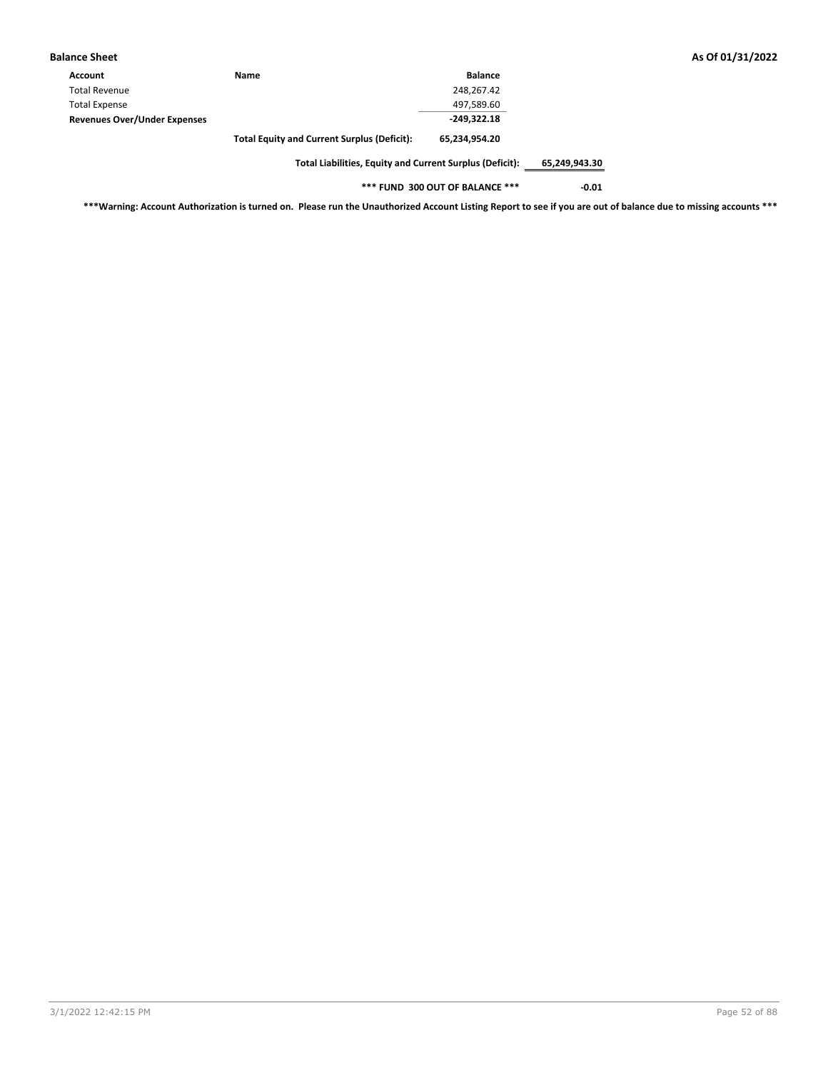| <b>Balance Sheet</b>                |                                                    |                |
|-------------------------------------|----------------------------------------------------|----------------|
| Account                             | <b>Name</b>                                        | <b>Balance</b> |
| <b>Total Revenue</b>                |                                                    | 248.267.42     |
| <b>Total Expense</b>                |                                                    | 497,589.60     |
| <b>Revenues Over/Under Expenses</b> |                                                    | $-249.322.18$  |
|                                     | <b>Total Equity and Current Surplus (Deficit):</b> | 65,234,954.20  |

**Total Liabilities, Equity and Current Surplus (Deficit): 65,249,943.30**

**\*\*\* FUND 300 OUT OF BALANCE \*\*\* -0.01**

**\*\*\*Warning: Account Authorization is turned on. Please run the Unauthorized Account Listing Report to see if you are out of balance due to missing accounts \*\*\***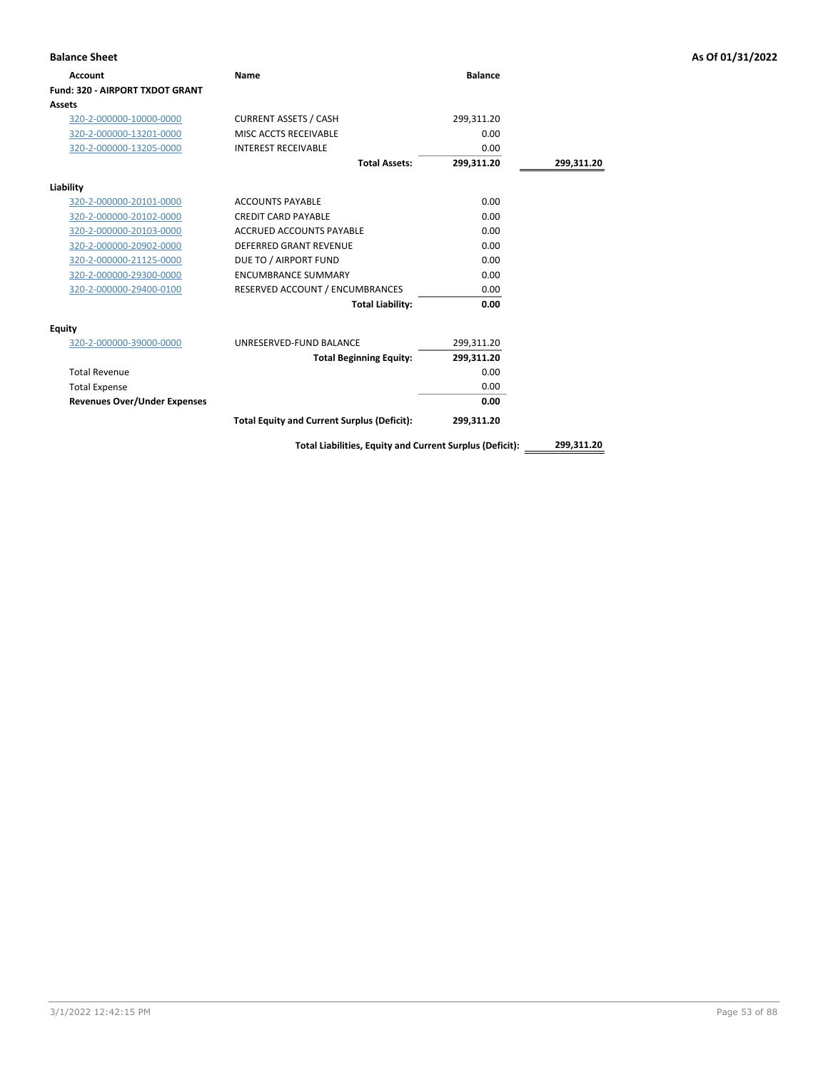| <b>Balance Sheet</b>                |                                                          |                |            | As Of 01/31/2022 |
|-------------------------------------|----------------------------------------------------------|----------------|------------|------------------|
| <b>Account</b>                      | <b>Name</b>                                              | <b>Balance</b> |            |                  |
| Fund: 320 - AIRPORT TXDOT GRANT     |                                                          |                |            |                  |
| Assets                              |                                                          |                |            |                  |
| 320-2-000000-10000-0000             | <b>CURRENT ASSETS / CASH</b>                             | 299,311.20     |            |                  |
| 320-2-000000-13201-0000             | MISC ACCTS RECEIVABLE                                    | 0.00           |            |                  |
| 320-2-000000-13205-0000             | <b>INTEREST RECEIVABLE</b>                               | 0.00           |            |                  |
|                                     | <b>Total Assets:</b>                                     | 299,311.20     | 299,311.20 |                  |
| Liability                           |                                                          |                |            |                  |
| 320-2-000000-20101-0000             | <b>ACCOUNTS PAYABLE</b>                                  | 0.00           |            |                  |
| 320-2-000000-20102-0000             | <b>CREDIT CARD PAYABLE</b>                               | 0.00           |            |                  |
| 320-2-000000-20103-0000             | ACCRUED ACCOUNTS PAYABLE                                 | 0.00           |            |                  |
| 320-2-000000-20902-0000             | <b>DEFERRED GRANT REVENUE</b>                            | 0.00           |            |                  |
| 320-2-000000-21125-0000             | DUE TO / AIRPORT FUND                                    | 0.00           |            |                  |
| 320-2-000000-29300-0000             | <b>ENCUMBRANCE SUMMARY</b>                               | 0.00           |            |                  |
| 320-2-000000-29400-0100             | RESERVED ACCOUNT / ENCUMBRANCES                          | 0.00           |            |                  |
|                                     | <b>Total Liability:</b>                                  | 0.00           |            |                  |
| <b>Equity</b>                       |                                                          |                |            |                  |
| 320-2-000000-39000-0000             | UNRESERVED-FUND BALANCE                                  | 299,311.20     |            |                  |
|                                     | <b>Total Beginning Equity:</b>                           | 299,311.20     |            |                  |
| <b>Total Revenue</b>                |                                                          | 0.00           |            |                  |
| <b>Total Expense</b>                |                                                          | 0.00           |            |                  |
| <b>Revenues Over/Under Expenses</b> |                                                          | 0.00           |            |                  |
|                                     | <b>Total Equity and Current Surplus (Deficit):</b>       | 299,311.20     |            |                  |
|                                     | Total Liabilities, Equity and Current Surplus (Deficit): |                | 299,311.20 |                  |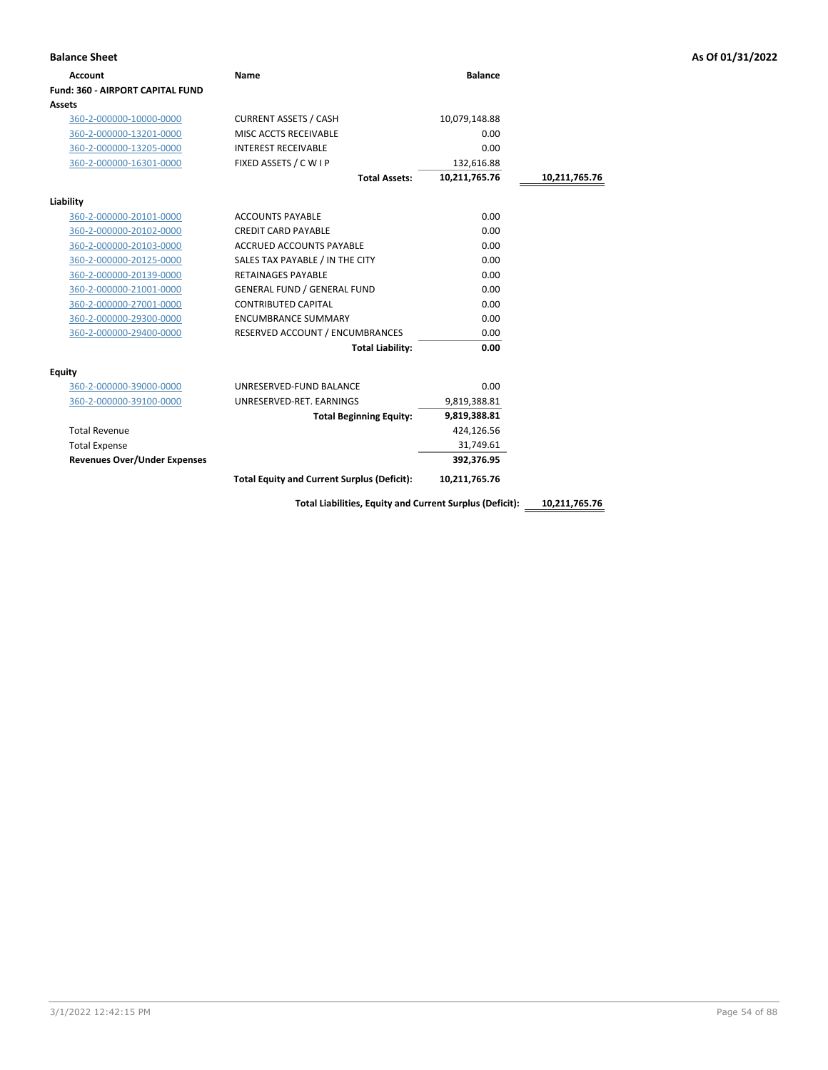| <b>Account</b>                          | Name                                               | <b>Balance</b> |               |
|-----------------------------------------|----------------------------------------------------|----------------|---------------|
| <b>Fund: 360 - AIRPORT CAPITAL FUND</b> |                                                    |                |               |
| Assets                                  |                                                    |                |               |
| 360-2-000000-10000-0000                 | <b>CURRENT ASSETS / CASH</b>                       | 10,079,148.88  |               |
| 360-2-000000-13201-0000                 | MISC ACCTS RECEIVABLE                              | 0.00           |               |
| 360-2-000000-13205-0000                 | <b>INTEREST RECEIVABLE</b>                         | 0.00           |               |
| 360-2-000000-16301-0000                 | FIXED ASSETS / C W I P                             | 132,616.88     |               |
|                                         | <b>Total Assets:</b>                               | 10,211,765.76  | 10,211,765.76 |
| Liability                               |                                                    |                |               |
| 360-2-000000-20101-0000                 | <b>ACCOUNTS PAYABLE</b>                            | 0.00           |               |
| 360-2-000000-20102-0000                 | <b>CREDIT CARD PAYABLE</b>                         | 0.00           |               |
| 360-2-000000-20103-0000                 | <b>ACCRUED ACCOUNTS PAYABLE</b>                    | 0.00           |               |
| 360-2-000000-20125-0000                 | SALES TAX PAYABLE / IN THE CITY                    | 0.00           |               |
| 360-2-000000-20139-0000                 | <b>RETAINAGES PAYABLE</b>                          | 0.00           |               |
| 360-2-000000-21001-0000                 | <b>GENERAL FUND / GENERAL FUND</b>                 | 0.00           |               |
| 360-2-000000-27001-0000                 | <b>CONTRIBUTED CAPITAL</b>                         | 0.00           |               |
| 360-2-000000-29300-0000                 | <b>ENCUMBRANCE SUMMARY</b>                         | 0.00           |               |
| 360-2-000000-29400-0000                 | RESERVED ACCOUNT / ENCUMBRANCES                    | 0.00           |               |
|                                         | <b>Total Liability:</b>                            | 0.00           |               |
| Equity                                  |                                                    |                |               |
| 360-2-000000-39000-0000                 | UNRESERVED-FUND BALANCE                            | 0.00           |               |
| 360-2-000000-39100-0000                 | UNRESERVED-RET. EARNINGS                           | 9,819,388.81   |               |
|                                         | <b>Total Beginning Equity:</b>                     | 9,819,388.81   |               |
| <b>Total Revenue</b>                    |                                                    | 424,126.56     |               |
| <b>Total Expense</b>                    |                                                    | 31,749.61      |               |
| <b>Revenues Over/Under Expenses</b>     |                                                    | 392,376.95     |               |
|                                         | <b>Total Equity and Current Surplus (Deficit):</b> | 10,211,765.76  |               |

**Total Liabilities, Equity and Current Surplus (Deficit): 10,211,765.76**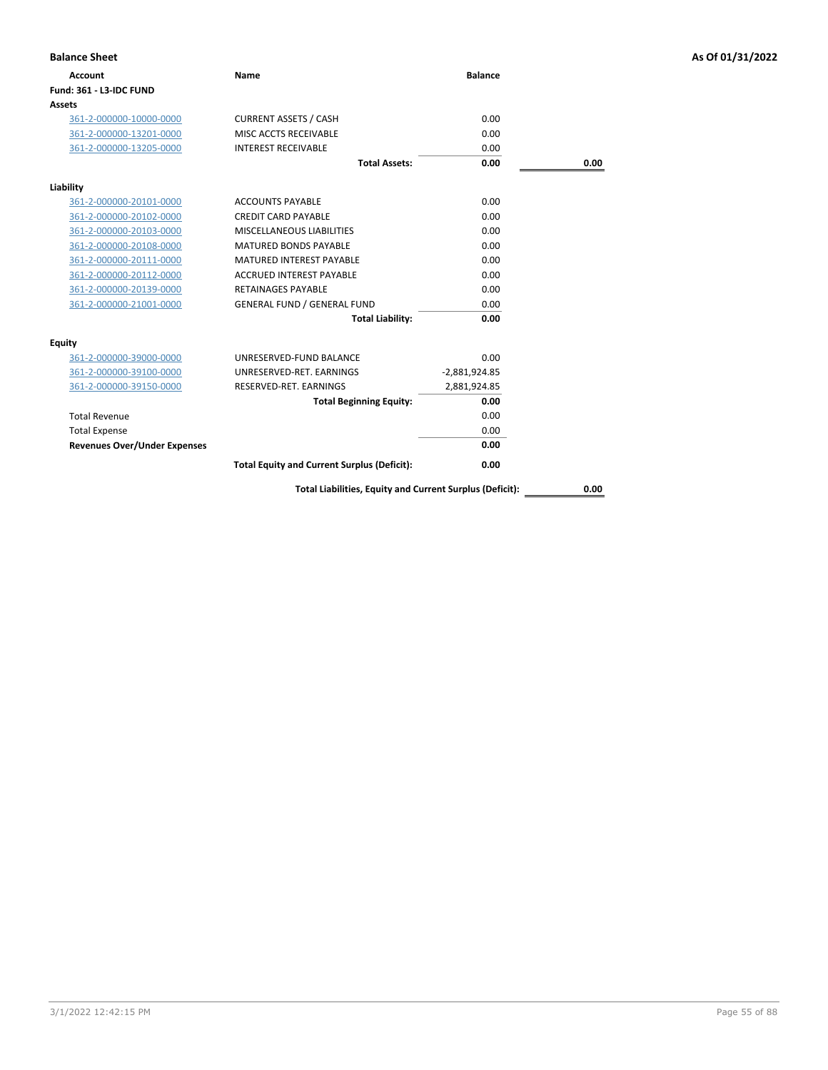| <b>Balance Sheet</b>                |                                                          |                 |      | As Of 01/31/2022 |
|-------------------------------------|----------------------------------------------------------|-----------------|------|------------------|
| <b>Account</b>                      | <b>Name</b>                                              | <b>Balance</b>  |      |                  |
| Fund: 361 - L3-IDC FUND             |                                                          |                 |      |                  |
| Assets                              |                                                          |                 |      |                  |
| 361-2-000000-10000-0000             | <b>CURRENT ASSETS / CASH</b>                             | 0.00            |      |                  |
| 361-2-000000-13201-0000             | MISC ACCTS RECEIVABLE                                    | 0.00            |      |                  |
| 361-2-000000-13205-0000             | <b>INTEREST RECEIVABLE</b>                               | 0.00            |      |                  |
|                                     | <b>Total Assets:</b>                                     | 0.00            | 0.00 |                  |
| Liability                           |                                                          |                 |      |                  |
| 361-2-000000-20101-0000             | <b>ACCOUNTS PAYABLE</b>                                  | 0.00            |      |                  |
| 361-2-000000-20102-0000             | <b>CREDIT CARD PAYABLE</b>                               | 0.00            |      |                  |
| 361-2-000000-20103-0000             | <b>MISCELLANEOUS LIABILITIES</b>                         | 0.00            |      |                  |
| 361-2-000000-20108-0000             | <b>MATURED BONDS PAYABLE</b>                             | 0.00            |      |                  |
| 361-2-000000-20111-0000             | <b>MATURED INTEREST PAYABLE</b>                          | 0.00            |      |                  |
| 361-2-000000-20112-0000             | <b>ACCRUED INTEREST PAYABLE</b>                          | 0.00            |      |                  |
| 361-2-000000-20139-0000             | <b>RETAINAGES PAYABLE</b>                                | 0.00            |      |                  |
| 361-2-000000-21001-0000             | <b>GENERAL FUND / GENERAL FUND</b>                       | 0.00            |      |                  |
|                                     | <b>Total Liability:</b>                                  | 0.00            |      |                  |
| <b>Equity</b>                       |                                                          |                 |      |                  |
| 361-2-000000-39000-0000             | UNRESERVED-FUND BALANCE                                  | 0.00            |      |                  |
| 361-2-000000-39100-0000             | UNRESERVED-RET. EARNINGS                                 | $-2,881,924.85$ |      |                  |
| 361-2-000000-39150-0000             | RESERVED-RET. EARNINGS                                   | 2,881,924.85    |      |                  |
|                                     | <b>Total Beginning Equity:</b>                           | 0.00            |      |                  |
| <b>Total Revenue</b>                |                                                          | 0.00            |      |                  |
| <b>Total Expense</b>                |                                                          | 0.00            |      |                  |
| <b>Revenues Over/Under Expenses</b> |                                                          | 0.00            |      |                  |
|                                     | <b>Total Equity and Current Surplus (Deficit):</b>       | 0.00            |      |                  |
|                                     | Total Liabilities, Equity and Current Surplus (Deficit): |                 | 0.00 |                  |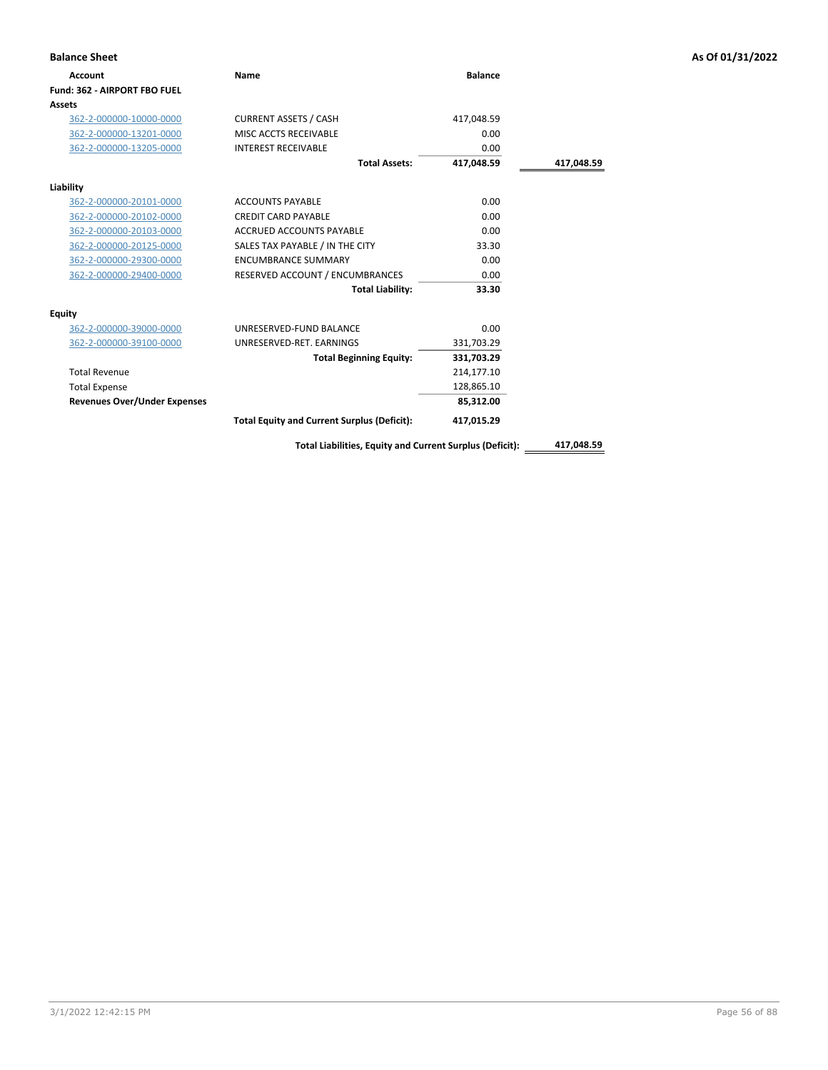| <b>Balance Sheet</b>                |                                                          |                |            | As Of 01/31/2022 |
|-------------------------------------|----------------------------------------------------------|----------------|------------|------------------|
| <b>Account</b>                      | Name                                                     | <b>Balance</b> |            |                  |
| Fund: 362 - AIRPORT FBO FUEL        |                                                          |                |            |                  |
| Assets                              |                                                          |                |            |                  |
| 362-2-000000-10000-0000             | <b>CURRENT ASSETS / CASH</b>                             | 417,048.59     |            |                  |
| 362-2-000000-13201-0000             | MISC ACCTS RECEIVABLE                                    | 0.00           |            |                  |
| 362-2-000000-13205-0000             | <b>INTEREST RECEIVABLE</b>                               | 0.00           |            |                  |
|                                     | <b>Total Assets:</b>                                     | 417,048.59     | 417,048.59 |                  |
| Liability                           |                                                          |                |            |                  |
| 362-2-000000-20101-0000             | <b>ACCOUNTS PAYABLE</b>                                  | 0.00           |            |                  |
| 362-2-000000-20102-0000             | <b>CREDIT CARD PAYABLE</b>                               | 0.00           |            |                  |
| 362-2-000000-20103-0000             | ACCRUED ACCOUNTS PAYABLE                                 | 0.00           |            |                  |
| 362-2-000000-20125-0000             | SALES TAX PAYABLE / IN THE CITY                          | 33.30          |            |                  |
| 362-2-000000-29300-0000             | <b>ENCUMBRANCE SUMMARY</b>                               | 0.00           |            |                  |
| 362-2-000000-29400-0000             | RESERVED ACCOUNT / ENCUMBRANCES                          | 0.00           |            |                  |
|                                     | <b>Total Liability:</b>                                  | 33.30          |            |                  |
| Equity                              |                                                          |                |            |                  |
| 362-2-000000-39000-0000             | UNRESERVED-FUND BALANCE                                  | 0.00           |            |                  |
| 362-2-000000-39100-0000             | UNRESERVED-RET. EARNINGS                                 | 331,703.29     |            |                  |
|                                     | <b>Total Beginning Equity:</b>                           | 331,703.29     |            |                  |
| <b>Total Revenue</b>                |                                                          | 214,177.10     |            |                  |
| <b>Total Expense</b>                |                                                          | 128,865.10     |            |                  |
| <b>Revenues Over/Under Expenses</b> |                                                          | 85,312.00      |            |                  |
|                                     | <b>Total Equity and Current Surplus (Deficit):</b>       | 417,015.29     |            |                  |
|                                     | Total Liabilities, Equity and Current Surplus (Deficit): |                | 417,048.59 |                  |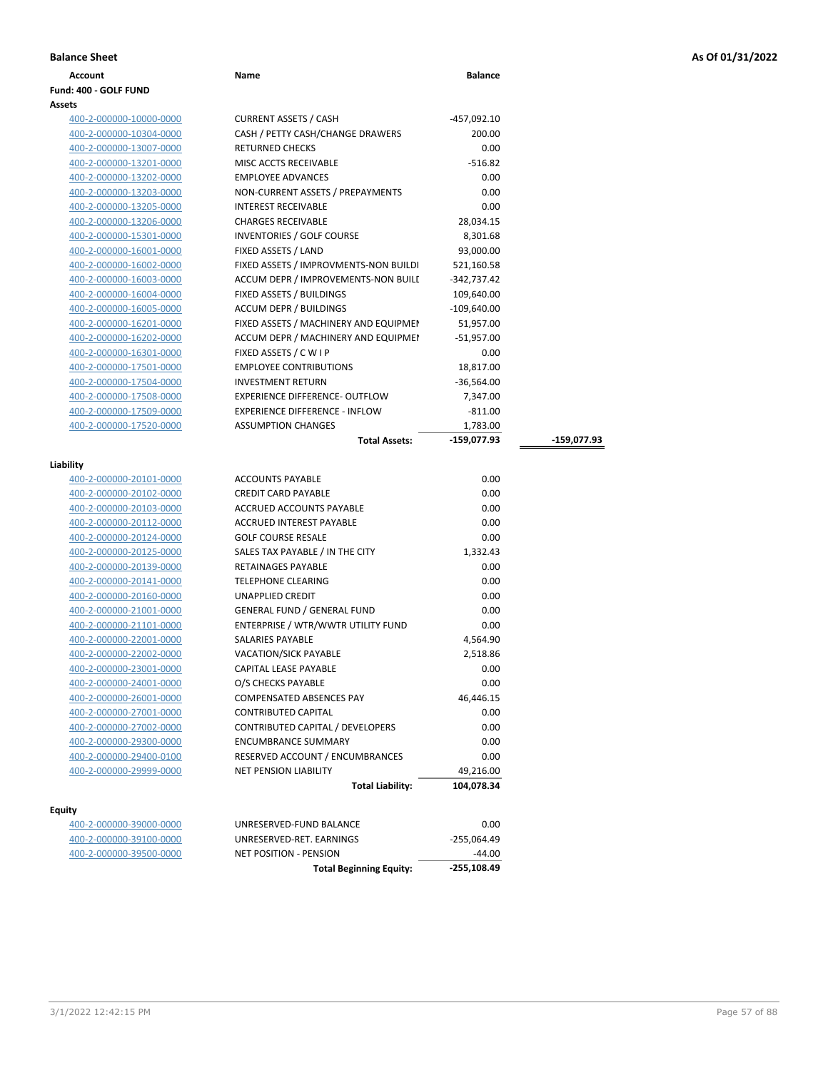| <b>Balance Sheet</b> |      |                |
|----------------------|------|----------------|
| Account              | Name | <b>Balance</b> |

### **Fund: 400 - GOLF FUND Assets**

| 400-2-000000-10000-0000 |
|-------------------------|
| 400-2-000000-10304-0000 |
| 400-2-000000-13007-0000 |
| 400-2-000000-13201-0000 |
| 400-2-000000-13202-0000 |
| 400-2-000000-13203-0000 |
| 400-2-000000-13205-0000 |
| 400-2-000000-13206-0000 |
| 400-2-000000-15301-0000 |
| 400-2-000000-16001-0000 |
| 400-2-000000-16002-0000 |
| 400-2-000000-16003-0000 |
| 400-2-000000-16004-0000 |
| 400-2-000000-16005-0000 |
| 400-2-000000-16201-0000 |
| 400-2-000000-16202-0000 |
| 400-2-000000-16301-0000 |
| 400-2-000000-17501-0000 |
| 400-2-000000-17504-0000 |
| 400-2-000000-17508-0000 |
| 400-2-000000-17509-0000 |
| 400-2-000000-17520-0000 |
|                         |

| ts                      |                                       |               |               |
|-------------------------|---------------------------------------|---------------|---------------|
| 400-2-000000-10000-0000 | <b>CURRENT ASSETS / CASH</b>          | $-457,092.10$ |               |
| 400-2-000000-10304-0000 | CASH / PETTY CASH/CHANGE DRAWERS      | 200.00        |               |
| 400-2-000000-13007-0000 | <b>RETURNED CHECKS</b>                | 0.00          |               |
| 400-2-000000-13201-0000 | MISC ACCTS RECEIVABLE                 | $-516.82$     |               |
| 400-2-000000-13202-0000 | <b>EMPLOYEE ADVANCES</b>              | 0.00          |               |
| 400-2-000000-13203-0000 | NON-CURRENT ASSETS / PREPAYMENTS      | 0.00          |               |
| 400-2-000000-13205-0000 | <b>INTEREST RECEIVABLE</b>            | 0.00          |               |
| 400-2-000000-13206-0000 | <b>CHARGES RECEIVABLE</b>             | 28,034.15     |               |
| 400-2-000000-15301-0000 | <b>INVENTORIES / GOLF COURSE</b>      | 8,301.68      |               |
| 400-2-000000-16001-0000 | FIXED ASSETS / LAND                   | 93,000.00     |               |
| 400-2-000000-16002-0000 | FIXED ASSETS / IMPROVMENTS-NON BUILDI | 521,160.58    |               |
| 400-2-000000-16003-0000 | ACCUM DEPR / IMPROVEMENTS-NON BUILI   | $-342,737.42$ |               |
| 400-2-000000-16004-0000 | FIXED ASSETS / BUILDINGS              | 109,640.00    |               |
| 400-2-000000-16005-0000 | <b>ACCUM DEPR / BUILDINGS</b>         | $-109,640.00$ |               |
| 400-2-000000-16201-0000 | FIXED ASSETS / MACHINERY AND EQUIPMEN | 51,957.00     |               |
| 400-2-000000-16202-0000 | ACCUM DEPR / MACHINERY AND EQUIPMEI   | $-51,957.00$  |               |
| 400-2-000000-16301-0000 | FIXED ASSETS / C W I P                | 0.00          |               |
| 400-2-000000-17501-0000 | <b>EMPLOYEE CONTRIBUTIONS</b>         | 18,817.00     |               |
| 400-2-000000-17504-0000 | <b>INVESTMENT RETURN</b>              | $-36,564.00$  |               |
| 400-2-000000-17508-0000 | <b>EXPERIENCE DIFFERENCE- OUTFLOW</b> | 7,347.00      |               |
| 400-2-000000-17509-0000 | <b>EXPERIENCE DIFFERENCE - INFLOW</b> | $-811.00$     |               |
| 400-2-000000-17520-0000 | <b>ASSUMPTION CHANGES</b>             | 1,783.00      |               |
|                         | <b>Total Assets:</b>                  | $-159,077.93$ | $-159,077.93$ |
| lity                    |                                       |               |               |
| 400-2-000000-20101-0000 | <b>ACCOUNTS PAYABLE</b>               | 0.00          |               |
| 400-2-000000-20102-0000 | <b>CREDIT CARD PAYABLE</b>            | 0.00          |               |
| 400-2-000000-20103-0000 | ACCRUED ACCOUNTS PAYABLE              | 0.00          |               |
|                         |                                       |               |               |

# **Liability**

|                         | <b>Total Liability:</b>            | 104,078.34 |
|-------------------------|------------------------------------|------------|
| 400-2-000000-29999-0000 | <b>NET PENSION LIABILITY</b>       | 49,216.00  |
| 400-2-000000-29400-0100 | RESERVED ACCOUNT / ENCUMBRANCES    | 0.00       |
| 400-2-000000-29300-0000 | <b>ENCUMBRANCE SUMMARY</b>         | 0.00       |
| 400-2-000000-27002-0000 | CONTRIBUTED CAPITAL / DEVELOPERS   | 0.00       |
| 400-2-000000-27001-0000 | <b>CONTRIBUTED CAPITAL</b>         | 0.00       |
| 400-2-000000-26001-0000 | <b>COMPENSATED ABSENCES PAY</b>    | 46,446.15  |
| 400-2-000000-24001-0000 | O/S CHECKS PAYABLE                 | 0.00       |
| 400-2-000000-23001-0000 | <b>CAPITAL LEASE PAYABLE</b>       | 0.00       |
| 400-2-000000-22002-0000 | <b>VACATION/SICK PAYABLE</b>       | 2,518.86   |
| 400-2-000000-22001-0000 | <b>SALARIES PAYABLE</b>            | 4,564.90   |
| 400-2-000000-21101-0000 | ENTERPRISE / WTR/WWTR UTILITY FUND | 0.00       |
| 400-2-000000-21001-0000 | <b>GENERAL FUND / GENERAL FUND</b> | 0.00       |
| 400-2-000000-20160-0000 | <b>UNAPPLIED CREDIT</b>            | 0.00       |
| 400-2-000000-20141-0000 | <b>TELEPHONE CLEARING</b>          | 0.00       |
| 400-2-000000-20139-0000 | <b>RETAINAGES PAYABLE</b>          | 0.00       |
| 400-2-000000-20125-0000 | SALES TAX PAYABLE / IN THE CITY    | 1,332.43   |
| 400-2-000000-20124-0000 | <b>GOLF COURSE RESALE</b>          | 0.00       |
| 400-2-000000-20112-0000 | <b>ACCRUED INTEREST PAYABLE</b>    | 0.00       |
| 400-2-000000-20103-0000 | ACCRUED ACCOUNTS PAYABLE           | 0.00       |
| 400-2-000000-20102-0000 | <b>CREDIT CARD PAYABLE</b>         | 0.00       |
| 400-2-000000-20101-0000 | <b>ACCOUNTS PAYABLE</b>            | 0.00       |

# **Equity**

| -44.00      |
|-------------|
| -255.064.49 |
| 0.00        |
|             |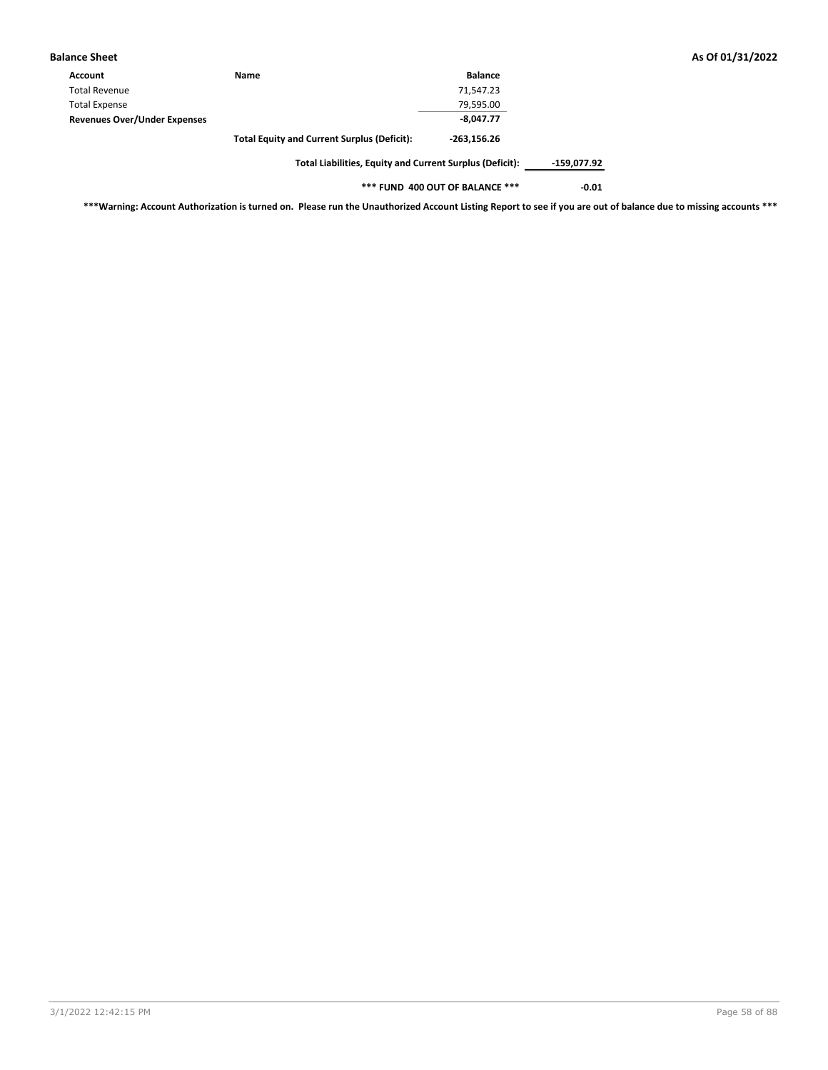| <b>Balance Sheet</b>                |                                                          |                |             |
|-------------------------------------|----------------------------------------------------------|----------------|-------------|
| Account                             | Name                                                     | <b>Balance</b> |             |
| <b>Total Revenue</b>                |                                                          | 71.547.23      |             |
| <b>Total Expense</b>                |                                                          | 79,595.00      |             |
| <b>Revenues Over/Under Expenses</b> |                                                          | $-8.047.77$    |             |
|                                     | <b>Total Equity and Current Surplus (Deficit):</b>       | $-263.156.26$  |             |
|                                     | Total Liabilities, Equity and Current Surplus (Deficit): |                | -159,077.92 |

**\*\*\* FUND 400 OUT OF BALANCE \*\*\* -0.01**

**\*\*\*Warning: Account Authorization is turned on. Please run the Unauthorized Account Listing Report to see if you are out of balance due to missing accounts \*\*\***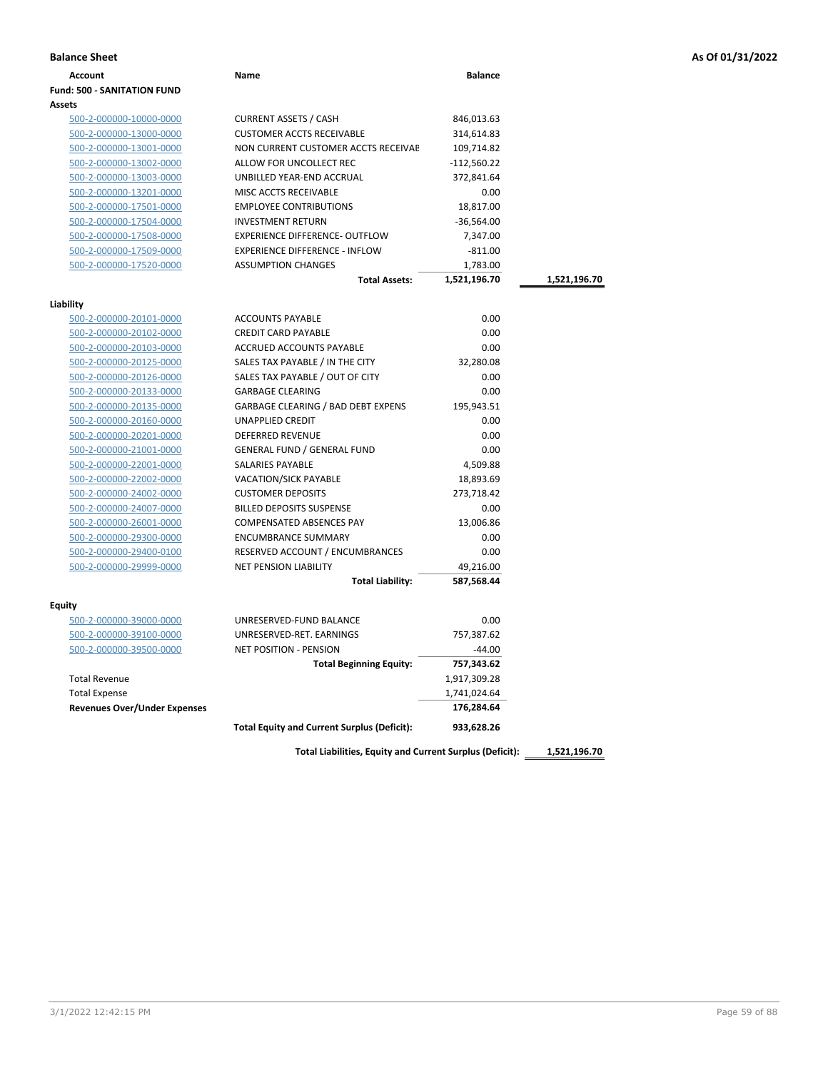|  |  |  |  | As Of 01/31/2022 |
|--|--|--|--|------------------|
|--|--|--|--|------------------|

| <b>Balance Sheet</b>                               |                                                    |                |              | As Of 01/31/2022 |
|----------------------------------------------------|----------------------------------------------------|----------------|--------------|------------------|
| <b>Account</b>                                     | Name                                               | <b>Balance</b> |              |                  |
| <b>Fund: 500 - SANITATION FUND</b>                 |                                                    |                |              |                  |
| <b>Assets</b>                                      |                                                    |                |              |                  |
| 500-2-000000-10000-0000                            | <b>CURRENT ASSETS / CASH</b>                       | 846,013.63     |              |                  |
| 500-2-000000-13000-0000                            | <b>CUSTOMER ACCTS RECEIVABLE</b>                   | 314,614.83     |              |                  |
| 500-2-000000-13001-0000                            | NON CURRENT CUSTOMER ACCTS RECEIVAE                | 109,714.82     |              |                  |
| 500-2-000000-13002-0000                            | ALLOW FOR UNCOLLECT REC                            | -112,560.22    |              |                  |
| 500-2-000000-13003-0000                            | UNBILLED YEAR-END ACCRUAL                          | 372,841.64     |              |                  |
| 500-2-000000-13201-0000                            | MISC ACCTS RECEIVABLE                              | 0.00           |              |                  |
| 500-2-000000-17501-0000                            | <b>EMPLOYEE CONTRIBUTIONS</b>                      | 18,817.00      |              |                  |
| 500-2-000000-17504-0000                            | <b>INVESTMENT RETURN</b>                           | $-36,564.00$   |              |                  |
| 500-2-000000-17508-0000                            | <b>EXPERIENCE DIFFERENCE- OUTFLOW</b>              | 7,347.00       |              |                  |
| 500-2-000000-17509-0000                            | <b>EXPERIENCE DIFFERENCE - INFLOW</b>              | $-811.00$      |              |                  |
| 500-2-000000-17520-0000                            | <b>ASSUMPTION CHANGES</b>                          | 1,783.00       |              |                  |
|                                                    | <b>Total Assets:</b>                               | 1,521,196.70   | 1,521,196.70 |                  |
|                                                    |                                                    |                |              |                  |
| Liability<br>500-2-000000-20101-0000               | <b>ACCOUNTS PAYABLE</b>                            | 0.00           |              |                  |
|                                                    | <b>CREDIT CARD PAYABLE</b>                         | 0.00           |              |                  |
| 500-2-000000-20102-0000                            |                                                    | 0.00           |              |                  |
| 500-2-000000-20103-0000<br>500-2-000000-20125-0000 | ACCRUED ACCOUNTS PAYABLE                           | 32,280.08      |              |                  |
|                                                    | SALES TAX PAYABLE / IN THE CITY                    |                |              |                  |
| 500-2-000000-20126-0000                            | SALES TAX PAYABLE / OUT OF CITY                    | 0.00           |              |                  |
| 500-2-000000-20133-0000                            | <b>GARBAGE CLEARING</b>                            | 0.00           |              |                  |
| 500-2-000000-20135-0000                            | <b>GARBAGE CLEARING / BAD DEBT EXPENS</b>          | 195,943.51     |              |                  |
| 500-2-000000-20160-0000                            | UNAPPLIED CREDIT                                   | 0.00           |              |                  |
| 500-2-000000-20201-0000                            | <b>DEFERRED REVENUE</b>                            | 0.00           |              |                  |
| 500-2-000000-21001-0000                            | <b>GENERAL FUND / GENERAL FUND</b>                 | 0.00           |              |                  |
| 500-2-000000-22001-0000                            | SALARIES PAYABLE                                   | 4,509.88       |              |                  |
| 500-2-000000-22002-0000                            | VACATION/SICK PAYABLE                              | 18,893.69      |              |                  |
| 500-2-000000-24002-0000                            | <b>CUSTOMER DEPOSITS</b>                           | 273,718.42     |              |                  |
| 500-2-000000-24007-0000                            | <b>BILLED DEPOSITS SUSPENSE</b>                    | 0.00           |              |                  |
| 500-2-000000-26001-0000                            | <b>COMPENSATED ABSENCES PAY</b>                    | 13,006.86      |              |                  |
| 500-2-000000-29300-0000                            | <b>ENCUMBRANCE SUMMARY</b>                         | 0.00           |              |                  |
| 500-2-000000-29400-0100                            | RESERVED ACCOUNT / ENCUMBRANCES                    | 0.00           |              |                  |
| 500-2-000000-29999-0000                            | NET PENSION LIABILITY                              | 49,216.00      |              |                  |
|                                                    | <b>Total Liability:</b>                            | 587,568.44     |              |                  |
| Equity                                             |                                                    |                |              |                  |
| 500-2-000000-39000-0000                            | UNRESERVED-FUND BALANCE                            | 0.00           |              |                  |
| 500-2-000000-39100-0000                            | UNRESERVED-RET. EARNINGS                           | 757,387.62     |              |                  |
| 500-2-000000-39500-0000                            | <b>NET POSITION - PENSION</b>                      | $-44.00$       |              |                  |
|                                                    | <b>Total Beginning Equity:</b>                     | 757,343.62     |              |                  |
| <b>Total Revenue</b>                               |                                                    | 1,917,309.28   |              |                  |
| <b>Total Expense</b>                               |                                                    | 1,741,024.64   |              |                  |
| <b>Revenues Over/Under Expenses</b>                |                                                    | 176,284.64     |              |                  |
|                                                    | <b>Total Equity and Current Surplus (Deficit):</b> | 933,628.26     |              |                  |
|                                                    |                                                    |                |              |                  |

**Total Liabilities, Equity and Current Surplus (Deficit): 1,521,196.70**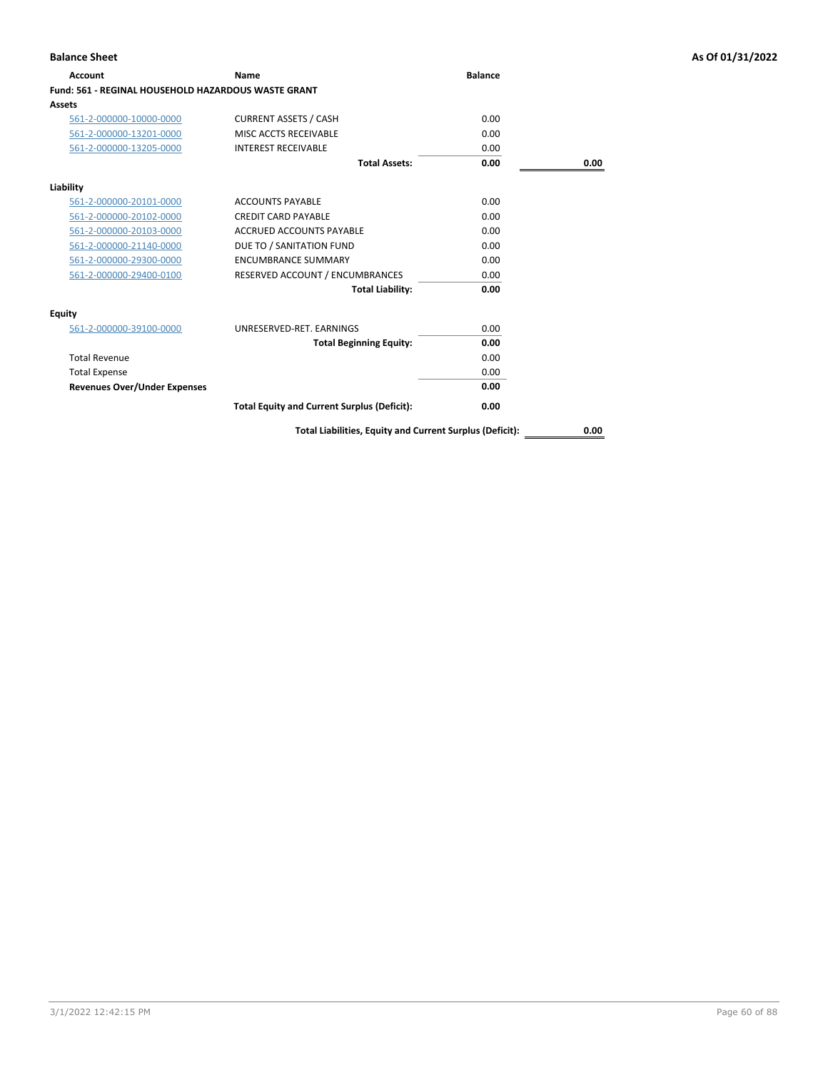| <b>Account</b>                                             | <b>Name</b>                                        | <b>Balance</b> |      |
|------------------------------------------------------------|----------------------------------------------------|----------------|------|
| <b>Fund: 561 - REGINAL HOUSEHOLD HAZARDOUS WASTE GRANT</b> |                                                    |                |      |
| <b>Assets</b>                                              |                                                    |                |      |
| 561-2-000000-10000-0000                                    | <b>CURRENT ASSETS / CASH</b>                       | 0.00           |      |
| 561-2-000000-13201-0000                                    | MISC ACCTS RECEIVABLE                              | 0.00           |      |
| 561-2-000000-13205-0000                                    | <b>INTEREST RECEIVABLE</b>                         | 0.00           |      |
|                                                            | <b>Total Assets:</b>                               | 0.00           | 0.00 |
| Liability                                                  |                                                    |                |      |
| 561-2-000000-20101-0000                                    | <b>ACCOUNTS PAYABLE</b>                            | 0.00           |      |
| 561-2-000000-20102-0000                                    | <b>CREDIT CARD PAYABLE</b>                         | 0.00           |      |
| 561-2-000000-20103-0000                                    | ACCRUED ACCOUNTS PAYABLE                           | 0.00           |      |
| 561-2-000000-21140-0000                                    | DUE TO / SANITATION FUND                           | 0.00           |      |
| 561-2-000000-29300-0000                                    | <b>ENCUMBRANCE SUMMARY</b>                         | 0.00           |      |
| 561-2-000000-29400-0100                                    | RESERVED ACCOUNT / ENCUMBRANCES                    | 0.00           |      |
|                                                            | <b>Total Liability:</b>                            | 0.00           |      |
| Equity                                                     |                                                    |                |      |
| 561-2-000000-39100-0000                                    | UNRESERVED-RET, EARNINGS                           | 0.00           |      |
|                                                            | <b>Total Beginning Equity:</b>                     | 0.00           |      |
| <b>Total Revenue</b>                                       |                                                    | 0.00           |      |
| <b>Total Expense</b>                                       |                                                    | 0.00           |      |
| <b>Revenues Over/Under Expenses</b>                        |                                                    | 0.00           |      |
|                                                            | <b>Total Equity and Current Surplus (Deficit):</b> | 0.00           |      |

**Total Liabilities, Equity and Current Surplus (Deficit): 0.00**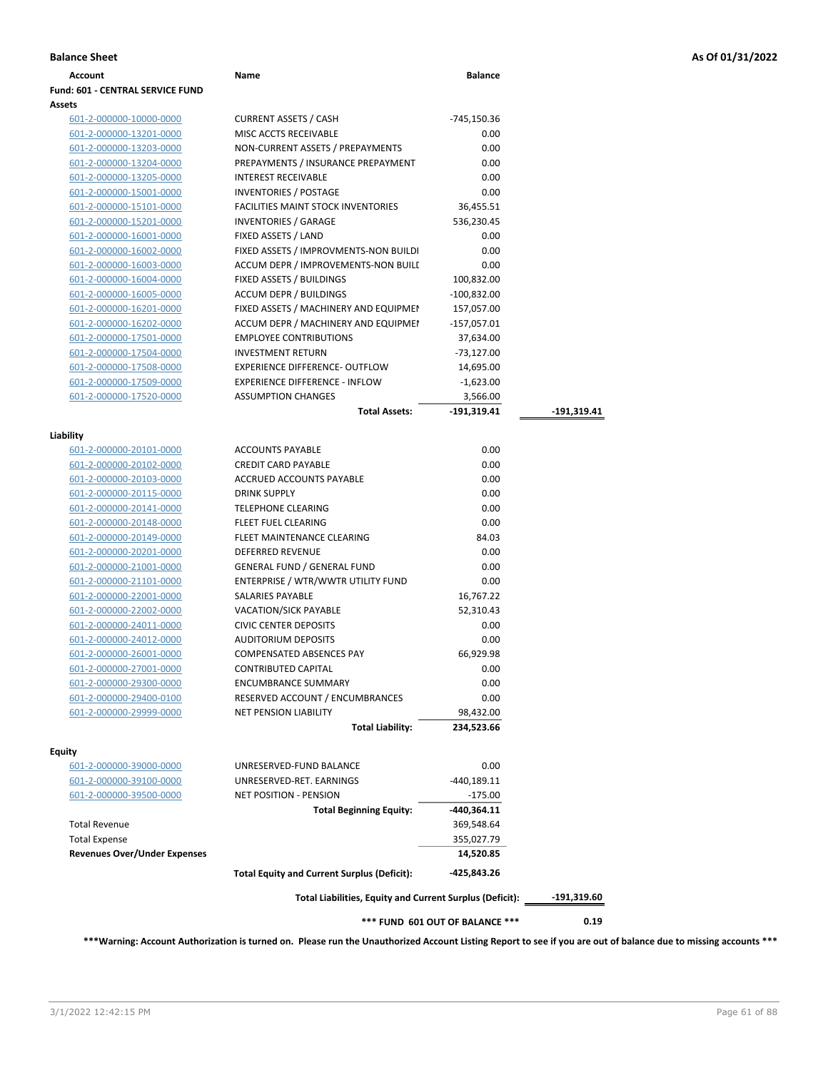| Account                                 | Name                                                            | <b>Balance</b>                  |             |
|-----------------------------------------|-----------------------------------------------------------------|---------------------------------|-------------|
| <b>Fund: 601 - CENTRAL SERVICE FUND</b> |                                                                 |                                 |             |
| Assets                                  |                                                                 |                                 |             |
| 601-2-000000-10000-0000                 | <b>CURRENT ASSETS / CASH</b>                                    | -745,150.36                     |             |
| 601-2-000000-13201-0000                 | MISC ACCTS RECEIVABLE                                           | 0.00                            |             |
| 601-2-000000-13203-0000                 | NON-CURRENT ASSETS / PREPAYMENTS                                | 0.00                            |             |
| 601-2-000000-13204-0000                 | PREPAYMENTS / INSURANCE PREPAYMENT                              | 0.00                            |             |
| 601-2-000000-13205-0000                 | <b>INTEREST RECEIVABLE</b>                                      | 0.00                            |             |
| 601-2-000000-15001-0000                 | <b>INVENTORIES / POSTAGE</b>                                    | 0.00                            |             |
| 601-2-000000-15101-0000                 | <b>FACILITIES MAINT STOCK INVENTORIES</b>                       | 36,455.51                       |             |
| 601-2-000000-15201-0000                 | <b>INVENTORIES / GARAGE</b>                                     | 536,230.45                      |             |
| 601-2-000000-16001-0000                 | FIXED ASSETS / LAND                                             | 0.00                            |             |
| 601-2-000000-16002-0000                 | FIXED ASSETS / IMPROVMENTS-NON BUILDI                           | 0.00                            |             |
| 601-2-000000-16003-0000                 | ACCUM DEPR / IMPROVEMENTS-NON BUILI                             | 0.00                            |             |
| 601-2-000000-16004-0000                 | FIXED ASSETS / BUILDINGS                                        | 100,832.00                      |             |
| 601-2-000000-16005-0000                 | <b>ACCUM DEPR / BUILDINGS</b>                                   | $-100,832.00$                   |             |
| 601-2-000000-16201-0000                 | FIXED ASSETS / MACHINERY AND EQUIPMEN                           | 157,057.00                      |             |
| 601-2-000000-16202-0000                 | ACCUM DEPR / MACHINERY AND EQUIPMEI                             | -157,057.01                     |             |
| 601-2-000000-17501-0000                 | <b>EMPLOYEE CONTRIBUTIONS</b>                                   | 37,634.00                       |             |
| 601-2-000000-17504-0000                 | <b>INVESTMENT RETURN</b>                                        | $-73,127.00$                    |             |
| 601-2-000000-17508-0000                 | EXPERIENCE DIFFERENCE- OUTFLOW                                  | 14,695.00                       |             |
| 601-2-000000-17509-0000                 | <b>EXPERIENCE DIFFERENCE - INFLOW</b>                           | $-1,623.00$                     |             |
| 601-2-000000-17520-0000                 | <b>ASSUMPTION CHANGES</b>                                       | 3,566.00                        |             |
|                                         | <b>Total Assets:</b>                                            | -191,319.41                     | -191,319.41 |
|                                         |                                                                 |                                 |             |
| Liability                               |                                                                 |                                 |             |
| 601-2-000000-20101-0000                 | <b>ACCOUNTS PAYABLE</b>                                         | 0.00                            |             |
| 601-2-000000-20102-0000                 | <b>CREDIT CARD PAYABLE</b>                                      | 0.00                            |             |
| 601-2-000000-20103-0000                 | ACCRUED ACCOUNTS PAYABLE                                        | 0.00                            |             |
| 601-2-000000-20115-0000                 | <b>DRINK SUPPLY</b>                                             | 0.00                            |             |
| 601-2-000000-20141-0000                 | <b>TELEPHONE CLEARING</b>                                       | 0.00                            |             |
| 601-2-000000-20148-0000                 | FLEET FUEL CLEARING                                             | 0.00                            |             |
| 601-2-000000-20149-0000                 | FLEET MAINTENANCE CLEARING                                      | 84.03                           |             |
| 601-2-000000-20201-0000                 | DEFERRED REVENUE                                                | 0.00                            |             |
| 601-2-000000-21001-0000                 | <b>GENERAL FUND / GENERAL FUND</b>                              | 0.00                            |             |
| 601-2-000000-21101-0000                 | ENTERPRISE / WTR/WWTR UTILITY FUND                              | 0.00                            |             |
| 601-2-000000-22001-0000                 | SALARIES PAYABLE                                                | 16,767.22                       |             |
| 601-2-000000-22002-0000                 | VACATION/SICK PAYABLE                                           | 52,310.43                       |             |
| 601-2-000000-24011-0000                 | <b>CIVIC CENTER DEPOSITS</b>                                    | 0.00                            |             |
| 601-2-000000-24012-0000                 | <b>AUDITORIUM DEPOSITS</b>                                      | 0.00<br>66,929.98               |             |
| 601-2-000000-26001-0000                 | <b>COMPENSATED ABSENCES PAY</b>                                 |                                 |             |
| 601-2-000000-27001-0000                 | <b>CONTRIBUTED CAPITAL</b>                                      | 0.00                            |             |
| 601-2-000000-29300-0000                 | <b>ENCUMBRANCE SUMMARY</b>                                      | 0.00                            |             |
| 601-2-000000-29400-0100                 | RESERVED ACCOUNT / ENCUMBRANCES<br><b>NET PENSION LIABILITY</b> | 0.00                            |             |
| 601-2-000000-29999-0000                 | <b>Total Liability:</b>                                         | 98,432.00<br>234,523.66         |             |
|                                         |                                                                 |                                 |             |
| <b>Equity</b>                           |                                                                 |                                 |             |
| <u>601-2-000000-39000-0000</u>          | UNRESERVED-FUND BALANCE                                         | 0.00                            |             |
| <u>601-2-000000-39100-0000</u>          | UNRESERVED-RET. EARNINGS                                        | $-440,189.11$                   |             |
| 601-2-000000-39500-0000                 | <b>NET POSITION - PENSION</b>                                   | $-175.00$                       |             |
|                                         | <b>Total Beginning Equity:</b>                                  | -440,364.11                     |             |
| <b>Total Revenue</b>                    |                                                                 | 369,548.64                      |             |
| <b>Total Expense</b>                    |                                                                 | 355,027.79                      |             |
| <b>Revenues Over/Under Expenses</b>     |                                                                 | 14,520.85                       |             |
|                                         | <b>Total Equity and Current Surplus (Deficit):</b>              | -425,843.26                     |             |
|                                         | Total Liabilities, Equity and Current Surplus (Deficit):        |                                 | -191,319.60 |
|                                         |                                                                 | *** FUND 601 OUT OF BALANCE *** | 0.19        |

**\*\*\*Warning: Account Authorization is turned on. Please run the Unauthorized Account Listing Report to see if you are out of balance due to missing accounts \*\*\***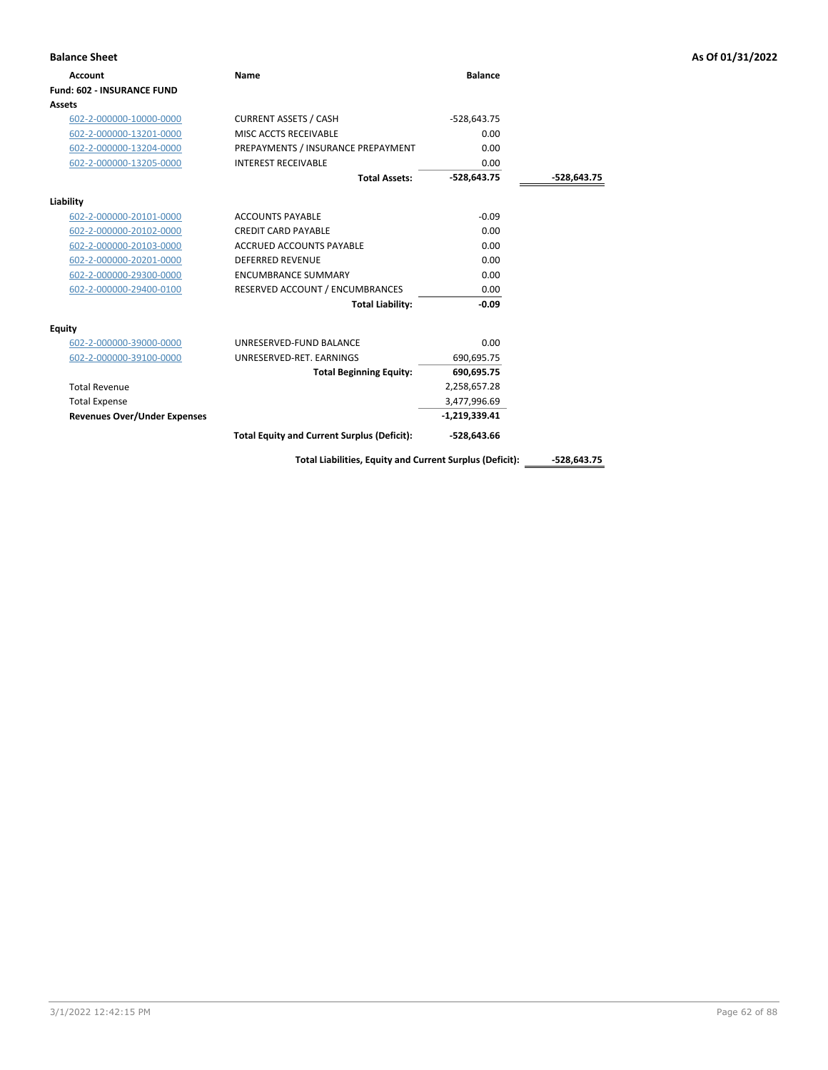| <b>Balance Sheet</b>                |                                                    |                 |               | As Of 01/31/2022 |
|-------------------------------------|----------------------------------------------------|-----------------|---------------|------------------|
| Account                             | Name                                               | <b>Balance</b>  |               |                  |
| Fund: 602 - INSURANCE FUND          |                                                    |                 |               |                  |
| <b>Assets</b>                       |                                                    |                 |               |                  |
| 602-2-000000-10000-0000             | <b>CURRENT ASSETS / CASH</b>                       | $-528,643.75$   |               |                  |
| 602-2-000000-13201-0000             | MISC ACCTS RECEIVABLE                              | 0.00            |               |                  |
| 602-2-000000-13204-0000             | PREPAYMENTS / INSURANCE PREPAYMENT                 | 0.00            |               |                  |
| 602-2-000000-13205-0000             | <b>INTEREST RECEIVABLE</b>                         | 0.00            |               |                  |
|                                     | <b>Total Assets:</b>                               | $-528,643.75$   | $-528,643.75$ |                  |
| Liability                           |                                                    |                 |               |                  |
| 602-2-000000-20101-0000             | <b>ACCOUNTS PAYABLE</b>                            | $-0.09$         |               |                  |
| 602-2-000000-20102-0000             | <b>CREDIT CARD PAYABLE</b>                         | 0.00            |               |                  |
| 602-2-000000-20103-0000             | <b>ACCRUED ACCOUNTS PAYABLE</b>                    | 0.00            |               |                  |
| 602-2-000000-20201-0000             | <b>DEFERRED REVENUE</b>                            | 0.00            |               |                  |
| 602-2-000000-29300-0000             | <b>ENCUMBRANCE SUMMARY</b>                         | 0.00            |               |                  |
| 602-2-000000-29400-0100             | RESERVED ACCOUNT / ENCUMBRANCES                    | 0.00            |               |                  |
|                                     | <b>Total Liability:</b>                            | $-0.09$         |               |                  |
| Equity                              |                                                    |                 |               |                  |
| 602-2-000000-39000-0000             | UNRESERVED-FUND BALANCE                            | 0.00            |               |                  |
| 602-2-000000-39100-0000             | UNRESERVED-RET. EARNINGS                           | 690,695.75      |               |                  |
|                                     | <b>Total Beginning Equity:</b>                     | 690,695.75      |               |                  |
| <b>Total Revenue</b>                |                                                    | 2,258,657.28    |               |                  |
| <b>Total Expense</b>                |                                                    | 3,477,996.69    |               |                  |
| <b>Revenues Over/Under Expenses</b> |                                                    | $-1,219,339.41$ |               |                  |
|                                     | <b>Total Equity and Current Surplus (Deficit):</b> | $-528,643.66$   |               |                  |

Total Liabilities, Equity and Current Surplus (Deficit): \_\_\_\_\_\_-528,643.75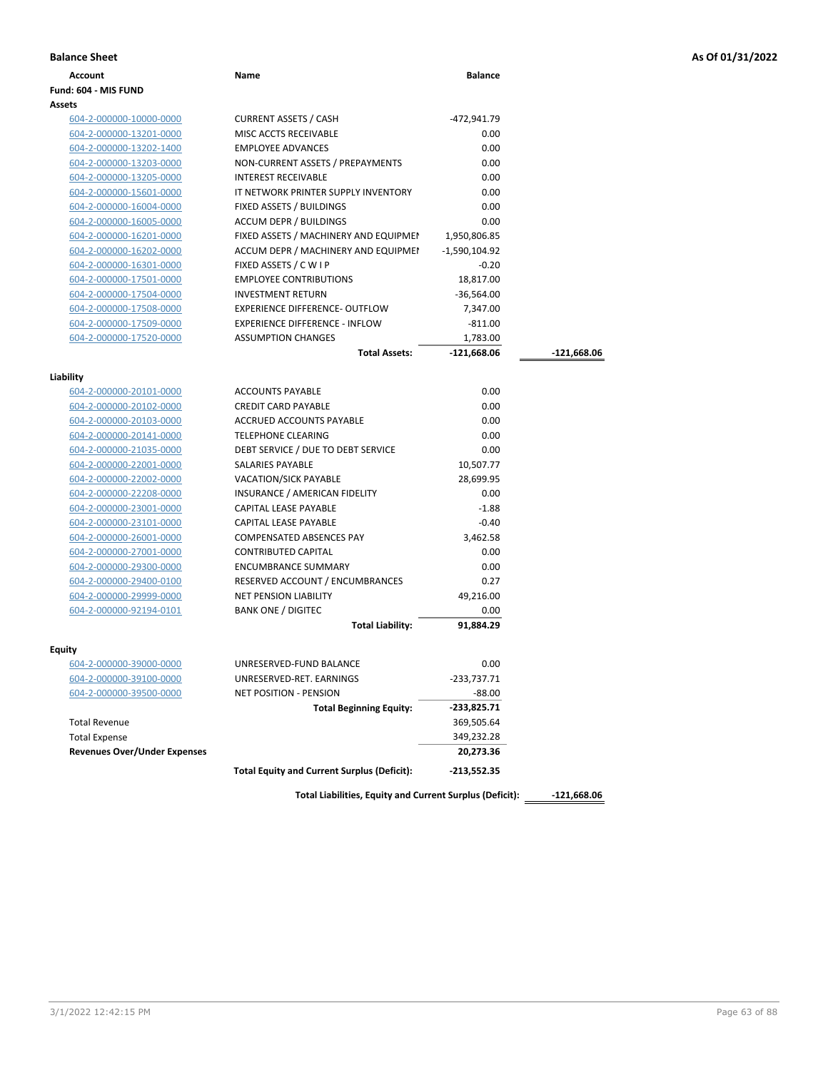| As Of 01/31/2022 |
|------------------|
|------------------|

| <b>Balance Sheet</b>                |                                                          |                |               | As Of 01/31/2022 |
|-------------------------------------|----------------------------------------------------------|----------------|---------------|------------------|
| <b>Account</b>                      | Name                                                     | <b>Balance</b> |               |                  |
| Fund: 604 - MIS FUND                |                                                          |                |               |                  |
| Assets                              |                                                          |                |               |                  |
| 604-2-000000-10000-0000             | <b>CURRENT ASSETS / CASH</b>                             | -472,941.79    |               |                  |
| 604-2-000000-13201-0000             | MISC ACCTS RECEIVABLE                                    | 0.00           |               |                  |
| 604-2-000000-13202-1400             | <b>EMPLOYEE ADVANCES</b>                                 | 0.00           |               |                  |
| 604-2-000000-13203-0000             | NON-CURRENT ASSETS / PREPAYMENTS                         | 0.00           |               |                  |
| 604-2-000000-13205-0000             | <b>INTEREST RECEIVABLE</b>                               | 0.00           |               |                  |
| 604-2-000000-15601-0000             | IT NETWORK PRINTER SUPPLY INVENTORY                      | 0.00           |               |                  |
| 604-2-000000-16004-0000             | FIXED ASSETS / BUILDINGS                                 | 0.00           |               |                  |
| 604-2-000000-16005-0000             | <b>ACCUM DEPR / BUILDINGS</b>                            | 0.00           |               |                  |
| 604-2-000000-16201-0000             | FIXED ASSETS / MACHINERY AND EQUIPMEN                    | 1,950,806.85   |               |                  |
| 604-2-000000-16202-0000             | ACCUM DEPR / MACHINERY AND EQUIPMEI                      | -1,590,104.92  |               |                  |
| 604-2-000000-16301-0000             | FIXED ASSETS / C W I P                                   | $-0.20$        |               |                  |
| 604-2-000000-17501-0000             | <b>EMPLOYEE CONTRIBUTIONS</b>                            | 18,817.00      |               |                  |
| 604-2-000000-17504-0000             | <b>INVESTMENT RETURN</b>                                 | $-36,564.00$   |               |                  |
| 604-2-000000-17508-0000             | EXPERIENCE DIFFERENCE- OUTFLOW                           | 7,347.00       |               |                  |
| 604-2-000000-17509-0000             | <b>EXPERIENCE DIFFERENCE - INFLOW</b>                    | $-811.00$      |               |                  |
| 604-2-000000-17520-0000             | <b>ASSUMPTION CHANGES</b>                                | 1,783.00       |               |                  |
|                                     | <b>Total Assets:</b>                                     | $-121,668.06$  | -121,668.06   |                  |
| Liability                           |                                                          |                |               |                  |
| 604-2-000000-20101-0000             | <b>ACCOUNTS PAYABLE</b>                                  | 0.00           |               |                  |
| 604-2-000000-20102-0000             | <b>CREDIT CARD PAYABLE</b>                               | 0.00           |               |                  |
| 604-2-000000-20103-0000             | <b>ACCRUED ACCOUNTS PAYABLE</b>                          | 0.00           |               |                  |
| 604-2-000000-20141-0000             | <b>TELEPHONE CLEARING</b>                                | 0.00           |               |                  |
| 604-2-000000-21035-0000             | DEBT SERVICE / DUE TO DEBT SERVICE                       | 0.00           |               |                  |
| 604-2-000000-22001-0000             | SALARIES PAYABLE                                         | 10,507.77      |               |                  |
| 604-2-000000-22002-0000             | VACATION/SICK PAYABLE                                    | 28,699.95      |               |                  |
| 604-2-000000-22208-0000             | INSURANCE / AMERICAN FIDELITY                            | 0.00           |               |                  |
| 604-2-000000-23001-0000             | CAPITAL LEASE PAYABLE                                    | $-1.88$        |               |                  |
| 604-2-000000-23101-0000             | CAPITAL LEASE PAYABLE                                    | $-0.40$        |               |                  |
| 604-2-000000-26001-0000             | COMPENSATED ABSENCES PAY                                 | 3,462.58       |               |                  |
| 604-2-000000-27001-0000             | <b>CONTRIBUTED CAPITAL</b>                               | 0.00           |               |                  |
| 604-2-000000-29300-0000             | <b>ENCUMBRANCE SUMMARY</b>                               | 0.00           |               |                  |
| 604-2-000000-29400-0100             | RESERVED ACCOUNT / ENCUMBRANCES                          | 0.27           |               |                  |
| 604-2-000000-29999-0000             | <b>NET PENSION LIABILITY</b>                             | 49,216.00      |               |                  |
| 604-2-000000-92194-0101             | <b>BANK ONE / DIGITEC</b>                                | 0.00           |               |                  |
|                                     | <b>Total Liability:</b>                                  | 91,884.29      |               |                  |
| Equity                              |                                                          |                |               |                  |
| 604-2-000000-39000-0000             | UNRESERVED-FUND BALANCE                                  | 0.00           |               |                  |
| 604-2-000000-39100-0000             | UNRESERVED-RET. EARNINGS                                 | $-233,737.71$  |               |                  |
| 604-2-000000-39500-0000             | <b>NET POSITION - PENSION</b>                            | $-88.00$       |               |                  |
|                                     | <b>Total Beginning Equity:</b>                           | $-233,825.71$  |               |                  |
| <b>Total Revenue</b>                |                                                          | 369,505.64     |               |                  |
| <b>Total Expense</b>                |                                                          | 349,232.28     |               |                  |
| <b>Revenues Over/Under Expenses</b> |                                                          | 20,273.36      |               |                  |
|                                     | <b>Total Equity and Current Surplus (Deficit):</b>       | $-213,552.35$  |               |                  |
|                                     | Total Liabilities, Equity and Current Surplus (Deficit): |                | $-121,668.06$ |                  |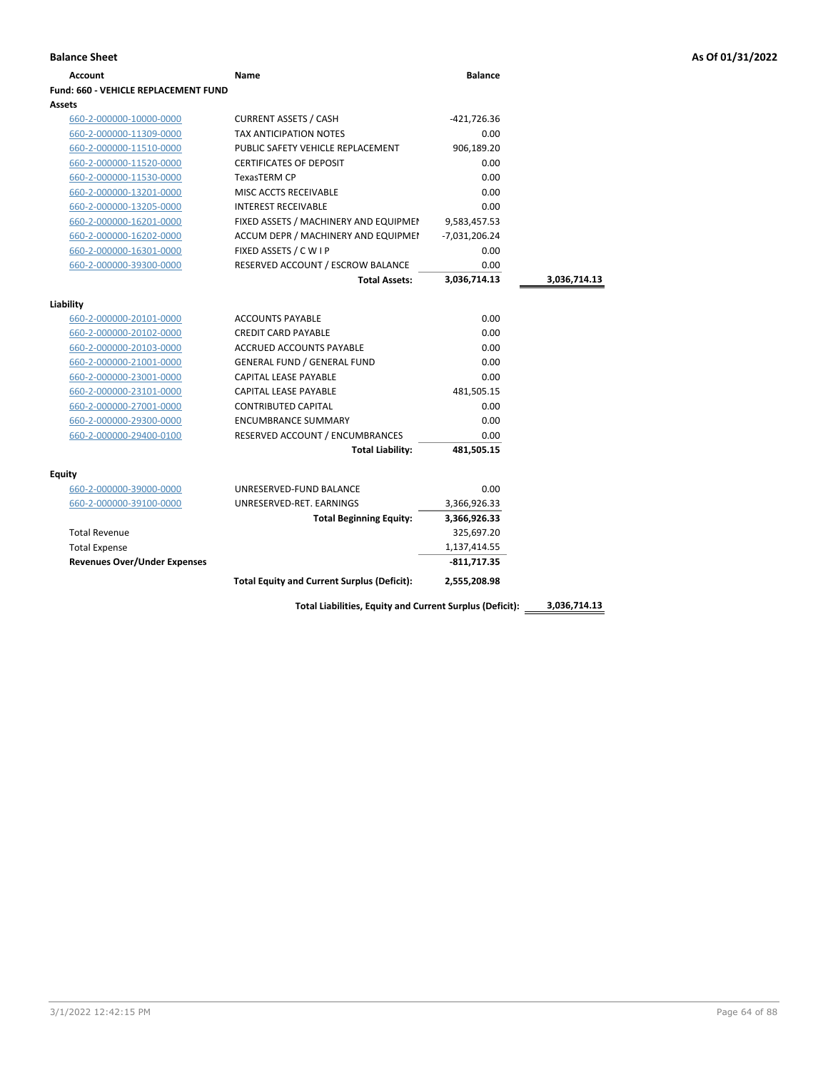| <b>Balance Sheet</b>                 |                                                    |                 |              | As Of 01/31/2022 |
|--------------------------------------|----------------------------------------------------|-----------------|--------------|------------------|
| <b>Account</b>                       | Name                                               | <b>Balance</b>  |              |                  |
| Fund: 660 - VEHICLE REPLACEMENT FUND |                                                    |                 |              |                  |
| Assets                               |                                                    |                 |              |                  |
| 660-2-000000-10000-0000              | <b>CURRENT ASSETS / CASH</b>                       | -421,726.36     |              |                  |
| 660-2-000000-11309-0000              | <b>TAX ANTICIPATION NOTES</b>                      | 0.00            |              |                  |
| 660-2-000000-11510-0000              | PUBLIC SAFETY VEHICLE REPLACEMENT                  | 906,189.20      |              |                  |
| 660-2-000000-11520-0000              | <b>CERTIFICATES OF DEPOSIT</b>                     | 0.00            |              |                  |
| 660-2-000000-11530-0000              | TexasTERM CP                                       | 0.00            |              |                  |
| 660-2-000000-13201-0000              | MISC ACCTS RECEIVABLE                              | 0.00            |              |                  |
| 660-2-000000-13205-0000              | <b>INTEREST RECEIVABLE</b>                         | 0.00            |              |                  |
| 660-2-000000-16201-0000              | FIXED ASSETS / MACHINERY AND EQUIPMEN              | 9,583,457.53    |              |                  |
| 660-2-000000-16202-0000              | ACCUM DEPR / MACHINERY AND EQUIPMEI                | $-7,031,206.24$ |              |                  |
| 660-2-000000-16301-0000              | FIXED ASSETS / C W I P                             | 0.00            |              |                  |
| 660-2-000000-39300-0000              | RESERVED ACCOUNT / ESCROW BALANCE                  | 0.00            |              |                  |
|                                      | <b>Total Assets:</b>                               | 3,036,714.13    | 3,036,714.13 |                  |
| Liability                            |                                                    |                 |              |                  |
| 660-2-000000-20101-0000              | <b>ACCOUNTS PAYABLE</b>                            | 0.00            |              |                  |
| 660-2-000000-20102-0000              | <b>CREDIT CARD PAYABLE</b>                         | 0.00            |              |                  |
| 660-2-000000-20103-0000              | ACCRUED ACCOUNTS PAYABLE                           | 0.00            |              |                  |
| 660-2-000000-21001-0000              | <b>GENERAL FUND / GENERAL FUND</b>                 | 0.00            |              |                  |
| 660-2-000000-23001-0000              | CAPITAL LEASE PAYABLE                              | 0.00            |              |                  |
| 660-2-000000-23101-0000              | CAPITAL LEASE PAYABLE                              | 481,505.15      |              |                  |
| 660-2-000000-27001-0000              | <b>CONTRIBUTED CAPITAL</b>                         | 0.00            |              |                  |
| 660-2-000000-29300-0000              | <b>ENCUMBRANCE SUMMARY</b>                         | 0.00            |              |                  |
| 660-2-000000-29400-0100              | RESERVED ACCOUNT / ENCUMBRANCES                    | 0.00            |              |                  |
|                                      | <b>Total Liability:</b>                            | 481,505.15      |              |                  |
|                                      |                                                    |                 |              |                  |
| <b>Equity</b>                        |                                                    | 0.00            |              |                  |
| 660-2-000000-39000-0000              | UNRESERVED-FUND BALANCE                            |                 |              |                  |
| 660-2-000000-39100-0000              | UNRESERVED-RET. EARNINGS                           | 3,366,926.33    |              |                  |
|                                      | <b>Total Beginning Equity:</b>                     | 3,366,926.33    |              |                  |
| <b>Total Revenue</b>                 |                                                    | 325,697.20      |              |                  |
| <b>Total Expense</b>                 |                                                    | 1,137,414.55    |              |                  |
| <b>Revenues Over/Under Expenses</b>  |                                                    | $-811,717.35$   |              |                  |
|                                      | <b>Total Equity and Current Surplus (Deficit):</b> | 2,555,208.98    |              |                  |

**Total Liabilities, Equity and Current Surplus (Deficit): 3,036,714.13**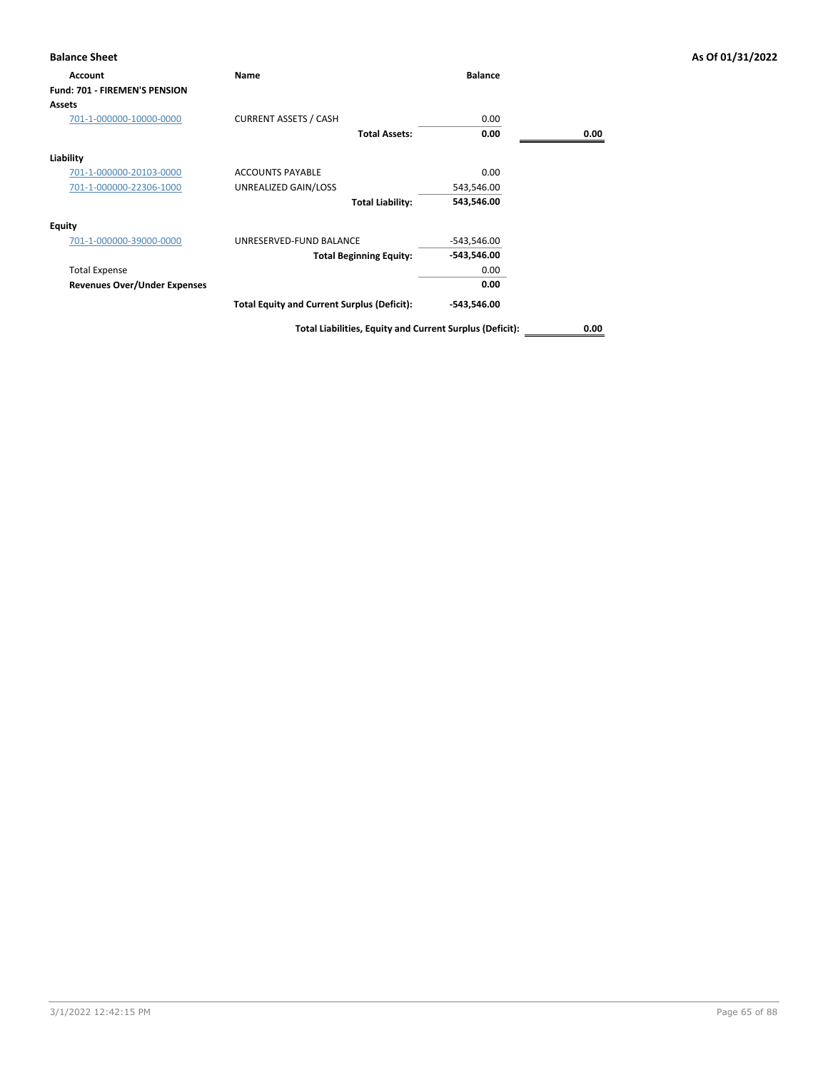| <b>Balance Sheet</b>                 |                                                    |                |      | As Of 01/31/2022 |
|--------------------------------------|----------------------------------------------------|----------------|------|------------------|
| Account                              | Name                                               | <b>Balance</b> |      |                  |
| <b>Fund: 701 - FIREMEN'S PENSION</b> |                                                    |                |      |                  |
| <b>Assets</b>                        |                                                    |                |      |                  |
| 701-1-000000-10000-0000              | <b>CURRENT ASSETS / CASH</b>                       | 0.00           |      |                  |
|                                      | <b>Total Assets:</b>                               | 0.00           | 0.00 |                  |
| Liability                            |                                                    |                |      |                  |
| 701-1-000000-20103-0000              | <b>ACCOUNTS PAYABLE</b>                            | 0.00           |      |                  |
| 701-1-000000-22306-1000              | UNREALIZED GAIN/LOSS                               | 543,546.00     |      |                  |
|                                      | <b>Total Liability:</b>                            | 543,546.00     |      |                  |
| <b>Equity</b>                        |                                                    |                |      |                  |
| 701-1-000000-39000-0000              | UNRESERVED-FUND BALANCE                            | $-543,546.00$  |      |                  |
|                                      | <b>Total Beginning Equity:</b>                     | -543,546.00    |      |                  |
| <b>Total Expense</b>                 |                                                    | 0.00           |      |                  |
| <b>Revenues Over/Under Expenses</b>  |                                                    | 0.00           |      |                  |
|                                      | <b>Total Equity and Current Surplus (Deficit):</b> | $-543,546.00$  |      |                  |
|                                      |                                                    |                |      |                  |

**Total Liabilities, Equity and Current Surplus (Deficit): 0.00**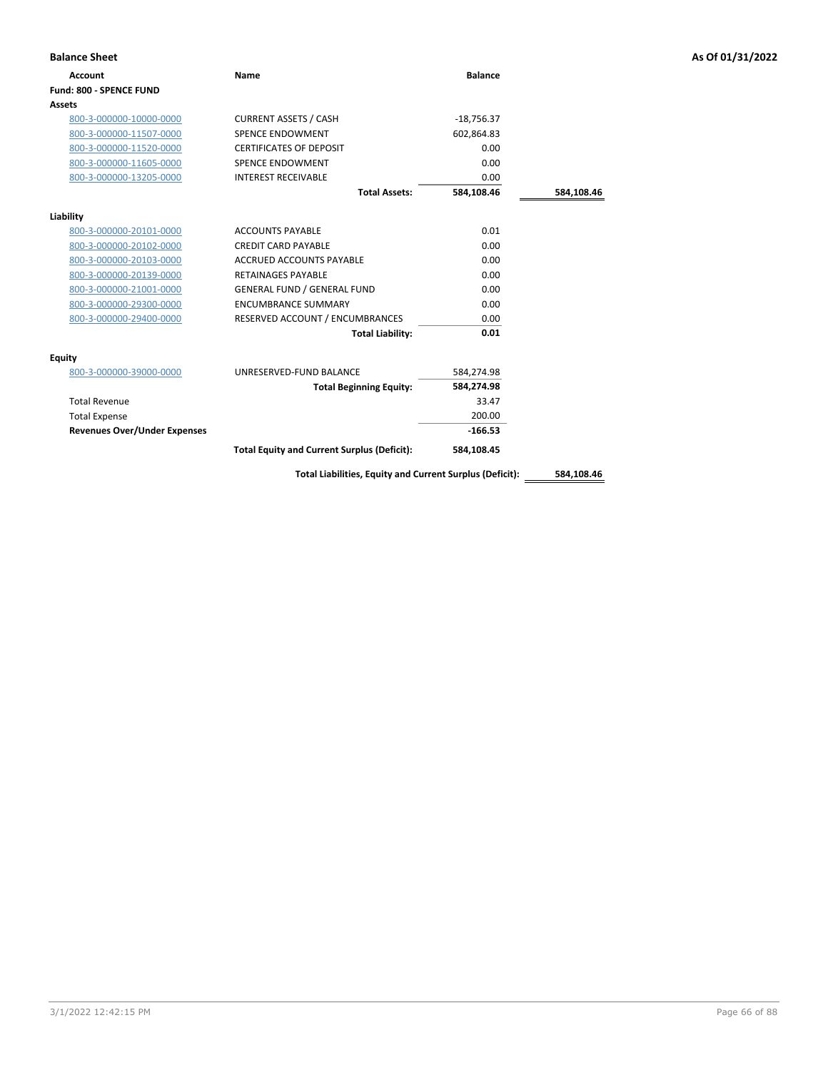| <b>Balance Sheet</b>                |                                                          |                |            | As Of 01/31/2022 |
|-------------------------------------|----------------------------------------------------------|----------------|------------|------------------|
| <b>Account</b>                      | Name                                                     | <b>Balance</b> |            |                  |
| Fund: 800 - SPENCE FUND             |                                                          |                |            |                  |
| Assets                              |                                                          |                |            |                  |
| 800-3-000000-10000-0000             | <b>CURRENT ASSETS / CASH</b>                             | $-18,756.37$   |            |                  |
| 800-3-000000-11507-0000             | <b>SPENCE ENDOWMENT</b>                                  | 602,864.83     |            |                  |
| 800-3-000000-11520-0000             | <b>CERTIFICATES OF DEPOSIT</b>                           | 0.00           |            |                  |
| 800-3-000000-11605-0000             | SPENCE ENDOWMENT                                         | 0.00           |            |                  |
| 800-3-000000-13205-0000             | <b>INTEREST RECEIVABLE</b>                               | 0.00           |            |                  |
|                                     | <b>Total Assets:</b>                                     | 584,108.46     | 584,108.46 |                  |
| Liability                           |                                                          |                |            |                  |
| 800-3-000000-20101-0000             | <b>ACCOUNTS PAYABLE</b>                                  | 0.01           |            |                  |
| 800-3-000000-20102-0000             | <b>CREDIT CARD PAYABLE</b>                               | 0.00           |            |                  |
| 800-3-000000-20103-0000             | <b>ACCRUED ACCOUNTS PAYABLE</b>                          | 0.00           |            |                  |
| 800-3-000000-20139-0000             | <b>RETAINAGES PAYABLE</b>                                | 0.00           |            |                  |
| 800-3-000000-21001-0000             | <b>GENERAL FUND / GENERAL FUND</b>                       | 0.00           |            |                  |
| 800-3-000000-29300-0000             | <b>ENCUMBRANCE SUMMARY</b>                               | 0.00           |            |                  |
| 800-3-000000-29400-0000             | RESERVED ACCOUNT / ENCUMBRANCES                          | 0.00           |            |                  |
|                                     | <b>Total Liability:</b>                                  | 0.01           |            |                  |
| <b>Equity</b>                       |                                                          |                |            |                  |
| 800-3-000000-39000-0000             | UNRESERVED-FUND BALANCE                                  | 584,274.98     |            |                  |
|                                     | <b>Total Beginning Equity:</b>                           | 584,274.98     |            |                  |
| <b>Total Revenue</b>                |                                                          | 33.47          |            |                  |
| <b>Total Expense</b>                |                                                          | 200.00         |            |                  |
| <b>Revenues Over/Under Expenses</b> |                                                          | $-166.53$      |            |                  |
|                                     | <b>Total Equity and Current Surplus (Deficit):</b>       | 584,108.45     |            |                  |
|                                     | Total Liabilities, Equity and Current Surplus (Deficit): |                | 584.108.46 |                  |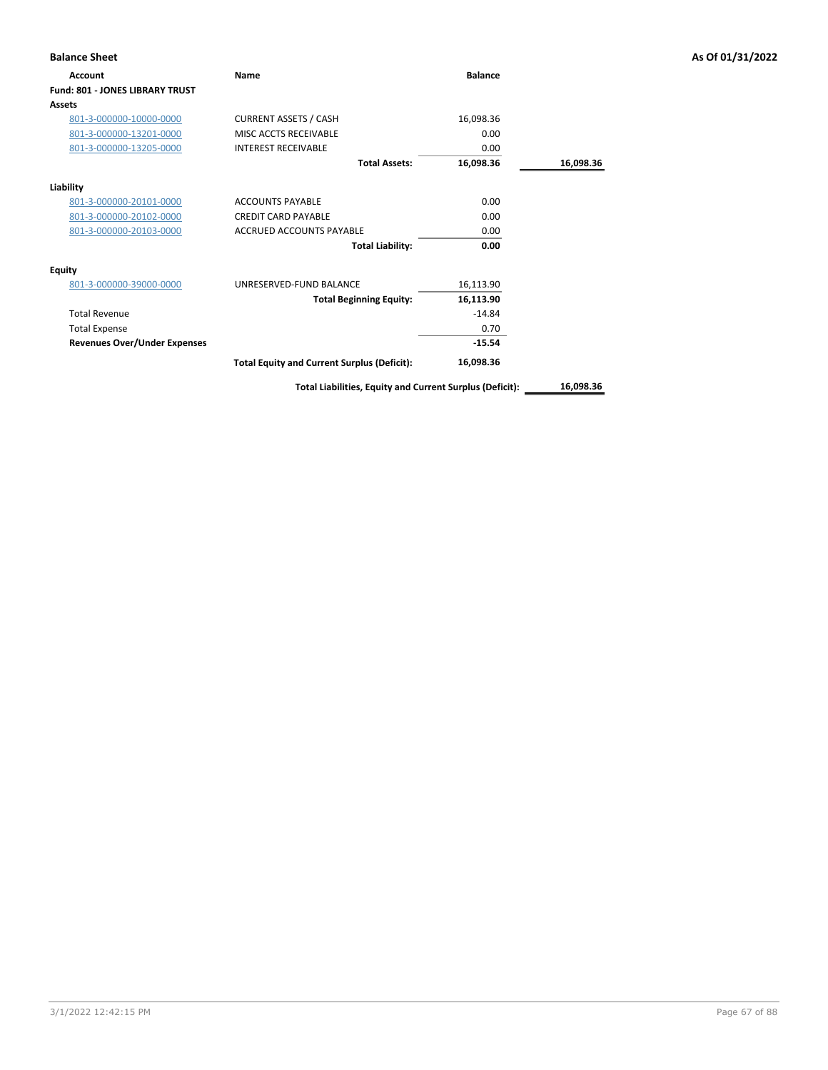| <b>Balance Sheet</b>                   |                                                          |                |           | As Of 01/31/2022 |
|----------------------------------------|----------------------------------------------------------|----------------|-----------|------------------|
| Account                                | Name                                                     | <b>Balance</b> |           |                  |
| <b>Fund: 801 - JONES LIBRARY TRUST</b> |                                                          |                |           |                  |
| <b>Assets</b>                          |                                                          |                |           |                  |
| 801-3-000000-10000-0000                | <b>CURRENT ASSETS / CASH</b>                             | 16,098.36      |           |                  |
| 801-3-000000-13201-0000                | MISC ACCTS RECEIVABLE                                    | 0.00           |           |                  |
| 801-3-000000-13205-0000                | <b>INTEREST RECEIVABLE</b>                               | 0.00           |           |                  |
|                                        | <b>Total Assets:</b>                                     | 16,098.36      | 16,098.36 |                  |
| Liability                              |                                                          |                |           |                  |
| 801-3-000000-20101-0000                | <b>ACCOUNTS PAYABLE</b>                                  | 0.00           |           |                  |
| 801-3-000000-20102-0000                | <b>CREDIT CARD PAYABLE</b>                               | 0.00           |           |                  |
| 801-3-000000-20103-0000                | <b>ACCRUED ACCOUNTS PAYABLE</b>                          | 0.00           |           |                  |
|                                        | <b>Total Liability:</b>                                  | 0.00           |           |                  |
| <b>Equity</b>                          |                                                          |                |           |                  |
| 801-3-000000-39000-0000                | UNRESERVED-FUND BALANCE                                  | 16,113.90      |           |                  |
|                                        | <b>Total Beginning Equity:</b>                           | 16,113.90      |           |                  |
| <b>Total Revenue</b>                   |                                                          | $-14.84$       |           |                  |
| <b>Total Expense</b>                   |                                                          | 0.70           |           |                  |
| <b>Revenues Over/Under Expenses</b>    |                                                          | $-15.54$       |           |                  |
|                                        | <b>Total Equity and Current Surplus (Deficit):</b>       | 16,098.36      |           |                  |
|                                        | Total Liabilities, Equity and Current Surplus (Deficit): |                | 16,098.36 |                  |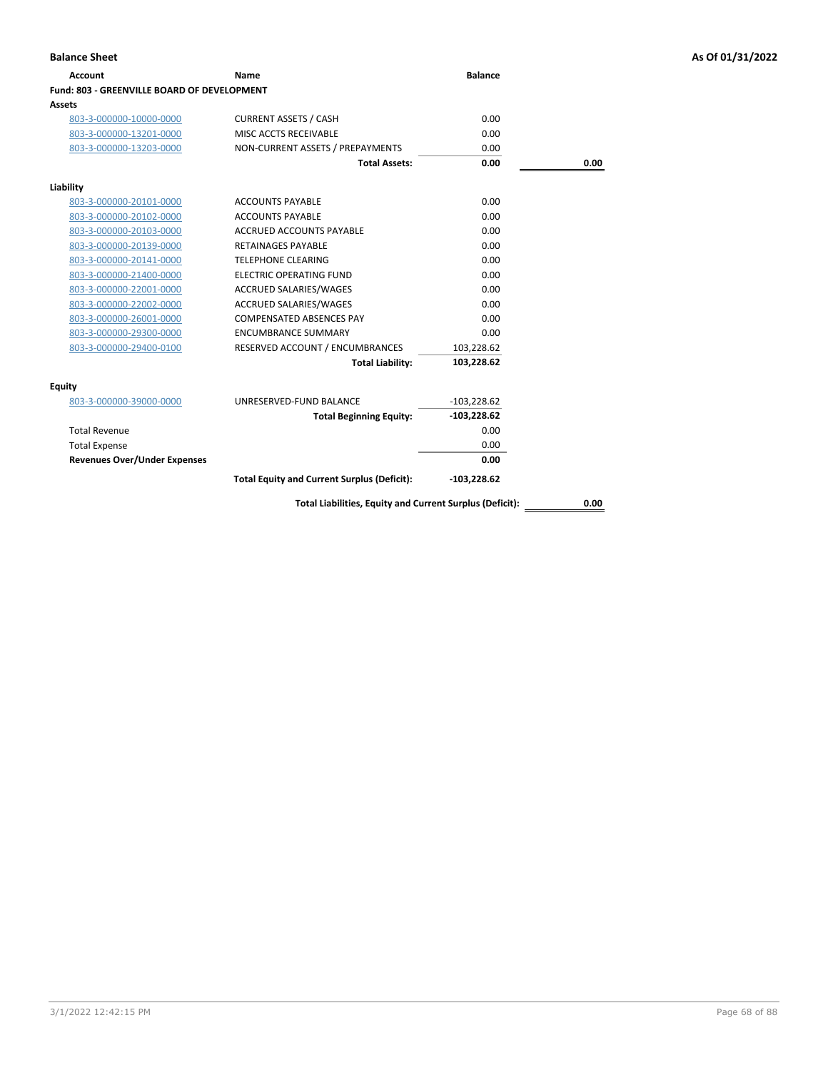| Account                                     | Name                                                             | <b>Balance</b> |      |
|---------------------------------------------|------------------------------------------------------------------|----------------|------|
| Fund: 803 - GREENVILLE BOARD OF DEVELOPMENT |                                                                  |                |      |
| Assets                                      |                                                                  |                |      |
| 803-3-000000-10000-0000                     | <b>CURRENT ASSETS / CASH</b>                                     | 0.00           |      |
| 803-3-000000-13201-0000                     | MISC ACCTS RECEIVABLE                                            | 0.00           |      |
| 803-3-000000-13203-0000                     | NON-CURRENT ASSETS / PREPAYMENTS                                 | 0.00           |      |
|                                             | <b>Total Assets:</b>                                             | 0.00           | 0.00 |
|                                             |                                                                  |                |      |
| Liability<br>803-3-000000-20101-0000        | <b>ACCOUNTS PAYABLE</b>                                          | 0.00           |      |
|                                             | <b>ACCOUNTS PAYABLE</b>                                          | 0.00           |      |
| 803-3-000000-20102-0000                     | <b>ACCRUED ACCOUNTS PAYABLE</b>                                  | 0.00           |      |
| 803-3-000000-20103-0000                     |                                                                  | 0.00           |      |
| 803-3-000000-20139-0000                     | <b>RETAINAGES PAYABLE</b>                                        |                |      |
| 803-3-000000-20141-0000                     | <b>TELEPHONE CLEARING</b><br><b>ELECTRIC OPERATING FUND</b>      | 0.00<br>0.00   |      |
| 803-3-000000-21400-0000                     |                                                                  | 0.00           |      |
| 803-3-000000-22001-0000                     | <b>ACCRUED SALARIES/WAGES</b>                                    |                |      |
| 803-3-000000-22002-0000                     | <b>ACCRUED SALARIES/WAGES</b><br><b>COMPENSATED ABSENCES PAY</b> | 0.00           |      |
| 803-3-000000-26001-0000                     |                                                                  | 0.00           |      |
| 803-3-000000-29300-0000                     | <b>ENCUMBRANCE SUMMARY</b>                                       | 0.00           |      |
| 803-3-000000-29400-0100                     | RESERVED ACCOUNT / ENCUMBRANCES                                  | 103,228.62     |      |
|                                             | <b>Total Liability:</b>                                          | 103,228.62     |      |
| <b>Equity</b>                               |                                                                  |                |      |
| 803-3-000000-39000-0000                     | UNRESERVED-FUND BALANCE                                          | $-103,228.62$  |      |
|                                             | <b>Total Beginning Equity:</b>                                   | $-103,228.62$  |      |
| <b>Total Revenue</b>                        |                                                                  | 0.00           |      |
| <b>Total Expense</b>                        |                                                                  | 0.00           |      |
| <b>Revenues Over/Under Expenses</b>         |                                                                  | 0.00           |      |
|                                             | <b>Total Equity and Current Surplus (Deficit):</b>               | $-103,228.62$  |      |
|                                             | Total Liabilities, Equity and Current Surplus (Deficit):         |                | 0.00 |

3/1/2022 12:42:15 PM Page 68 of 88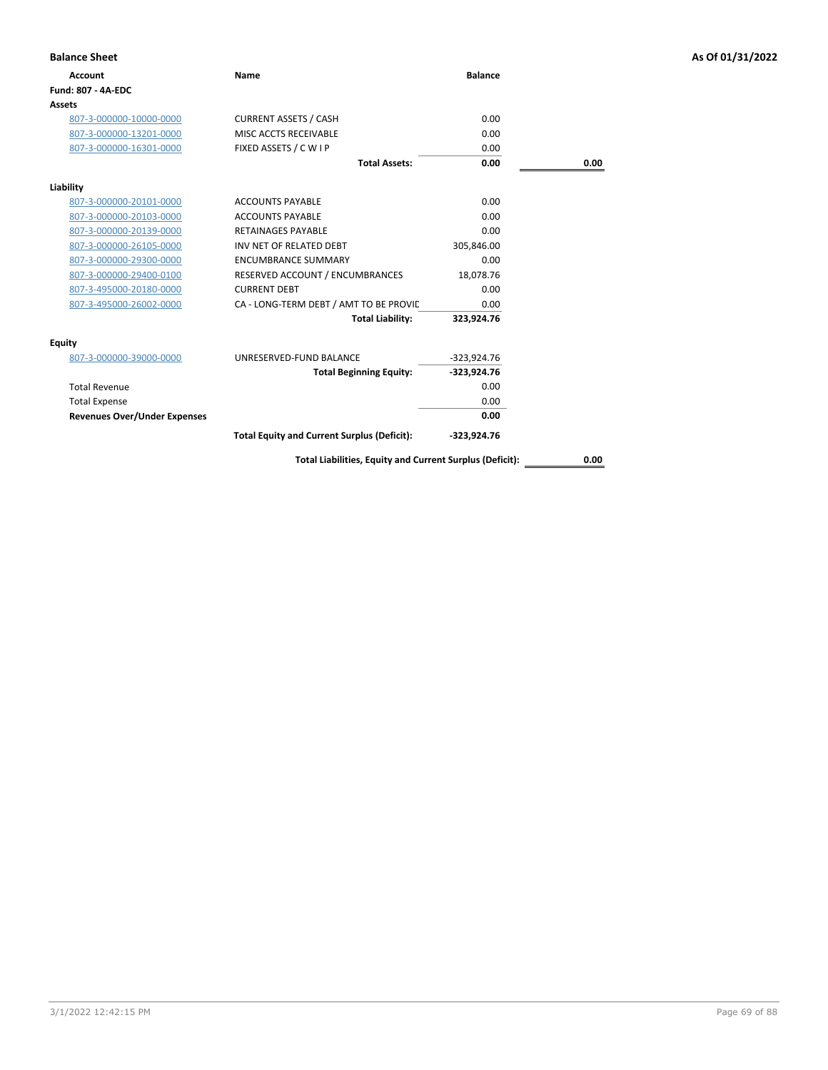| <b>Balance Sheet</b>                |                                                          |                |      | As Of 01/31/2022 |
|-------------------------------------|----------------------------------------------------------|----------------|------|------------------|
| <b>Account</b>                      | Name                                                     | <b>Balance</b> |      |                  |
| Fund: 807 - 4A-EDC                  |                                                          |                |      |                  |
| Assets                              |                                                          |                |      |                  |
| 807-3-000000-10000-0000             | <b>CURRENT ASSETS / CASH</b>                             | 0.00           |      |                  |
| 807-3-000000-13201-0000             | MISC ACCTS RECEIVABLE                                    | 0.00           |      |                  |
| 807-3-000000-16301-0000             | FIXED ASSETS / C W I P                                   | 0.00           |      |                  |
|                                     | <b>Total Assets:</b>                                     | 0.00           | 0.00 |                  |
| Liability                           |                                                          |                |      |                  |
| 807-3-000000-20101-0000             | <b>ACCOUNTS PAYABLE</b>                                  | 0.00           |      |                  |
| 807-3-000000-20103-0000             | <b>ACCOUNTS PAYABLE</b>                                  | 0.00           |      |                  |
| 807-3-000000-20139-0000             | <b>RETAINAGES PAYABLE</b>                                | 0.00           |      |                  |
| 807-3-000000-26105-0000             | INV NET OF RELATED DEBT                                  | 305,846.00     |      |                  |
| 807-3-000000-29300-0000             | <b>ENCUMBRANCE SUMMARY</b>                               | 0.00           |      |                  |
| 807-3-000000-29400-0100             | RESERVED ACCOUNT / ENCUMBRANCES                          | 18,078.76      |      |                  |
| 807-3-495000-20180-0000             | <b>CURRENT DEBT</b>                                      | 0.00           |      |                  |
| 807-3-495000-26002-0000             | CA - LONG-TERM DEBT / AMT TO BE PROVIC                   | 0.00           |      |                  |
|                                     | <b>Total Liability:</b>                                  | 323,924.76     |      |                  |
| Equity                              |                                                          |                |      |                  |
| 807-3-000000-39000-0000             | UNRESERVED-FUND BALANCE                                  | $-323,924.76$  |      |                  |
|                                     | <b>Total Beginning Equity:</b>                           | $-323,924.76$  |      |                  |
| <b>Total Revenue</b>                |                                                          | 0.00           |      |                  |
| <b>Total Expense</b>                |                                                          | 0.00           |      |                  |
| <b>Revenues Over/Under Expenses</b> |                                                          | 0.00           |      |                  |
|                                     | <b>Total Equity and Current Surplus (Deficit):</b>       | -323,924.76    |      |                  |
|                                     | Total Liabilities, Equity and Current Surplus (Deficit): |                | 0.00 |                  |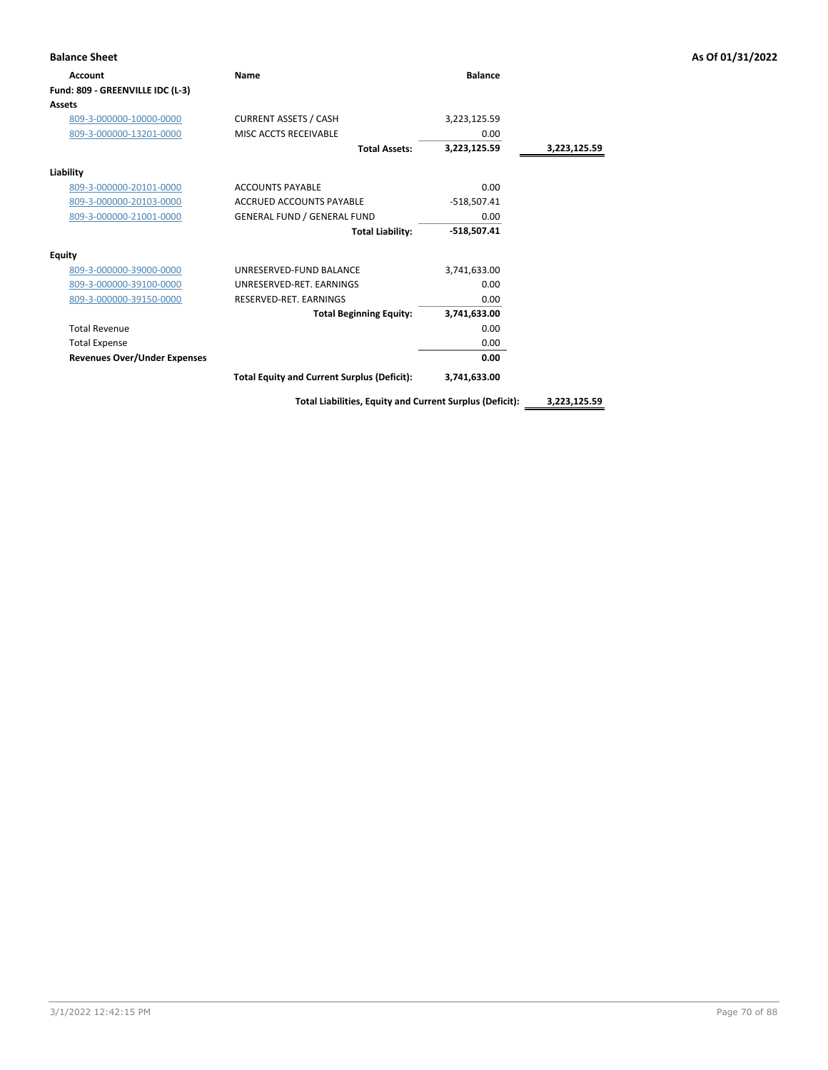| <b>Balance Sheet</b>                |                                                    |                |              | As Of 01/31/2022 |
|-------------------------------------|----------------------------------------------------|----------------|--------------|------------------|
| <b>Account</b>                      | Name                                               | <b>Balance</b> |              |                  |
| Fund: 809 - GREENVILLE IDC (L-3)    |                                                    |                |              |                  |
| <b>Assets</b>                       |                                                    |                |              |                  |
| 809-3-000000-10000-0000             | <b>CURRENT ASSETS / CASH</b>                       | 3,223,125.59   |              |                  |
| 809-3-000000-13201-0000             | MISC ACCTS RECEIVABLE                              | 0.00           |              |                  |
|                                     | <b>Total Assets:</b>                               | 3,223,125.59   | 3,223,125.59 |                  |
| Liability                           |                                                    |                |              |                  |
| 809-3-000000-20101-0000             | <b>ACCOUNTS PAYABLE</b>                            | 0.00           |              |                  |
| 809-3-000000-20103-0000             | ACCRUED ACCOUNTS PAYABLE                           | $-518,507.41$  |              |                  |
| 809-3-000000-21001-0000             | <b>GENERAL FUND / GENERAL FUND</b>                 | 0.00           |              |                  |
|                                     | <b>Total Liability:</b>                            | $-518,507.41$  |              |                  |
| <b>Equity</b>                       |                                                    |                |              |                  |
| 809-3-000000-39000-0000             | UNRESERVED-FUND BALANCE                            | 3,741,633.00   |              |                  |
| 809-3-000000-39100-0000             | UNRESERVED-RET. EARNINGS                           | 0.00           |              |                  |
| 809-3-000000-39150-0000             | RESERVED-RET. EARNINGS                             | 0.00           |              |                  |
|                                     | <b>Total Beginning Equity:</b>                     | 3,741,633.00   |              |                  |
| <b>Total Revenue</b>                |                                                    | 0.00           |              |                  |
| <b>Total Expense</b>                |                                                    | 0.00           |              |                  |
| <b>Revenues Over/Under Expenses</b> |                                                    | 0.00           |              |                  |
|                                     | <b>Total Equity and Current Surplus (Deficit):</b> | 3,741,633.00   |              |                  |

**Total Liabilities, Equity and Current Surplus (Deficit): 3,223,125.59**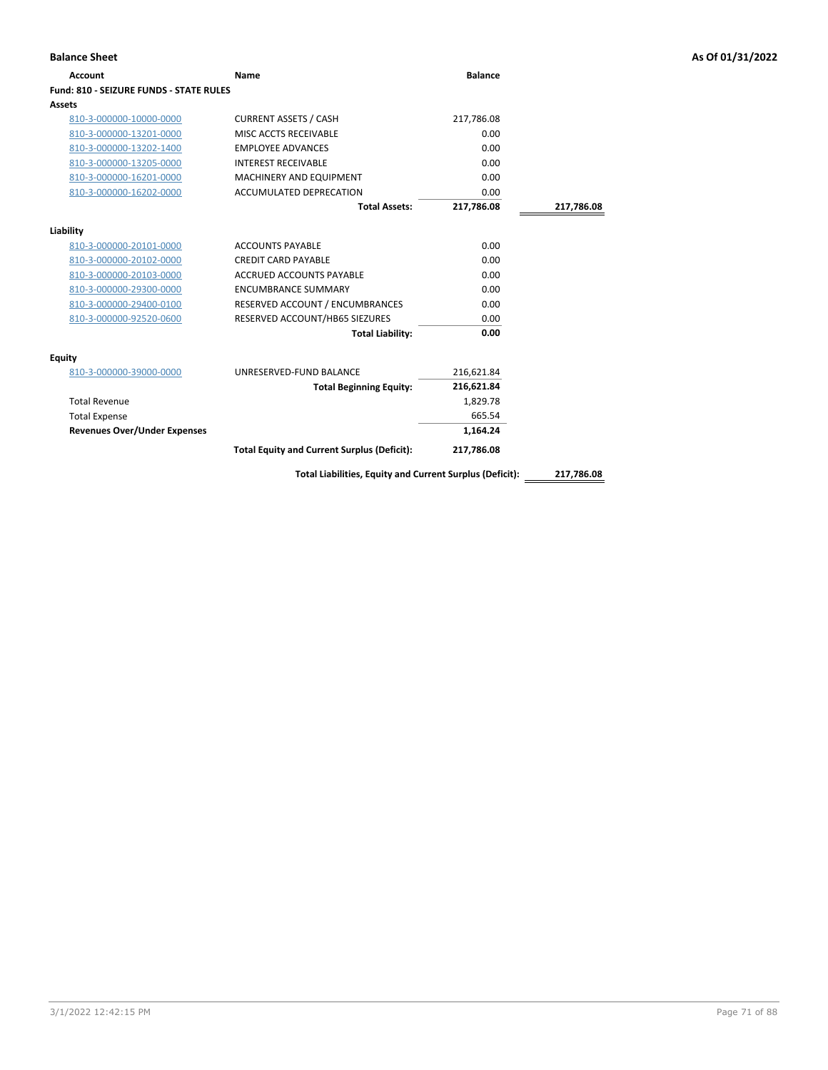| <b>Balance Sheet</b>                           |                                                          |                |            | As Of 01/31/2022 |
|------------------------------------------------|----------------------------------------------------------|----------------|------------|------------------|
| <b>Account</b>                                 | Name                                                     | <b>Balance</b> |            |                  |
| <b>Fund: 810 - SEIZURE FUNDS - STATE RULES</b> |                                                          |                |            |                  |
| Assets                                         |                                                          |                |            |                  |
| 810-3-000000-10000-0000                        | <b>CURRENT ASSETS / CASH</b>                             | 217,786.08     |            |                  |
| 810-3-000000-13201-0000                        | MISC ACCTS RECEIVABLE                                    | 0.00           |            |                  |
| 810-3-000000-13202-1400                        | <b>EMPLOYEE ADVANCES</b>                                 | 0.00           |            |                  |
| 810-3-000000-13205-0000                        | <b>INTEREST RECEIVABLE</b>                               | 0.00           |            |                  |
| 810-3-000000-16201-0000                        | MACHINERY AND EQUIPMENT                                  | 0.00           |            |                  |
| 810-3-000000-16202-0000                        | ACCUMULATED DEPRECATION                                  | 0.00           |            |                  |
|                                                | <b>Total Assets:</b>                                     | 217,786.08     | 217,786.08 |                  |
| Liability                                      |                                                          |                |            |                  |
| 810-3-000000-20101-0000                        | <b>ACCOUNTS PAYABLE</b>                                  | 0.00           |            |                  |
| 810-3-000000-20102-0000                        | <b>CREDIT CARD PAYABLE</b>                               | 0.00           |            |                  |
| 810-3-000000-20103-0000                        | ACCRUED ACCOUNTS PAYABLE                                 | 0.00           |            |                  |
| 810-3-000000-29300-0000                        | <b>ENCUMBRANCE SUMMARY</b>                               | 0.00           |            |                  |
| 810-3-000000-29400-0100                        | RESERVED ACCOUNT / ENCUMBRANCES                          | 0.00           |            |                  |
| 810-3-000000-92520-0600                        | RESERVED ACCOUNT/HB65 SIEZURES                           | 0.00           |            |                  |
|                                                | <b>Total Liability:</b>                                  | 0.00           |            |                  |
| <b>Equity</b>                                  |                                                          |                |            |                  |
| 810-3-000000-39000-0000                        | UNRESERVED-FUND BALANCE                                  | 216,621.84     |            |                  |
|                                                | <b>Total Beginning Equity:</b>                           | 216,621.84     |            |                  |
| <b>Total Revenue</b>                           |                                                          | 1,829.78       |            |                  |
| <b>Total Expense</b>                           |                                                          | 665.54         |            |                  |
| <b>Revenues Over/Under Expenses</b>            |                                                          | 1,164.24       |            |                  |
|                                                | <b>Total Equity and Current Surplus (Deficit):</b>       | 217,786.08     |            |                  |
|                                                | Total Liabilities, Equity and Current Surplus (Deficit): |                | 217,786.08 |                  |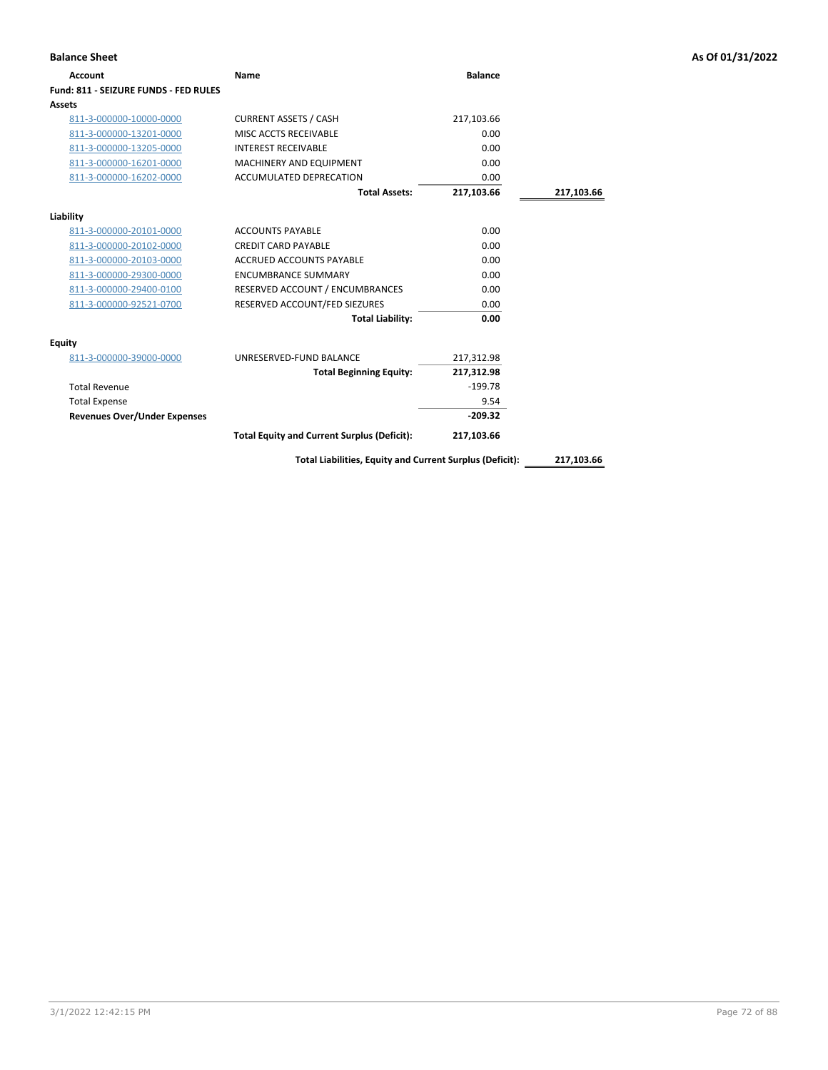| <b>Account</b>                        | Name                                                     | <b>Balance</b> |            |
|---------------------------------------|----------------------------------------------------------|----------------|------------|
| Fund: 811 - SEIZURE FUNDS - FED RULES |                                                          |                |            |
| Assets                                |                                                          |                |            |
| 811-3-000000-10000-0000               | <b>CURRENT ASSETS / CASH</b>                             | 217,103.66     |            |
| 811-3-000000-13201-0000               | MISC ACCTS RECEIVABLE                                    | 0.00           |            |
| 811-3-000000-13205-0000               | <b>INTEREST RECEIVABLE</b>                               | 0.00           |            |
| 811-3-000000-16201-0000               | <b>MACHINERY AND EQUIPMENT</b>                           | 0.00           |            |
| 811-3-000000-16202-0000               | ACCUMULATED DEPRECATION                                  | 0.00           |            |
|                                       | <b>Total Assets:</b>                                     | 217,103.66     | 217,103.66 |
| Liability                             |                                                          |                |            |
| 811-3-000000-20101-0000               | <b>ACCOUNTS PAYABLE</b>                                  | 0.00           |            |
| 811-3-000000-20102-0000               | <b>CREDIT CARD PAYABLE</b>                               | 0.00           |            |
| 811-3-000000-20103-0000               | <b>ACCRUED ACCOUNTS PAYABLE</b>                          | 0.00           |            |
| 811-3-000000-29300-0000               | <b>ENCUMBRANCE SUMMARY</b>                               | 0.00           |            |
| 811-3-000000-29400-0100               | RESERVED ACCOUNT / ENCUMBRANCES                          | 0.00           |            |
| 811-3-000000-92521-0700               | RESERVED ACCOUNT/FED SIEZURES                            | 0.00           |            |
|                                       | <b>Total Liability:</b>                                  | 0.00           |            |
| Equity                                |                                                          |                |            |
| 811-3-000000-39000-0000               | UNRESERVED-FUND BALANCE                                  | 217,312.98     |            |
|                                       | <b>Total Beginning Equity:</b>                           | 217,312.98     |            |
| <b>Total Revenue</b>                  |                                                          | $-199.78$      |            |
| <b>Total Expense</b>                  |                                                          | 9.54           |            |
| <b>Revenues Over/Under Expenses</b>   |                                                          | $-209.32$      |            |
|                                       | <b>Total Equity and Current Surplus (Deficit):</b>       | 217,103.66     |            |
|                                       | Total Liabilities, Equity and Current Surplus (Deficit): |                | 217,103.66 |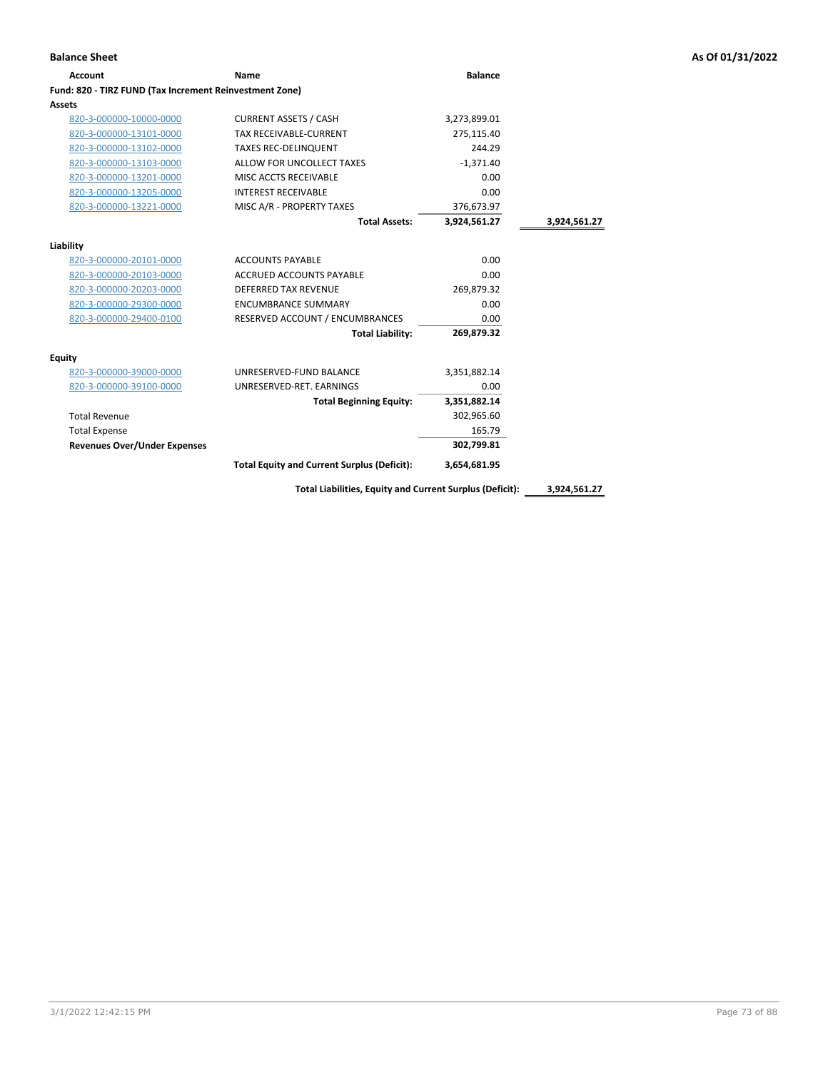| Name                                               | <b>Balance</b>                                          |              |
|----------------------------------------------------|---------------------------------------------------------|--------------|
|                                                    |                                                         |              |
|                                                    |                                                         |              |
| <b>CURRENT ASSETS / CASH</b>                       | 3,273,899.01                                            |              |
| <b>TAX RECEIVABLE-CURRENT</b>                      | 275,115.40                                              |              |
| <b>TAXES REC-DELINQUENT</b>                        | 244.29                                                  |              |
| ALLOW FOR UNCOLLECT TAXES                          | $-1.371.40$                                             |              |
| MISC ACCTS RECEIVABLE                              | 0.00                                                    |              |
| <b>INTEREST RECEIVABLE</b>                         | 0.00                                                    |              |
| MISC A/R - PROPERTY TAXES                          | 376,673.97                                              |              |
| <b>Total Assets:</b>                               | 3,924,561.27                                            | 3,924,561.27 |
|                                                    |                                                         |              |
| <b>ACCOUNTS PAYABLE</b>                            | 0.00                                                    |              |
| <b>ACCRUED ACCOUNTS PAYABLE</b>                    | 0.00                                                    |              |
| <b>DEFERRED TAX REVENUE</b>                        | 269,879.32                                              |              |
| <b>ENCUMBRANCE SUMMARY</b>                         | 0.00                                                    |              |
| RESERVED ACCOUNT / ENCUMBRANCES                    | 0.00                                                    |              |
| <b>Total Liability:</b>                            | 269.879.32                                              |              |
|                                                    |                                                         |              |
| UNRESERVED-FUND BALANCE                            | 3,351,882.14                                            |              |
| UNRESERVED-RET. EARNINGS                           | 0.00                                                    |              |
| <b>Total Beginning Equity:</b>                     | 3,351,882.14                                            |              |
|                                                    | 302,965.60                                              |              |
|                                                    | 165.79                                                  |              |
|                                                    | 302,799.81                                              |              |
| <b>Total Equity and Current Surplus (Deficit):</b> | 3,654,681.95                                            |              |
|                                                    | Fund: 820 - TIRZ FUND (Tax Increment Reinvestment Zone) |              |

**Total Liabilities, Equity and Current Surplus (Deficit): 3,924,561.27**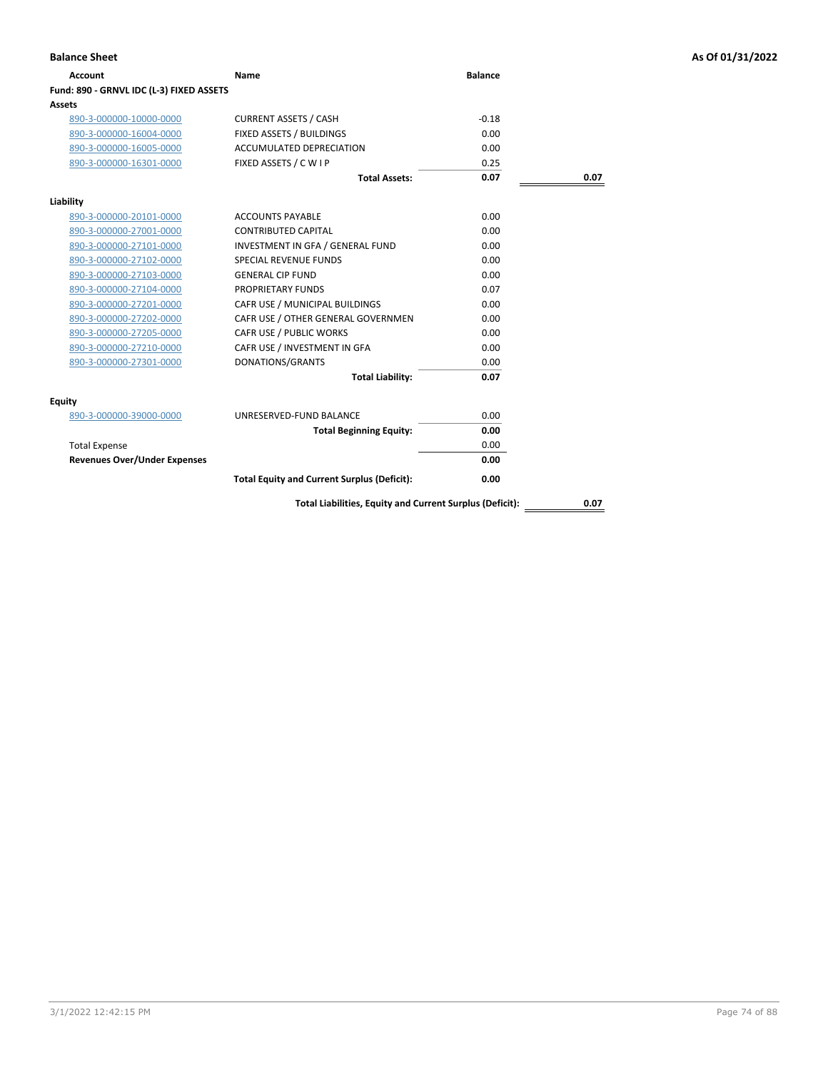| Account                                  | Name                                                     | <b>Balance</b> |      |
|------------------------------------------|----------------------------------------------------------|----------------|------|
| Fund: 890 - GRNVL IDC (L-3) FIXED ASSETS |                                                          |                |      |
| Assets                                   |                                                          |                |      |
| 890-3-000000-10000-0000                  | <b>CURRENT ASSETS / CASH</b>                             | $-0.18$        |      |
| 890-3-000000-16004-0000                  | FIXED ASSETS / BUILDINGS                                 | 0.00           |      |
| 890-3-000000-16005-0000                  | <b>ACCUMULATED DEPRECIATION</b>                          | 0.00           |      |
| 890-3-000000-16301-0000                  | FIXED ASSETS / C W I P                                   | 0.25           |      |
|                                          | <b>Total Assets:</b>                                     | 0.07           | 0.07 |
| Liability                                |                                                          |                |      |
| 890-3-000000-20101-0000                  | <b>ACCOUNTS PAYABLE</b>                                  | 0.00           |      |
| 890-3-000000-27001-0000                  | <b>CONTRIBUTED CAPITAL</b>                               | 0.00           |      |
| 890-3-000000-27101-0000                  | INVESTMENT IN GFA / GENERAL FUND                         | 0.00           |      |
| 890-3-000000-27102-0000                  | <b>SPECIAL REVENUE FUNDS</b>                             | 0.00           |      |
| 890-3-000000-27103-0000                  | <b>GENERAL CIP FUND</b>                                  | 0.00           |      |
| 890-3-000000-27104-0000                  | <b>PROPRIETARY FUNDS</b>                                 | 0.07           |      |
| 890-3-000000-27201-0000                  | CAFR USE / MUNICIPAL BUILDINGS                           | 0.00           |      |
| 890-3-000000-27202-0000                  | CAFR USE / OTHER GENERAL GOVERNMEN                       | 0.00           |      |
| 890-3-000000-27205-0000                  | CAFR USE / PUBLIC WORKS                                  | 0.00           |      |
| 890-3-000000-27210-0000                  | CAFR USE / INVESTMENT IN GFA                             | 0.00           |      |
| 890-3-000000-27301-0000                  | DONATIONS/GRANTS                                         | 0.00           |      |
|                                          | <b>Total Liability:</b>                                  | 0.07           |      |
| Equity                                   |                                                          |                |      |
| 890-3-000000-39000-0000                  | UNRESERVED-FUND BALANCE                                  | 0.00           |      |
|                                          | <b>Total Beginning Equity:</b>                           | 0.00           |      |
| <b>Total Expense</b>                     |                                                          | 0.00           |      |
| <b>Revenues Over/Under Expenses</b>      |                                                          | 0.00           |      |
|                                          | <b>Total Equity and Current Surplus (Deficit):</b>       | 0.00           |      |
|                                          | Total Liabilities, Equity and Current Surplus (Deficit): |                | 0.07 |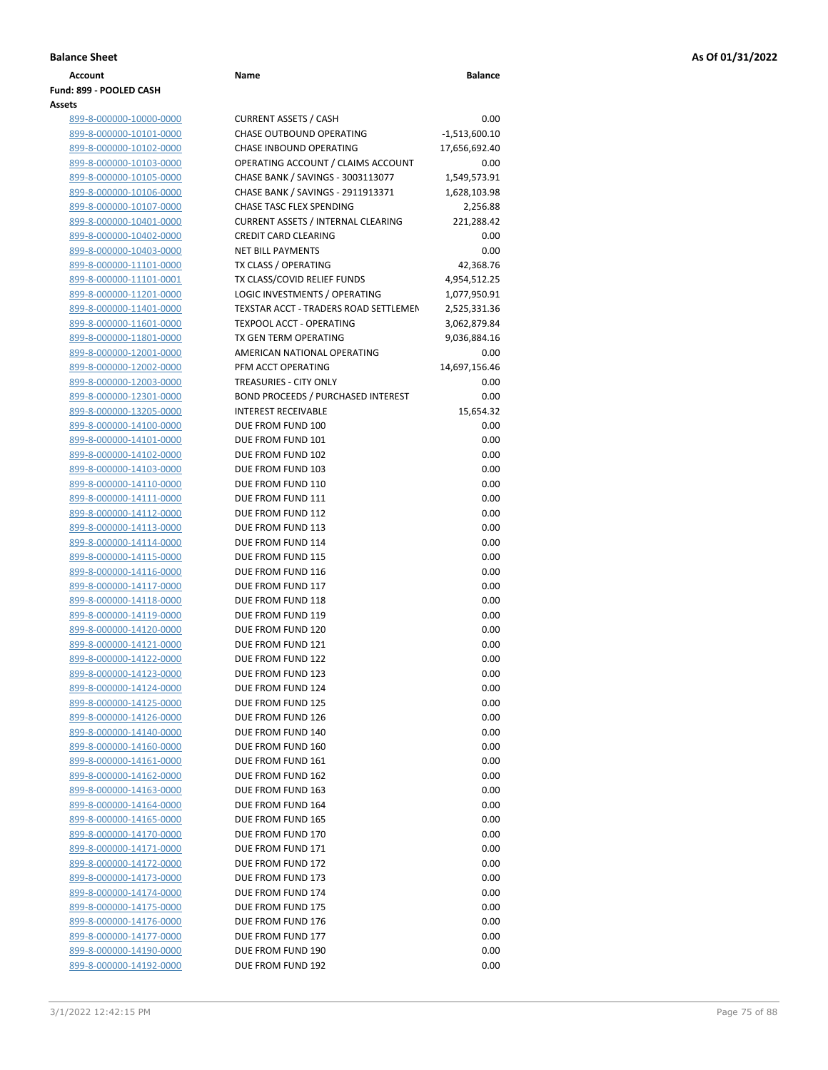| Account                 | Name | <b>Balance</b> |
|-------------------------|------|----------------|
| Fund: 899 - POOLED CASH |      |                |
| Assets                  |      |                |

| 899-8-000000-10000-0000        |  |
|--------------------------------|--|
| 899-8-000000-10101-0000        |  |
| 899-8-000000-10102-0000        |  |
| 899-8-000000-10103-0000        |  |
| 899-8-000000-10105-0000        |  |
| 899-8-000000-10106-0000        |  |
| 899-8-000000-10107-0000        |  |
| <u>899-8-000000-10401-0000</u> |  |
| 899-8-000000-10402-0000        |  |
| <u>899-8-000000-10403-0000</u> |  |
| 899-8-000000-11101-0000        |  |
| 899-8-000000-11101-0001        |  |
|                                |  |
| 899-8-000000-11201-0000        |  |
| 899-8-000000-11401-0000        |  |
| 899-8-000000-11601-0000        |  |
| 899-8-000000-11801-0000        |  |
| 899-8-000000-12001-0000        |  |
| <u>899-8-000000-12002-0000</u> |  |
| 899-8-000000-12003-0000        |  |
| 899-8-000000-12301-0000        |  |
| 899-8-000000-13205-0000        |  |
| 899-8-000000-14100-0000        |  |
| 899-8-000000-14101-0000        |  |
| 899-8-000000-14102-0000        |  |
| 899-8-000000-14103-0000        |  |
| 899-8-000000-14110-0000        |  |
| 899-8-000000-14111-0000        |  |
| 899-8-000000-14112-0000        |  |
| 899-8-000000-14113-0000        |  |
| 899-8-000000-14114-0000        |  |
| 899-8-000000-14115-0000        |  |
| 899-8-000000-14116-0000        |  |
| 899-8-000000-14117-0000        |  |
| 899-8-000000-14118-0000        |  |
| 899-8-000000-14119-0000        |  |
| 899-8-000000-14120-0000        |  |
| 899-8-000000-14121-0000        |  |
| 899-8-000000-14122-0000        |  |
| 899-8-000000-14123-0000        |  |
| 899-8-000000-14124-0000        |  |
| 899-8-000000-14125-0000        |  |
| 899-8-000000-14126-0000        |  |
| 899-8-000000-14140-0000        |  |
| 899-8-000000-14160-0000        |  |
| 899-8-000000-14161-0000        |  |
| 899-8-000000-14162-0000        |  |
| 899-8-000000-14163-0000        |  |
| 899-8-000000-14164-0000        |  |
| 899-8-000000-14165-0000        |  |
| 899-8-000000-14170-0000        |  |
| 899-8-000000-14171-0000        |  |
| 899-8-000000-14172-0000        |  |
| 899-8-000000-14173-0000        |  |
| 899-8-000000-14174-0000        |  |
| 899-8-000000-14175-0000        |  |
| 899-8-000000-14176-0000        |  |
| 899-8-000000-14177-0000        |  |
| 899-8-000000-14190-0000        |  |
| 899-8-000000-14192-0000        |  |

| ts                      |                                           |                 |
|-------------------------|-------------------------------------------|-----------------|
| 899-8-000000-10000-0000 | <b>CURRENT ASSETS / CASH</b>              | 0.00            |
| 899-8-000000-10101-0000 | CHASE OUTBOUND OPERATING                  | $-1,513,600.10$ |
| 899-8-000000-10102-0000 | <b>CHASE INBOUND OPERATING</b>            | 17,656,692.40   |
| 899-8-000000-10103-0000 | OPERATING ACCOUNT / CLAIMS ACCOUNT        | 0.00            |
| 899-8-000000-10105-0000 | CHASE BANK / SAVINGS - 3003113077         | 1,549,573.91    |
| 899-8-000000-10106-0000 | CHASE BANK / SAVINGS - 2911913371         | 1,628,103.98    |
| 899-8-000000-10107-0000 | CHASE TASC FLEX SPENDING                  | 2,256.88        |
| 899-8-000000-10401-0000 | <b>CURRENT ASSETS / INTERNAL CLEARING</b> | 221,288.42      |
| 899-8-000000-10402-0000 | <b>CREDIT CARD CLEARING</b>               | 0.00            |
| 899-8-000000-10403-0000 | <b>NET BILL PAYMENTS</b>                  | 0.00            |
| 899-8-000000-11101-0000 | TX CLASS / OPERATING                      | 42,368.76       |
| 899-8-000000-11101-0001 | TX CLASS/COVID RELIEF FUNDS               | 4,954,512.25    |
| 899-8-000000-11201-0000 | LOGIC INVESTMENTS / OPERATING             | 1,077,950.91    |
| 899-8-000000-11401-0000 | TEXSTAR ACCT - TRADERS ROAD SETTLEMEN     | 2,525,331.36    |
| 899-8-000000-11601-0000 | TEXPOOL ACCT - OPERATING                  | 3,062,879.84    |
| 899-8-000000-11801-0000 | TX GEN TERM OPERATING                     | 9,036,884.16    |
| 899-8-000000-12001-0000 | AMERICAN NATIONAL OPERATING               | 0.00            |
| 899-8-000000-12002-0000 | PFM ACCT OPERATING                        | 14,697,156.46   |
| 899-8-000000-12003-0000 | <b>TREASURIES - CITY ONLY</b>             | 0.00            |
| 899-8-000000-12301-0000 | <b>BOND PROCEEDS / PURCHASED INTEREST</b> | 0.00            |
| 899-8-000000-13205-0000 | <b>INTEREST RECEIVABLE</b>                | 15,654.32       |
| 899-8-000000-14100-0000 | DUE FROM FUND 100                         | 0.00            |
| 899-8-000000-14101-0000 | DUE FROM FUND 101                         | 0.00            |
| 899-8-000000-14102-0000 | DUE FROM FUND 102                         | 0.00            |
| 899-8-000000-14103-0000 | DUE FROM FUND 103                         | 0.00            |
| 899-8-000000-14110-0000 | DUE FROM FUND 110                         | 0.00            |
| 899-8-000000-14111-0000 | DUE FROM FUND 111                         | 0.00            |
| 899-8-000000-14112-0000 | DUE FROM FUND 112                         | 0.00            |
| 899-8-000000-14113-0000 | DUE FROM FUND 113                         | 0.00            |
| 899-8-000000-14114-0000 | DUE FROM FUND 114                         | 0.00            |
| 899-8-000000-14115-0000 | DUE FROM FUND 115                         | 0.00            |
| 899-8-000000-14116-0000 | DUE FROM FUND 116                         | 0.00            |
| 899-8-000000-14117-0000 | DUE FROM FUND 117                         | 0.00            |
| 899-8-000000-14118-0000 | DUE FROM FUND 118                         | 0.00            |
| 899-8-000000-14119-0000 | DUE FROM FUND 119                         | 0.00            |
| 899-8-000000-14120-0000 | DUE FROM FUND 120                         | 0.00            |
| 899-8-000000-14121-0000 | DUE FROM FUND 121                         | 0.00            |
| 899-8-000000-14122-0000 | DUE FROM FUND 122                         | 0.00            |
| 899-8-000000-14123-0000 | DUE FROM FUND 123                         | 0.00            |
| 899-8-000000-14124-0000 | DUE FROM FUND 124                         | 0.00            |
| 899-8-000000-14125-0000 | DUE FROM FUND 125                         | 0.00            |
| 899-8-000000-14126-0000 | DUE FROM FUND 126                         | 0.00            |
| 899-8-000000-14140-0000 | DUE FROM FUND 140                         | 0.00            |
| 899-8-000000-14160-0000 | DUE FROM FUND 160                         | 0.00            |
| 899-8-000000-14161-0000 | DUE FROM FUND 161                         | 0.00            |
| 899-8-000000-14162-0000 | DUE FROM FUND 162                         | 0.00            |
| 899-8-000000-14163-0000 | DUE FROM FUND 163                         | 0.00            |
| 899-8-000000-14164-0000 | DUE FROM FUND 164                         | 0.00            |
| 899-8-000000-14165-0000 | DUE FROM FUND 165                         | 0.00            |
| 899-8-000000-14170-0000 | DUE FROM FUND 170                         | 0.00            |
| 899-8-000000-14171-0000 | DUE FROM FUND 171                         | 0.00            |
| 899-8-000000-14172-0000 | DUE FROM FUND 172                         | 0.00            |
| 899-8-000000-14173-0000 | DUE FROM FUND 173                         | 0.00            |
| 899-8-000000-14174-0000 | DUE FROM FUND 174                         | 0.00            |
| 899-8-000000-14175-0000 | DUE FROM FUND 175                         | 0.00            |
| 899-8-000000-14176-0000 | DUE FROM FUND 176                         | 0.00            |
| 899-8-000000-14177-0000 | DUE FROM FUND 177                         | 0.00            |
| 899-8-000000-14190-0000 | DUE FROM FUND 190                         | 0.00            |
| 899-8-000000-14192-0000 | DUE FROM FUND 192                         | 0.00            |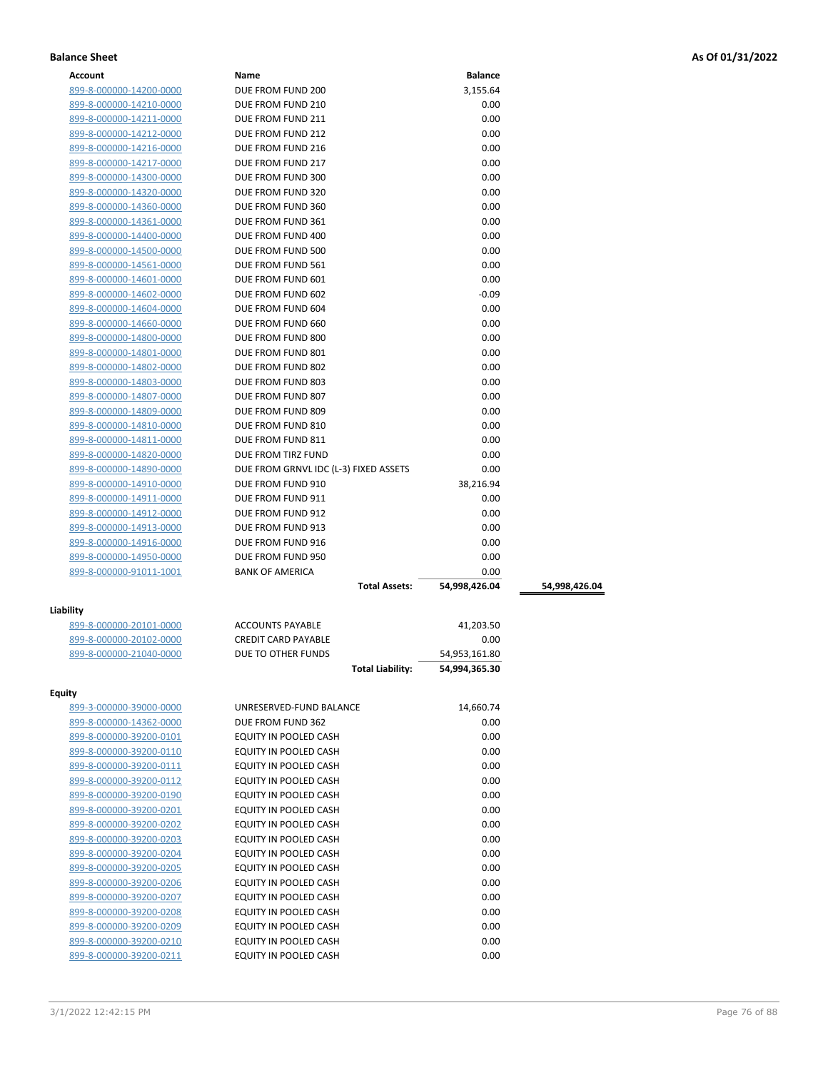| Account                                            | Name                                   | <b>Balance</b> |               |
|----------------------------------------------------|----------------------------------------|----------------|---------------|
| 899-8-000000-14200-0000                            | DUE FROM FUND 200                      | 3,155.64       |               |
| 899-8-000000-14210-0000                            | DUE FROM FUND 210                      | 0.00           |               |
| 899-8-000000-14211-0000                            | DUE FROM FUND 211                      | 0.00           |               |
| 899-8-000000-14212-0000                            | DUE FROM FUND 212                      | 0.00           |               |
| 899-8-000000-14216-0000                            | DUE FROM FUND 216                      | 0.00           |               |
| 899-8-000000-14217-0000                            | DUE FROM FUND 217                      | 0.00           |               |
| 899-8-000000-14300-0000                            | DUE FROM FUND 300                      | 0.00           |               |
| 899-8-000000-14320-0000                            | DUE FROM FUND 320                      | 0.00           |               |
| 899-8-000000-14360-0000                            | DUE FROM FUND 360                      | 0.00           |               |
| 899-8-000000-14361-0000                            | DUE FROM FUND 361                      | 0.00           |               |
| 899-8-000000-14400-0000                            | DUE FROM FUND 400                      | 0.00           |               |
| 899-8-000000-14500-0000                            | DUE FROM FUND 500                      | 0.00           |               |
| 899-8-000000-14561-0000                            | DUE FROM FUND 561                      | 0.00           |               |
| 899-8-000000-14601-0000                            | DUE FROM FUND 601                      | 0.00           |               |
| 899-8-000000-14602-0000                            | DUE FROM FUND 602                      | $-0.09$        |               |
| 899-8-000000-14604-0000                            | DUE FROM FUND 604                      | 0.00           |               |
| 899-8-000000-14660-0000                            | DUE FROM FUND 660                      | 0.00           |               |
| 899-8-000000-14800-0000                            | DUE FROM FUND 800                      | 0.00           |               |
|                                                    | DUE FROM FUND 801                      |                |               |
| 899-8-000000-14801-0000<br>899-8-000000-14802-0000 | DUE FROM FUND 802                      | 0.00           |               |
|                                                    |                                        | 0.00           |               |
| 899-8-000000-14803-0000                            | DUE FROM FUND 803                      | 0.00           |               |
| 899-8-000000-14807-0000                            | DUE FROM FUND 807                      | 0.00           |               |
| 899-8-000000-14809-0000                            | DUE FROM FUND 809                      | 0.00           |               |
| 899-8-000000-14810-0000                            | DUE FROM FUND 810                      | 0.00           |               |
| 899-8-000000-14811-0000                            | DUE FROM FUND 811                      | 0.00           |               |
| 899-8-000000-14820-0000                            | DUE FROM TIRZ FUND                     | 0.00<br>0.00   |               |
| 899-8-000000-14890-0000                            | DUE FROM GRNVL IDC (L-3) FIXED ASSETS  |                |               |
| 899-8-000000-14910-0000                            | DUE FROM FUND 910<br>DUE FROM FUND 911 | 38,216.94      |               |
| 899-8-000000-14911-0000                            |                                        | 0.00<br>0.00   |               |
| 899-8-000000-14912-0000                            | DUE FROM FUND 912                      |                |               |
| 899-8-000000-14913-0000                            | DUE FROM FUND 913                      | 0.00           |               |
| 899-8-000000-14916-0000                            | DUE FROM FUND 916                      | 0.00           |               |
| 899-8-000000-14950-0000                            | DUE FROM FUND 950                      | 0.00           |               |
| 899-8-000000-91011-1001                            | <b>BANK OF AMERICA</b>                 | 0.00           |               |
|                                                    | <b>Total Assets:</b>                   | 54,998,426.04  | 54,998,426.04 |
| Liability                                          |                                        |                |               |
| <u>899-8-000000-20101-0000</u>                     | <b>ACCOUNTS PAYABLE</b>                | 41,203.50      |               |
| 899-8-000000-20102-0000                            | <b>CREDIT CARD PAYABLE</b>             | 0.00           |               |
| 899-8-000000-21040-0000                            | DUE TO OTHER FUNDS                     | 54,953,161.80  |               |
|                                                    | <b>Total Liability:</b>                | 54,994,365.30  |               |
|                                                    |                                        |                |               |
| Equity                                             |                                        |                |               |
| 899-3-000000-39000-0000                            | UNRESERVED-FUND BALANCE                | 14,660.74      |               |
| 899-8-000000-14362-0000                            | DUE FROM FUND 362                      | 0.00           |               |
| 899-8-000000-39200-0101                            | EQUITY IN POOLED CASH                  | 0.00           |               |
| 899-8-000000-39200-0110                            | EQUITY IN POOLED CASH                  | 0.00           |               |
| 899-8-000000-39200-0111                            | EQUITY IN POOLED CASH                  | 0.00           |               |
| 899-8-000000-39200-0112                            | EQUITY IN POOLED CASH                  | 0.00           |               |
| 899-8-000000-39200-0190                            | EQUITY IN POOLED CASH                  | 0.00           |               |
| 899-8-000000-39200-0201                            | EQUITY IN POOLED CASH                  | 0.00           |               |
| 899-8-000000-39200-0202                            | EQUITY IN POOLED CASH                  | 0.00           |               |
| 899-8-000000-39200-0203                            | EQUITY IN POOLED CASH                  | 0.00           |               |
| 899-8-000000-39200-0204                            | EQUITY IN POOLED CASH                  | 0.00           |               |
| 899-8-000000-39200-0205                            | EQUITY IN POOLED CASH                  | 0.00           |               |
| 899-8-000000-39200-0206                            | EQUITY IN POOLED CASH                  | 0.00           |               |

899-8-000000-39200-0207 **EQUITY IN POOLED CASH** 0.00<br>899-8-000000-39200-0208 **EQUITY IN POOLED CASH** 0.00

899-8-000000-39200-0209 EQUITY IN POOLED CASH 0.00 899-8-000000-39200-0210 EQUITY IN POOLED CASH 0.00 899-8-000000-39200-0211 EQUITY IN POOLED CASH 0.00

899-8-000000-39200-0208 EQUITY IN POOLED CASH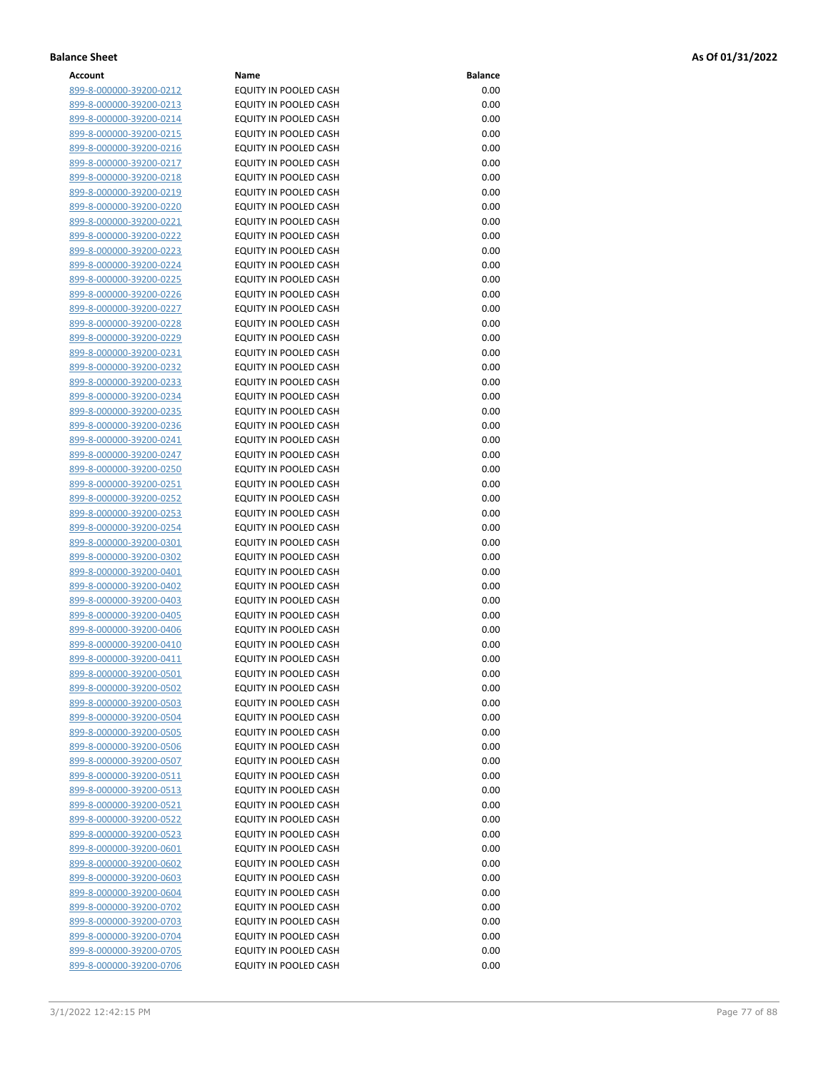| Account                        | Name                         | <b>Balance</b> |
|--------------------------------|------------------------------|----------------|
| 899-8-000000-39200-0212        | EQUITY IN POOLED CASH        | 0.00           |
| 899-8-000000-39200-0213        | EQUITY IN POOLED CASH        | 0.00           |
| 899-8-000000-39200-0214        | EQUITY IN POOLED CASH        | 0.00           |
| 899-8-000000-39200-0215        | EQUITY IN POOLED CASH        | 0.00           |
| 899-8-000000-39200-0216        | EQUITY IN POOLED CASH        | 0.00           |
|                                | <b>EQUITY IN POOLED CASH</b> | 0.00           |
| 899-8-000000-39200-0217        |                              |                |
| 899-8-000000-39200-0218        | EQUITY IN POOLED CASH        | 0.00           |
| 899-8-000000-39200-0219        | EQUITY IN POOLED CASH        | 0.00           |
| 899-8-000000-39200-0220        | EQUITY IN POOLED CASH        | 0.00           |
| 899-8-000000-39200-0221        | EQUITY IN POOLED CASH        | 0.00           |
| 899-8-000000-39200-0222        | EQUITY IN POOLED CASH        | 0.00           |
| 899-8-000000-39200-0223        | EQUITY IN POOLED CASH        | 0.00           |
| 899-8-000000-39200-0224        | EQUITY IN POOLED CASH        | 0.00           |
| 899-8-000000-39200-0225        | EQUITY IN POOLED CASH        | 0.00           |
| 899-8-000000-39200-0226        | EQUITY IN POOLED CASH        | 0.00           |
| 899-8-000000-39200-0227        | EQUITY IN POOLED CASH        | 0.00           |
| 899-8-000000-39200-0228        | EQUITY IN POOLED CASH        | 0.00           |
| 899-8-000000-39200-0229        | EQUITY IN POOLED CASH        | 0.00           |
| 899-8-000000-39200-0231        | EQUITY IN POOLED CASH        | 0.00           |
| 899-8-000000-39200-0232        | EQUITY IN POOLED CASH        | 0.00           |
| 899-8-000000-39200-0233        | EQUITY IN POOLED CASH        | 0.00           |
| 899-8-000000-39200-0234        | EQUITY IN POOLED CASH        | 0.00           |
| 899-8-000000-39200-0235        | EQUITY IN POOLED CASH        | 0.00           |
| 899-8-000000-39200-0236        | EQUITY IN POOLED CASH        | 0.00           |
| 899-8-000000-39200-0241        | EQUITY IN POOLED CASH        | 0.00           |
|                                | <b>EQUITY IN POOLED CASH</b> | 0.00           |
| 899-8-000000-39200-0247        | EQUITY IN POOLED CASH        | 0.00           |
| 899-8-000000-39200-0250        |                              |                |
| 899-8-000000-39200-0251        | EQUITY IN POOLED CASH        | 0.00           |
| 899-8-000000-39200-0252        | EQUITY IN POOLED CASH        | 0.00           |
| 899-8-000000-39200-0253        | EQUITY IN POOLED CASH        | 0.00           |
| 899-8-000000-39200-0254        | EQUITY IN POOLED CASH        | 0.00           |
| 899-8-000000-39200-0301        | EQUITY IN POOLED CASH        | 0.00           |
| 899-8-000000-39200-0302        | EQUITY IN POOLED CASH        | 0.00           |
| 899-8-000000-39200-0401        | EQUITY IN POOLED CASH        | 0.00           |
| 899-8-000000-39200-0402        | EQUITY IN POOLED CASH        | 0.00           |
| 899-8-000000-39200-0403        | EQUITY IN POOLED CASH        | 0.00           |
| 899-8-000000-39200-0405        | EQUITY IN POOLED CASH        | 0.00           |
| 899-8-000000-39200-0406        | EQUITY IN POOLED CASH        | 0.00           |
| 899-8-000000-39200-0410        | EQUITY IN POOLED CASH        | 0.00           |
| 899-8-000000-39200-0411        | EQUITY IN POOLED CASH        | 0.00           |
| <u>899-8-000000-39200-0501</u> | EQUITY IN POOLED CASH        | 0.00           |
| 899-8-000000-39200-0502        | EQUITY IN POOLED CASH        | 0.00           |
| 899-8-000000-39200-0503        | EQUITY IN POOLED CASH        | 0.00           |
| 899-8-000000-39200-0504        | EQUITY IN POOLED CASH        | 0.00           |
| 899-8-000000-39200-0505        | EQUITY IN POOLED CASH        | 0.00           |
| 899-8-000000-39200-0506        | EQUITY IN POOLED CASH        | 0.00           |
| 899-8-000000-39200-0507        | EQUITY IN POOLED CASH        | 0.00           |
| <u>899-8-000000-39200-0511</u> | EQUITY IN POOLED CASH        | 0.00           |
| 899-8-000000-39200-0513        | EQUITY IN POOLED CASH        | 0.00           |
| 899-8-000000-39200-0521        | EQUITY IN POOLED CASH        | 0.00           |
| 899-8-000000-39200-0522        | EQUITY IN POOLED CASH        | 0.00           |
| 899-8-000000-39200-0523        | EQUITY IN POOLED CASH        | 0.00           |
| <u>899-8-000000-39200-0601</u> | EQUITY IN POOLED CASH        | 0.00           |
| 899-8-000000-39200-0602        | EQUITY IN POOLED CASH        | 0.00           |
|                                |                              |                |
| 899-8-000000-39200-0603        | EQUITY IN POOLED CASH        | 0.00           |
| 899-8-000000-39200-0604        | EQUITY IN POOLED CASH        | 0.00           |
| 899-8-000000-39200-0702        | EQUITY IN POOLED CASH        | 0.00           |
| <u>899-8-000000-39200-0703</u> | EQUITY IN POOLED CASH        | 0.00           |
| 899-8-000000-39200-0704        | EQUITY IN POOLED CASH        | 0.00           |
| 899-8-000000-39200-0705        | EQUITY IN POOLED CASH        | 0.00           |
| 899-8-000000-39200-0706        | EQUITY IN POOLED CASH        | 0.00           |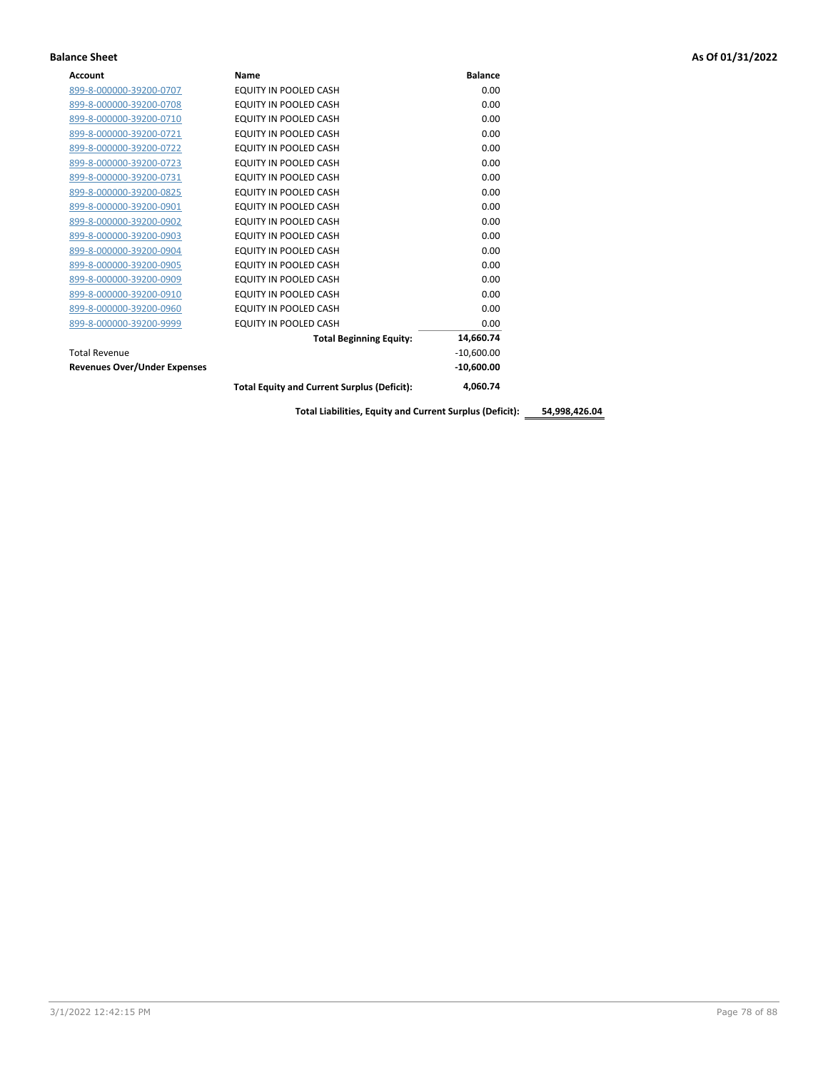| <b>Account</b>                      | Name                                               | <b>Balance</b> |
|-------------------------------------|----------------------------------------------------|----------------|
| 899-8-000000-39200-0707             | EQUITY IN POOLED CASH                              | 0.00           |
| 899-8-000000-39200-0708             | <b>EQUITY IN POOLED CASH</b>                       | 0.00           |
| 899-8-000000-39200-0710             | <b>EQUITY IN POOLED CASH</b>                       | 0.00           |
| 899-8-000000-39200-0721             | EQUITY IN POOLED CASH                              | 0.00           |
| 899-8-000000-39200-0722             | EQUITY IN POOLED CASH                              | 0.00           |
| 899-8-000000-39200-0723             | EQUITY IN POOLED CASH                              | 0.00           |
| 899-8-000000-39200-0731             | EQUITY IN POOLED CASH                              | 0.00           |
| 899-8-000000-39200-0825             | EQUITY IN POOLED CASH                              | 0.00           |
| 899-8-000000-39200-0901             | EQUITY IN POOLED CASH                              | 0.00           |
| 899-8-000000-39200-0902             | EQUITY IN POOLED CASH                              | 0.00           |
| 899-8-000000-39200-0903             | EQUITY IN POOLED CASH                              | 0.00           |
| 899-8-000000-39200-0904             | EQUITY IN POOLED CASH                              | 0.00           |
| 899-8-000000-39200-0905             | EQUITY IN POOLED CASH                              | 0.00           |
| 899-8-000000-39200-0909             | EQUITY IN POOLED CASH                              | 0.00           |
| 899-8-000000-39200-0910             | EQUITY IN POOLED CASH                              | 0.00           |
| 899-8-000000-39200-0960             | EQUITY IN POOLED CASH                              | 0.00           |
| 899-8-000000-39200-9999             | EQUITY IN POOLED CASH                              | 0.00           |
|                                     | <b>Total Beginning Equity:</b>                     | 14,660.74      |
| <b>Total Revenue</b>                |                                                    | $-10,600.00$   |
| <b>Revenues Over/Under Expenses</b> |                                                    | $-10,600.00$   |
|                                     | <b>Total Equity and Current Surplus (Deficit):</b> | 4,060.74       |

**Total Liabilities, Equity and Current Surplus (Deficit): 54,998,426.04**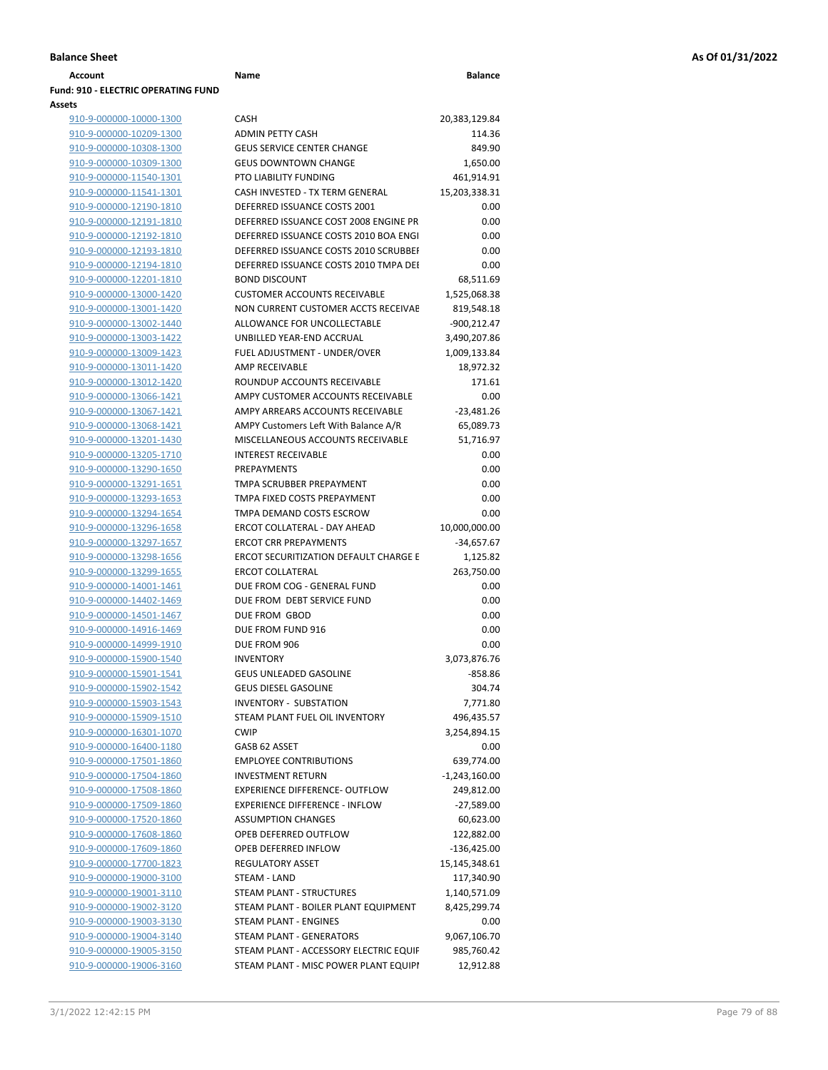| <b>Account</b>                             | Name                                  | <b>Balance</b>   |
|--------------------------------------------|---------------------------------------|------------------|
| <b>Fund: 910 - ELECTRIC OPERATING FUND</b> |                                       |                  |
| <b>Assets</b>                              |                                       |                  |
| 910-9-000000-10000-1300                    | <b>CASH</b>                           | 20,383,129.84    |
| 910-9-000000-10209-1300                    | <b>ADMIN PETTY CASH</b>               | 114.36           |
| 910-9-000000-10308-1300                    | <b>GEUS SERVICE CENTER CHANGE</b>     | 849.90           |
| 910-9-000000-10309-1300                    | <b>GEUS DOWNTOWN CHANGE</b>           | 1,650.00         |
| 910-9-000000-11540-1301                    | PTO LIABILITY FUNDING                 | 461,914.91       |
| 910-9-000000-11541-1301                    | CASH INVESTED - TX TERM GENERAL       | 15,203,338.31    |
| 910-9-000000-12190-1810                    | DEFERRED ISSUANCE COSTS 2001          | 0.00             |
| 910-9-000000-12191-1810                    | DEFERRED ISSUANCE COST 2008 ENGINE PR | 0.00             |
| 910-9-000000-12192-1810                    | DEFERRED ISSUANCE COSTS 2010 BOA ENGI | 0.00             |
| 910-9-000000-12193-1810                    | DEFERRED ISSUANCE COSTS 2010 SCRUBBEI | 0.00             |
| 910-9-000000-12194-1810                    | DEFERRED ISSUANCE COSTS 2010 TMPA DEI | 0.00             |
| 910-9-000000-12201-1810                    | <b>BOND DISCOUNT</b>                  | 68,511.69        |
| 910-9-000000-13000-1420                    | <b>CUSTOMER ACCOUNTS RECEIVABLE</b>   | 1,525,068.38     |
| 910-9-000000-13001-1420                    | NON CURRENT CUSTOMER ACCTS RECEIVAE   | 819,548.18       |
| 910-9-000000-13002-1440                    | ALLOWANCE FOR UNCOLLECTABLE           | -900,212.47      |
| 910-9-000000-13003-1422                    | UNBILLED YEAR-END ACCRUAL             | 3,490,207.86     |
| 910-9-000000-13009-1423                    | FUEL ADJUSTMENT - UNDER/OVER          | 1,009,133.84     |
| 910-9-000000-13011-1420                    | AMP RECEIVABLE                        | 18,972.32        |
| 910-9-000000-13012-1420                    | ROUNDUP ACCOUNTS RECEIVABLE           | 171.61           |
| 910-9-000000-13066-1421                    | AMPY CUSTOMER ACCOUNTS RECEIVABLE     | 0.00             |
| 910-9-000000-13067-1421                    | AMPY ARREARS ACCOUNTS RECEIVABLE      | $-23,481.26$     |
| 910-9-000000-13068-1421                    | AMPY Customers Left With Balance A/R  | 65,089.73        |
| 910-9-000000-13201-1430                    | MISCELLANEOUS ACCOUNTS RECEIVABLE     | 51,716.97        |
| 910-9-000000-13205-1710                    | <b>INTEREST RECEIVABLE</b>            | 0.00             |
| 910-9-000000-13290-1650                    | <b>PREPAYMENTS</b>                    | 0.00             |
| 910-9-000000-13291-1651                    | TMPA SCRUBBER PREPAYMENT              | 0.00             |
| 910-9-000000-13293-1653                    | TMPA FIXED COSTS PREPAYMENT           | 0.00             |
| 910-9-000000-13294-1654                    | TMPA DEMAND COSTS ESCROW              | 0.00             |
| 910-9-000000-13296-1658                    | ERCOT COLLATERAL - DAY AHEAD          | 10,000,000.00    |
| 910-9-000000-13297-1657                    | <b>ERCOT CRR PREPAYMENTS</b>          | -34,657.67       |
| 910-9-000000-13298-1656                    | ERCOT SECURITIZATION DEFAULT CHARGE E | 1,125.82         |
| 910-9-000000-13299-1655                    | <b>ERCOT COLLATERAL</b>               | 263,750.00       |
| 910-9-000000-14001-1461                    | DUE FROM COG - GENERAL FUND           | 0.00             |
| 910-9-000000-14402-1469                    | DUE FROM DEBT SERVICE FUND            | 0.00             |
| 910-9-000000-14501-1467                    | DUE FROM GBOD                         | 0.00             |
| 910-9-000000-14916-1469                    | DUE FROM FUND 916                     | 0.00             |
| 910-9-000000-14999-1910                    | DUE FROM 906                          | 0.00             |
| 910-9-000000-15900-1540                    | <b>INVENTORY</b>                      | 3.073.876.76     |
| 910-9-000000-15901-1541                    | <b>GEUS UNLEADED GASOLINE</b>         | $-858.86$        |
| 910-9-000000-15902-1542                    | <b>GEUS DIESEL GASOLINE</b>           | 304.74           |
| 910-9-000000-15903-1543                    | <b>INVENTORY - SUBSTATION</b>         | 7,771.80         |
| 910-9-000000-15909-1510                    | STEAM PLANT FUEL OIL INVENTORY        | 496,435.57       |
| 910-9-000000-16301-1070                    | <b>CWIP</b>                           | 3,254,894.15     |
| 910-9-000000-16400-1180                    | GASB 62 ASSET                         | 0.00             |
| 910-9-000000-17501-1860                    | <b>EMPLOYEE CONTRIBUTIONS</b>         | 639,774.00       |
| 910-9-000000-17504-1860                    | <b>INVESTMENT RETURN</b>              | $-1,243,160.00$  |
| 910-9-000000-17508-1860                    | <b>EXPERIENCE DIFFERENCE- OUTFLOW</b> | 249,812.00       |
| 910-9-000000-17509-1860                    | <b>EXPERIENCE DIFFERENCE - INFLOW</b> | $-27,589.00$     |
| 910-9-000000-17520-1860                    | <b>ASSUMPTION CHANGES</b>             | 60,623.00        |
| 910-9-000000-17608-1860                    | OPEB DEFERRED OUTFLOW                 | 122,882.00       |
| 910-9-000000-17609-1860                    | OPEB DEFERRED INFLOW                  | $-136,425.00$    |
| 910-9-000000-17700-1823                    | <b>REGULATORY ASSET</b>               | 15, 145, 348. 61 |
| 910-9-000000-19000-3100                    | STEAM - LAND                          | 117,340.90       |
| 910-9-000000-19001-3110                    | STEAM PLANT - STRUCTURES              | 1,140,571.09     |
| 910-9-000000-19002-3120                    | STEAM PLANT - BOILER PLANT EQUIPMENT  | 8,425,299.74     |
| 910-9-000000-19003-3130                    | STEAM PLANT - ENGINES                 | 0.00             |
| 910-9-000000-19004-3140                    | STEAM PLANT - GENERATORS              | 9,067,106.70     |

| 910-9-000000-10000-1300                                   | <b>CASH</b>                                 | 20,383,129.84    |
|-----------------------------------------------------------|---------------------------------------------|------------------|
| 910-9-000000-10209-1300                                   | ADMIN PETTY CASH                            | 114.36           |
| 910-9-000000-10308-1300                                   | <b>GEUS SERVICE CENTER CHANGE</b>           | 849.90           |
| 910-9-000000-10309-1300                                   | <b>GEUS DOWNTOWN CHANGE</b>                 | 1,650.00         |
| 910-9-000000-11540-1301                                   | PTO LIABILITY FUNDING                       | 461,914.91       |
| 910-9-000000-11541-1301                                   | CASH INVESTED - TX TERM GENERAL             | 15,203,338.31    |
| 910-9-000000-12190-1810                                   | DEFERRED ISSUANCE COSTS 2001                | 0.00             |
| 910-9-000000-12191-1810                                   | DEFERRED ISSUANCE COST 2008 ENGINE PR       | 0.00             |
| 910-9-000000-12192-1810                                   | DEFERRED ISSUANCE COSTS 2010 BOA ENGI       | 0.00             |
| 910-9-000000-12193-1810                                   | DEFERRED ISSUANCE COSTS 2010 SCRUBBEI       | 0.00             |
| 910-9-000000-12194-1810                                   | DEFERRED ISSUANCE COSTS 2010 TMPA DEI       | 0.00             |
| 910-9-000000-12201-1810                                   | <b>BOND DISCOUNT</b>                        | 68,511.69        |
| 910-9-000000-13000-1420                                   | <b>CUSTOMER ACCOUNTS RECEIVABLE</b>         | 1,525,068.38     |
| 910-9-000000-13001-1420                                   | NON CURRENT CUSTOMER ACCTS RECEIVAE         | 819,548.18       |
| 910-9-000000-13002-1440                                   | ALLOWANCE FOR UNCOLLECTABLE                 | -900,212.47      |
| 910-9-000000-13003-1422                                   | UNBILLED YEAR-END ACCRUAL                   | 3,490,207.86     |
| 910-9-000000-13009-1423                                   | FUEL ADJUSTMENT - UNDER/OVER                | 1,009,133.84     |
| 910-9-000000-13011-1420                                   | AMP RECEIVABLE                              | 18,972.32        |
| 910-9-000000-13012-1420                                   | ROUNDUP ACCOUNTS RECEIVABLE                 | 171.61           |
| 910-9-000000-13066-1421                                   | AMPY CUSTOMER ACCOUNTS RECEIVABLE           | 0.00             |
| 910-9-000000-13067-1421                                   | AMPY ARREARS ACCOUNTS RECEIVABLE            | $-23,481.26$     |
| 910-9-000000-13068-1421                                   | AMPY Customers Left With Balance A/R        | 65,089.73        |
| 910-9-000000-13201-1430                                   | MISCELLANEOUS ACCOUNTS RECEIVABLE           | 51,716.97        |
| 910-9-000000-13205-1710                                   | <b>INTEREST RECEIVABLE</b>                  | 0.00             |
| 910-9-000000-13290-1650                                   | PREPAYMENTS                                 | 0.00             |
| 910-9-000000-13291-1651                                   | TMPA SCRUBBER PREPAYMENT                    | 0.00             |
| 910-9-000000-13293-1653                                   | TMPA FIXED COSTS PREPAYMENT                 | 0.00             |
| 910-9-000000-13294-1654                                   | TMPA DEMAND COSTS ESCROW                    | 0.00             |
| 910-9-000000-13296-1658                                   | ERCOT COLLATERAL - DAY AHEAD                | 10,000,000.00    |
| 910-9-000000-13297-1657                                   | <b>ERCOT CRR PREPAYMENTS</b>                | $-34,657.67$     |
| 910-9-000000-13298-1656                                   | ERCOT SECURITIZATION DEFAULT CHARGE E       | 1,125.82         |
| 910-9-000000-13299-1655                                   | <b>ERCOT COLLATERAL</b>                     | 263,750.00       |
| 910-9-000000-14001-1461                                   | DUE FROM COG - GENERAL FUND                 | 0.00             |
| 910-9-000000-14402-1469                                   | DUE FROM DEBT SERVICE FUND<br>DUE FROM GBOD | 0.00<br>0.00     |
| 910-9-000000-14501-1467                                   | DUE FROM FUND 916                           | 0.00             |
| <u>910-9-000000-14916-1469</u><br>910-9-000000-14999-1910 | DUE FROM 906                                | 0.00             |
| 910-9-000000-15900-1540                                   | <b>INVENTORY</b>                            | 3,073,876.76     |
| 910-9-000000-15901-1541                                   | <b>GEUS UNLEADED GASOLINE</b>               | $-858.86$        |
| 910-9-000000-15902-1542                                   | <b>GEUS DIESEL GASOLINE</b>                 | 304.74           |
| 910-9-000000-15903-1543                                   | <b>INVENTORY - SUBSTATION</b>               | 7,771.80         |
| 910-9-000000-15909-1510                                   | STEAM PLANT FUEL OIL INVENTORY              | 496,435.57       |
| 910-9-000000-16301-1070                                   | <b>CWIP</b>                                 | 3,254,894.15     |
| 910-9-000000-16400-1180                                   | GASB 62 ASSET                               | 0.00             |
| 910-9-000000-17501-1860                                   | <b>EMPLOYEE CONTRIBUTIONS</b>               | 639,774.00       |
| 910-9-000000-17504-1860                                   | <b>INVESTMENT RETURN</b>                    | $-1,243,160.00$  |
| 910-9-000000-17508-1860                                   | <b>EXPERIENCE DIFFERENCE- OUTFLOW</b>       | 249,812.00       |
| 910-9-000000-17509-1860                                   | <b>EXPERIENCE DIFFERENCE - INFLOW</b>       | $-27,589.00$     |
| 910-9-000000-17520-1860                                   | <b>ASSUMPTION CHANGES</b>                   | 60,623.00        |
| 910-9-000000-17608-1860                                   | OPEB DEFERRED OUTFLOW                       | 122,882.00       |
| 910-9-000000-17609-1860                                   | OPEB DEFERRED INFLOW                        | $-136,425.00$    |
| 910-9-000000-17700-1823                                   | <b>REGULATORY ASSET</b>                     | 15, 145, 348. 61 |
| 910-9-000000-19000-3100                                   | STEAM - LAND                                | 117,340.90       |
| 910-9-000000-19001-3110                                   | STEAM PLANT - STRUCTURES                    | 1,140,571.09     |
| 910-9-000000-19002-3120                                   | STEAM PLANT - BOILER PLANT EQUIPMENT        | 8,425,299.74     |
| 910-9-000000-19003-3130                                   | STEAM PLANT - ENGINES                       | 0.00             |
| 910-9-000000-19004-3140                                   | STEAM PLANT - GENERATORS                    | 9,067,106.70     |
| 910-9-000000-19005-3150                                   | STEAM PLANT - ACCESSORY ELECTRIC EQUIF      | 985,760.42       |
| 910-9-000000-19006-3160                                   | STEAM PLANT - MISC POWER PLANT EQUIPI       | 12,912.88        |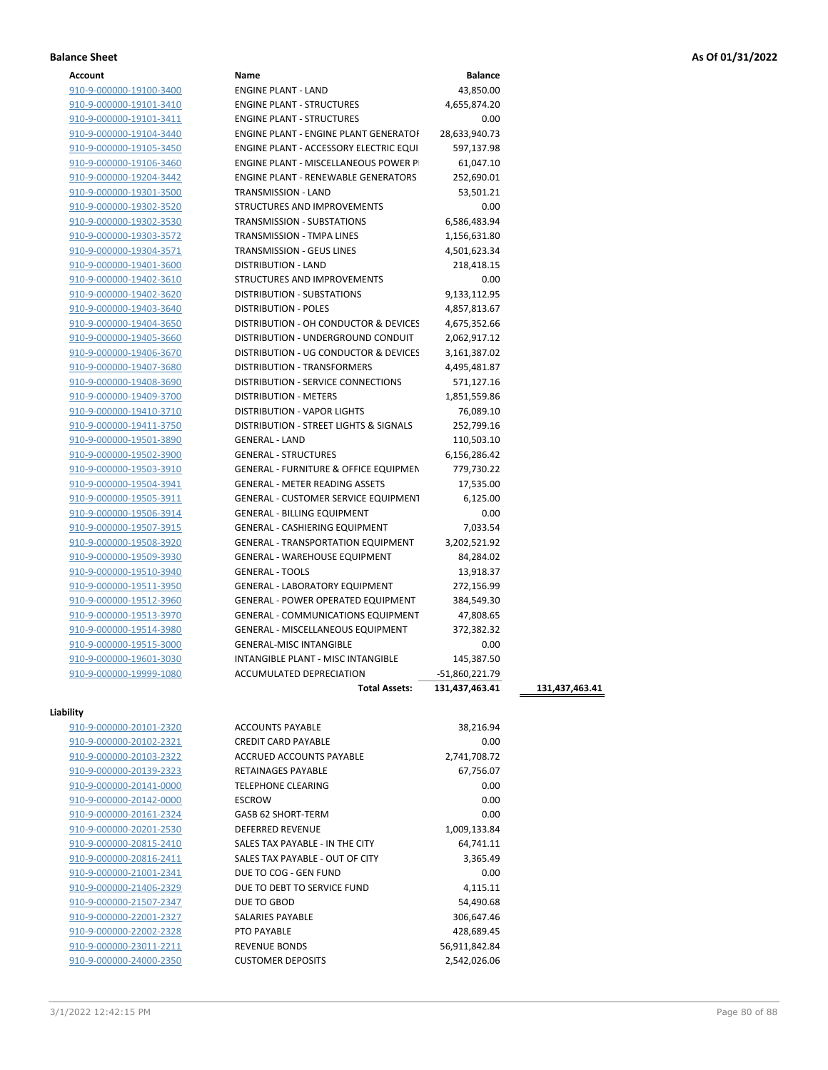| Account                        | Name                                             | <b>Balance</b> |
|--------------------------------|--------------------------------------------------|----------------|
| 910-9-000000-19100-3400        | <b>ENGINE PLANT - LAND</b>                       | 43,850.00      |
| 910-9-000000-19101-3410        | <b>ENGINE PLANT - STRUCTURES</b>                 | 4,655,874.20   |
| 910-9-000000-19101-3411        | <b>ENGINE PLANT - STRUCTURES</b>                 | 0.00           |
| 910-9-000000-19104-3440        | <b>ENGINE PLANT - ENGINE PLANT GENERATOF</b>     | 28,633,940.73  |
| 910-9-000000-19105-3450        | ENGINE PLANT - ACCESSORY ELECTRIC EQUI           | 597,137.98     |
| 910-9-000000-19106-3460        | ENGINE PLANT - MISCELLANEOUS POWER P             | 61,047.10      |
| 910-9-000000-19204-3442        | <b>ENGINE PLANT - RENEWABLE GENERATORS</b>       | 252,690.01     |
| 910-9-000000-19301-3500        | TRANSMISSION - LAND                              | 53,501.21      |
| 910-9-000000-19302-3520        | <b>STRUCTURES AND IMPROVEMENTS</b>               | 0.00           |
| 910-9-000000-19302-3530        | <b>TRANSMISSION - SUBSTATIONS</b>                | 6,586,483.94   |
| 910-9-000000-19303-3572        | TRANSMISSION - TMPA LINES                        | 1,156,631.80   |
| 910-9-000000-19304-3571        | TRANSMISSION - GEUS LINES                        | 4,501,623.34   |
| 910-9-000000-19401-3600        | <b>DISTRIBUTION - LAND</b>                       | 218,418.15     |
| 910-9-000000-19402-3610        | STRUCTURES AND IMPROVEMENTS                      | 0.00           |
| 910-9-000000-19402-3620        | DISTRIBUTION - SUBSTATIONS                       | 9,133,112.95   |
| 910-9-000000-19403-3640        | <b>DISTRIBUTION - POLES</b>                      | 4,857,813.67   |
| 910-9-000000-19404-3650        | DISTRIBUTION - OH CONDUCTOR & DEVICES            | 4,675,352.66   |
| 910-9-000000-19405-3660        | DISTRIBUTION - UNDERGROUND CONDUIT               | 2,062,917.12   |
| 910-9-000000-19406-3670        | DISTRIBUTION - UG CONDUCTOR & DEVICES            | 3,161,387.02   |
| 910-9-000000-19407-3680        | <b>DISTRIBUTION - TRANSFORMERS</b>               | 4,495,481.87   |
| 910-9-000000-19408-3690        | DISTRIBUTION - SERVICE CONNECTIONS               | 571,127.16     |
| 910-9-000000-19409-3700        | <b>DISTRIBUTION - METERS</b>                     | 1,851,559.86   |
| 910-9-000000-19410-3710        | DISTRIBUTION - VAPOR LIGHTS                      | 76,089.10      |
| 910-9-000000-19411-3750        | DISTRIBUTION - STREET LIGHTS & SIGNALS           | 252,799.16     |
| 910-9-000000-19501-3890        | <b>GENERAL - LAND</b>                            | 110,503.10     |
| 910-9-000000-19502-3900        | <b>GENERAL - STRUCTURES</b>                      | 6,156,286.42   |
|                                | <b>GENERAL - FURNITURE &amp; OFFICE EQUIPMEN</b> |                |
| 910-9-000000-19503-3910        |                                                  | 779,730.22     |
| 910-9-000000-19504-3941        | <b>GENERAL - METER READING ASSETS</b>            | 17,535.00      |
| 910-9-000000-19505-3911        | <b>GENERAL - CUSTOMER SERVICE EQUIPMENT</b>      | 6,125.00       |
| 910-9-000000-19506-3914        | <b>GENERAL - BILLING EQUIPMENT</b>               | 0.00           |
| 910-9-000000-19507-3915        | GENERAL - CASHIERING EQUIPMENT                   | 7,033.54       |
| 910-9-000000-19508-3920        | <b>GENERAL - TRANSPORTATION EQUIPMENT</b>        | 3,202,521.92   |
| 910-9-000000-19509-3930        | <b>GENERAL - WAREHOUSE EQUIPMENT</b>             | 84,284.02      |
| 910-9-000000-19510-3940        | <b>GENERAL - TOOLS</b>                           | 13,918.37      |
| 910-9-000000-19511-3950        | <b>GENERAL - LABORATORY EQUIPMENT</b>            | 272,156.99     |
| 910-9-000000-19512-3960        | <b>GENERAL - POWER OPERATED EQUIPMENT</b>        | 384,549.30     |
| 910-9-000000-19513-3970        | GENERAL - COMMUNICATIONS EQUIPMENT               | 47,808.65      |
| 910-9-000000-19514-3980        | GENERAL - MISCELLANEOUS EQUIPMENT                | 372,382.32     |
| 910-9-000000-19515-3000        | <b>GENERAL-MISC INTANGIBLE</b>                   | 0.00           |
| 910-9-000000-19601-3030        | INTANGIBLE PLANT - MISC INTANGIBLE               | 145,387.50     |
| 910-9-000000-19999-1080        | ACCUMULATED DEPRECIATION                         | -51,860,221.79 |
|                                | <b>Total Assets:</b>                             | 131,437,463.41 |
| lity                           |                                                  |                |
| 910-9-000000-20101-2320        | <b>ACCOUNTS PAYABLE</b>                          | 38,216.94      |
| 910-9-000000-20102-2321        | <b>CREDIT CARD PAYABLE</b>                       | 0.00           |
| 910-9-000000-20103-2322        | <b>ACCRUED ACCOUNTS PAYABLE</b>                  | 2,741,708.72   |
| 910-9-000000-20139-2323        | RETAINAGES PAYABLE                               | 67,756.07      |
| 910-9-000000-20141-0000        | <b>TELEPHONE CLEARING</b>                        | 0.00           |
| 910-9-000000-20142-0000        | <b>ESCROW</b>                                    | 0.00           |
| 910-9-000000-20161-2324        | GASB 62 SHORT-TERM                               | 0.00           |
| 910-9-000000-20201-2530        | <b>DEFERRED REVENUE</b>                          | 1,009,133.84   |
|                                | SALES TAX PAYABLE - IN THE CITY                  |                |
| 910-9-000000-20815-2410        |                                                  | 64,741.11      |
| 910-9-000000-20816-2411        | SALES TAX PAYABLE - OUT OF CITY                  | 3,365.49       |
| 910-9-000000-21001-2341        | DUE TO COG - GEN FUND                            | 0.00           |
| <u>910-9-000000-21406-2329</u> | DUE TO DEBT TO SERVICE FUND                      | 4,115.11       |
| 910-9-000000-21507-2347        | DUE TO GBOD                                      | 54,490.68      |

910-9-000000-22001-2327 SALARIES PAYABLE 306,647.46 910-9-000000-22002-2328 PTO PAYABLE 428,689.45 910-9-000000-23011-2211 REVENUE BONDS 56,911,842.84 910-9-000000-24000-2350 CUSTOMER DEPOSITS 2,542,026.06

**Liability**

**Total Assets: 131,437,463.41 131,437,463.41**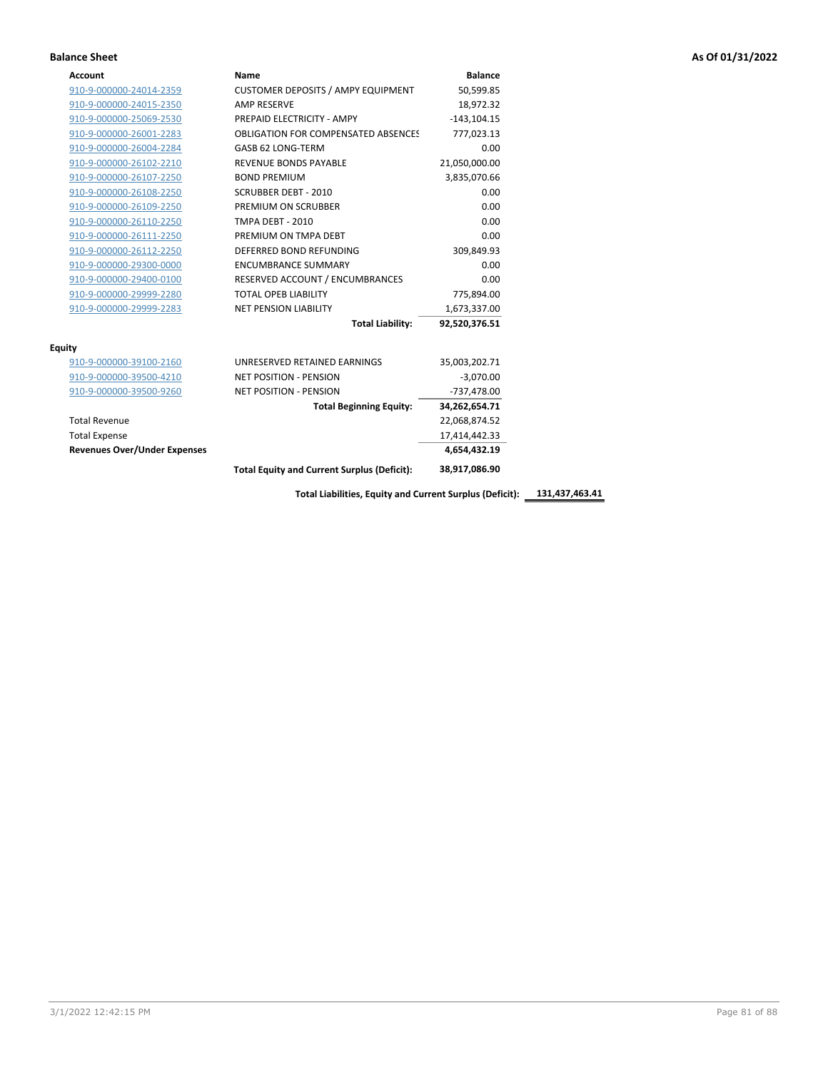| <b>Account</b>                      | Name                                               | <b>Balance</b> |
|-------------------------------------|----------------------------------------------------|----------------|
| 910-9-000000-24014-2359             | <b>CUSTOMER DEPOSITS / AMPY EQUIPMENT</b>          | 50,599.85      |
| 910-9-000000-24015-2350             | <b>AMP RESERVE</b>                                 | 18,972.32      |
| 910-9-000000-25069-2530             | PREPAID ELECTRICITY - AMPY                         | $-143, 104.15$ |
| 910-9-000000-26001-2283             | OBLIGATION FOR COMPENSATED ABSENCES                | 777,023.13     |
| 910-9-000000-26004-2284             | GASB 62 LONG-TERM                                  | 0.00           |
| 910-9-000000-26102-2210             | <b>REVENUE BONDS PAYABLE</b>                       | 21,050,000.00  |
| 910-9-000000-26107-2250             | <b>BOND PREMIUM</b>                                | 3,835,070.66   |
| 910-9-000000-26108-2250             | <b>SCRUBBER DEBT - 2010</b>                        | 0.00           |
| 910-9-000000-26109-2250             | PREMIUM ON SCRUBBER                                | 0.00           |
| 910-9-000000-26110-2250             | TMPA DEBT - 2010                                   | 0.00           |
| 910-9-000000-26111-2250             | PREMIUM ON TMPA DEBT                               | 0.00           |
| 910-9-000000-26112-2250             | DEFERRED BOND REFUNDING                            | 309,849.93     |
| 910-9-000000-29300-0000             | <b>ENCUMBRANCE SUMMARY</b>                         | 0.00           |
| 910-9-000000-29400-0100             | RESERVED ACCOUNT / ENCUMBRANCES                    | 0.00           |
| 910-9-000000-29999-2280             | <b>TOTAL OPEB LIABILITY</b>                        | 775,894.00     |
| 910-9-000000-29999-2283             | <b>NET PENSION LIABILITY</b>                       | 1,673,337.00   |
|                                     | <b>Total Liability:</b>                            | 92,520,376.51  |
| <b>Equity</b>                       |                                                    |                |
| 910-9-000000-39100-2160             | UNRESERVED RETAINED EARNINGS                       | 35,003,202.71  |
| 910-9-000000-39500-4210             | <b>NET POSITION - PENSION</b>                      | $-3,070.00$    |
| 910-9-000000-39500-9260             | <b>NET POSITION - PENSION</b>                      | $-737,478.00$  |
|                                     | <b>Total Beginning Equity:</b>                     | 34,262,654.71  |
| <b>Total Revenue</b>                |                                                    | 22,068,874.52  |
| <b>Total Expense</b>                |                                                    | 17,414,442.33  |
| <b>Revenues Over/Under Expenses</b> |                                                    | 4,654,432.19   |
|                                     | <b>Total Equity and Current Surplus (Deficit):</b> | 38,917,086.90  |

**Total Liabilities, Equity and Current Surplus (Deficit): 131,437,463.41**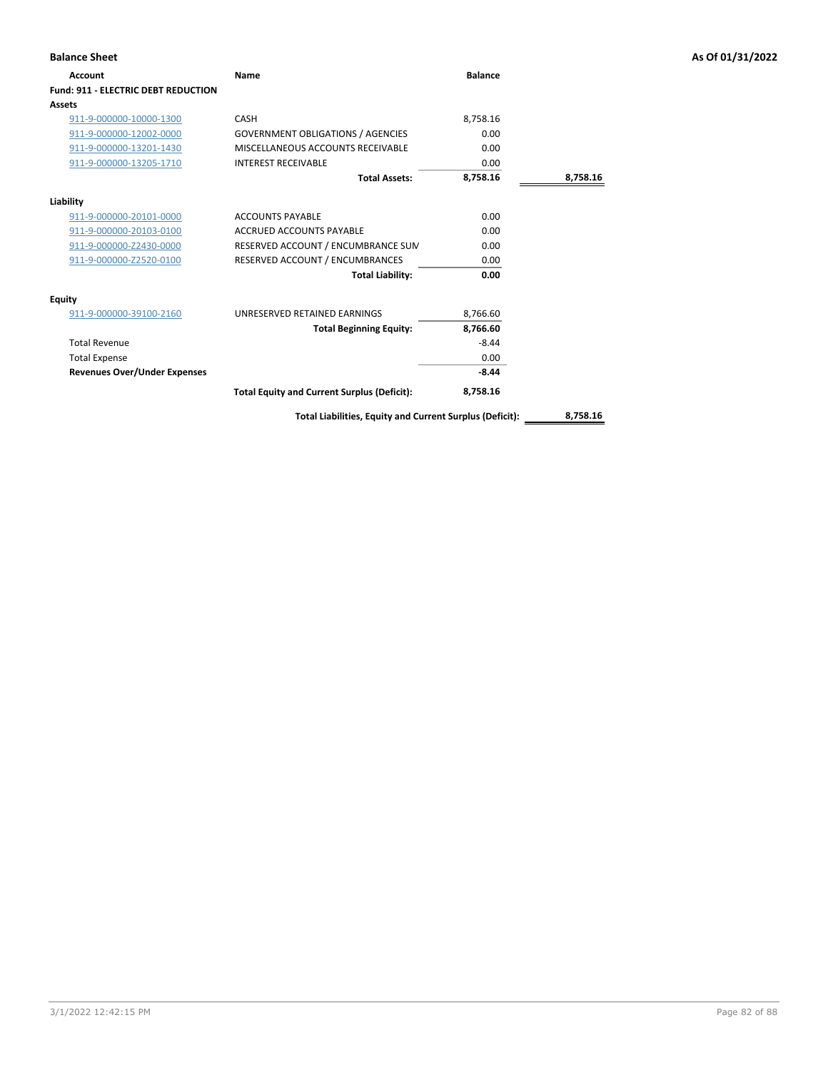| <b>Balance Sheet</b>                       |                                                          |                |          | As Of 01/31/2022 |
|--------------------------------------------|----------------------------------------------------------|----------------|----------|------------------|
| Account                                    | Name                                                     | <b>Balance</b> |          |                  |
| <b>Fund: 911 - ELECTRIC DEBT REDUCTION</b> |                                                          |                |          |                  |
| Assets                                     |                                                          |                |          |                  |
| 911-9-000000-10000-1300                    | CASH                                                     | 8,758.16       |          |                  |
| 911-9-000000-12002-0000                    | <b>GOVERNMENT OBLIGATIONS / AGENCIES</b>                 | 0.00           |          |                  |
| 911-9-000000-13201-1430                    | MISCELLANEOUS ACCOUNTS RECEIVABLE                        | 0.00           |          |                  |
| 911-9-000000-13205-1710                    | <b>INTEREST RECEIVABLE</b>                               | 0.00           |          |                  |
|                                            | <b>Total Assets:</b>                                     | 8,758.16       | 8,758.16 |                  |
| Liability                                  |                                                          |                |          |                  |
| 911-9-000000-20101-0000                    | <b>ACCOUNTS PAYABLE</b>                                  | 0.00           |          |                  |
| 911-9-000000-20103-0100                    | ACCRUED ACCOUNTS PAYABLE                                 | 0.00           |          |                  |
| 911-9-000000-Z2430-0000                    | RESERVED ACCOUNT / ENCUMBRANCE SUM                       | 0.00           |          |                  |
| 911-9-000000-Z2520-0100                    | RESERVED ACCOUNT / ENCUMBRANCES                          | 0.00           |          |                  |
|                                            | <b>Total Liability:</b>                                  | 0.00           |          |                  |
| <b>Equity</b>                              |                                                          |                |          |                  |
| 911-9-000000-39100-2160                    | UNRESERVED RETAINED EARNINGS                             | 8,766.60       |          |                  |
|                                            | <b>Total Beginning Equity:</b>                           | 8,766.60       |          |                  |
| <b>Total Revenue</b>                       |                                                          | $-8.44$        |          |                  |
| <b>Total Expense</b>                       |                                                          | 0.00           |          |                  |
| <b>Revenues Over/Under Expenses</b>        |                                                          | $-8.44$        |          |                  |
|                                            | <b>Total Equity and Current Surplus (Deficit):</b>       | 8,758.16       |          |                  |
|                                            | Total Liabilities, Equity and Current Surplus (Deficit): |                | 8,758.16 |                  |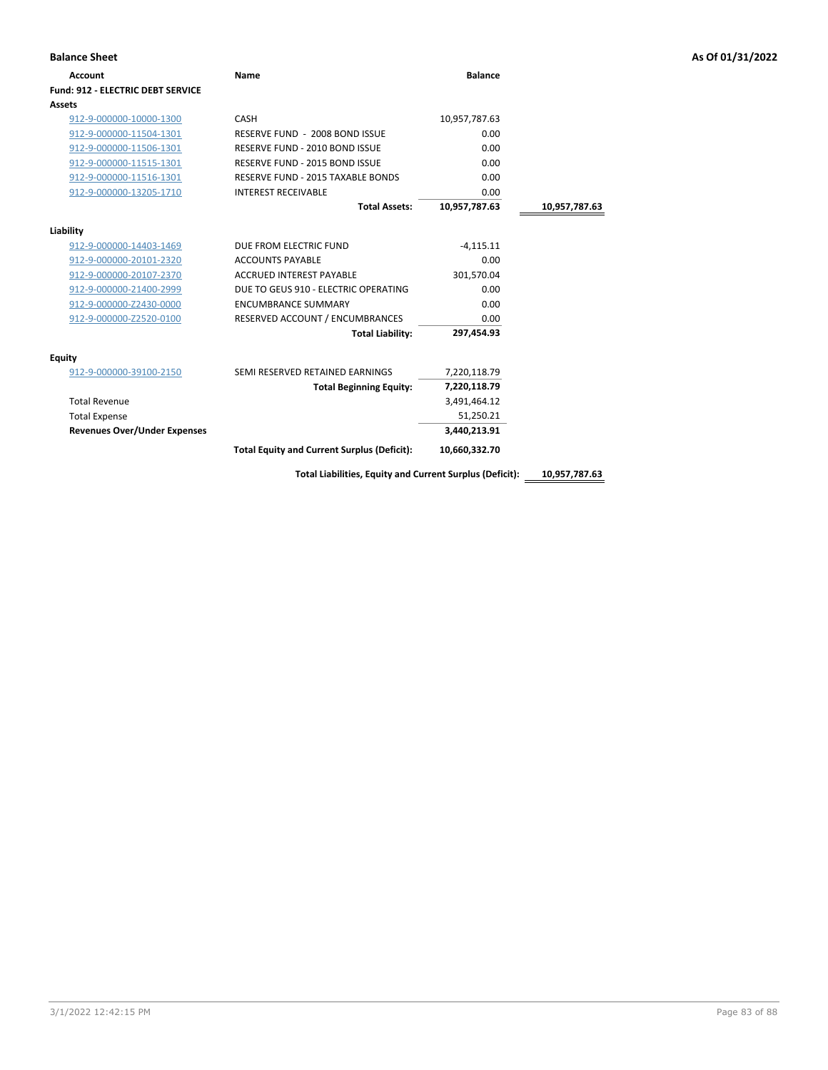| <b>Balance Sheet</b>                     |                                                          |                |               | As Of 01/31/2022 |
|------------------------------------------|----------------------------------------------------------|----------------|---------------|------------------|
| <b>Account</b>                           | Name                                                     | <b>Balance</b> |               |                  |
| <b>Fund: 912 - ELECTRIC DEBT SERVICE</b> |                                                          |                |               |                  |
| Assets                                   |                                                          |                |               |                  |
| 912-9-000000-10000-1300                  | CASH                                                     | 10,957,787.63  |               |                  |
| 912-9-000000-11504-1301                  | RESERVE FUND - 2008 BOND ISSUE                           | 0.00           |               |                  |
| 912-9-000000-11506-1301                  | RESERVE FUND - 2010 BOND ISSUE                           | 0.00           |               |                  |
| 912-9-000000-11515-1301                  | RESERVE FUND - 2015 BOND ISSUE                           | 0.00           |               |                  |
| 912-9-000000-11516-1301                  | RESERVE FUND - 2015 TAXABLE BONDS                        | 0.00           |               |                  |
| 912-9-000000-13205-1710                  | <b>INTEREST RECEIVABLE</b>                               | 0.00           |               |                  |
|                                          | <b>Total Assets:</b>                                     | 10,957,787.63  | 10,957,787.63 |                  |
| Liability                                |                                                          |                |               |                  |
| 912-9-000000-14403-1469                  | DUE FROM ELECTRIC FUND                                   | $-4,115.11$    |               |                  |
| 912-9-000000-20101-2320                  | <b>ACCOUNTS PAYABLE</b>                                  | 0.00           |               |                  |
| 912-9-000000-20107-2370                  | <b>ACCRUED INTEREST PAYABLE</b>                          | 301,570.04     |               |                  |
| 912-9-000000-21400-2999                  | DUE TO GEUS 910 - ELECTRIC OPERATING                     | 0.00           |               |                  |
| 912-9-000000-Z2430-0000                  | <b>ENCUMBRANCE SUMMARY</b>                               | 0.00           |               |                  |
| 912-9-000000-Z2520-0100                  | RESERVED ACCOUNT / ENCUMBRANCES                          | 0.00           |               |                  |
|                                          | <b>Total Liability:</b>                                  | 297,454.93     |               |                  |
| <b>Equity</b>                            |                                                          |                |               |                  |
| 912-9-000000-39100-2150                  | SEMI RESERVED RETAINED EARNINGS                          | 7,220,118.79   |               |                  |
|                                          | <b>Total Beginning Equity:</b>                           | 7,220,118.79   |               |                  |
| <b>Total Revenue</b>                     |                                                          | 3,491,464.12   |               |                  |
| <b>Total Expense</b>                     |                                                          | 51,250.21      |               |                  |
| <b>Revenues Over/Under Expenses</b>      |                                                          | 3,440,213.91   |               |                  |
|                                          | <b>Total Equity and Current Surplus (Deficit):</b>       | 10,660,332.70  |               |                  |
|                                          | Total Liabilities, Equity and Current Surplus (Deficit): |                | 10,957,787.63 |                  |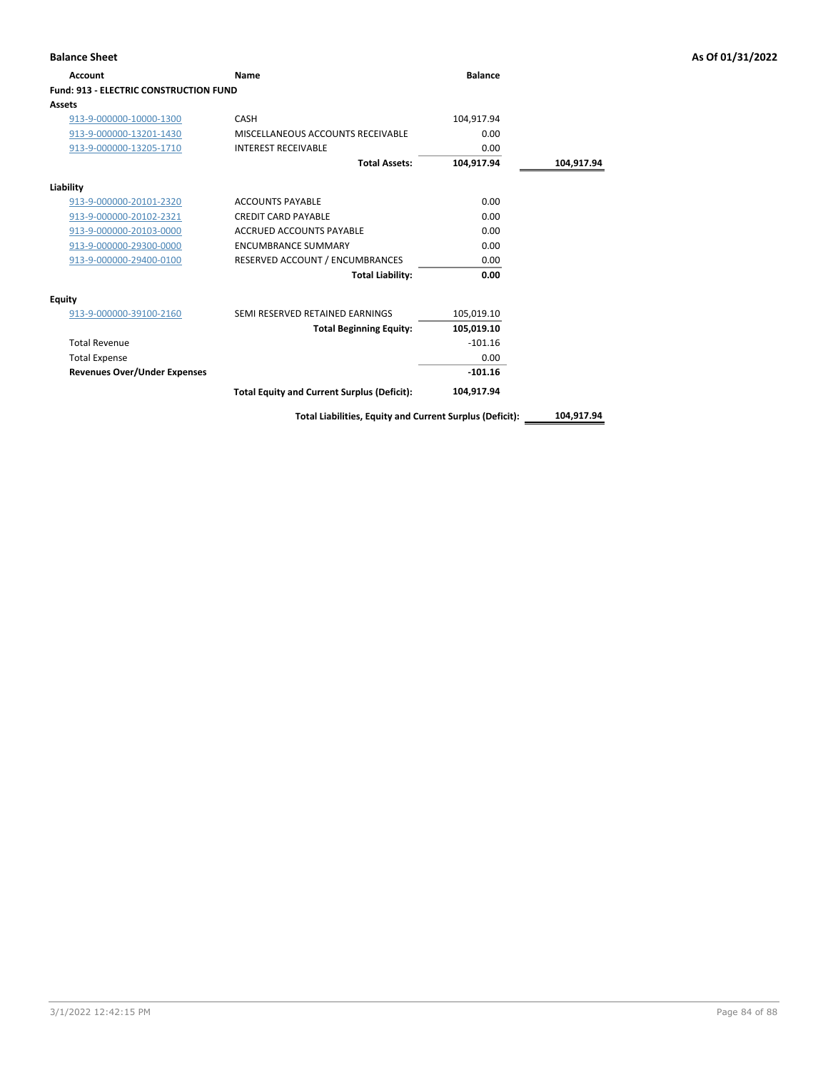| Account                                       | Name                                               | <b>Balance</b> |            |
|-----------------------------------------------|----------------------------------------------------|----------------|------------|
| <b>Fund: 913 - ELECTRIC CONSTRUCTION FUND</b> |                                                    |                |            |
| Assets                                        |                                                    |                |            |
| 913-9-000000-10000-1300                       | CASH                                               | 104,917.94     |            |
| 913-9-000000-13201-1430                       | MISCELLANEOUS ACCOUNTS RECEIVABLE                  | 0.00           |            |
| 913-9-000000-13205-1710                       | <b>INTEREST RECEIVABLE</b>                         | 0.00           |            |
|                                               | <b>Total Assets:</b>                               | 104.917.94     | 104,917.94 |
| Liability                                     |                                                    |                |            |
| 913-9-000000-20101-2320                       | <b>ACCOUNTS PAYABLE</b>                            | 0.00           |            |
| 913-9-000000-20102-2321                       | <b>CREDIT CARD PAYABLE</b>                         | 0.00           |            |
| 913-9-000000-20103-0000                       | <b>ACCRUED ACCOUNTS PAYABLE</b>                    | 0.00           |            |
| 913-9-000000-29300-0000                       | <b>ENCUMBRANCE SUMMARY</b>                         | 0.00           |            |
| 913-9-000000-29400-0100                       | RESERVED ACCOUNT / ENCUMBRANCES                    | 0.00           |            |
|                                               | <b>Total Liability:</b>                            | 0.00           |            |
| Equity                                        |                                                    |                |            |
| 913-9-000000-39100-2160                       | SEMI RESERVED RETAINED EARNINGS                    | 105,019.10     |            |
|                                               | <b>Total Beginning Equity:</b>                     | 105,019.10     |            |
| <b>Total Revenue</b>                          |                                                    | $-101.16$      |            |
| <b>Total Expense</b>                          |                                                    | 0.00           |            |
| <b>Revenues Over/Under Expenses</b>           |                                                    | $-101.16$      |            |
|                                               | <b>Total Equity and Current Surplus (Deficit):</b> | 104,917.94     |            |

**Total Liabilities, Equity and Current Surplus (Deficit): 104,917.94**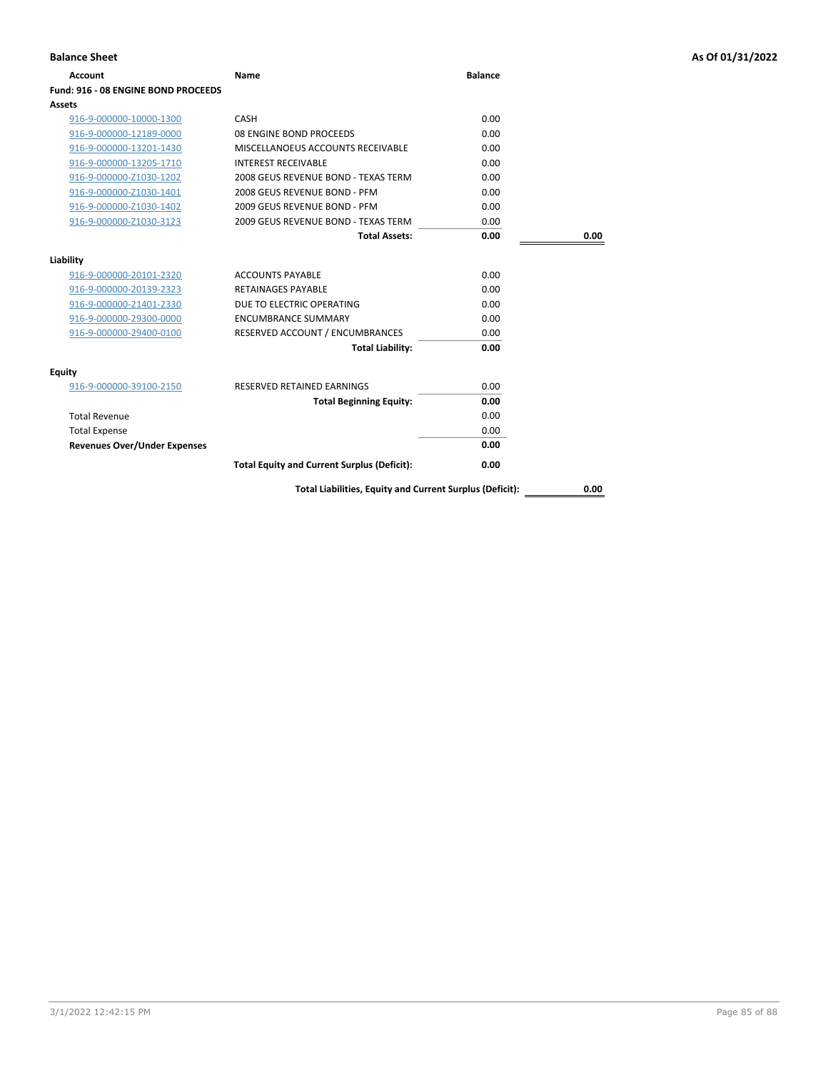| <b>Balance Sheet</b>                |                                                          |                |      | As Of 01/31/2022 |
|-------------------------------------|----------------------------------------------------------|----------------|------|------------------|
| <b>Account</b>                      | <b>Name</b>                                              | <b>Balance</b> |      |                  |
| Fund: 916 - 08 ENGINE BOND PROCEEDS |                                                          |                |      |                  |
| Assets                              |                                                          |                |      |                  |
| 916-9-000000-10000-1300             | CASH                                                     | 0.00           |      |                  |
| 916-9-000000-12189-0000             | 08 ENGINE BOND PROCEEDS                                  | 0.00           |      |                  |
| 916-9-000000-13201-1430             | MISCELLANOEUS ACCOUNTS RECEIVABLE                        | 0.00           |      |                  |
| 916-9-000000-13205-1710             | <b>INTEREST RECEIVABLE</b>                               | 0.00           |      |                  |
| 916-9-000000-Z1030-1202             | 2008 GEUS REVENUE BOND - TEXAS TERM                      | 0.00           |      |                  |
| 916-9-000000-Z1030-1401             | 2008 GEUS REVENUE BOND - PFM                             | 0.00           |      |                  |
| 916-9-000000-Z1030-1402             | 2009 GEUS REVENUE BOND - PFM                             | 0.00           |      |                  |
| 916-9-000000-Z1030-3123             | 2009 GEUS REVENUE BOND - TEXAS TERM                      | 0.00           |      |                  |
|                                     | <b>Total Assets:</b>                                     | 0.00           | 0.00 |                  |
| Liability                           |                                                          |                |      |                  |
| 916-9-000000-20101-2320             | <b>ACCOUNTS PAYABLE</b>                                  | 0.00           |      |                  |
| 916-9-000000-20139-2323             | <b>RETAINAGES PAYABLE</b>                                | 0.00           |      |                  |
| 916-9-000000-21401-2330             | DUE TO ELECTRIC OPERATING                                | 0.00           |      |                  |
| 916-9-000000-29300-0000             | <b>ENCUMBRANCE SUMMARY</b>                               | 0.00           |      |                  |
| 916-9-000000-29400-0100             | RESERVED ACCOUNT / ENCUMBRANCES                          | 0.00           |      |                  |
|                                     | <b>Total Liability:</b>                                  | 0.00           |      |                  |
| Equity                              |                                                          |                |      |                  |
| 916-9-000000-39100-2150             | RESERVED RETAINED EARNINGS                               | 0.00           |      |                  |
|                                     | <b>Total Beginning Equity:</b>                           | 0.00           |      |                  |
| <b>Total Revenue</b>                |                                                          | 0.00           |      |                  |
| <b>Total Expense</b>                |                                                          | 0.00           |      |                  |
| <b>Revenues Over/Under Expenses</b> |                                                          | 0.00           |      |                  |
|                                     | <b>Total Equity and Current Surplus (Deficit):</b>       | 0.00           |      |                  |
|                                     | Total Liabilities, Equity and Current Surplus (Deficit): |                | 0.00 |                  |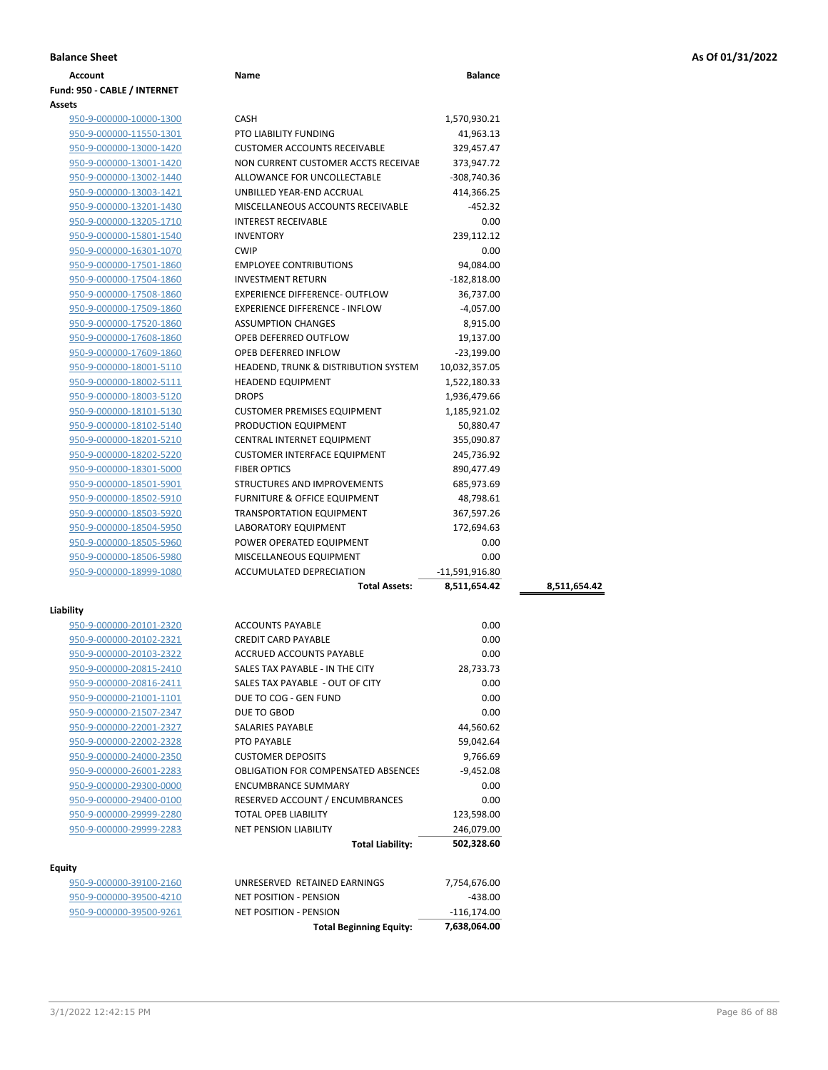| <b>Balance Sheet</b> | As Of 01/31/2022 |
|----------------------|------------------|
|                      |                  |

| Account                      | Name                                            | <b>Balance</b> |              |
|------------------------------|-------------------------------------------------|----------------|--------------|
| Fund: 950 - CABLE / INTERNET |                                                 |                |              |
| Assets                       |                                                 |                |              |
| 950-9-000000-10000-1300      | <b>CASH</b>                                     | 1,570,930.21   |              |
| 950-9-000000-11550-1301      | PTO LIABILITY FUNDING                           | 41,963.13      |              |
| 950-9-000000-13000-1420      | <b>CUSTOMER ACCOUNTS RECEIVABLE</b>             | 329,457.47     |              |
| 950-9-000000-13001-1420      | NON CURRENT CUSTOMER ACCTS RECEIVAE             | 373,947.72     |              |
| 950-9-000000-13002-1440      | ALLOWANCE FOR UNCOLLECTABLE                     | -308,740.36    |              |
| 950-9-000000-13003-1421      | UNBILLED YEAR-END ACCRUAL                       | 414,366.25     |              |
| 950-9-000000-13201-1430      | MISCELLANEOUS ACCOUNTS RECEIVABLE               | -452.32        |              |
| 950-9-000000-13205-1710      | <b>INTEREST RECEIVABLE</b>                      | 0.00           |              |
| 950-9-000000-15801-1540      | <b>INVENTORY</b>                                | 239,112.12     |              |
| 950-9-000000-16301-1070      | <b>CWIP</b>                                     | 0.00           |              |
| 950-9-000000-17501-1860      | <b>EMPLOYEE CONTRIBUTIONS</b>                   | 94,084.00      |              |
| 950-9-000000-17504-1860      | <b>INVESTMENT RETURN</b>                        | $-182,818.00$  |              |
| 950-9-000000-17508-1860      | <b>EXPERIENCE DIFFERENCE- OUTFLOW</b>           | 36,737.00      |              |
| 950-9-000000-17509-1860      | <b>EXPERIENCE DIFFERENCE - INFLOW</b>           | $-4,057.00$    |              |
| 950-9-000000-17520-1860      | <b>ASSUMPTION CHANGES</b>                       | 8,915.00       |              |
| 950-9-000000-17608-1860      | OPEB DEFERRED OUTFLOW                           | 19,137.00      |              |
| 950-9-000000-17609-1860      | OPEB DEFERRED INFLOW                            | $-23,199.00$   |              |
| 950-9-000000-18001-5110      | <b>HEADEND, TRUNK &amp; DISTRIBUTION SYSTEM</b> | 10,032,357.05  |              |
| 950-9-000000-18002-5111      | <b>HEADEND EQUIPMENT</b>                        | 1,522,180.33   |              |
| 950-9-000000-18003-5120      | <b>DROPS</b>                                    | 1,936,479.66   |              |
| 950-9-000000-18101-5130      | <b>CUSTOMER PREMISES EQUIPMENT</b>              | 1,185,921.02   |              |
| 950-9-000000-18102-5140      | PRODUCTION EQUIPMENT                            | 50,880.47      |              |
| 950-9-000000-18201-5210      | <b>CENTRAL INTERNET EQUIPMENT</b>               | 355,090.87     |              |
| 950-9-000000-18202-5220      | <b>CUSTOMER INTERFACE EQUIPMENT</b>             | 245,736.92     |              |
| 950-9-000000-18301-5000      | <b>FIBER OPTICS</b>                             | 890,477.49     |              |
| 950-9-000000-18501-5901      | STRUCTURES AND IMPROVEMENTS                     | 685,973.69     |              |
| 950-9-000000-18502-5910      | <b>FURNITURE &amp; OFFICE EQUIPMENT</b>         | 48,798.61      |              |
| 950-9-000000-18503-5920      | <b>TRANSPORTATION EQUIPMENT</b>                 | 367,597.26     |              |
| 950-9-000000-18504-5950      | <b>LABORATORY EQUIPMENT</b>                     | 172,694.63     |              |
| 950-9-000000-18505-5960      | POWER OPERATED EQUIPMENT                        | 0.00           |              |
| 950-9-000000-18506-5980      | MISCELLANEOUS EQUIPMENT                         | 0.00           |              |
| 950-9-000000-18999-1080      | ACCUMULATED DEPRECIATION                        | -11,591,916.80 |              |
|                              | <b>Total Assets:</b>                            | 8,511,654.42   | 8,511,654.42 |
|                              |                                                 |                |              |
| Liability                    |                                                 |                |              |
| 950-9-000000-20101-2320      | <b>ACCOUNTS PAYABLE</b>                         | 0.00           |              |
| 950-9-000000-20102-2321      | <b>CREDIT CARD PAYABLE</b>                      | 0.00           |              |
| 950-9-000000-20103-2322      | ACCRUED ACCOUNTS PAYABLE                        | 0.00           |              |
| 950-9-000000-20815-2410      | SALES TAX PAYABLE - IN THE CITY                 | 28,733.73      |              |
| 950-9-000000-20816-2411      | SALES TAX PAYABLE - OUT OF CITY                 | 0.00           |              |
| 950-9-000000-21001-1101      | DUE TO COG - GEN FUND                           | 0.00           |              |
| 950-9-000000-21507-2347      | DUE TO GBOD                                     | 0.00           |              |
| 950-9-000000-22001-2327      | SALARIES PAYABLE                                | 44,560.62      |              |
| 950-9-000000-22002-2328      | PTO PAYABLE                                     | 59,042.64      |              |
| 950-9-000000-24000-2350      | <b>CUSTOMER DEPOSITS</b>                        | 9,766.69       |              |
| 950-9-000000-26001-2283      | <b>OBLIGATION FOR COMPENSATED ABSENCES</b>      | $-9,452.08$    |              |
| 950-9-000000-29300-0000      | <b>ENCUMBRANCE SUMMARY</b>                      | 0.00           |              |
| 950-9-000000-29400-0100      | RESERVED ACCOUNT / ENCUMBRANCES                 | 0.00           |              |
| 950-9-000000-29999-2280      | TOTAL OPEB LIABILITY                            | 123,598.00     |              |
| 950-9-000000-29999-2283      | <b>NET PENSION LIABILITY</b>                    | 246,079.00     |              |
|                              | <b>Total Liability:</b>                         | 502,328.60     |              |
|                              |                                                 |                |              |
| Equity                       |                                                 |                |              |
| 950-9-000000-39100-2160      | UNRESERVED RETAINED EARNINGS                    | 7,754,676.00   |              |
| 950-9-000000-39500-4210      | <b>NET POSITION - PENSION</b>                   | $-438.00$      |              |
| 950-9-000000-39500-9261      | NET POSITION - PENSION                          | -116,174.00    |              |

**Total Beginning Equity: 7,638,064.00**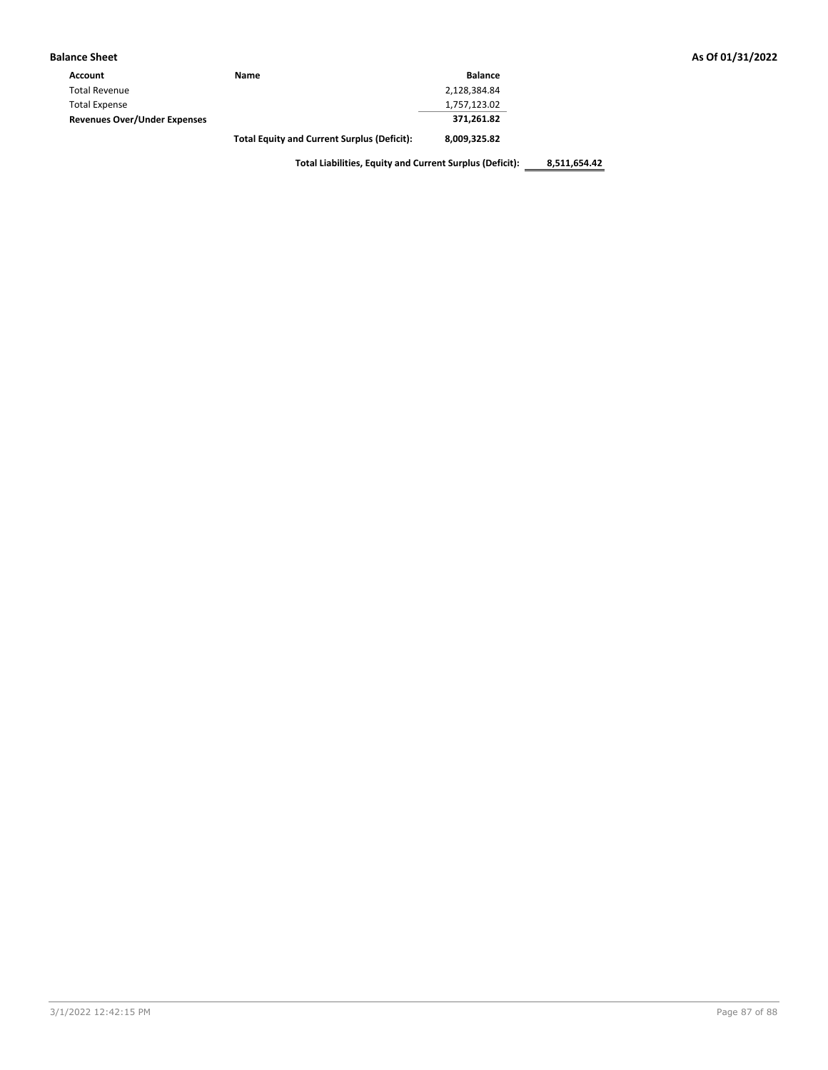| <b>Balance Sheet</b>                |                                                    |                |
|-------------------------------------|----------------------------------------------------|----------------|
| Account                             | Name                                               | <b>Balance</b> |
| <b>Total Revenue</b>                |                                                    | 2,128,384.84   |
| <b>Total Expense</b>                |                                                    | 1,757,123.02   |
| <b>Revenues Over/Under Expenses</b> |                                                    | 371,261.82     |
|                                     | <b>Total Equity and Current Surplus (Deficit):</b> | 8,009,325.82   |

**Total Liabilities, Equity and Current Surplus (Deficit): 8,511,654.42**